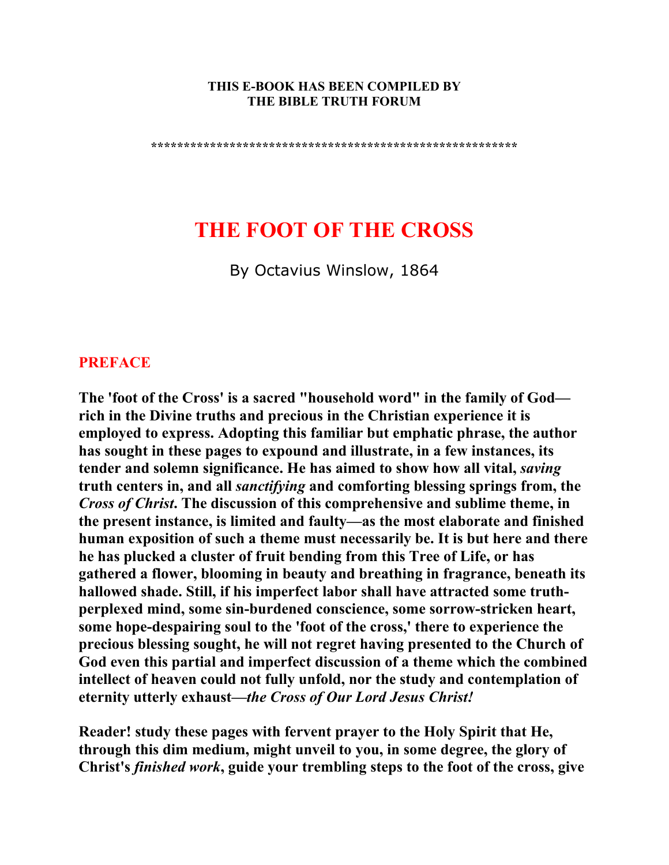#### **THIS E-BOOK HAS BEEN COMPILED BY THE BIBLE TRUTH FORUM**

**\*\*\*\*\*\*\*\*\*\*\*\*\*\*\*\*\*\*\*\*\*\*\*\*\*\*\*\*\*\*\*\*\*\*\*\*\*\*\*\*\*\*\*\*\*\*\*\*\*\*\*\*\*\*\*\*** 

# **THE FOOT OF THE CROSS**

By Octavius Winslow, 1864

## **PREFACE**

**The 'foot of the Cross' is a sacred "household word" in the family of God rich in the Divine truths and precious in the Christian experience it is employed to express. Adopting this familiar but emphatic phrase, the author has sought in these pages to expound and illustrate, in a few instances, its tender and solemn significance. He has aimed to show how all vital,** *saving* **truth centers in, and all** *sanctifying* **and comforting blessing springs from, the**  *Cross of Christ***. The discussion of this comprehensive and sublime theme, in the present instance, is limited and faulty—as the most elaborate and finished human exposition of such a theme must necessarily be. It is but here and there he has plucked a cluster of fruit bending from this Tree of Life, or has gathered a flower, blooming in beauty and breathing in fragrance, beneath its hallowed shade. Still, if his imperfect labor shall have attracted some truthperplexed mind, some sin-burdened conscience, some sorrow-stricken heart, some hope-despairing soul to the 'foot of the cross,' there to experience the precious blessing sought, he will not regret having presented to the Church of God even this partial and imperfect discussion of a theme which the combined intellect of heaven could not fully unfold, nor the study and contemplation of eternity utterly exhaust—***the Cross of Our Lord Jesus Christ!*

**Reader! study these pages with fervent prayer to the Holy Spirit that He, through this dim medium, might unveil to you, in some degree, the glory of Christ's** *finished work***, guide your trembling steps to the foot of the cross, give**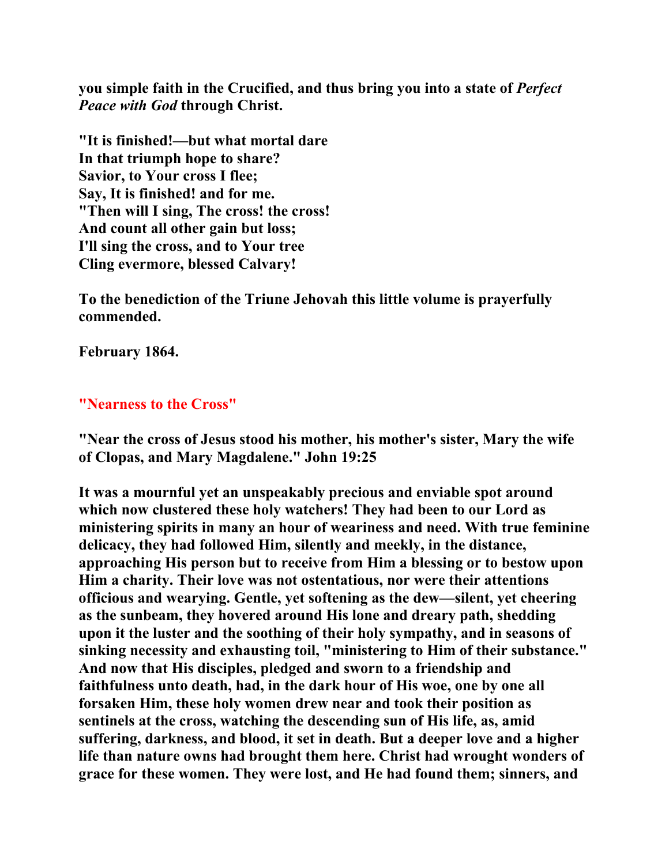**you simple faith in the Crucified, and thus bring you into a state of** *Perfect Peace with God* **through Christ.** 

**"It is finished!—but what mortal dare In that triumph hope to share? Savior, to Your cross I flee; Say, It is finished! and for me. "Then will I sing, The cross! the cross! And count all other gain but loss; I'll sing the cross, and to Your tree Cling evermore, blessed Calvary!** 

**To the benediction of the Triune Jehovah this little volume is prayerfully commended.** 

**February 1864.** 

## **"Nearness to the Cross"**

**"Near the cross of Jesus stood his mother, his mother's sister, Mary the wife of Clopas, and Mary Magdalene." John 19:25** 

**It was a mournful yet an unspeakably precious and enviable spot around which now clustered these holy watchers! They had been to our Lord as ministering spirits in many an hour of weariness and need. With true feminine delicacy, they had followed Him, silently and meekly, in the distance, approaching His person but to receive from Him a blessing or to bestow upon Him a charity. Their love was not ostentatious, nor were their attentions officious and wearying. Gentle, yet softening as the dew—silent, yet cheering as the sunbeam, they hovered around His lone and dreary path, shedding upon it the luster and the soothing of their holy sympathy, and in seasons of sinking necessity and exhausting toil, "ministering to Him of their substance." And now that His disciples, pledged and sworn to a friendship and faithfulness unto death, had, in the dark hour of His woe, one by one all forsaken Him, these holy women drew near and took their position as sentinels at the cross, watching the descending sun of His life, as, amid suffering, darkness, and blood, it set in death. But a deeper love and a higher life than nature owns had brought them here. Christ had wrought wonders of grace for these women. They were lost, and He had found them; sinners, and**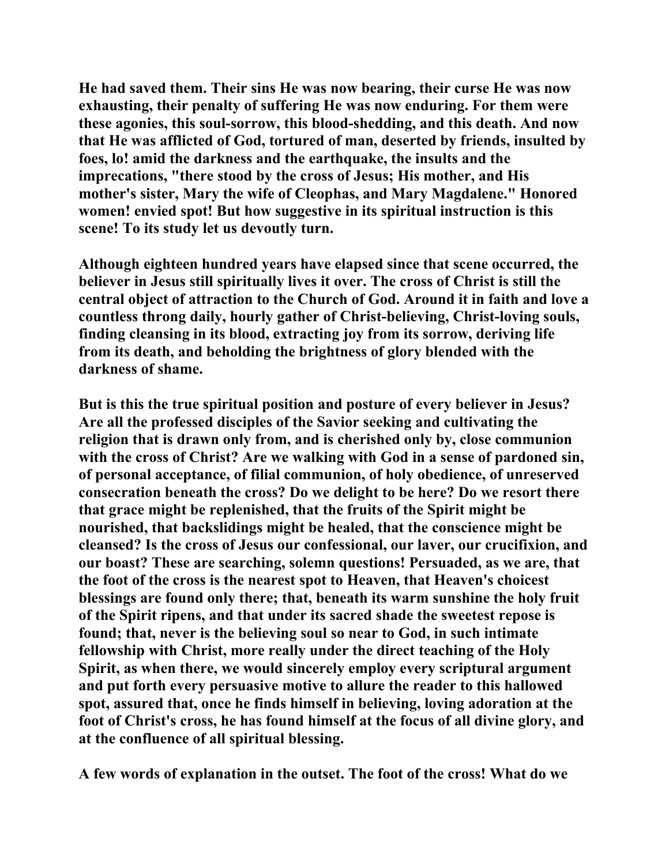**He had saved them. Their sins He was now bearing, their curse He was now exhausting, their penalty of suffering He was now enduring. For them were these agonies, this soul-sorrow, this blood-shedding, and this death. And now that He was afflicted of God, tortured of man, deserted by friends, insulted by foes, lo! amid the darkness and the earthquake, the insults and the imprecations, "there stood by the cross of Jesus; His mother, and His mother's sister, Mary the wife of Cleophas, and Mary Magdalene." Honored women! envied spot! But how suggestive in its spiritual instruction is this scene! To its study let us devoutly turn.** 

**Although eighteen hundred years have elapsed since that scene occurred, the believer in Jesus still spiritually lives it over. The cross of Christ is still the central object of attraction to the Church of God. Around it in faith and love a countless throng daily, hourly gather of Christ-believing, Christ-loving souls, finding cleansing in its blood, extracting joy from its sorrow, deriving life from its death, and beholding the brightness of glory blended with the darkness of shame.** 

**But is this the true spiritual position and posture of every believer in Jesus? Are all the professed disciples of the Savior seeking and cultivating the religion that is drawn only from, and is cherished only by, close communion with the cross of Christ? Are we walking with God in a sense of pardoned sin, of personal acceptance, of filial communion, of holy obedience, of unreserved consecration beneath the cross? Do we delight to be here? Do we resort there that grace might be replenished, that the fruits of the Spirit might be nourished, that backslidings might be healed, that the conscience might be cleansed? Is the cross of Jesus our confessional, our laver, our crucifixion, and our boast? These are searching, solemn questions! Persuaded, as we are, that the foot of the cross is the nearest spot to Heaven, that Heaven's choicest blessings are found only there; that, beneath its warm sunshine the holy fruit of the Spirit ripens, and that under its sacred shade the sweetest repose is found; that, never is the believing soul so near to God, in such intimate fellowship with Christ, more really under the direct teaching of the Holy Spirit, as when there, we would sincerely employ every scriptural argument and put forth every persuasive motive to allure the reader to this hallowed spot, assured that, once he finds himself in believing, loving adoration at the foot of Christ's cross, he has found himself at the focus of all divine glory, and at the confluence of all spiritual blessing.** 

**A few words of explanation in the outset. The foot of the cross! What do we**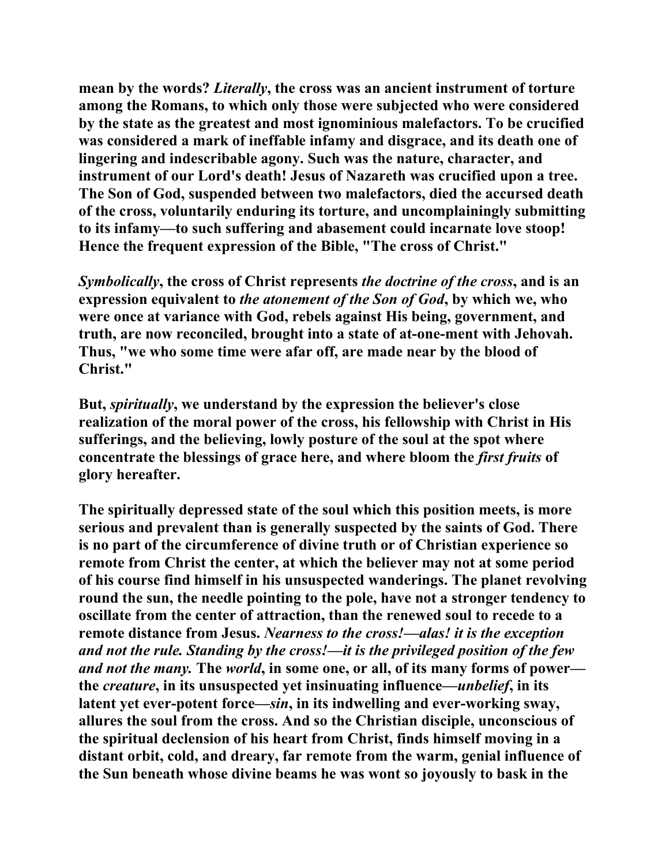**mean by the words?** *Literally***, the cross was an ancient instrument of torture among the Romans, to which only those were subjected who were considered by the state as the greatest and most ignominious malefactors. To be crucified was considered a mark of ineffable infamy and disgrace, and its death one of lingering and indescribable agony. Such was the nature, character, and instrument of our Lord's death! Jesus of Nazareth was crucified upon a tree. The Son of God, suspended between two malefactors, died the accursed death of the cross, voluntarily enduring its torture, and uncomplainingly submitting to its infamy—to such suffering and abasement could incarnate love stoop! Hence the frequent expression of the Bible, "The cross of Christ."** 

*Symbolically***, the cross of Christ represents** *the doctrine of the cross***, and is an expression equivalent to** *the atonement of the Son of God***, by which we, who were once at variance with God, rebels against His being, government, and truth, are now reconciled, brought into a state of at-one-ment with Jehovah. Thus, "we who some time were afar off, are made near by the blood of Christ."** 

**But,** *spiritually***, we understand by the expression the believer's close realization of the moral power of the cross, his fellowship with Christ in His sufferings, and the believing, lowly posture of the soul at the spot where concentrate the blessings of grace here, and where bloom the** *first fruits* **of glory hereafter.** 

**The spiritually depressed state of the soul which this position meets, is more serious and prevalent than is generally suspected by the saints of God. There is no part of the circumference of divine truth or of Christian experience so remote from Christ the center, at which the believer may not at some period of his course find himself in his unsuspected wanderings. The planet revolving round the sun, the needle pointing to the pole, have not a stronger tendency to oscillate from the center of attraction, than the renewed soul to recede to a remote distance from Jesus.** *Nearness to the cross!—alas! it is the exception and not the rule. Standing by the cross!—it is the privileged position of the few and not the many.* **The** *world***, in some one, or all, of its many forms of power the** *creature***, in its unsuspected yet insinuating influence—***unbelief***, in its latent yet ever-potent force—***sin***, in its indwelling and ever-working sway, allures the soul from the cross. And so the Christian disciple, unconscious of the spiritual declension of his heart from Christ, finds himself moving in a distant orbit, cold, and dreary, far remote from the warm, genial influence of the Sun beneath whose divine beams he was wont so joyously to bask in the**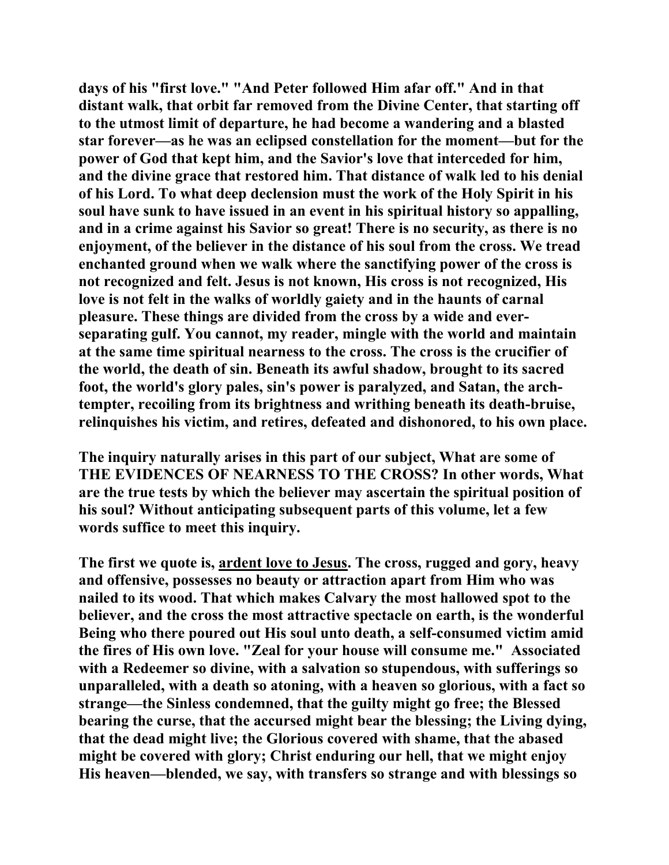**days of his "first love." "And Peter followed Him afar off." And in that distant walk, that orbit far removed from the Divine Center, that starting off to the utmost limit of departure, he had become a wandering and a blasted star forever—as he was an eclipsed constellation for the moment—but for the power of God that kept him, and the Savior's love that interceded for him, and the divine grace that restored him. That distance of walk led to his denial of his Lord. To what deep declension must the work of the Holy Spirit in his soul have sunk to have issued in an event in his spiritual history so appalling, and in a crime against his Savior so great! There is no security, as there is no enjoyment, of the believer in the distance of his soul from the cross. We tread enchanted ground when we walk where the sanctifying power of the cross is not recognized and felt. Jesus is not known, His cross is not recognized, His love is not felt in the walks of worldly gaiety and in the haunts of carnal pleasure. These things are divided from the cross by a wide and everseparating gulf. You cannot, my reader, mingle with the world and maintain at the same time spiritual nearness to the cross. The cross is the crucifier of the world, the death of sin. Beneath its awful shadow, brought to its sacred foot, the world's glory pales, sin's power is paralyzed, and Satan, the archtempter, recoiling from its brightness and writhing beneath its death-bruise, relinquishes his victim, and retires, defeated and dishonored, to his own place.** 

**The inquiry naturally arises in this part of our subject, What are some of THE EVIDENCES OF NEARNESS TO THE CROSS? In other words, What are the true tests by which the believer may ascertain the spiritual position of his soul? Without anticipating subsequent parts of this volume, let a few words suffice to meet this inquiry.** 

**The first we quote is, ardent love to Jesus. The cross, rugged and gory, heavy and offensive, possesses no beauty or attraction apart from Him who was nailed to its wood. That which makes Calvary the most hallowed spot to the believer, and the cross the most attractive spectacle on earth, is the wonderful Being who there poured out His soul unto death, a self-consumed victim amid the fires of His own love. "Zeal for your house will consume me." Associated with a Redeemer so divine, with a salvation so stupendous, with sufferings so unparalleled, with a death so atoning, with a heaven so glorious, with a fact so strange—the Sinless condemned, that the guilty might go free; the Blessed bearing the curse, that the accursed might bear the blessing; the Living dying, that the dead might live; the Glorious covered with shame, that the abased might be covered with glory; Christ enduring our hell, that we might enjoy His heaven—blended, we say, with transfers so strange and with blessings so**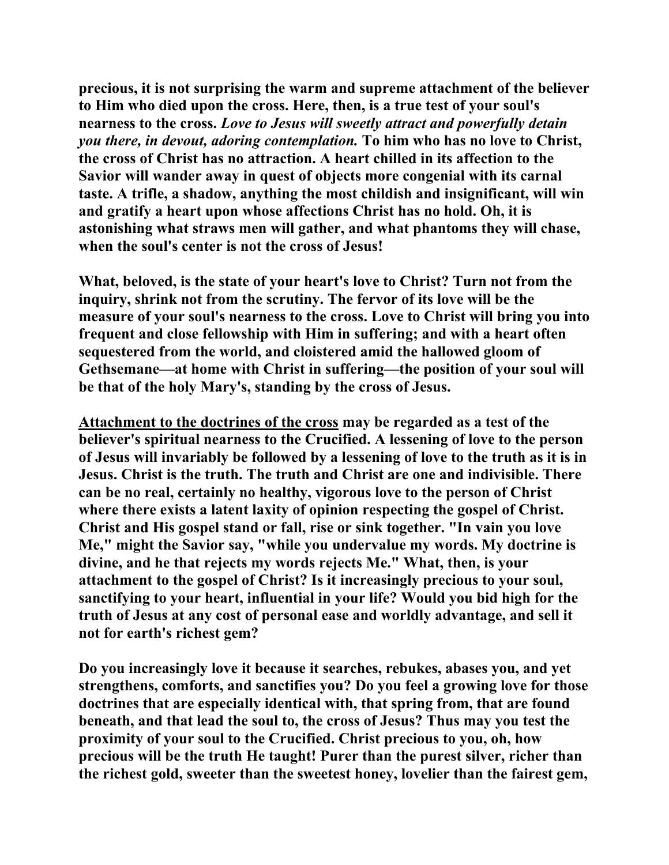**precious, it is not surprising the warm and supreme attachment of the believer to Him who died upon the cross. Here, then, is a true test of your soul's nearness to the cross.** *Love to Jesus will sweetly attract and powerfully detain you there, in devout, adoring contemplation.* **To him who has no love to Christ, the cross of Christ has no attraction. A heart chilled in its affection to the Savior will wander away in quest of objects more congenial with its carnal taste. A trifle, a shadow, anything the most childish and insignificant, will win and gratify a heart upon whose affections Christ has no hold. Oh, it is astonishing what straws men will gather, and what phantoms they will chase, when the soul's center is not the cross of Jesus!** 

**What, beloved, is the state of your heart's love to Christ? Turn not from the inquiry, shrink not from the scrutiny. The fervor of its love will be the measure of your soul's nearness to the cross. Love to Christ will bring you into frequent and close fellowship with Him in suffering; and with a heart often sequestered from the world, and cloistered amid the hallowed gloom of Gethsemane—at home with Christ in suffering—the position of your soul will be that of the holy Mary's, standing by the cross of Jesus.** 

**Attachment to the doctrines of the cross may be regarded as a test of the believer's spiritual nearness to the Crucified. A lessening of love to the person of Jesus will invariably be followed by a lessening of love to the truth as it is in Jesus. Christ is the truth. The truth and Christ are one and indivisible. There can be no real, certainly no healthy, vigorous love to the person of Christ where there exists a latent laxity of opinion respecting the gospel of Christ. Christ and His gospel stand or fall, rise or sink together. "In vain you love Me," might the Savior say, "while you undervalue my words. My doctrine is divine, and he that rejects my words rejects Me." What, then, is your attachment to the gospel of Christ? Is it increasingly precious to your soul, sanctifying to your heart, influential in your life? Would you bid high for the truth of Jesus at any cost of personal ease and worldly advantage, and sell it not for earth's richest gem?** 

**Do you increasingly love it because it searches, rebukes, abases you, and yet strengthens, comforts, and sanctifies you? Do you feel a growing love for those doctrines that are especially identical with, that spring from, that are found beneath, and that lead the soul to, the cross of Jesus? Thus may you test the proximity of your soul to the Crucified. Christ precious to you, oh, how precious will be the truth He taught! Purer than the purest silver, richer than the richest gold, sweeter than the sweetest honey, lovelier than the fairest gem,**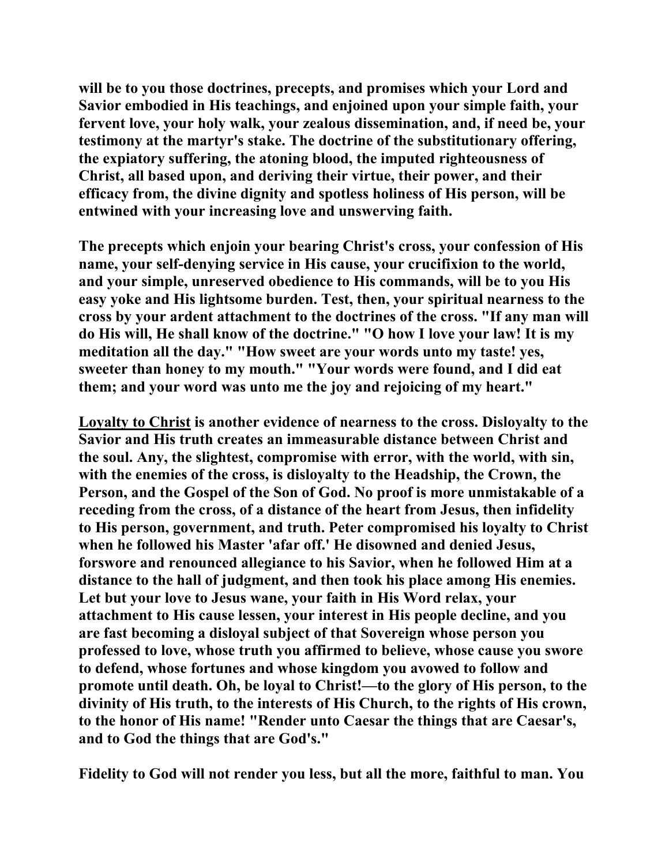**will be to you those doctrines, precepts, and promises which your Lord and Savior embodied in His teachings, and enjoined upon your simple faith, your fervent love, your holy walk, your zealous dissemination, and, if need be, your testimony at the martyr's stake. The doctrine of the substitutionary offering, the expiatory suffering, the atoning blood, the imputed righteousness of Christ, all based upon, and deriving their virtue, their power, and their efficacy from, the divine dignity and spotless holiness of His person, will be entwined with your increasing love and unswerving faith.** 

**The precepts which enjoin your bearing Christ's cross, your confession of His name, your self-denying service in His cause, your crucifixion to the world, and your simple, unreserved obedience to His commands, will be to you His easy yoke and His lightsome burden. Test, then, your spiritual nearness to the cross by your ardent attachment to the doctrines of the cross. "If any man will do His will, He shall know of the doctrine." "O how I love your law! It is my meditation all the day." "How sweet are your words unto my taste! yes, sweeter than honey to my mouth." "Your words were found, and I did eat them; and your word was unto me the joy and rejoicing of my heart."** 

**Loyalty to Christ is another evidence of nearness to the cross. Disloyalty to the Savior and His truth creates an immeasurable distance between Christ and the soul. Any, the slightest, compromise with error, with the world, with sin, with the enemies of the cross, is disloyalty to the Headship, the Crown, the Person, and the Gospel of the Son of God. No proof is more unmistakable of a receding from the cross, of a distance of the heart from Jesus, then infidelity to His person, government, and truth. Peter compromised his loyalty to Christ when he followed his Master 'afar off.' He disowned and denied Jesus, forswore and renounced allegiance to his Savior, when he followed Him at a distance to the hall of judgment, and then took his place among His enemies. Let but your love to Jesus wane, your faith in His Word relax, your attachment to His cause lessen, your interest in His people decline, and you are fast becoming a disloyal subject of that Sovereign whose person you professed to love, whose truth you affirmed to believe, whose cause you swore to defend, whose fortunes and whose kingdom you avowed to follow and promote until death. Oh, be loyal to Christ!—to the glory of His person, to the divinity of His truth, to the interests of His Church, to the rights of His crown, to the honor of His name! "Render unto Caesar the things that are Caesar's, and to God the things that are God's."** 

**Fidelity to God will not render you less, but all the more, faithful to man. You**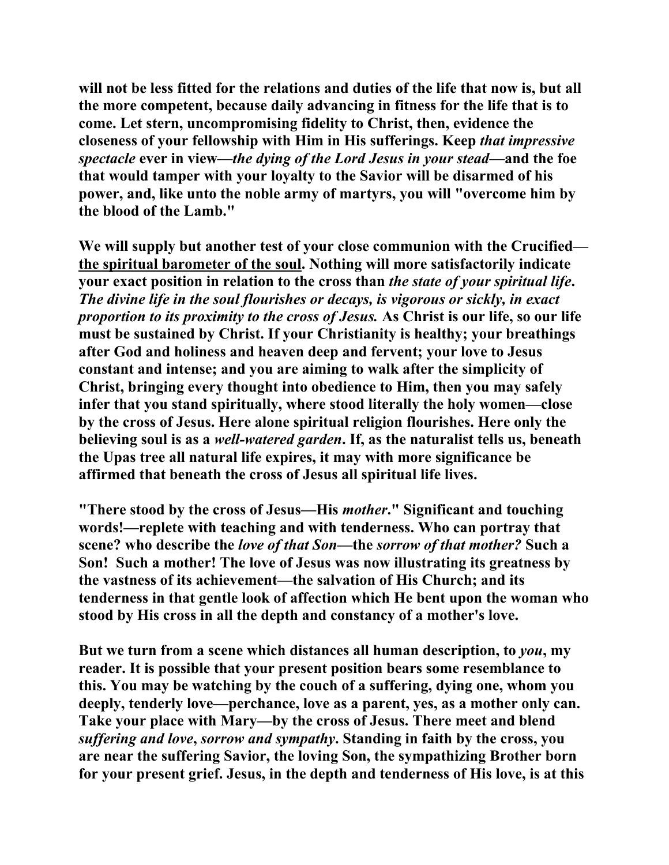**will not be less fitted for the relations and duties of the life that now is, but all the more competent, because daily advancing in fitness for the life that is to come. Let stern, uncompromising fidelity to Christ, then, evidence the closeness of your fellowship with Him in His sufferings. Keep** *that impressive spectacle* **ever in view—***the dying of the Lord Jesus in your stead***—and the foe that would tamper with your loyalty to the Savior will be disarmed of his power, and, like unto the noble army of martyrs, you will "overcome him by the blood of the Lamb."** 

**We will supply but another test of your close communion with the Crucified the spiritual barometer of the soul. Nothing will more satisfactorily indicate your exact position in relation to the cross than** *the state of your spiritual life***.**  *The divine life in the soul flourishes or decays, is vigorous or sickly, in exact proportion to its proximity to the cross of Jesus.* **As Christ is our life, so our life must be sustained by Christ. If your Christianity is healthy; your breathings after God and holiness and heaven deep and fervent; your love to Jesus constant and intense; and you are aiming to walk after the simplicity of Christ, bringing every thought into obedience to Him, then you may safely infer that you stand spiritually, where stood literally the holy women—close by the cross of Jesus. Here alone spiritual religion flourishes. Here only the believing soul is as a** *well-watered garden***. If, as the naturalist tells us, beneath the Upas tree all natural life expires, it may with more significance be affirmed that beneath the cross of Jesus all spiritual life lives.** 

**"There stood by the cross of Jesus—His** *mother***." Significant and touching words!—replete with teaching and with tenderness. Who can portray that scene? who describe the** *love of that Son***—the** *sorrow of that mother?* **Such a Son! Such a mother! The love of Jesus was now illustrating its greatness by the vastness of its achievement—the salvation of His Church; and its tenderness in that gentle look of affection which He bent upon the woman who stood by His cross in all the depth and constancy of a mother's love.** 

**But we turn from a scene which distances all human description, to** *you***, my reader. It is possible that your present position bears some resemblance to this. You may be watching by the couch of a suffering, dying one, whom you deeply, tenderly love—perchance, love as a parent, yes, as a mother only can. Take your place with Mary—by the cross of Jesus. There meet and blend**  *suffering and love***,** *sorrow and sympathy***. Standing in faith by the cross, you are near the suffering Savior, the loving Son, the sympathizing Brother born for your present grief. Jesus, in the depth and tenderness of His love, is at this**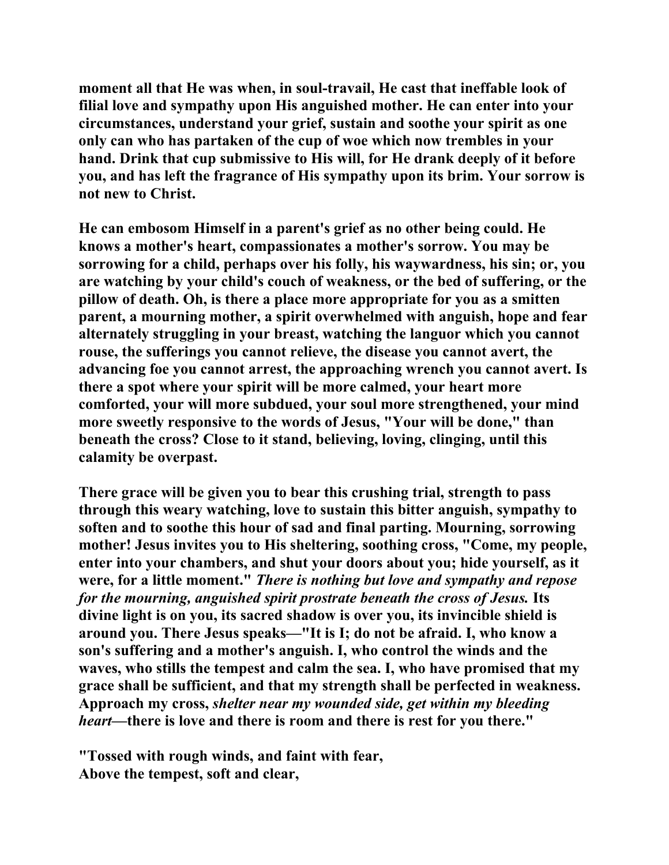**moment all that He was when, in soul-travail, He cast that ineffable look of filial love and sympathy upon His anguished mother. He can enter into your circumstances, understand your grief, sustain and soothe your spirit as one only can who has partaken of the cup of woe which now trembles in your hand. Drink that cup submissive to His will, for He drank deeply of it before you, and has left the fragrance of His sympathy upon its brim. Your sorrow is not new to Christ.** 

**He can embosom Himself in a parent's grief as no other being could. He knows a mother's heart, compassionates a mother's sorrow. You may be sorrowing for a child, perhaps over his folly, his waywardness, his sin; or, you are watching by your child's couch of weakness, or the bed of suffering, or the pillow of death. Oh, is there a place more appropriate for you as a smitten parent, a mourning mother, a spirit overwhelmed with anguish, hope and fear alternately struggling in your breast, watching the languor which you cannot rouse, the sufferings you cannot relieve, the disease you cannot avert, the advancing foe you cannot arrest, the approaching wrench you cannot avert. Is there a spot where your spirit will be more calmed, your heart more comforted, your will more subdued, your soul more strengthened, your mind more sweetly responsive to the words of Jesus, "Your will be done," than beneath the cross? Close to it stand, believing, loving, clinging, until this calamity be overpast.** 

**There grace will be given you to bear this crushing trial, strength to pass through this weary watching, love to sustain this bitter anguish, sympathy to soften and to soothe this hour of sad and final parting. Mourning, sorrowing mother! Jesus invites you to His sheltering, soothing cross, "Come, my people, enter into your chambers, and shut your doors about you; hide yourself, as it were, for a little moment."** *There is nothing but love and sympathy and repose for the mourning, anguished spirit prostrate beneath the cross of Jesus.* **Its divine light is on you, its sacred shadow is over you, its invincible shield is around you. There Jesus speaks—"It is I; do not be afraid. I, who know a son's suffering and a mother's anguish. I, who control the winds and the waves, who stills the tempest and calm the sea. I, who have promised that my grace shall be sufficient, and that my strength shall be perfected in weakness. Approach my cross,** *shelter near my wounded side, get within my bleeding heart***—there is love and there is room and there is rest for you there."** 

**"Tossed with rough winds, and faint with fear, Above the tempest, soft and clear,**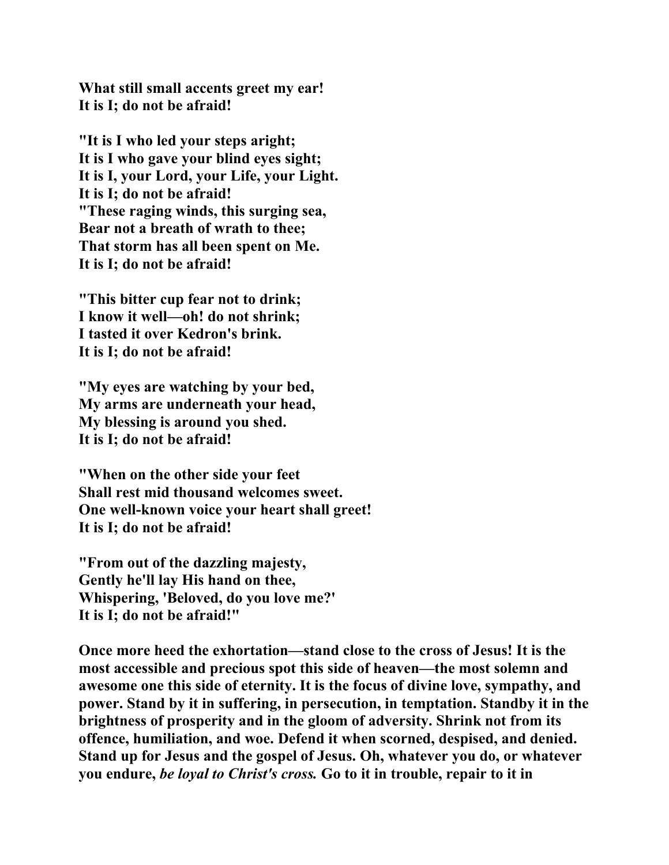**What still small accents greet my ear! It is I; do not be afraid!** 

**"It is I who led your steps aright; It is I who gave your blind eyes sight; It is I, your Lord, your Life, your Light. It is I; do not be afraid! "These raging winds, this surging sea, Bear not a breath of wrath to thee; That storm has all been spent on Me. It is I; do not be afraid!** 

**"This bitter cup fear not to drink; I know it well—oh! do not shrink; I tasted it over Kedron's brink. It is I; do not be afraid!** 

**"My eyes are watching by your bed, My arms are underneath your head, My blessing is around you shed. It is I; do not be afraid!** 

**"When on the other side your feet Shall rest mid thousand welcomes sweet. One well-known voice your heart shall greet! It is I; do not be afraid!** 

**"From out of the dazzling majesty, Gently he'll lay His hand on thee, Whispering, 'Beloved, do you love me?' It is I; do not be afraid!"** 

**Once more heed the exhortation—stand close to the cross of Jesus! It is the most accessible and precious spot this side of heaven—the most solemn and awesome one this side of eternity. It is the focus of divine love, sympathy, and power. Stand by it in suffering, in persecution, in temptation. Standby it in the brightness of prosperity and in the gloom of adversity. Shrink not from its offence, humiliation, and woe. Defend it when scorned, despised, and denied. Stand up for Jesus and the gospel of Jesus. Oh, whatever you do, or whatever you endure,** *be loyal to Christ's cross.* **Go to it in trouble, repair to it in**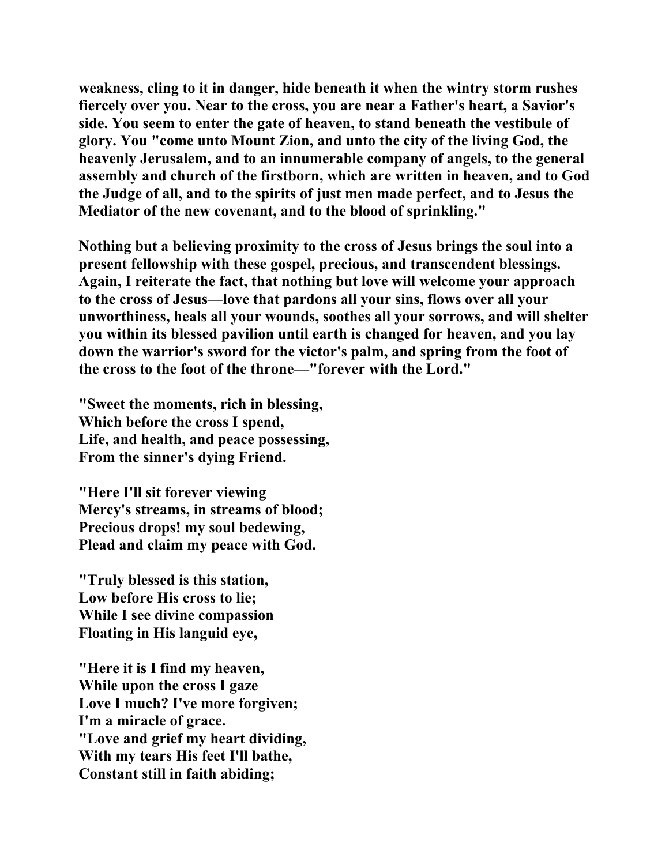**weakness, cling to it in danger, hide beneath it when the wintry storm rushes fiercely over you. Near to the cross, you are near a Father's heart, a Savior's side. You seem to enter the gate of heaven, to stand beneath the vestibule of glory. You "come unto Mount Zion, and unto the city of the living God, the heavenly Jerusalem, and to an innumerable company of angels, to the general assembly and church of the firstborn, which are written in heaven, and to God the Judge of all, and to the spirits of just men made perfect, and to Jesus the Mediator of the new covenant, and to the blood of sprinkling."** 

**Nothing but a believing proximity to the cross of Jesus brings the soul into a present fellowship with these gospel, precious, and transcendent blessings. Again, I reiterate the fact, that nothing but love will welcome your approach to the cross of Jesus—love that pardons all your sins, flows over all your unworthiness, heals all your wounds, soothes all your sorrows, and will shelter you within its blessed pavilion until earth is changed for heaven, and you lay down the warrior's sword for the victor's palm, and spring from the foot of the cross to the foot of the throne—"forever with the Lord."** 

**"Sweet the moments, rich in blessing, Which before the cross I spend, Life, and health, and peace possessing, From the sinner's dying Friend.** 

**"Here I'll sit forever viewing Mercy's streams, in streams of blood; Precious drops! my soul bedewing, Plead and claim my peace with God.** 

**"Truly blessed is this station, Low before His cross to lie; While I see divine compassion Floating in His languid eye,** 

**"Here it is I find my heaven, While upon the cross I gaze Love I much? I've more forgiven; I'm a miracle of grace. "Love and grief my heart dividing, With my tears His feet I'll bathe, Constant still in faith abiding;**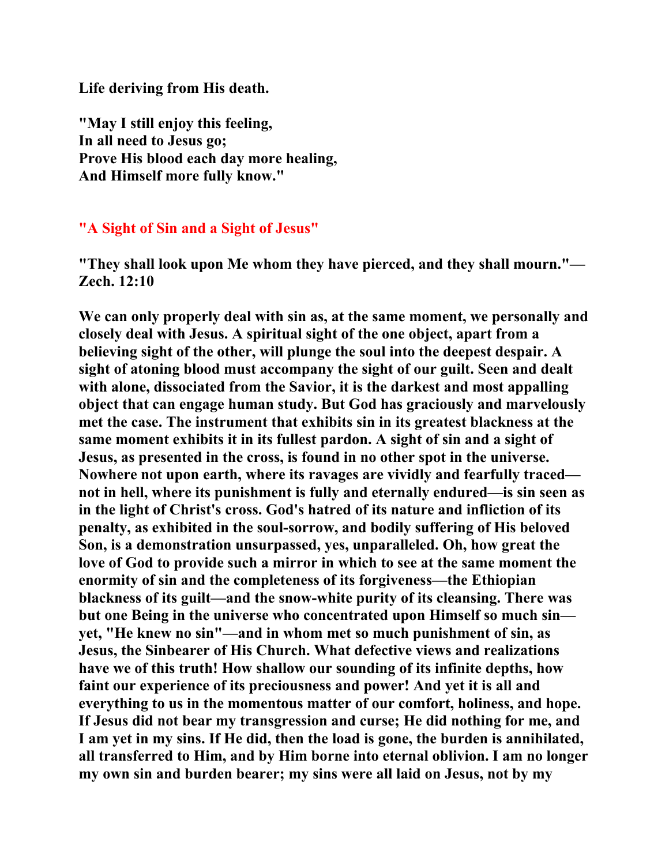**Life deriving from His death.** 

**"May I still enjoy this feeling, In all need to Jesus go; Prove His blood each day more healing, And Himself more fully know."** 

#### **"A Sight of Sin and a Sight of Jesus"**

**"They shall look upon Me whom they have pierced, and they shall mourn."— Zech. 12:10** 

**We can only properly deal with sin as, at the same moment, we personally and closely deal with Jesus. A spiritual sight of the one object, apart from a believing sight of the other, will plunge the soul into the deepest despair. A sight of atoning blood must accompany the sight of our guilt. Seen and dealt with alone, dissociated from the Savior, it is the darkest and most appalling object that can engage human study. But God has graciously and marvelously met the case. The instrument that exhibits sin in its greatest blackness at the same moment exhibits it in its fullest pardon. A sight of sin and a sight of Jesus, as presented in the cross, is found in no other spot in the universe. Nowhere not upon earth, where its ravages are vividly and fearfully traced not in hell, where its punishment is fully and eternally endured—is sin seen as in the light of Christ's cross. God's hatred of its nature and infliction of its penalty, as exhibited in the soul-sorrow, and bodily suffering of His beloved Son, is a demonstration unsurpassed, yes, unparalleled. Oh, how great the love of God to provide such a mirror in which to see at the same moment the enormity of sin and the completeness of its forgiveness—the Ethiopian blackness of its guilt—and the snow-white purity of its cleansing. There was but one Being in the universe who concentrated upon Himself so much sin yet, "He knew no sin"—and in whom met so much punishment of sin, as Jesus, the Sinbearer of His Church. What defective views and realizations have we of this truth! How shallow our sounding of its infinite depths, how faint our experience of its preciousness and power! And yet it is all and everything to us in the momentous matter of our comfort, holiness, and hope. If Jesus did not bear my transgression and curse; He did nothing for me, and I am yet in my sins. If He did, then the load is gone, the burden is annihilated, all transferred to Him, and by Him borne into eternal oblivion. I am no longer my own sin and burden bearer; my sins were all laid on Jesus, not by my**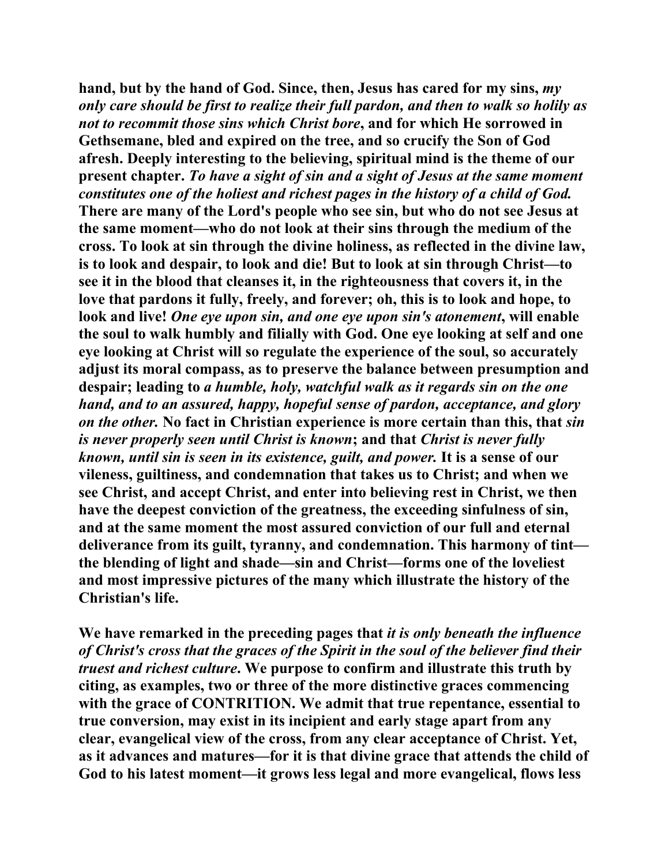**hand, but by the hand of God. Since, then, Jesus has cared for my sins,** *my only care should be first to realize their full pardon, and then to walk so holily as not to recommit those sins which Christ bore***, and for which He sorrowed in Gethsemane, bled and expired on the tree, and so crucify the Son of God afresh. Deeply interesting to the believing, spiritual mind is the theme of our present chapter.** *To have a sight of sin and a sight of Jesus at the same moment constitutes one of the holiest and richest pages in the history of a child of God.* **There are many of the Lord's people who see sin, but who do not see Jesus at the same moment—who do not look at their sins through the medium of the cross. To look at sin through the divine holiness, as reflected in the divine law, is to look and despair, to look and die! But to look at sin through Christ—to see it in the blood that cleanses it, in the righteousness that covers it, in the love that pardons it fully, freely, and forever; oh, this is to look and hope, to look and live!** *One eye upon sin, and one eye upon sin's atonement***, will enable the soul to walk humbly and filially with God. One eye looking at self and one eye looking at Christ will so regulate the experience of the soul, so accurately adjust its moral compass, as to preserve the balance between presumption and despair; leading to** *a humble, holy, watchful walk as it regards sin on the one hand, and to an assured, happy, hopeful sense of pardon, acceptance, and glory on the other.* **No fact in Christian experience is more certain than this, that** *sin is never properly seen until Christ is known***; and that** *Christ is never fully known, until sin is seen in its existence, guilt, and power.* **It is a sense of our vileness, guiltiness, and condemnation that takes us to Christ; and when we see Christ, and accept Christ, and enter into believing rest in Christ, we then have the deepest conviction of the greatness, the exceeding sinfulness of sin, and at the same moment the most assured conviction of our full and eternal deliverance from its guilt, tyranny, and condemnation. This harmony of tint the blending of light and shade—sin and Christ—forms one of the loveliest and most impressive pictures of the many which illustrate the history of the Christian's life.** 

**We have remarked in the preceding pages that** *it is only beneath the influence of Christ's cross that the graces of the Spirit in the soul of the believer find their truest and richest culture***. We purpose to confirm and illustrate this truth by citing, as examples, two or three of the more distinctive graces commencing with the grace of CONTRITION. We admit that true repentance, essential to true conversion, may exist in its incipient and early stage apart from any clear, evangelical view of the cross, from any clear acceptance of Christ. Yet, as it advances and matures—for it is that divine grace that attends the child of God to his latest moment—it grows less legal and more evangelical, flows less**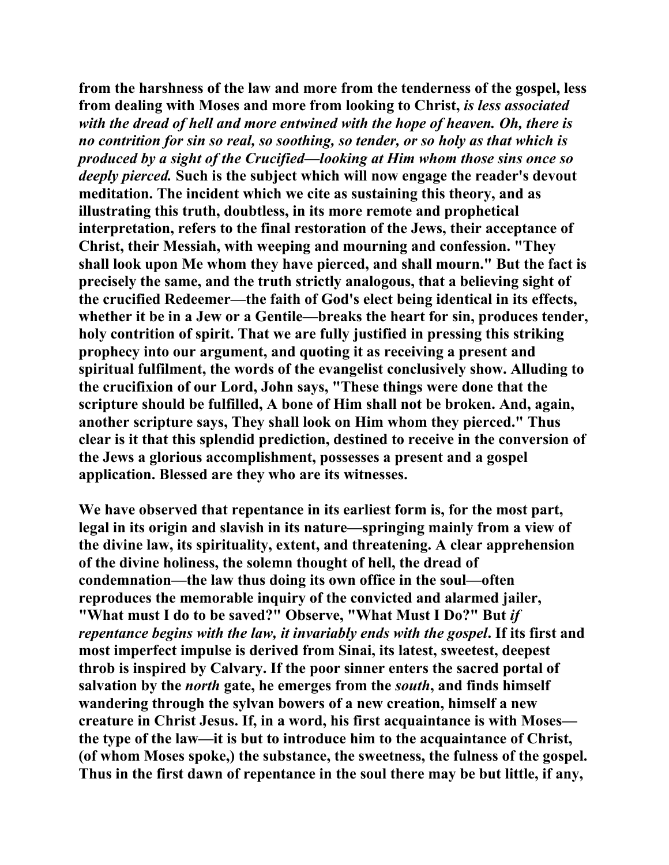**from the harshness of the law and more from the tenderness of the gospel, less from dealing with Moses and more from looking to Christ,** *is less associated with the dread of hell and more entwined with the hope of heaven. Oh, there is no contrition for sin so real, so soothing, so tender, or so holy as that which is produced by a sight of the Crucified—looking at Him whom those sins once so deeply pierced.* **Such is the subject which will now engage the reader's devout meditation. The incident which we cite as sustaining this theory, and as illustrating this truth, doubtless, in its more remote and prophetical interpretation, refers to the final restoration of the Jews, their acceptance of Christ, their Messiah, with weeping and mourning and confession. "They shall look upon Me whom they have pierced, and shall mourn." But the fact is precisely the same, and the truth strictly analogous, that a believing sight of the crucified Redeemer—the faith of God's elect being identical in its effects, whether it be in a Jew or a Gentile—breaks the heart for sin, produces tender, holy contrition of spirit. That we are fully justified in pressing this striking prophecy into our argument, and quoting it as receiving a present and spiritual fulfilment, the words of the evangelist conclusively show. Alluding to the crucifixion of our Lord, John says, "These things were done that the scripture should be fulfilled, A bone of Him shall not be broken. And, again, another scripture says, They shall look on Him whom they pierced." Thus clear is it that this splendid prediction, destined to receive in the conversion of the Jews a glorious accomplishment, possesses a present and a gospel application. Blessed are they who are its witnesses.** 

**We have observed that repentance in its earliest form is, for the most part, legal in its origin and slavish in its nature—springing mainly from a view of the divine law, its spirituality, extent, and threatening. A clear apprehension of the divine holiness, the solemn thought of hell, the dread of condemnation—the law thus doing its own office in the soul—often reproduces the memorable inquiry of the convicted and alarmed jailer, "What must I do to be saved?" Observe, "What Must I Do?" But** *if repentance begins with the law, it invariably ends with the gospel***. If its first and most imperfect impulse is derived from Sinai, its latest, sweetest, deepest throb is inspired by Calvary. If the poor sinner enters the sacred portal of salvation by the** *north* **gate, he emerges from the** *south***, and finds himself wandering through the sylvan bowers of a new creation, himself a new creature in Christ Jesus. If, in a word, his first acquaintance is with Moses the type of the law—it is but to introduce him to the acquaintance of Christ, (of whom Moses spoke,) the substance, the sweetness, the fulness of the gospel. Thus in the first dawn of repentance in the soul there may be but little, if any,**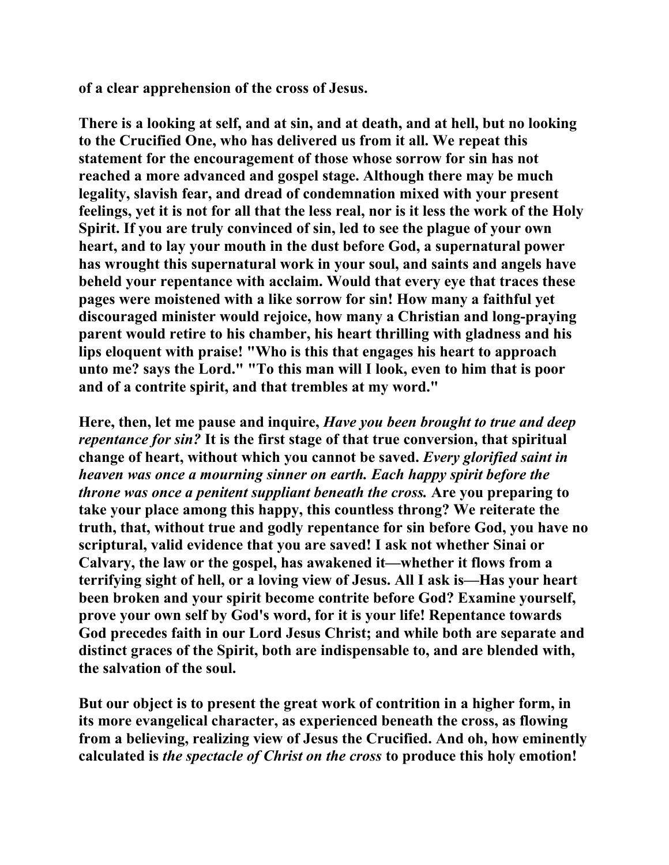**of a clear apprehension of the cross of Jesus.** 

**There is a looking at self, and at sin, and at death, and at hell, but no looking to the Crucified One, who has delivered us from it all. We repeat this statement for the encouragement of those whose sorrow for sin has not reached a more advanced and gospel stage. Although there may be much legality, slavish fear, and dread of condemnation mixed with your present feelings, yet it is not for all that the less real, nor is it less the work of the Holy Spirit. If you are truly convinced of sin, led to see the plague of your own heart, and to lay your mouth in the dust before God, a supernatural power has wrought this supernatural work in your soul, and saints and angels have beheld your repentance with acclaim. Would that every eye that traces these pages were moistened with a like sorrow for sin! How many a faithful yet discouraged minister would rejoice, how many a Christian and long-praying parent would retire to his chamber, his heart thrilling with gladness and his lips eloquent with praise! "Who is this that engages his heart to approach unto me? says the Lord." "To this man will I look, even to him that is poor and of a contrite spirit, and that trembles at my word."** 

**Here, then, let me pause and inquire,** *Have you been brought to true and deep repentance for sin?* **It is the first stage of that true conversion, that spiritual change of heart, without which you cannot be saved.** *Every glorified saint in heaven was once a mourning sinner on earth. Each happy spirit before the throne was once a penitent suppliant beneath the cross.* **Are you preparing to take your place among this happy, this countless throng? We reiterate the truth, that, without true and godly repentance for sin before God, you have no scriptural, valid evidence that you are saved! I ask not whether Sinai or Calvary, the law or the gospel, has awakened it—whether it flows from a terrifying sight of hell, or a loving view of Jesus. All I ask is—Has your heart been broken and your spirit become contrite before God? Examine yourself, prove your own self by God's word, for it is your life! Repentance towards God precedes faith in our Lord Jesus Christ; and while both are separate and distinct graces of the Spirit, both are indispensable to, and are blended with, the salvation of the soul.** 

**But our object is to present the great work of contrition in a higher form, in its more evangelical character, as experienced beneath the cross, as flowing from a believing, realizing view of Jesus the Crucified. And oh, how eminently calculated is** *the spectacle of Christ on the cross* **to produce this holy emotion!**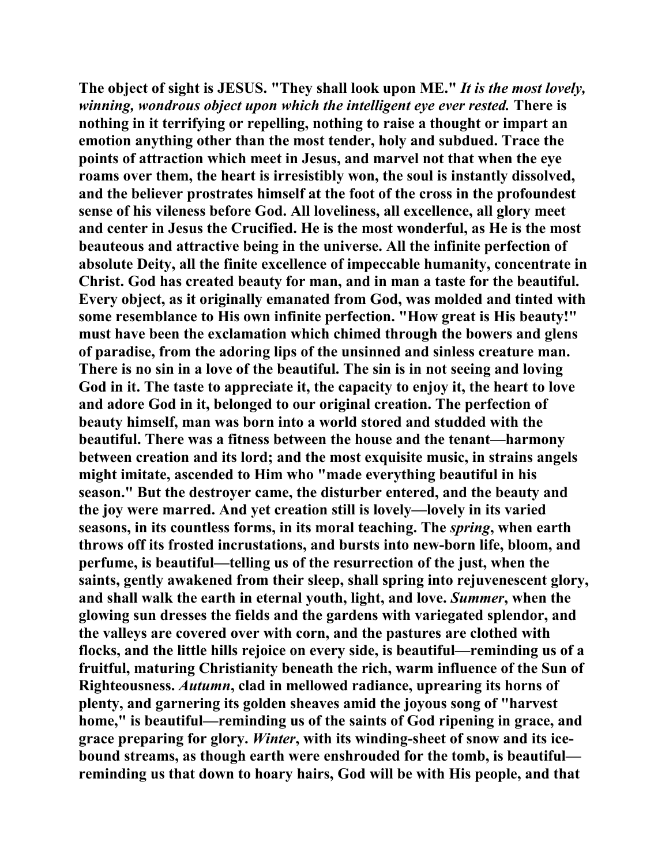**The object of sight is JESUS. "They shall look upon ME."** *It is the most lovely, winning, wondrous object upon which the intelligent eye ever rested.* **There is nothing in it terrifying or repelling, nothing to raise a thought or impart an emotion anything other than the most tender, holy and subdued. Trace the points of attraction which meet in Jesus, and marvel not that when the eye roams over them, the heart is irresistibly won, the soul is instantly dissolved, and the believer prostrates himself at the foot of the cross in the profoundest sense of his vileness before God. All loveliness, all excellence, all glory meet and center in Jesus the Crucified. He is the most wonderful, as He is the most beauteous and attractive being in the universe. All the infinite perfection of absolute Deity, all the finite excellence of impeccable humanity, concentrate in Christ. God has created beauty for man, and in man a taste for the beautiful. Every object, as it originally emanated from God, was molded and tinted with some resemblance to His own infinite perfection. "How great is His beauty!" must have been the exclamation which chimed through the bowers and glens of paradise, from the adoring lips of the unsinned and sinless creature man. There is no sin in a love of the beautiful. The sin is in not seeing and loving God in it. The taste to appreciate it, the capacity to enjoy it, the heart to love and adore God in it, belonged to our original creation. The perfection of beauty himself, man was born into a world stored and studded with the beautiful. There was a fitness between the house and the tenant—harmony between creation and its lord; and the most exquisite music, in strains angels might imitate, ascended to Him who "made everything beautiful in his season." But the destroyer came, the disturber entered, and the beauty and the joy were marred. And yet creation still is lovely—lovely in its varied seasons, in its countless forms, in its moral teaching. The** *spring***, when earth throws off its frosted incrustations, and bursts into new-born life, bloom, and perfume, is beautiful—telling us of the resurrection of the just, when the saints, gently awakened from their sleep, shall spring into rejuvenescent glory, and shall walk the earth in eternal youth, light, and love.** *Summer***, when the glowing sun dresses the fields and the gardens with variegated splendor, and the valleys are covered over with corn, and the pastures are clothed with flocks, and the little hills rejoice on every side, is beautiful—reminding us of a fruitful, maturing Christianity beneath the rich, warm influence of the Sun of Righteousness.** *Autumn***, clad in mellowed radiance, uprearing its horns of plenty, and garnering its golden sheaves amid the joyous song of "harvest home," is beautiful—reminding us of the saints of God ripening in grace, and grace preparing for glory.** *Winter***, with its winding-sheet of snow and its icebound streams, as though earth were enshrouded for the tomb, is beautiful reminding us that down to hoary hairs, God will be with His people, and that**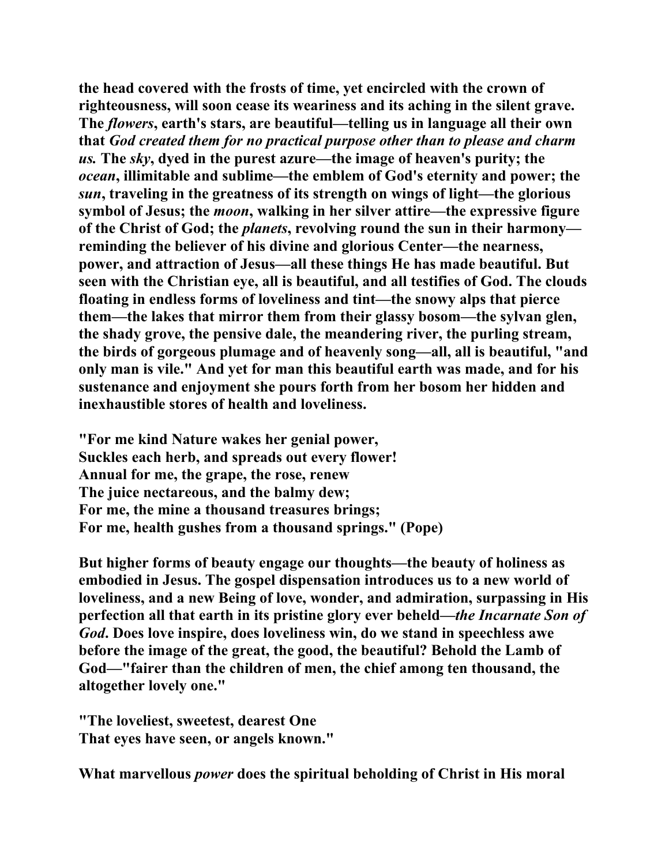**the head covered with the frosts of time, yet encircled with the crown of righteousness, will soon cease its weariness and its aching in the silent grave. The** *flowers***, earth's stars, are beautiful—telling us in language all their own that** *God created them for no practical purpose other than to please and charm us.* **The** *sky***, dyed in the purest azure—the image of heaven's purity; the**  *ocean***, illimitable and sublime—the emblem of God's eternity and power; the**  *sun***, traveling in the greatness of its strength on wings of light—the glorious symbol of Jesus; the** *moon***, walking in her silver attire—the expressive figure of the Christ of God; the** *planets***, revolving round the sun in their harmony reminding the believer of his divine and glorious Center—the nearness, power, and attraction of Jesus—all these things He has made beautiful. But seen with the Christian eye, all is beautiful, and all testifies of God. The clouds floating in endless forms of loveliness and tint—the snowy alps that pierce them—the lakes that mirror them from their glassy bosom—the sylvan glen, the shady grove, the pensive dale, the meandering river, the purling stream, the birds of gorgeous plumage and of heavenly song—all, all is beautiful, "and only man is vile." And yet for man this beautiful earth was made, and for his sustenance and enjoyment she pours forth from her bosom her hidden and inexhaustible stores of health and loveliness.** 

**"For me kind Nature wakes her genial power, Suckles each herb, and spreads out every flower! Annual for me, the grape, the rose, renew The juice nectareous, and the balmy dew; For me, the mine a thousand treasures brings; For me, health gushes from a thousand springs." (Pope)** 

**But higher forms of beauty engage our thoughts—the beauty of holiness as embodied in Jesus. The gospel dispensation introduces us to a new world of loveliness, and a new Being of love, wonder, and admiration, surpassing in His perfection all that earth in its pristine glory ever beheld—***the Incarnate Son of God***. Does love inspire, does loveliness win, do we stand in speechless awe before the image of the great, the good, the beautiful? Behold the Lamb of God—"fairer than the children of men, the chief among ten thousand, the altogether lovely one."** 

**"The loveliest, sweetest, dearest One That eyes have seen, or angels known."** 

**What marvellous** *power* **does the spiritual beholding of Christ in His moral**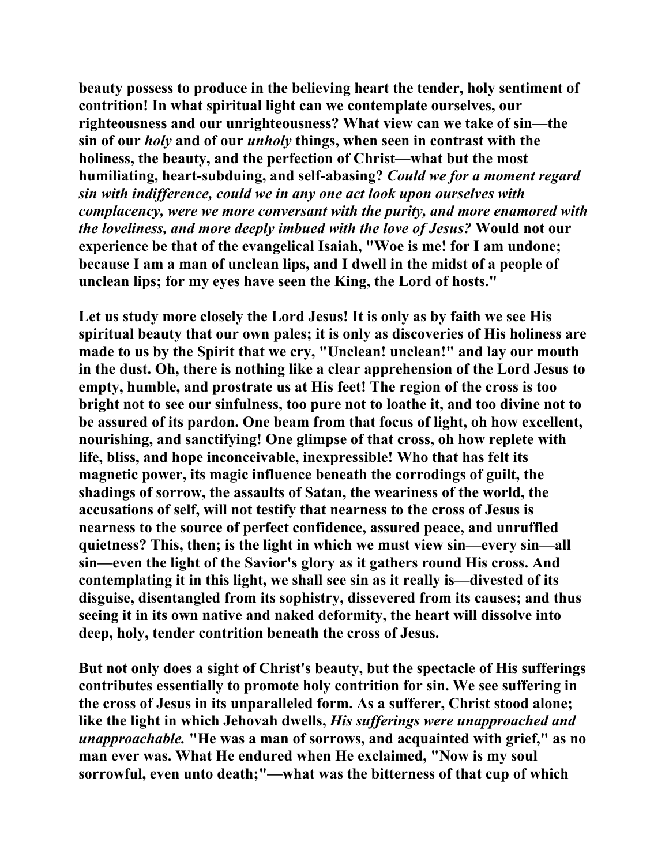**beauty possess to produce in the believing heart the tender, holy sentiment of contrition! In what spiritual light can we contemplate ourselves, our righteousness and our unrighteousness? What view can we take of sin—the sin of our** *holy* **and of our** *unholy* **things, when seen in contrast with the holiness, the beauty, and the perfection of Christ—what but the most humiliating, heart-subduing, and self-abasing?** *Could we for a moment regard sin with indifference, could we in any one act look upon ourselves with complacency, were we more conversant with the purity, and more enamored with the loveliness, and more deeply imbued with the love of Jesus?* **Would not our experience be that of the evangelical Isaiah, "Woe is me! for I am undone; because I am a man of unclean lips, and I dwell in the midst of a people of unclean lips; for my eyes have seen the King, the Lord of hosts."** 

**Let us study more closely the Lord Jesus! It is only as by faith we see His spiritual beauty that our own pales; it is only as discoveries of His holiness are made to us by the Spirit that we cry, "Unclean! unclean!" and lay our mouth in the dust. Oh, there is nothing like a clear apprehension of the Lord Jesus to empty, humble, and prostrate us at His feet! The region of the cross is too bright not to see our sinfulness, too pure not to loathe it, and too divine not to be assured of its pardon. One beam from that focus of light, oh how excellent, nourishing, and sanctifying! One glimpse of that cross, oh how replete with life, bliss, and hope inconceivable, inexpressible! Who that has felt its magnetic power, its magic influence beneath the corrodings of guilt, the shadings of sorrow, the assaults of Satan, the weariness of the world, the accusations of self, will not testify that nearness to the cross of Jesus is nearness to the source of perfect confidence, assured peace, and unruffled quietness? This, then; is the light in which we must view sin—every sin—all sin—even the light of the Savior's glory as it gathers round His cross. And contemplating it in this light, we shall see sin as it really is—divested of its disguise, disentangled from its sophistry, dissevered from its causes; and thus seeing it in its own native and naked deformity, the heart will dissolve into deep, holy, tender contrition beneath the cross of Jesus.** 

**But not only does a sight of Christ's beauty, but the spectacle of His sufferings contributes essentially to promote holy contrition for sin. We see suffering in the cross of Jesus in its unparalleled form. As a sufferer, Christ stood alone; like the light in which Jehovah dwells,** *His sufferings were unapproached and unapproachable.* **"He was a man of sorrows, and acquainted with grief," as no man ever was. What He endured when He exclaimed, "Now is my soul sorrowful, even unto death;"—what was the bitterness of that cup of which**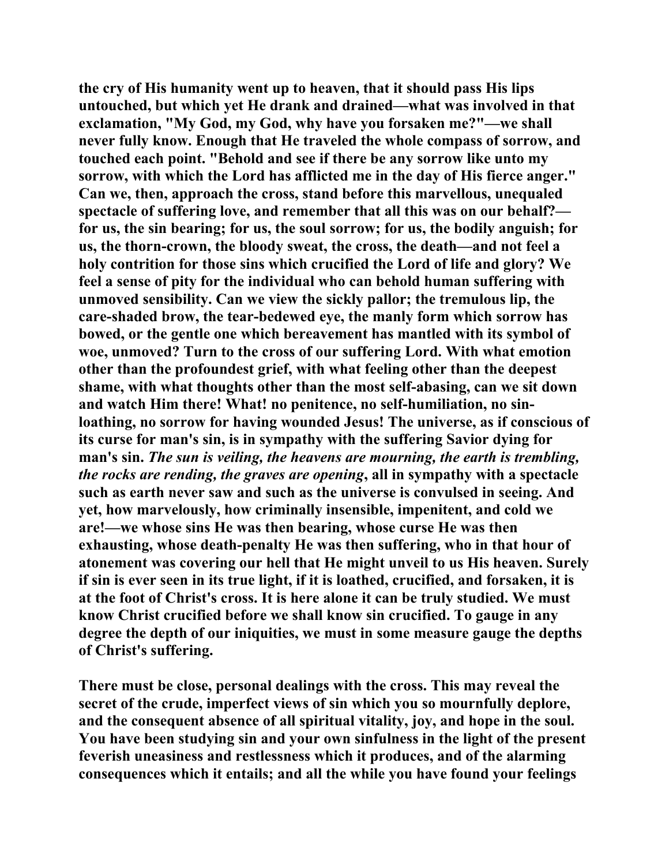**the cry of His humanity went up to heaven, that it should pass His lips untouched, but which yet He drank and drained—what was involved in that exclamation, "My God, my God, why have you forsaken me?"—we shall never fully know. Enough that He traveled the whole compass of sorrow, and touched each point. "Behold and see if there be any sorrow like unto my sorrow, with which the Lord has afflicted me in the day of His fierce anger." Can we, then, approach the cross, stand before this marvellous, unequaled spectacle of suffering love, and remember that all this was on our behalf? for us, the sin bearing; for us, the soul sorrow; for us, the bodily anguish; for us, the thorn-crown, the bloody sweat, the cross, the death—and not feel a holy contrition for those sins which crucified the Lord of life and glory? We feel a sense of pity for the individual who can behold human suffering with unmoved sensibility. Can we view the sickly pallor; the tremulous lip, the care-shaded brow, the tear-bedewed eye, the manly form which sorrow has bowed, or the gentle one which bereavement has mantled with its symbol of woe, unmoved? Turn to the cross of our suffering Lord. With what emotion other than the profoundest grief, with what feeling other than the deepest shame, with what thoughts other than the most self-abasing, can we sit down and watch Him there! What! no penitence, no self-humiliation, no sinloathing, no sorrow for having wounded Jesus! The universe, as if conscious of its curse for man's sin, is in sympathy with the suffering Savior dying for man's sin.** *The sun is veiling, the heavens are mourning, the earth is trembling, the rocks are rending, the graves are opening***, all in sympathy with a spectacle such as earth never saw and such as the universe is convulsed in seeing. And yet, how marvelously, how criminally insensible, impenitent, and cold we are!—we whose sins He was then bearing, whose curse He was then exhausting, whose death-penalty He was then suffering, who in that hour of atonement was covering our hell that He might unveil to us His heaven. Surely if sin is ever seen in its true light, if it is loathed, crucified, and forsaken, it is at the foot of Christ's cross. It is here alone it can be truly studied. We must know Christ crucified before we shall know sin crucified. To gauge in any degree the depth of our iniquities, we must in some measure gauge the depths of Christ's suffering.** 

**There must be close, personal dealings with the cross. This may reveal the secret of the crude, imperfect views of sin which you so mournfully deplore, and the consequent absence of all spiritual vitality, joy, and hope in the soul. You have been studying sin and your own sinfulness in the light of the present feverish uneasiness and restlessness which it produces, and of the alarming consequences which it entails; and all the while you have found your feelings**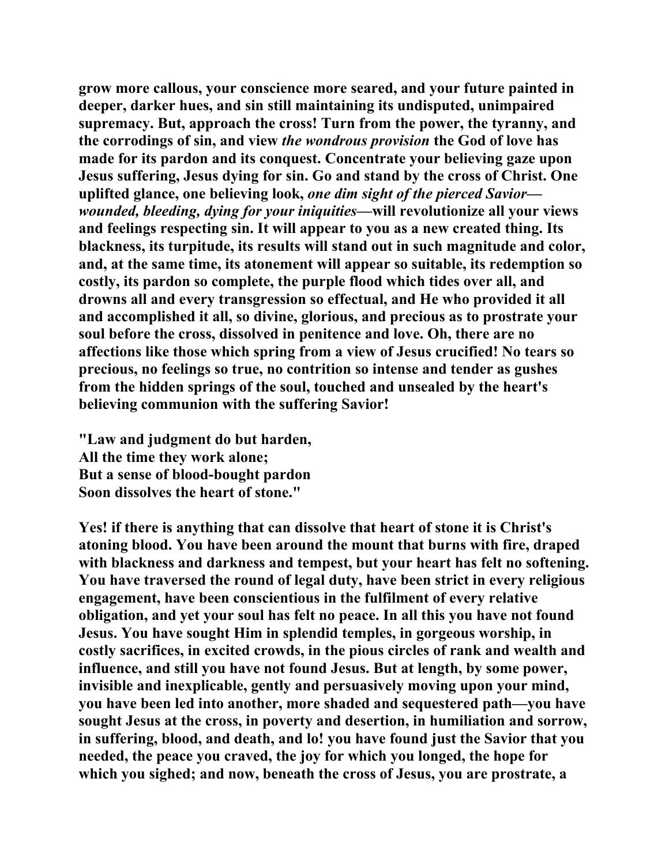**grow more callous, your conscience more seared, and your future painted in deeper, darker hues, and sin still maintaining its undisputed, unimpaired supremacy. But, approach the cross! Turn from the power, the tyranny, and the corrodings of sin, and view** *the wondrous provision* **the God of love has made for its pardon and its conquest. Concentrate your believing gaze upon Jesus suffering, Jesus dying for sin. Go and stand by the cross of Christ. One uplifted glance, one believing look,** *one dim sight of the pierced Savior wounded, bleeding, dying for your iniquities***—will revolutionize all your views and feelings respecting sin. It will appear to you as a new created thing. Its blackness, its turpitude, its results will stand out in such magnitude and color, and, at the same time, its atonement will appear so suitable, its redemption so costly, its pardon so complete, the purple flood which tides over all, and drowns all and every transgression so effectual, and He who provided it all and accomplished it all, so divine, glorious, and precious as to prostrate your soul before the cross, dissolved in penitence and love. Oh, there are no affections like those which spring from a view of Jesus crucified! No tears so precious, no feelings so true, no contrition so intense and tender as gushes from the hidden springs of the soul, touched and unsealed by the heart's believing communion with the suffering Savior!** 

**"Law and judgment do but harden, All the time they work alone; But a sense of blood-bought pardon Soon dissolves the heart of stone."** 

**Yes! if there is anything that can dissolve that heart of stone it is Christ's atoning blood. You have been around the mount that burns with fire, draped with blackness and darkness and tempest, but your heart has felt no softening. You have traversed the round of legal duty, have been strict in every religious engagement, have been conscientious in the fulfilment of every relative obligation, and yet your soul has felt no peace. In all this you have not found Jesus. You have sought Him in splendid temples, in gorgeous worship, in costly sacrifices, in excited crowds, in the pious circles of rank and wealth and influence, and still you have not found Jesus. But at length, by some power, invisible and inexplicable, gently and persuasively moving upon your mind, you have been led into another, more shaded and sequestered path—you have sought Jesus at the cross, in poverty and desertion, in humiliation and sorrow, in suffering, blood, and death, and lo! you have found just the Savior that you needed, the peace you craved, the joy for which you longed, the hope for which you sighed; and now, beneath the cross of Jesus, you are prostrate, a**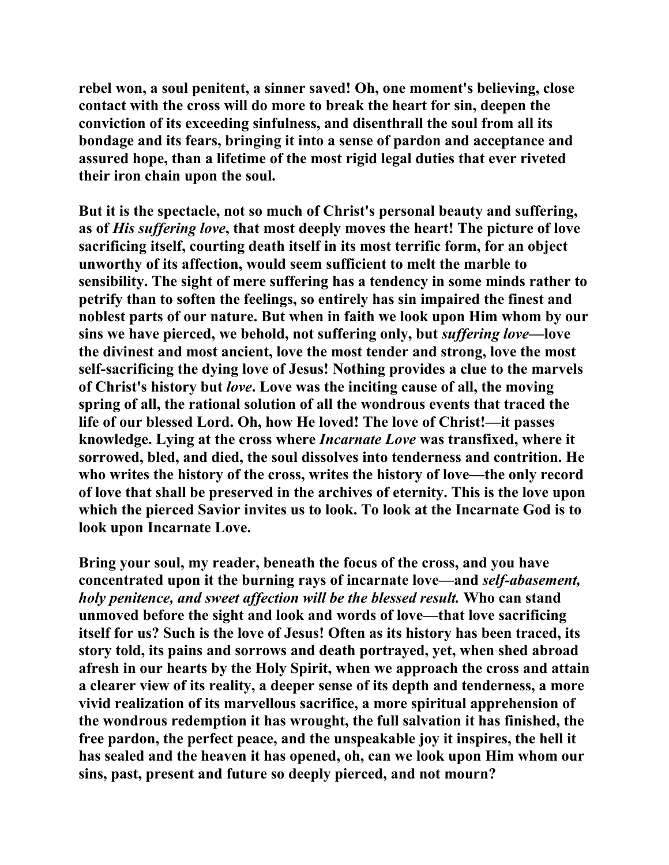**rebel won, a soul penitent, a sinner saved! Oh, one moment's believing, close contact with the cross will do more to break the heart for sin, deepen the conviction of its exceeding sinfulness, and disenthrall the soul from all its bondage and its fears, bringing it into a sense of pardon and acceptance and assured hope, than a lifetime of the most rigid legal duties that ever riveted their iron chain upon the soul.** 

**But it is the spectacle, not so much of Christ's personal beauty and suffering, as of** *His suffering love***, that most deeply moves the heart! The picture of love sacrificing itself, courting death itself in its most terrific form, for an object unworthy of its affection, would seem sufficient to melt the marble to sensibility. The sight of mere suffering has a tendency in some minds rather to petrify than to soften the feelings, so entirely has sin impaired the finest and noblest parts of our nature. But when in faith we look upon Him whom by our sins we have pierced, we behold, not suffering only, but** *suffering love***—love the divinest and most ancient, love the most tender and strong, love the most self-sacrificing the dying love of Jesus! Nothing provides a clue to the marvels of Christ's history but** *love***. Love was the inciting cause of all, the moving spring of all, the rational solution of all the wondrous events that traced the life of our blessed Lord. Oh, how He loved! The love of Christ!—it passes knowledge. Lying at the cross where** *Incarnate Love* **was transfixed, where it sorrowed, bled, and died, the soul dissolves into tenderness and contrition. He who writes the history of the cross, writes the history of love—the only record of love that shall be preserved in the archives of eternity. This is the love upon which the pierced Savior invites us to look. To look at the Incarnate God is to look upon Incarnate Love.** 

**Bring your soul, my reader, beneath the focus of the cross, and you have concentrated upon it the burning rays of incarnate love—and** *self-abasement, holy penitence, and sweet affection will be the blessed result.* **Who can stand unmoved before the sight and look and words of love—that love sacrificing itself for us? Such is the love of Jesus! Often as its history has been traced, its story told, its pains and sorrows and death portrayed, yet, when shed abroad afresh in our hearts by the Holy Spirit, when we approach the cross and attain a clearer view of its reality, a deeper sense of its depth and tenderness, a more vivid realization of its marvellous sacrifice, a more spiritual apprehension of the wondrous redemption it has wrought, the full salvation it has finished, the free pardon, the perfect peace, and the unspeakable joy it inspires, the hell it has sealed and the heaven it has opened, oh, can we look upon Him whom our sins, past, present and future so deeply pierced, and not mourn?**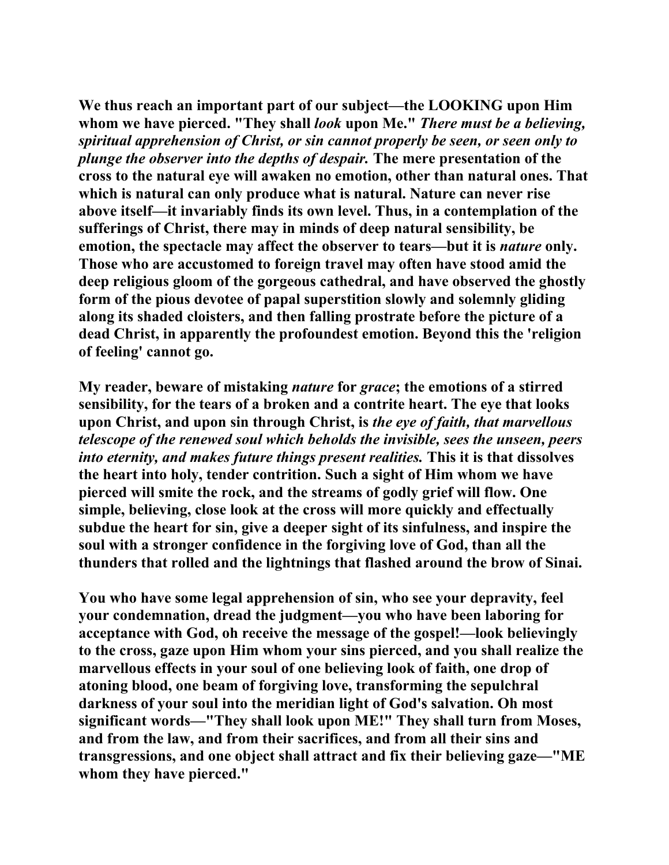**We thus reach an important part of our subject—the LOOKING upon Him whom we have pierced. "They shall** *look* **upon Me."** *There must be a believing, spiritual apprehension of Christ, or sin cannot properly be seen, or seen only to plunge the observer into the depths of despair.* **The mere presentation of the cross to the natural eye will awaken no emotion, other than natural ones. That which is natural can only produce what is natural. Nature can never rise above itself—it invariably finds its own level. Thus, in a contemplation of the sufferings of Christ, there may in minds of deep natural sensibility, be emotion, the spectacle may affect the observer to tears—but it is** *nature* **only. Those who are accustomed to foreign travel may often have stood amid the deep religious gloom of the gorgeous cathedral, and have observed the ghostly form of the pious devotee of papal superstition slowly and solemnly gliding along its shaded cloisters, and then falling prostrate before the picture of a dead Christ, in apparently the profoundest emotion. Beyond this the 'religion of feeling' cannot go.** 

**My reader, beware of mistaking** *nature* **for** *grace***; the emotions of a stirred sensibility, for the tears of a broken and a contrite heart. The eye that looks upon Christ, and upon sin through Christ, is** *the eye of faith, that marvellous telescope of the renewed soul which beholds the invisible, sees the unseen, peers into eternity, and makes future things present realities.* **This it is that dissolves the heart into holy, tender contrition. Such a sight of Him whom we have pierced will smite the rock, and the streams of godly grief will flow. One simple, believing, close look at the cross will more quickly and effectually subdue the heart for sin, give a deeper sight of its sinfulness, and inspire the soul with a stronger confidence in the forgiving love of God, than all the thunders that rolled and the lightnings that flashed around the brow of Sinai.** 

**You who have some legal apprehension of sin, who see your depravity, feel your condemnation, dread the judgment—you who have been laboring for acceptance with God, oh receive the message of the gospel!—look believingly to the cross, gaze upon Him whom your sins pierced, and you shall realize the marvellous effects in your soul of one believing look of faith, one drop of atoning blood, one beam of forgiving love, transforming the sepulchral darkness of your soul into the meridian light of God's salvation. Oh most significant words—"They shall look upon ME!" They shall turn from Moses, and from the law, and from their sacrifices, and from all their sins and transgressions, and one object shall attract and fix their believing gaze—"ME whom they have pierced."**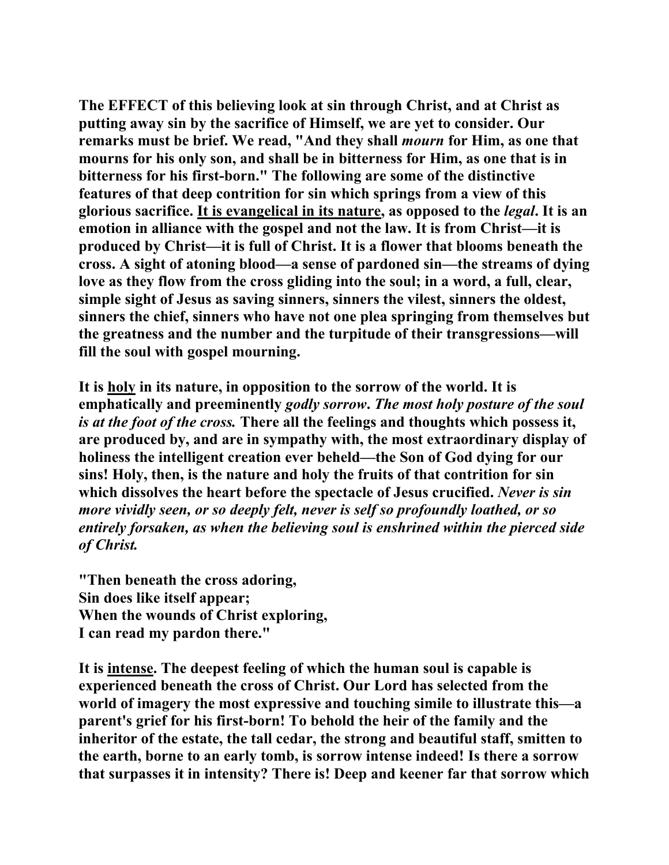**The EFFECT of this believing look at sin through Christ, and at Christ as putting away sin by the sacrifice of Himself, we are yet to consider. Our remarks must be brief. We read, "And they shall** *mourn* **for Him, as one that mourns for his only son, and shall be in bitterness for Him, as one that is in bitterness for his first-born." The following are some of the distinctive features of that deep contrition for sin which springs from a view of this glorious sacrifice. It is evangelical in its nature, as opposed to the** *legal***. It is an emotion in alliance with the gospel and not the law. It is from Christ—it is produced by Christ—it is full of Christ. It is a flower that blooms beneath the cross. A sight of atoning blood—a sense of pardoned sin—the streams of dying love as they flow from the cross gliding into the soul; in a word, a full, clear, simple sight of Jesus as saving sinners, sinners the vilest, sinners the oldest, sinners the chief, sinners who have not one plea springing from themselves but the greatness and the number and the turpitude of their transgressions—will fill the soul with gospel mourning.** 

**It is holy in its nature, in opposition to the sorrow of the world. It is emphatically and preeminently** *godly sorrow***.** *The most holy posture of the soul is at the foot of the cross.* **There all the feelings and thoughts which possess it, are produced by, and are in sympathy with, the most extraordinary display of holiness the intelligent creation ever beheld—the Son of God dying for our sins! Holy, then, is the nature and holy the fruits of that contrition for sin which dissolves the heart before the spectacle of Jesus crucified.** *Never is sin more vividly seen, or so deeply felt, never is self so profoundly loathed, or so entirely forsaken, as when the believing soul is enshrined within the pierced side of Christ.*

**"Then beneath the cross adoring, Sin does like itself appear; When the wounds of Christ exploring, I can read my pardon there."** 

**It is intense. The deepest feeling of which the human soul is capable is experienced beneath the cross of Christ. Our Lord has selected from the world of imagery the most expressive and touching simile to illustrate this—a parent's grief for his first-born! To behold the heir of the family and the inheritor of the estate, the tall cedar, the strong and beautiful staff, smitten to the earth, borne to an early tomb, is sorrow intense indeed! Is there a sorrow that surpasses it in intensity? There is! Deep and keener far that sorrow which**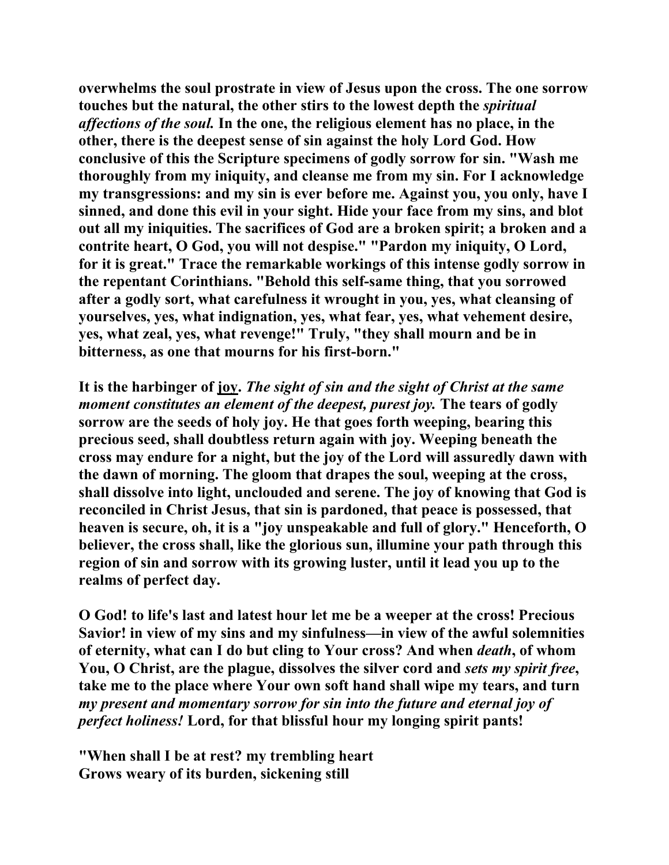**overwhelms the soul prostrate in view of Jesus upon the cross. The one sorrow touches but the natural, the other stirs to the lowest depth the** *spiritual affections of the soul.* **In the one, the religious element has no place, in the other, there is the deepest sense of sin against the holy Lord God. How conclusive of this the Scripture specimens of godly sorrow for sin. "Wash me thoroughly from my iniquity, and cleanse me from my sin. For I acknowledge my transgressions: and my sin is ever before me. Against you, you only, have I sinned, and done this evil in your sight. Hide your face from my sins, and blot out all my iniquities. The sacrifices of God are a broken spirit; a broken and a contrite heart, O God, you will not despise." "Pardon my iniquity, O Lord, for it is great." Trace the remarkable workings of this intense godly sorrow in the repentant Corinthians. "Behold this self-same thing, that you sorrowed after a godly sort, what carefulness it wrought in you, yes, what cleansing of yourselves, yes, what indignation, yes, what fear, yes, what vehement desire, yes, what zeal, yes, what revenge!" Truly, "they shall mourn and be in bitterness, as one that mourns for his first-born."** 

**It is the harbinger of joy.** *The sight of sin and the sight of Christ at the same moment constitutes an element of the deepest, purest joy.* **The tears of godly sorrow are the seeds of holy joy. He that goes forth weeping, bearing this precious seed, shall doubtless return again with joy. Weeping beneath the cross may endure for a night, but the joy of the Lord will assuredly dawn with the dawn of morning. The gloom that drapes the soul, weeping at the cross, shall dissolve into light, unclouded and serene. The joy of knowing that God is reconciled in Christ Jesus, that sin is pardoned, that peace is possessed, that heaven is secure, oh, it is a "joy unspeakable and full of glory." Henceforth, O believer, the cross shall, like the glorious sun, illumine your path through this region of sin and sorrow with its growing luster, until it lead you up to the realms of perfect day.** 

**O God! to life's last and latest hour let me be a weeper at the cross! Precious Savior! in view of my sins and my sinfulness—in view of the awful solemnities of eternity, what can I do but cling to Your cross? And when** *death***, of whom You, O Christ, are the plague, dissolves the silver cord and** *sets my spirit free***, take me to the place where Your own soft hand shall wipe my tears, and turn**  *my present and momentary sorrow for sin into the future and eternal joy of perfect holiness!* **Lord, for that blissful hour my longing spirit pants!** 

**"When shall I be at rest? my trembling heart Grows weary of its burden, sickening still**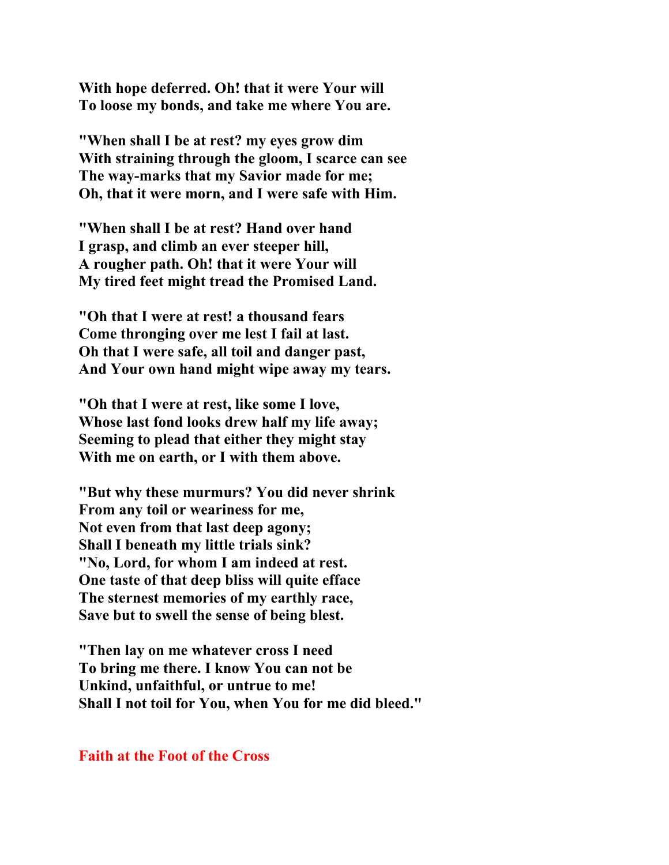**With hope deferred. Oh! that it were Your will To loose my bonds, and take me where You are.** 

**"When shall I be at rest? my eyes grow dim With straining through the gloom, I scarce can see The way-marks that my Savior made for me; Oh, that it were morn, and I were safe with Him.** 

**"When shall I be at rest? Hand over hand I grasp, and climb an ever steeper hill, A rougher path. Oh! that it were Your will My tired feet might tread the Promised Land.** 

**"Oh that I were at rest! a thousand fears Come thronging over me lest I fail at last. Oh that I were safe, all toil and danger past, And Your own hand might wipe away my tears.** 

**"Oh that I were at rest, like some I love, Whose last fond looks drew half my life away; Seeming to plead that either they might stay With me on earth, or I with them above.** 

**"But why these murmurs? You did never shrink From any toil or weariness for me, Not even from that last deep agony; Shall I beneath my little trials sink? "No, Lord, for whom I am indeed at rest. One taste of that deep bliss will quite efface The sternest memories of my earthly race, Save but to swell the sense of being blest.** 

**"Then lay on me whatever cross I need To bring me there. I know You can not be Unkind, unfaithful, or untrue to me! Shall I not toil for You, when You for me did bleed."** 

**Faith at the Foot of the Cross**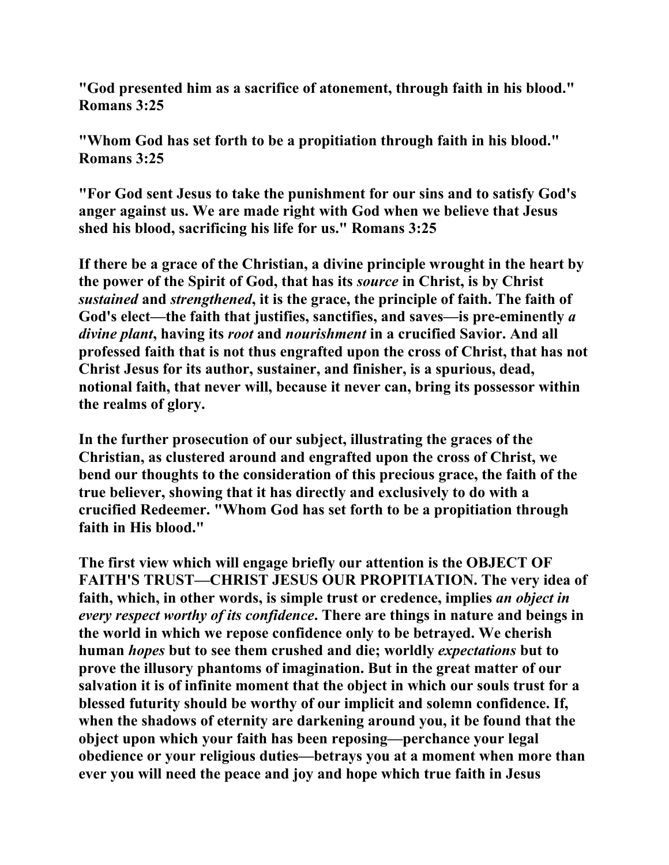**"God presented him as a sacrifice of atonement, through faith in his blood." Romans 3:25** 

**"Whom God has set forth to be a propitiation through faith in his blood." Romans 3:25** 

**"For God sent Jesus to take the punishment for our sins and to satisfy God's anger against us. We are made right with God when we believe that Jesus shed his blood, sacrificing his life for us." Romans 3:25** 

**If there be a grace of the Christian, a divine principle wrought in the heart by the power of the Spirit of God, that has its** *source* **in Christ, is by Christ**  *sustained* **and** *strengthened***, it is the grace, the principle of faith. The faith of God's elect—the faith that justifies, sanctifies, and saves—is pre-eminently** *a divine plant***, having its** *root* **and** *nourishment* **in a crucified Savior. And all professed faith that is not thus engrafted upon the cross of Christ, that has not Christ Jesus for its author, sustainer, and finisher, is a spurious, dead, notional faith, that never will, because it never can, bring its possessor within the realms of glory.** 

**In the further prosecution of our subject, illustrating the graces of the Christian, as clustered around and engrafted upon the cross of Christ, we bend our thoughts to the consideration of this precious grace, the faith of the true believer, showing that it has directly and exclusively to do with a crucified Redeemer. "Whom God has set forth to be a propitiation through faith in His blood."** 

**The first view which will engage briefly our attention is the OBJECT OF FAITH'S TRUST—CHRIST JESUS OUR PROPITIATION. The very idea of faith, which, in other words, is simple trust or credence, implies** *an object in every respect worthy of its confidence***. There are things in nature and beings in the world in which we repose confidence only to be betrayed. We cherish human** *hopes* **but to see them crushed and die; worldly** *expectations* **but to prove the illusory phantoms of imagination. But in the great matter of our salvation it is of infinite moment that the object in which our souls trust for a blessed futurity should be worthy of our implicit and solemn confidence. If, when the shadows of eternity are darkening around you, it be found that the object upon which your faith has been reposing—perchance your legal obedience or your religious duties—betrays you at a moment when more than ever you will need the peace and joy and hope which true faith in Jesus**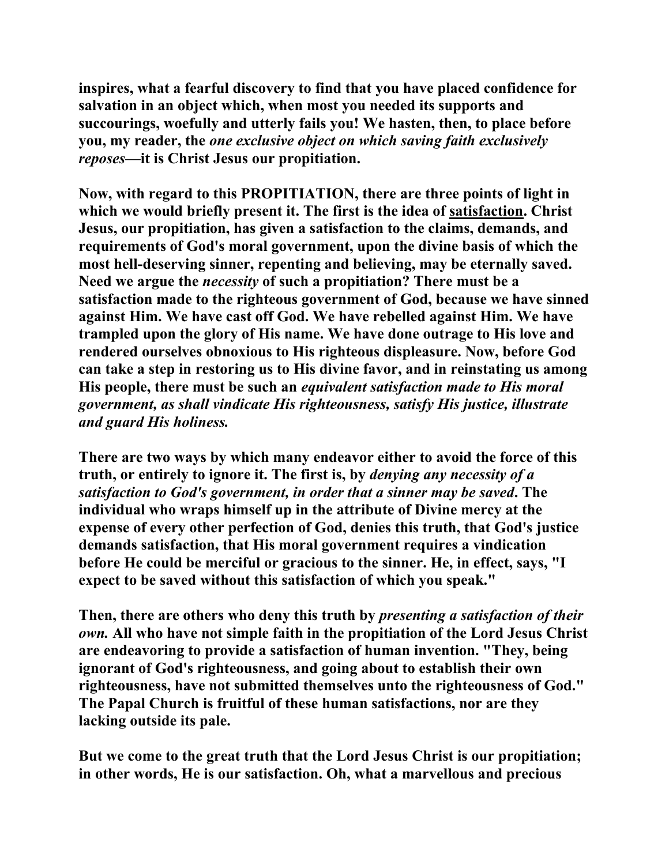**inspires, what a fearful discovery to find that you have placed confidence for salvation in an object which, when most you needed its supports and succourings, woefully and utterly fails you! We hasten, then, to place before you, my reader, the** *one exclusive object on which saving faith exclusively reposes***—it is Christ Jesus our propitiation.** 

**Now, with regard to this PROPITIATION, there are three points of light in which we would briefly present it. The first is the idea of satisfaction. Christ Jesus, our propitiation, has given a satisfaction to the claims, demands, and requirements of God's moral government, upon the divine basis of which the most hell-deserving sinner, repenting and believing, may be eternally saved. Need we argue the** *necessity* **of such a propitiation? There must be a satisfaction made to the righteous government of God, because we have sinned against Him. We have cast off God. We have rebelled against Him. We have trampled upon the glory of His name. We have done outrage to His love and rendered ourselves obnoxious to His righteous displeasure. Now, before God can take a step in restoring us to His divine favor, and in reinstating us among His people, there must be such an** *equivalent satisfaction made to His moral government, as shall vindicate His righteousness, satisfy His justice, illustrate and guard His holiness.* 

**There are two ways by which many endeavor either to avoid the force of this truth, or entirely to ignore it. The first is, by** *denying any necessity of a satisfaction to God's government, in order that a sinner may be saved***. The individual who wraps himself up in the attribute of Divine mercy at the expense of every other perfection of God, denies this truth, that God's justice demands satisfaction, that His moral government requires a vindication before He could be merciful or gracious to the sinner. He, in effect, says, "I expect to be saved without this satisfaction of which you speak."** 

**Then, there are others who deny this truth by** *presenting a satisfaction of their own.* **All who have not simple faith in the propitiation of the Lord Jesus Christ are endeavoring to provide a satisfaction of human invention. "They, being ignorant of God's righteousness, and going about to establish their own righteousness, have not submitted themselves unto the righteousness of God." The Papal Church is fruitful of these human satisfactions, nor are they lacking outside its pale.** 

**But we come to the great truth that the Lord Jesus Christ is our propitiation; in other words, He is our satisfaction. Oh, what a marvellous and precious**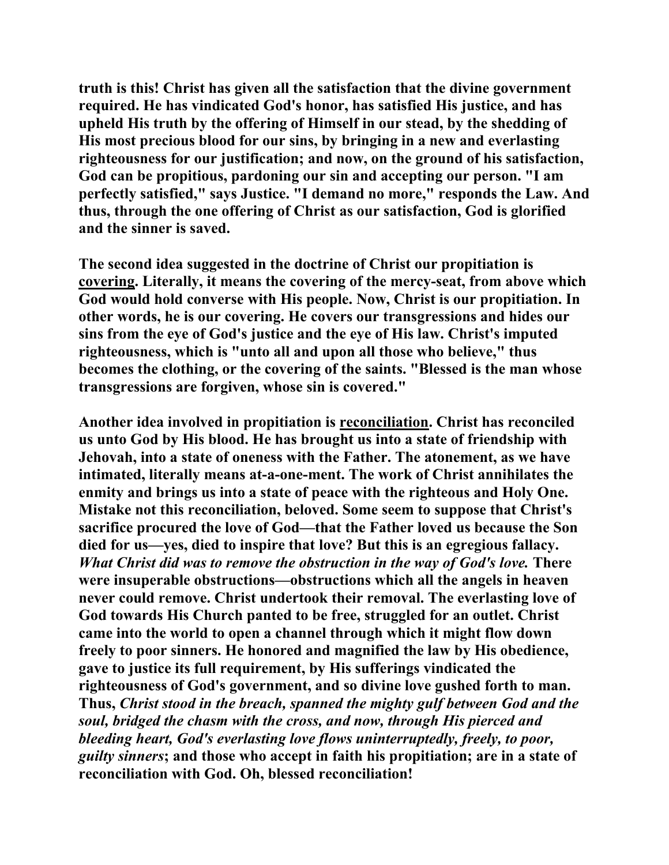**truth is this! Christ has given all the satisfaction that the divine government required. He has vindicated God's honor, has satisfied His justice, and has upheld His truth by the offering of Himself in our stead, by the shedding of His most precious blood for our sins, by bringing in a new and everlasting righteousness for our justification; and now, on the ground of his satisfaction, God can be propitious, pardoning our sin and accepting our person. "I am perfectly satisfied," says Justice. "I demand no more," responds the Law. And thus, through the one offering of Christ as our satisfaction, God is glorified and the sinner is saved.** 

**The second idea suggested in the doctrine of Christ our propitiation is covering. Literally, it means the covering of the mercy-seat, from above which God would hold converse with His people. Now, Christ is our propitiation. In other words, he is our covering. He covers our transgressions and hides our sins from the eye of God's justice and the eye of His law. Christ's imputed righteousness, which is "unto all and upon all those who believe," thus becomes the clothing, or the covering of the saints. "Blessed is the man whose transgressions are forgiven, whose sin is covered."** 

**Another idea involved in propitiation is reconciliation. Christ has reconciled us unto God by His blood. He has brought us into a state of friendship with Jehovah, into a state of oneness with the Father. The atonement, as we have intimated, literally means at-a-one-ment. The work of Christ annihilates the enmity and brings us into a state of peace with the righteous and Holy One. Mistake not this reconciliation, beloved. Some seem to suppose that Christ's sacrifice procured the love of God—that the Father loved us because the Son died for us—yes, died to inspire that love? But this is an egregious fallacy.**  *What Christ did was to remove the obstruction in the way of God's love.* **There were insuperable obstructions—obstructions which all the angels in heaven never could remove. Christ undertook their removal. The everlasting love of God towards His Church panted to be free, struggled for an outlet. Christ came into the world to open a channel through which it might flow down freely to poor sinners. He honored and magnified the law by His obedience, gave to justice its full requirement, by His sufferings vindicated the righteousness of God's government, and so divine love gushed forth to man. Thus,** *Christ stood in the breach, spanned the mighty gulf between God and the soul, bridged the chasm with the cross, and now, through His pierced and bleeding heart, God's everlasting love flows uninterruptedly, freely, to poor, guilty sinners***; and those who accept in faith his propitiation; are in a state of reconciliation with God. Oh, blessed reconciliation!**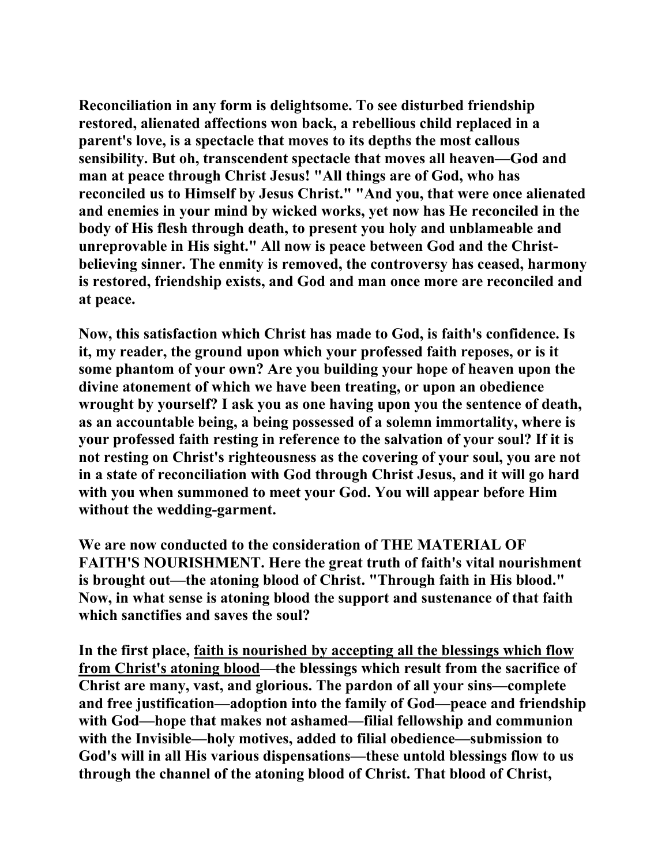**Reconciliation in any form is delightsome. To see disturbed friendship restored, alienated affections won back, a rebellious child replaced in a parent's love, is a spectacle that moves to its depths the most callous sensibility. But oh, transcendent spectacle that moves all heaven—God and man at peace through Christ Jesus! "All things are of God, who has reconciled us to Himself by Jesus Christ." "And you, that were once alienated and enemies in your mind by wicked works, yet now has He reconciled in the body of His flesh through death, to present you holy and unblameable and unreprovable in His sight." All now is peace between God and the Christbelieving sinner. The enmity is removed, the controversy has ceased, harmony is restored, friendship exists, and God and man once more are reconciled and at peace.** 

**Now, this satisfaction which Christ has made to God, is faith's confidence. Is it, my reader, the ground upon which your professed faith reposes, or is it some phantom of your own? Are you building your hope of heaven upon the divine atonement of which we have been treating, or upon an obedience wrought by yourself? I ask you as one having upon you the sentence of death, as an accountable being, a being possessed of a solemn immortality, where is your professed faith resting in reference to the salvation of your soul? If it is not resting on Christ's righteousness as the covering of your soul, you are not in a state of reconciliation with God through Christ Jesus, and it will go hard with you when summoned to meet your God. You will appear before Him without the wedding-garment.** 

**We are now conducted to the consideration of THE MATERIAL OF FAITH'S NOURISHMENT. Here the great truth of faith's vital nourishment is brought out—the atoning blood of Christ. "Through faith in His blood." Now, in what sense is atoning blood the support and sustenance of that faith which sanctifies and saves the soul?** 

**In the first place, faith is nourished by accepting all the blessings which flow from Christ's atoning blood—the blessings which result from the sacrifice of Christ are many, vast, and glorious. The pardon of all your sins—complete and free justification—adoption into the family of God—peace and friendship with God—hope that makes not ashamed—filial fellowship and communion with the Invisible—holy motives, added to filial obedience—submission to God's will in all His various dispensations—these untold blessings flow to us through the channel of the atoning blood of Christ. That blood of Christ,**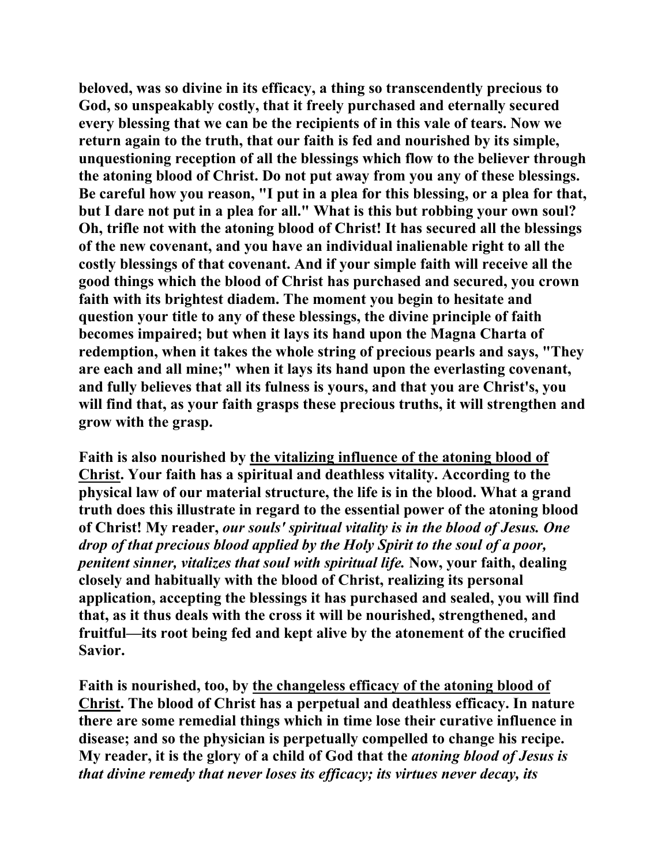**beloved, was so divine in its efficacy, a thing so transcendently precious to God, so unspeakably costly, that it freely purchased and eternally secured every blessing that we can be the recipients of in this vale of tears. Now we return again to the truth, that our faith is fed and nourished by its simple, unquestioning reception of all the blessings which flow to the believer through the atoning blood of Christ. Do not put away from you any of these blessings. Be careful how you reason, "I put in a plea for this blessing, or a plea for that, but I dare not put in a plea for all." What is this but robbing your own soul? Oh, trifle not with the atoning blood of Christ! It has secured all the blessings of the new covenant, and you have an individual inalienable right to all the costly blessings of that covenant. And if your simple faith will receive all the good things which the blood of Christ has purchased and secured, you crown faith with its brightest diadem. The moment you begin to hesitate and question your title to any of these blessings, the divine principle of faith becomes impaired; but when it lays its hand upon the Magna Charta of redemption, when it takes the whole string of precious pearls and says, "They are each and all mine;" when it lays its hand upon the everlasting covenant, and fully believes that all its fulness is yours, and that you are Christ's, you will find that, as your faith grasps these precious truths, it will strengthen and grow with the grasp.** 

**Faith is also nourished by the vitalizing influence of the atoning blood of Christ. Your faith has a spiritual and deathless vitality. According to the physical law of our material structure, the life is in the blood. What a grand truth does this illustrate in regard to the essential power of the atoning blood of Christ! My reader,** *our souls' spiritual vitality is in the blood of Jesus. One drop of that precious blood applied by the Holy Spirit to the soul of a poor, penitent sinner, vitalizes that soul with spiritual life.* **Now, your faith, dealing closely and habitually with the blood of Christ, realizing its personal application, accepting the blessings it has purchased and sealed, you will find that, as it thus deals with the cross it will be nourished, strengthened, and fruitful—its root being fed and kept alive by the atonement of the crucified Savior.** 

**Faith is nourished, too, by the changeless efficacy of the atoning blood of Christ. The blood of Christ has a perpetual and deathless efficacy. In nature there are some remedial things which in time lose their curative influence in disease; and so the physician is perpetually compelled to change his recipe. My reader, it is the glory of a child of God that the** *atoning blood of Jesus is that divine remedy that never loses its efficacy; its virtues never decay, its*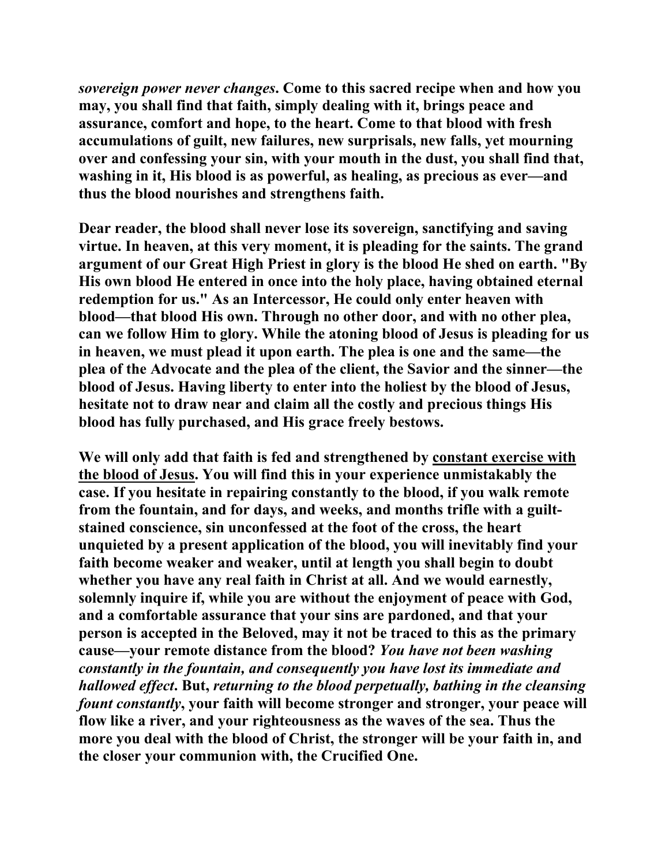*sovereign power never changes***. Come to this sacred recipe when and how you may, you shall find that faith, simply dealing with it, brings peace and assurance, comfort and hope, to the heart. Come to that blood with fresh accumulations of guilt, new failures, new surprisals, new falls, yet mourning over and confessing your sin, with your mouth in the dust, you shall find that, washing in it, His blood is as powerful, as healing, as precious as ever—and thus the blood nourishes and strengthens faith.** 

**Dear reader, the blood shall never lose its sovereign, sanctifying and saving virtue. In heaven, at this very moment, it is pleading for the saints. The grand argument of our Great High Priest in glory is the blood He shed on earth. "By His own blood He entered in once into the holy place, having obtained eternal redemption for us." As an Intercessor, He could only enter heaven with blood—that blood His own. Through no other door, and with no other plea, can we follow Him to glory. While the atoning blood of Jesus is pleading for us in heaven, we must plead it upon earth. The plea is one and the same—the plea of the Advocate and the plea of the client, the Savior and the sinner—the blood of Jesus. Having liberty to enter into the holiest by the blood of Jesus, hesitate not to draw near and claim all the costly and precious things His blood has fully purchased, and His grace freely bestows.** 

**We will only add that faith is fed and strengthened by constant exercise with the blood of Jesus. You will find this in your experience unmistakably the case. If you hesitate in repairing constantly to the blood, if you walk remote from the fountain, and for days, and weeks, and months trifle with a guiltstained conscience, sin unconfessed at the foot of the cross, the heart unquieted by a present application of the blood, you will inevitably find your faith become weaker and weaker, until at length you shall begin to doubt whether you have any real faith in Christ at all. And we would earnestly, solemnly inquire if, while you are without the enjoyment of peace with God, and a comfortable assurance that your sins are pardoned, and that your person is accepted in the Beloved, may it not be traced to this as the primary cause—your remote distance from the blood?** *You have not been washing constantly in the fountain, and consequently you have lost its immediate and hallowed effect***. But,** *returning to the blood perpetually, bathing in the cleansing fount constantly***, your faith will become stronger and stronger, your peace will flow like a river, and your righteousness as the waves of the sea. Thus the more you deal with the blood of Christ, the stronger will be your faith in, and the closer your communion with, the Crucified One.**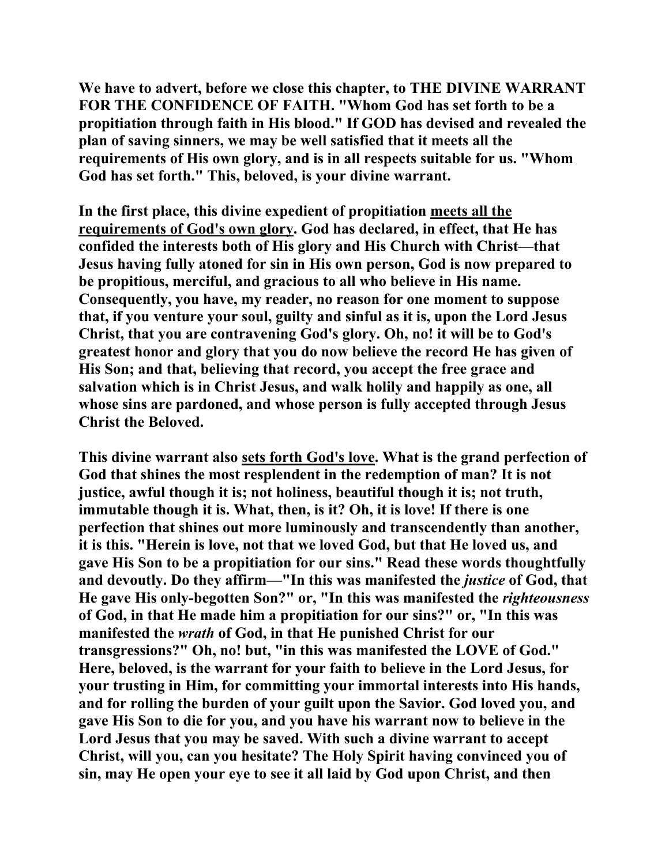**We have to advert, before we close this chapter, to THE DIVINE WARRANT FOR THE CONFIDENCE OF FAITH. "Whom God has set forth to be a propitiation through faith in His blood." If GOD has devised and revealed the plan of saving sinners, we may be well satisfied that it meets all the requirements of His own glory, and is in all respects suitable for us. "Whom God has set forth." This, beloved, is your divine warrant.** 

**In the first place, this divine expedient of propitiation meets all the requirements of God's own glory. God has declared, in effect, that He has confided the interests both of His glory and His Church with Christ—that Jesus having fully atoned for sin in His own person, God is now prepared to be propitious, merciful, and gracious to all who believe in His name. Consequently, you have, my reader, no reason for one moment to suppose that, if you venture your soul, guilty and sinful as it is, upon the Lord Jesus Christ, that you are contravening God's glory. Oh, no! it will be to God's greatest honor and glory that you do now believe the record He has given of His Son; and that, believing that record, you accept the free grace and salvation which is in Christ Jesus, and walk holily and happily as one, all whose sins are pardoned, and whose person is fully accepted through Jesus Christ the Beloved.** 

**This divine warrant also sets forth God's love. What is the grand perfection of God that shines the most resplendent in the redemption of man? It is not justice, awful though it is; not holiness, beautiful though it is; not truth, immutable though it is. What, then, is it? Oh, it is love! If there is one perfection that shines out more luminously and transcendently than another, it is this. "Herein is love, not that we loved God, but that He loved us, and gave His Son to be a propitiation for our sins." Read these words thoughtfully**  and devoutly. Do they affirm—"In this was manifested the *justice* of God, that **He gave His only-begotten Son?" or, "In this was manifested the** *righteousness* **of God, in that He made him a propitiation for our sins?" or, "In this was manifested the** *wrath* **of God, in that He punished Christ for our transgressions?" Oh, no! but, "in this was manifested the LOVE of God." Here, beloved, is the warrant for your faith to believe in the Lord Jesus, for your trusting in Him, for committing your immortal interests into His hands, and for rolling the burden of your guilt upon the Savior. God loved you, and gave His Son to die for you, and you have his warrant now to believe in the Lord Jesus that you may be saved. With such a divine warrant to accept Christ, will you, can you hesitate? The Holy Spirit having convinced you of sin, may He open your eye to see it all laid by God upon Christ, and then**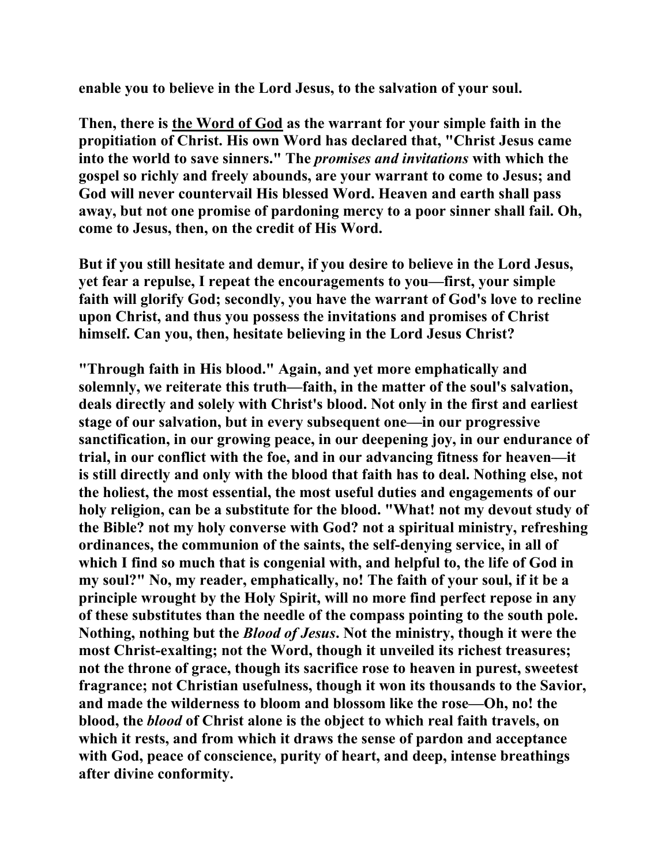**enable you to believe in the Lord Jesus, to the salvation of your soul.** 

**Then, there is the Word of God as the warrant for your simple faith in the propitiation of Christ. His own Word has declared that, "Christ Jesus came into the world to save sinners." The** *promises and invitations* **with which the gospel so richly and freely abounds, are your warrant to come to Jesus; and God will never countervail His blessed Word. Heaven and earth shall pass away, but not one promise of pardoning mercy to a poor sinner shall fail. Oh, come to Jesus, then, on the credit of His Word.** 

**But if you still hesitate and demur, if you desire to believe in the Lord Jesus, yet fear a repulse, I repeat the encouragements to you—first, your simple faith will glorify God; secondly, you have the warrant of God's love to recline upon Christ, and thus you possess the invitations and promises of Christ himself. Can you, then, hesitate believing in the Lord Jesus Christ?** 

**"Through faith in His blood." Again, and yet more emphatically and solemnly, we reiterate this truth—faith, in the matter of the soul's salvation, deals directly and solely with Christ's blood. Not only in the first and earliest stage of our salvation, but in every subsequent one—in our progressive sanctification, in our growing peace, in our deepening joy, in our endurance of trial, in our conflict with the foe, and in our advancing fitness for heaven—it is still directly and only with the blood that faith has to deal. Nothing else, not the holiest, the most essential, the most useful duties and engagements of our holy religion, can be a substitute for the blood. "What! not my devout study of the Bible? not my holy converse with God? not a spiritual ministry, refreshing ordinances, the communion of the saints, the self-denying service, in all of which I find so much that is congenial with, and helpful to, the life of God in my soul?" No, my reader, emphatically, no! The faith of your soul, if it be a principle wrought by the Holy Spirit, will no more find perfect repose in any of these substitutes than the needle of the compass pointing to the south pole. Nothing, nothing but the** *Blood of Jesus***. Not the ministry, though it were the most Christ-exalting; not the Word, though it unveiled its richest treasures; not the throne of grace, though its sacrifice rose to heaven in purest, sweetest fragrance; not Christian usefulness, though it won its thousands to the Savior, and made the wilderness to bloom and blossom like the rose—Oh, no! the blood, the** *blood* **of Christ alone is the object to which real faith travels, on which it rests, and from which it draws the sense of pardon and acceptance with God, peace of conscience, purity of heart, and deep, intense breathings after divine conformity.**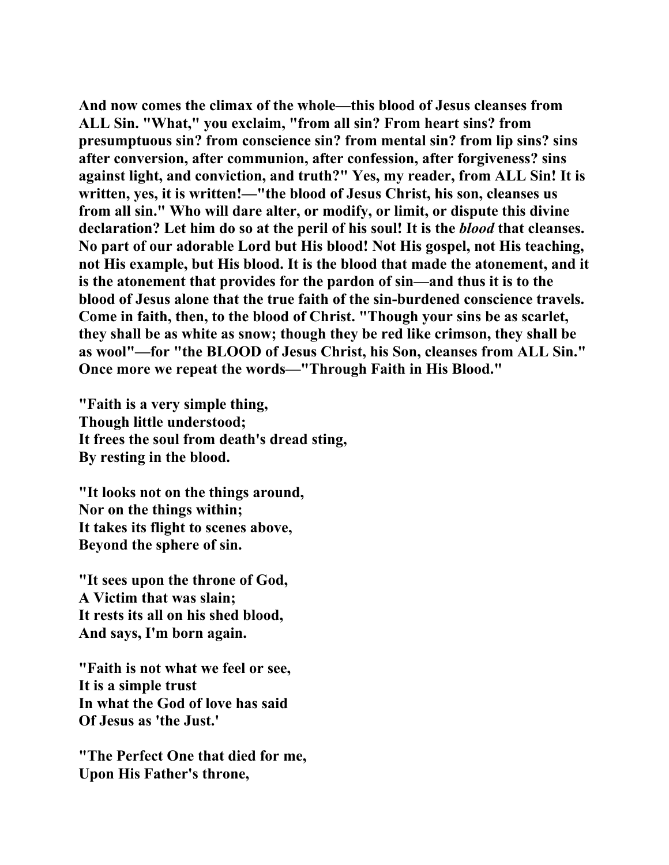**And now comes the climax of the whole—this blood of Jesus cleanses from ALL Sin. "What," you exclaim, "from all sin? From heart sins? from presumptuous sin? from conscience sin? from mental sin? from lip sins? sins after conversion, after communion, after confession, after forgiveness? sins against light, and conviction, and truth?" Yes, my reader, from ALL Sin! It is written, yes, it is written!—"the blood of Jesus Christ, his son, cleanses us from all sin." Who will dare alter, or modify, or limit, or dispute this divine declaration? Let him do so at the peril of his soul! It is the** *blood* **that cleanses. No part of our adorable Lord but His blood! Not His gospel, not His teaching, not His example, but His blood. It is the blood that made the atonement, and it is the atonement that provides for the pardon of sin—and thus it is to the blood of Jesus alone that the true faith of the sin-burdened conscience travels. Come in faith, then, to the blood of Christ. "Though your sins be as scarlet, they shall be as white as snow; though they be red like crimson, they shall be as wool"—for "the BLOOD of Jesus Christ, his Son, cleanses from ALL Sin." Once more we repeat the words—"Through Faith in His Blood."** 

**"Faith is a very simple thing, Though little understood; It frees the soul from death's dread sting, By resting in the blood.** 

**"It looks not on the things around, Nor on the things within; It takes its flight to scenes above, Beyond the sphere of sin.** 

**"It sees upon the throne of God, A Victim that was slain; It rests its all on his shed blood, And says, I'm born again.** 

**"Faith is not what we feel or see, It is a simple trust In what the God of love has said Of Jesus as 'the Just.'** 

**"The Perfect One that died for me, Upon His Father's throne,**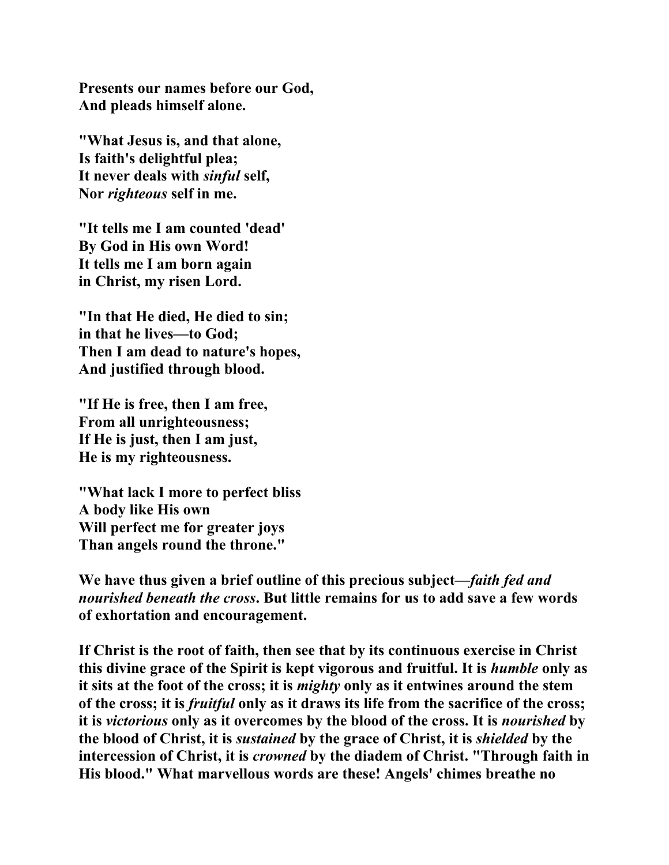**Presents our names before our God, And pleads himself alone.** 

**"What Jesus is, and that alone, Is faith's delightful plea; It never deals with** *sinful* **self, Nor** *righteous* **self in me.** 

**"It tells me I am counted 'dead' By God in His own Word! It tells me I am born again in Christ, my risen Lord.** 

**"In that He died, He died to sin; in that he lives—to God; Then I am dead to nature's hopes, And justified through blood.** 

**"If He is free, then I am free, From all unrighteousness; If He is just, then I am just, He is my righteousness.** 

**"What lack I more to perfect bliss A body like His own Will perfect me for greater joys Than angels round the throne."** 

**We have thus given a brief outline of this precious subject—***faith fed and nourished beneath the cross***. But little remains for us to add save a few words of exhortation and encouragement.** 

**If Christ is the root of faith, then see that by its continuous exercise in Christ this divine grace of the Spirit is kept vigorous and fruitful. It is** *humble* **only as it sits at the foot of the cross; it is** *mighty* **only as it entwines around the stem of the cross; it is** *fruitful* **only as it draws its life from the sacrifice of the cross; it is** *victorious* **only as it overcomes by the blood of the cross. It is** *nourished* **by the blood of Christ, it is** *sustained* **by the grace of Christ, it is** *shielded* **by the intercession of Christ, it is** *crowned* **by the diadem of Christ. "Through faith in His blood." What marvellous words are these! Angels' chimes breathe no**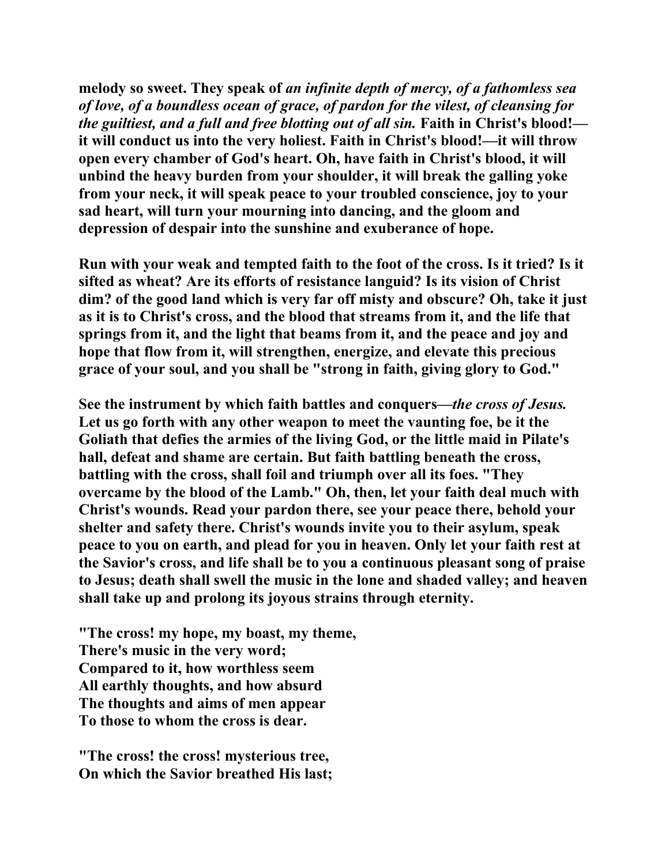**melody so sweet. They speak of** *an infinite depth of mercy, of a fathomless sea of love, of a boundless ocean of grace, of pardon for the vilest, of cleansing for the guiltiest, and a full and free blotting out of all sin. Faith in Christ's blood!* **it will conduct us into the very holiest. Faith in Christ's blood!—it will throw open every chamber of God's heart. Oh, have faith in Christ's blood, it will unbind the heavy burden from your shoulder, it will break the galling yoke from your neck, it will speak peace to your troubled conscience, joy to your sad heart, will turn your mourning into dancing, and the gloom and depression of despair into the sunshine and exuberance of hope.** 

**Run with your weak and tempted faith to the foot of the cross. Is it tried? Is it sifted as wheat? Are its efforts of resistance languid? Is its vision of Christ dim? of the good land which is very far off misty and obscure? Oh, take it just as it is to Christ's cross, and the blood that streams from it, and the life that springs from it, and the light that beams from it, and the peace and joy and hope that flow from it, will strengthen, energize, and elevate this precious grace of your soul, and you shall be "strong in faith, giving glory to God."** 

**See the instrument by which faith battles and conquers—***the cross of Jesus.* **Let us go forth with any other weapon to meet the vaunting foe, be it the Goliath that defies the armies of the living God, or the little maid in Pilate's hall, defeat and shame are certain. But faith battling beneath the cross, battling with the cross, shall foil and triumph over all its foes. "They overcame by the blood of the Lamb." Oh, then, let your faith deal much with Christ's wounds. Read your pardon there, see your peace there, behold your shelter and safety there. Christ's wounds invite you to their asylum, speak peace to you on earth, and plead for you in heaven. Only let your faith rest at the Savior's cross, and life shall be to you a continuous pleasant song of praise to Jesus; death shall swell the music in the lone and shaded valley; and heaven shall take up and prolong its joyous strains through eternity.** 

**"The cross! my hope, my boast, my theme, There's music in the very word; Compared to it, how worthless seem All earthly thoughts, and how absurd The thoughts and aims of men appear To those to whom the cross is dear.** 

**"The cross! the cross! mysterious tree, On which the Savior breathed His last;**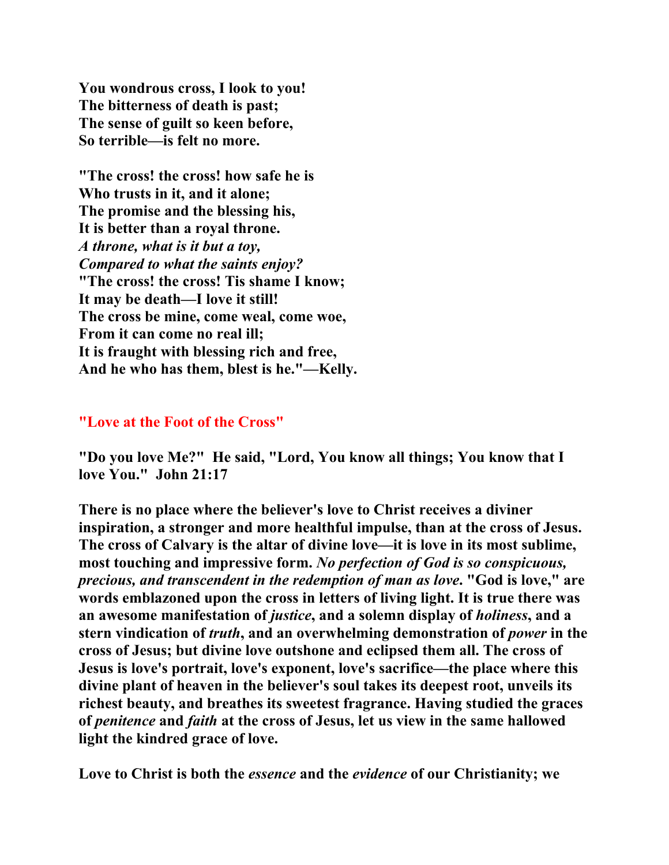**You wondrous cross, I look to you! The bitterness of death is past; The sense of guilt so keen before, So terrible—is felt no more.** 

**"The cross! the cross! how safe he is Who trusts in it, and it alone; The promise and the blessing his, It is better than a royal throne.**  *A throne, what is it but a toy, Compared to what the saints enjoy?* **"The cross! the cross! Tis shame I know; It may be death—I love it still! The cross be mine, come weal, come woe, From it can come no real ill; It is fraught with blessing rich and free, And he who has them, blest is he."—Kelly.** 

### **"Love at the Foot of the Cross"**

**"Do you love Me?" He said, "Lord, You know all things; You know that I love You." John 21:17** 

**There is no place where the believer's love to Christ receives a diviner inspiration, a stronger and more healthful impulse, than at the cross of Jesus. The cross of Calvary is the altar of divine love—it is love in its most sublime, most touching and impressive form.** *No perfection of God is so conspicuous, precious, and transcendent in the redemption of man as love***. "God is love," are words emblazoned upon the cross in letters of living light. It is true there was an awesome manifestation of** *justice***, and a solemn display of** *holiness***, and a stern vindication of** *truth***, and an overwhelming demonstration of** *power* **in the cross of Jesus; but divine love outshone and eclipsed them all. The cross of Jesus is love's portrait, love's exponent, love's sacrifice—the place where this divine plant of heaven in the believer's soul takes its deepest root, unveils its richest beauty, and breathes its sweetest fragrance. Having studied the graces of** *penitence* **and** *faith* **at the cross of Jesus, let us view in the same hallowed light the kindred grace of love.** 

**Love to Christ is both the** *essence* **and the** *evidence* **of our Christianity; we**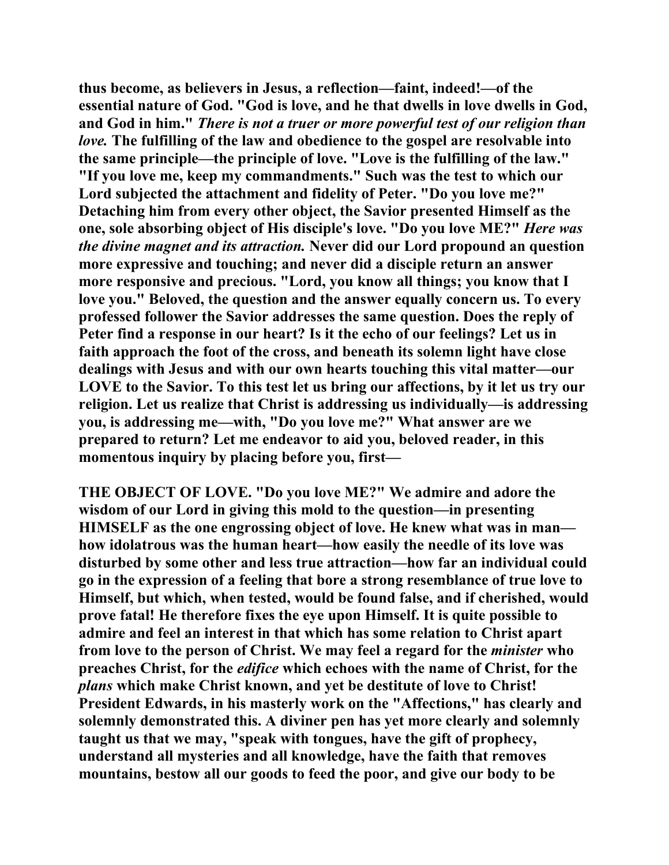**thus become, as believers in Jesus, a reflection—faint, indeed!—of the essential nature of God. "God is love, and he that dwells in love dwells in God, and God in him."** *There is not a truer or more powerful test of our religion than love.* **The fulfilling of the law and obedience to the gospel are resolvable into the same principle—the principle of love. "Love is the fulfilling of the law." "If you love me, keep my commandments." Such was the test to which our Lord subjected the attachment and fidelity of Peter. "Do you love me?" Detaching him from every other object, the Savior presented Himself as the one, sole absorbing object of His disciple's love. "Do you love ME?"** *Here was the divine magnet and its attraction.* **Never did our Lord propound an question more expressive and touching; and never did a disciple return an answer more responsive and precious. "Lord, you know all things; you know that I love you." Beloved, the question and the answer equally concern us. To every professed follower the Savior addresses the same question. Does the reply of Peter find a response in our heart? Is it the echo of our feelings? Let us in faith approach the foot of the cross, and beneath its solemn light have close dealings with Jesus and with our own hearts touching this vital matter—our LOVE to the Savior. To this test let us bring our affections, by it let us try our religion. Let us realize that Christ is addressing us individually—is addressing you, is addressing me—with, "Do you love me?" What answer are we prepared to return? Let me endeavor to aid you, beloved reader, in this momentous inquiry by placing before you, first—** 

**THE OBJECT OF LOVE. "Do you love ME?" We admire and adore the wisdom of our Lord in giving this mold to the question—in presenting HIMSELF as the one engrossing object of love. He knew what was in man how idolatrous was the human heart—how easily the needle of its love was disturbed by some other and less true attraction—how far an individual could go in the expression of a feeling that bore a strong resemblance of true love to Himself, but which, when tested, would be found false, and if cherished, would prove fatal! He therefore fixes the eye upon Himself. It is quite possible to admire and feel an interest in that which has some relation to Christ apart from love to the person of Christ. We may feel a regard for the** *minister* **who preaches Christ, for the** *edifice* **which echoes with the name of Christ, for the**  *plans* **which make Christ known, and yet be destitute of love to Christ! President Edwards, in his masterly work on the "Affections," has clearly and solemnly demonstrated this. A diviner pen has yet more clearly and solemnly taught us that we may, "speak with tongues, have the gift of prophecy, understand all mysteries and all knowledge, have the faith that removes mountains, bestow all our goods to feed the poor, and give our body to be**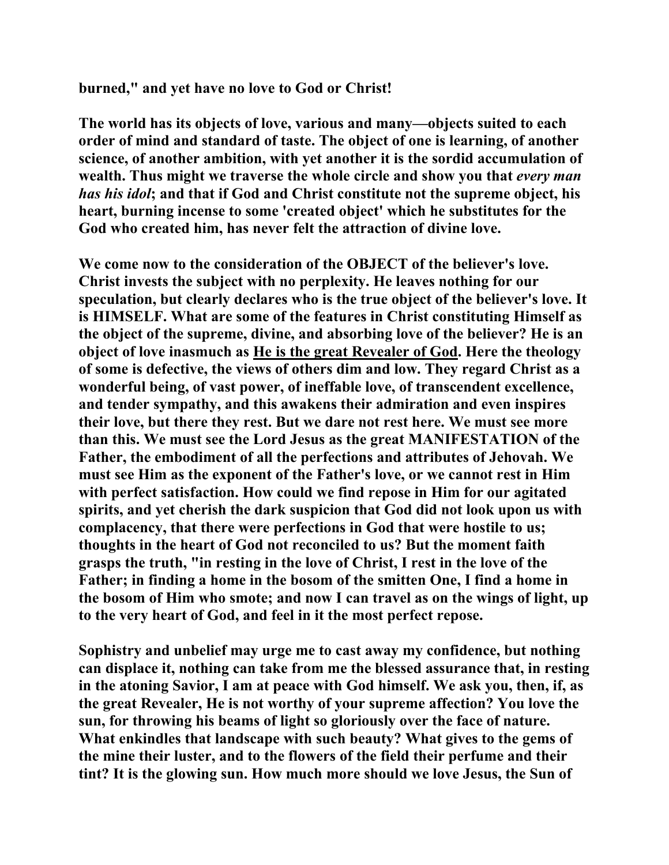#### **burned," and yet have no love to God or Christ!**

**The world has its objects of love, various and many—objects suited to each order of mind and standard of taste. The object of one is learning, of another science, of another ambition, with yet another it is the sordid accumulation of wealth. Thus might we traverse the whole circle and show you that** *every man has his idol***; and that if God and Christ constitute not the supreme object, his heart, burning incense to some 'created object' which he substitutes for the God who created him, has never felt the attraction of divine love.** 

**We come now to the consideration of the OBJECT of the believer's love. Christ invests the subject with no perplexity. He leaves nothing for our speculation, but clearly declares who is the true object of the believer's love. It is HIMSELF. What are some of the features in Christ constituting Himself as the object of the supreme, divine, and absorbing love of the believer? He is an object of love inasmuch as He is the great Revealer of God. Here the theology of some is defective, the views of others dim and low. They regard Christ as a wonderful being, of vast power, of ineffable love, of transcendent excellence, and tender sympathy, and this awakens their admiration and even inspires their love, but there they rest. But we dare not rest here. We must see more than this. We must see the Lord Jesus as the great MANIFESTATION of the Father, the embodiment of all the perfections and attributes of Jehovah. We must see Him as the exponent of the Father's love, or we cannot rest in Him with perfect satisfaction. How could we find repose in Him for our agitated spirits, and yet cherish the dark suspicion that God did not look upon us with complacency, that there were perfections in God that were hostile to us; thoughts in the heart of God not reconciled to us? But the moment faith grasps the truth, "in resting in the love of Christ, I rest in the love of the Father; in finding a home in the bosom of the smitten One, I find a home in the bosom of Him who smote; and now I can travel as on the wings of light, up to the very heart of God, and feel in it the most perfect repose.** 

**Sophistry and unbelief may urge me to cast away my confidence, but nothing can displace it, nothing can take from me the blessed assurance that, in resting in the atoning Savior, I am at peace with God himself. We ask you, then, if, as the great Revealer, He is not worthy of your supreme affection? You love the sun, for throwing his beams of light so gloriously over the face of nature. What enkindles that landscape with such beauty? What gives to the gems of the mine their luster, and to the flowers of the field their perfume and their tint? It is the glowing sun. How much more should we love Jesus, the Sun of**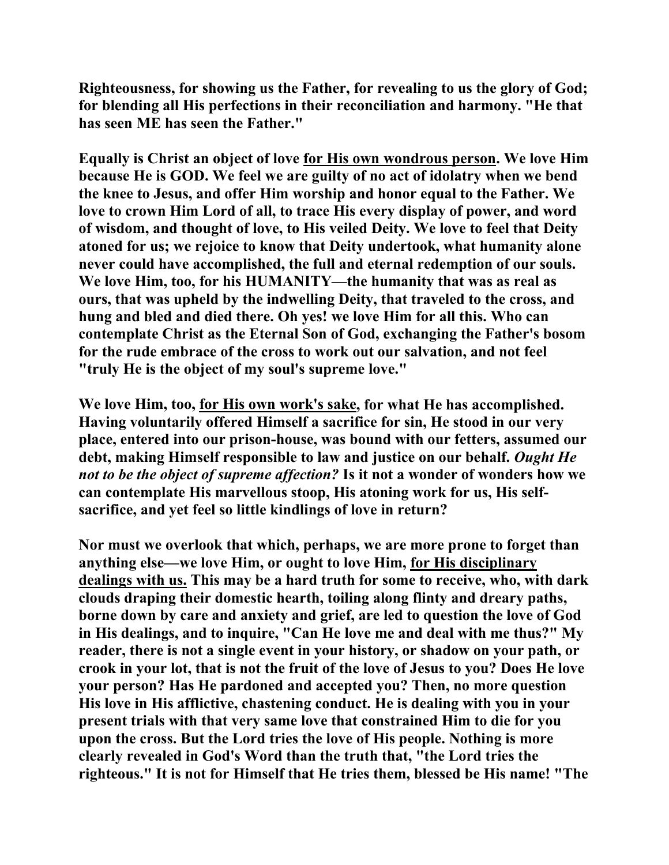**Righteousness, for showing us the Father, for revealing to us the glory of God; for blending all His perfections in their reconciliation and harmony. "He that has seen ME has seen the Father."** 

**Equally is Christ an object of love for His own wondrous person. We love Him because He is GOD. We feel we are guilty of no act of idolatry when we bend the knee to Jesus, and offer Him worship and honor equal to the Father. We love to crown Him Lord of all, to trace His every display of power, and word of wisdom, and thought of love, to His veiled Deity. We love to feel that Deity atoned for us; we rejoice to know that Deity undertook, what humanity alone never could have accomplished, the full and eternal redemption of our souls. We love Him, too, for his HUMANITY—the humanity that was as real as ours, that was upheld by the indwelling Deity, that traveled to the cross, and hung and bled and died there. Oh yes! we love Him for all this. Who can contemplate Christ as the Eternal Son of God, exchanging the Father's bosom for the rude embrace of the cross to work out our salvation, and not feel "truly He is the object of my soul's supreme love."** 

**We love Him, too, for His own work's sake, for what He has accomplished. Having voluntarily offered Himself a sacrifice for sin, He stood in our very place, entered into our prison-house, was bound with our fetters, assumed our debt, making Himself responsible to law and justice on our behalf.** *Ought He not to be the object of supreme affection?* **Is it not a wonder of wonders how we can contemplate His marvellous stoop, His atoning work for us, His selfsacrifice, and yet feel so little kindlings of love in return?** 

**Nor must we overlook that which, perhaps, we are more prone to forget than anything else—we love Him, or ought to love Him, for His disciplinary dealings with us. This may be a hard truth for some to receive, who, with dark clouds draping their domestic hearth, toiling along flinty and dreary paths, borne down by care and anxiety and grief, are led to question the love of God in His dealings, and to inquire, "Can He love me and deal with me thus?" My reader, there is not a single event in your history, or shadow on your path, or crook in your lot, that is not the fruit of the love of Jesus to you? Does He love your person? Has He pardoned and accepted you? Then, no more question His love in His afflictive, chastening conduct. He is dealing with you in your present trials with that very same love that constrained Him to die for you upon the cross. But the Lord tries the love of His people. Nothing is more clearly revealed in God's Word than the truth that, "the Lord tries the righteous." It is not for Himself that He tries them, blessed be His name! "The**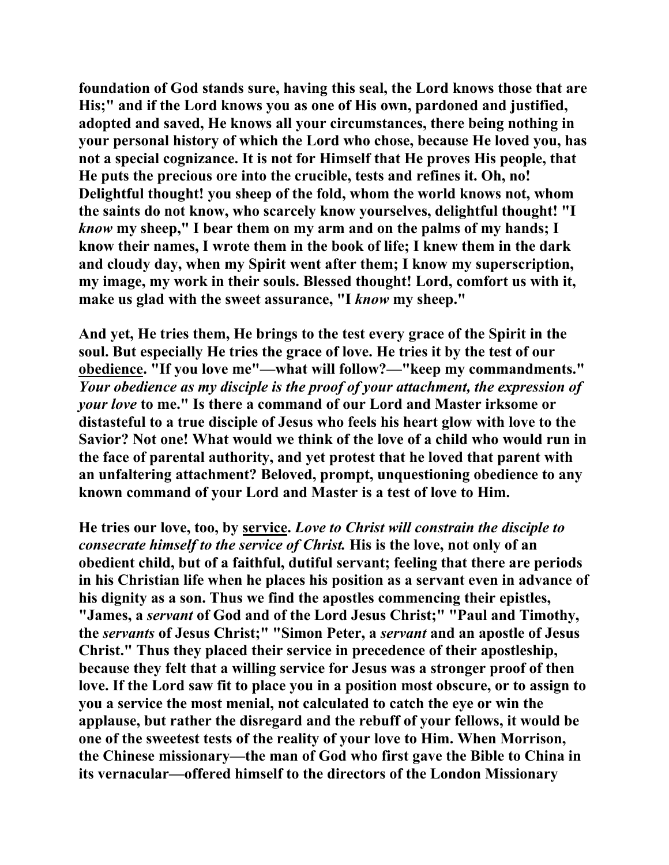**foundation of God stands sure, having this seal, the Lord knows those that are His;" and if the Lord knows you as one of His own, pardoned and justified, adopted and saved, He knows all your circumstances, there being nothing in your personal history of which the Lord who chose, because He loved you, has not a special cognizance. It is not for Himself that He proves His people, that He puts the precious ore into the crucible, tests and refines it. Oh, no! Delightful thought! you sheep of the fold, whom the world knows not, whom the saints do not know, who scarcely know yourselves, delightful thought! "I**  *know* **my sheep," I bear them on my arm and on the palms of my hands; I know their names, I wrote them in the book of life; I knew them in the dark and cloudy day, when my Spirit went after them; I know my superscription, my image, my work in their souls. Blessed thought! Lord, comfort us with it, make us glad with the sweet assurance, "I** *know* **my sheep."** 

**And yet, He tries them, He brings to the test every grace of the Spirit in the soul. But especially He tries the grace of love. He tries it by the test of our obedience. "If you love me"—what will follow?—"keep my commandments."**  *Your obedience as my disciple is the proof of your attachment, the expression of your love* **to me." Is there a command of our Lord and Master irksome or distasteful to a true disciple of Jesus who feels his heart glow with love to the Savior? Not one! What would we think of the love of a child who would run in the face of parental authority, and yet protest that he loved that parent with an unfaltering attachment? Beloved, prompt, unquestioning obedience to any known command of your Lord and Master is a test of love to Him.** 

**He tries our love, too, by service.** *Love to Christ will constrain the disciple to consecrate himself to the service of Christ.* **His is the love, not only of an obedient child, but of a faithful, dutiful servant; feeling that there are periods in his Christian life when he places his position as a servant even in advance of his dignity as a son. Thus we find the apostles commencing their epistles, "James, a** *servant* **of God and of the Lord Jesus Christ;" "Paul and Timothy, the** *servants* **of Jesus Christ;" "Simon Peter, a** *servant* **and an apostle of Jesus Christ." Thus they placed their service in precedence of their apostleship, because they felt that a willing service for Jesus was a stronger proof of then love. If the Lord saw fit to place you in a position most obscure, or to assign to you a service the most menial, not calculated to catch the eye or win the applause, but rather the disregard and the rebuff of your fellows, it would be one of the sweetest tests of the reality of your love to Him. When Morrison, the Chinese missionary—the man of God who first gave the Bible to China in its vernacular—offered himself to the directors of the London Missionary**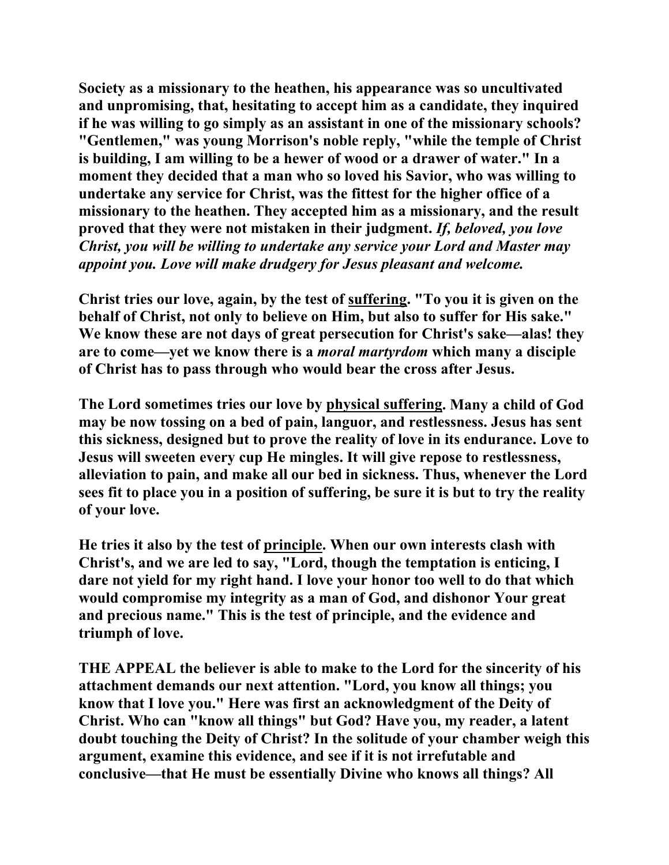**Society as a missionary to the heathen, his appearance was so uncultivated and unpromising, that, hesitating to accept him as a candidate, they inquired if he was willing to go simply as an assistant in one of the missionary schools? "Gentlemen," was young Morrison's noble reply, "while the temple of Christ is building, I am willing to be a hewer of wood or a drawer of water." In a moment they decided that a man who so loved his Savior, who was willing to undertake any service for Christ, was the fittest for the higher office of a missionary to the heathen. They accepted him as a missionary, and the result proved that they were not mistaken in their judgment.** *If, beloved, you love Christ, you will be willing to undertake any service your Lord and Master may appoint you. Love will make drudgery for Jesus pleasant and welcome.*

**Christ tries our love, again, by the test of suffering. "To you it is given on the behalf of Christ, not only to believe on Him, but also to suffer for His sake." We know these are not days of great persecution for Christ's sake—alas! they are to come—yet we know there is a** *moral martyrdom* **which many a disciple of Christ has to pass through who would bear the cross after Jesus.** 

**The Lord sometimes tries our love by physical suffering. Many a child of God may be now tossing on a bed of pain, languor, and restlessness. Jesus has sent this sickness, designed but to prove the reality of love in its endurance. Love to Jesus will sweeten every cup He mingles. It will give repose to restlessness, alleviation to pain, and make all our bed in sickness. Thus, whenever the Lord sees fit to place you in a position of suffering, be sure it is but to try the reality of your love.** 

**He tries it also by the test of principle. When our own interests clash with Christ's, and we are led to say, "Lord, though the temptation is enticing, I dare not yield for my right hand. I love your honor too well to do that which would compromise my integrity as a man of God, and dishonor Your great and precious name." This is the test of principle, and the evidence and triumph of love.** 

**THE APPEAL the believer is able to make to the Lord for the sincerity of his attachment demands our next attention. "Lord, you know all things; you know that I love you." Here was first an acknowledgment of the Deity of Christ. Who can "know all things" but God? Have you, my reader, a latent doubt touching the Deity of Christ? In the solitude of your chamber weigh this argument, examine this evidence, and see if it is not irrefutable and conclusive—that He must be essentially Divine who knows all things? All**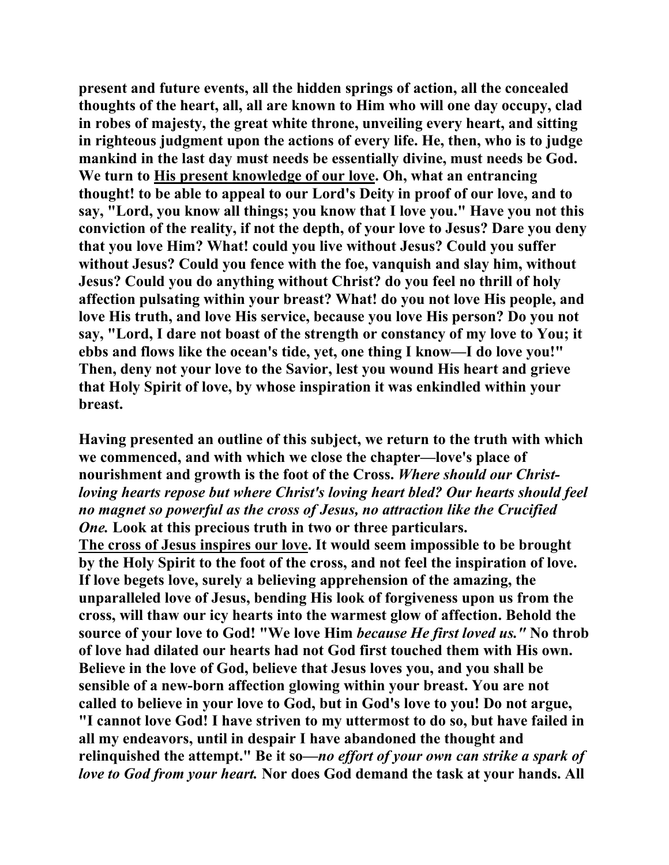**present and future events, all the hidden springs of action, all the concealed thoughts of the heart, all, all are known to Him who will one day occupy, clad in robes of majesty, the great white throne, unveiling every heart, and sitting in righteous judgment upon the actions of every life. He, then, who is to judge mankind in the last day must needs be essentially divine, must needs be God. We turn to His present knowledge of our love. Oh, what an entrancing thought! to be able to appeal to our Lord's Deity in proof of our love, and to say, "Lord, you know all things; you know that I love you." Have you not this conviction of the reality, if not the depth, of your love to Jesus? Dare you deny that you love Him? What! could you live without Jesus? Could you suffer without Jesus? Could you fence with the foe, vanquish and slay him, without Jesus? Could you do anything without Christ? do you feel no thrill of holy affection pulsating within your breast? What! do you not love His people, and love His truth, and love His service, because you love His person? Do you not say, "Lord, I dare not boast of the strength or constancy of my love to You; it ebbs and flows like the ocean's tide, yet, one thing I know—I do love you!" Then, deny not your love to the Savior, lest you wound His heart and grieve that Holy Spirit of love, by whose inspiration it was enkindled within your breast.** 

**Having presented an outline of this subject, we return to the truth with which we commenced, and with which we close the chapter—love's place of nourishment and growth is the foot of the Cross.** *Where should our Christloving hearts repose but where Christ's loving heart bled? Our hearts should feel no magnet so powerful as the cross of Jesus, no attraction like the Crucified One.* **Look at this precious truth in two or three particulars. The cross of Jesus inspires our love. It would seem impossible to be brought by the Holy Spirit to the foot of the cross, and not feel the inspiration of love. If love begets love, surely a believing apprehension of the amazing, the unparalleled love of Jesus, bending His look of forgiveness upon us from the cross, will thaw our icy hearts into the warmest glow of affection. Behold the source of your love to God! "We love Him** *because He first loved us."* **No throb of love had dilated our hearts had not God first touched them with His own. Believe in the love of God, believe that Jesus loves you, and you shall be sensible of a new-born affection glowing within your breast. You are not called to believe in your love to God, but in God's love to you! Do not argue, "I cannot love God! I have striven to my uttermost to do so, but have failed in all my endeavors, until in despair I have abandoned the thought and relinquished the attempt." Be it so—***no effort of your own can strike a spark of love to God from your heart.* **Nor does God demand the task at your hands. All**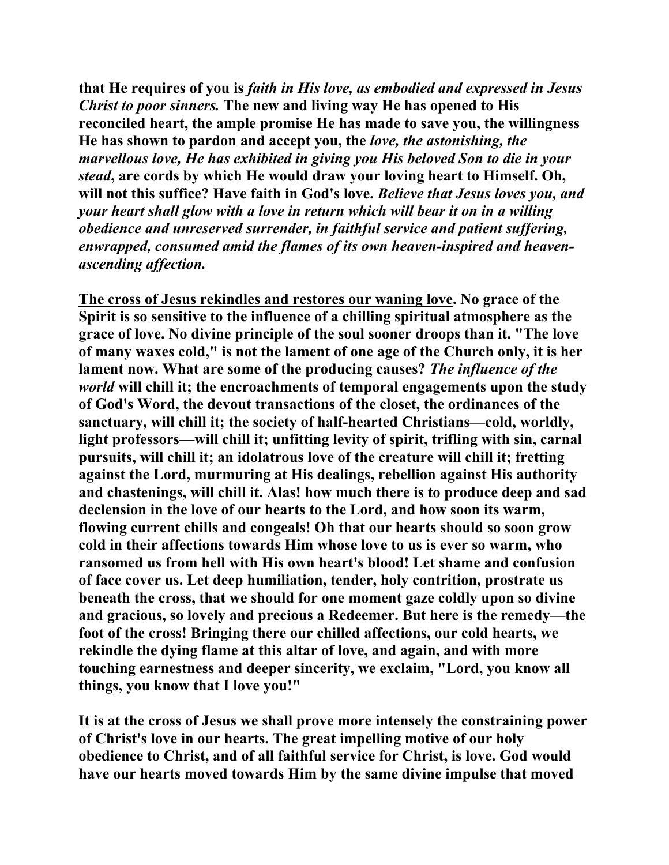**that He requires of you is** *faith in His love, as embodied and expressed in Jesus Christ to poor sinners.* **The new and living way He has opened to His reconciled heart, the ample promise He has made to save you, the willingness He has shown to pardon and accept you, the** *love, the astonishing, the marvellous love, He has exhibited in giving you His beloved Son to die in your stead***, are cords by which He would draw your loving heart to Himself. Oh, will not this suffice? Have faith in God's love.** *Believe that Jesus loves you, and your heart shall glow with a love in return which will bear it on in a willing obedience and unreserved surrender, in faithful service and patient suffering, enwrapped, consumed amid the flames of its own heaven-inspired and heavenascending affection.*

**The cross of Jesus rekindles and restores our waning love. No grace of the Spirit is so sensitive to the influence of a chilling spiritual atmosphere as the grace of love. No divine principle of the soul sooner droops than it. "The love of many waxes cold," is not the lament of one age of the Church only, it is her lament now. What are some of the producing causes?** *The influence of the world* **will chill it; the encroachments of temporal engagements upon the study of God's Word, the devout transactions of the closet, the ordinances of the sanctuary, will chill it; the society of half-hearted Christians—cold, worldly, light professors—will chill it; unfitting levity of spirit, trifling with sin, carnal pursuits, will chill it; an idolatrous love of the creature will chill it; fretting against the Lord, murmuring at His dealings, rebellion against His authority and chastenings, will chill it. Alas! how much there is to produce deep and sad declension in the love of our hearts to the Lord, and how soon its warm, flowing current chills and congeals! Oh that our hearts should so soon grow cold in their affections towards Him whose love to us is ever so warm, who ransomed us from hell with His own heart's blood! Let shame and confusion of face cover us. Let deep humiliation, tender, holy contrition, prostrate us beneath the cross, that we should for one moment gaze coldly upon so divine and gracious, so lovely and precious a Redeemer. But here is the remedy—the foot of the cross! Bringing there our chilled affections, our cold hearts, we rekindle the dying flame at this altar of love, and again, and with more touching earnestness and deeper sincerity, we exclaim, "Lord, you know all things, you know that I love you!"** 

**It is at the cross of Jesus we shall prove more intensely the constraining power of Christ's love in our hearts. The great impelling motive of our holy obedience to Christ, and of all faithful service for Christ, is love. God would have our hearts moved towards Him by the same divine impulse that moved**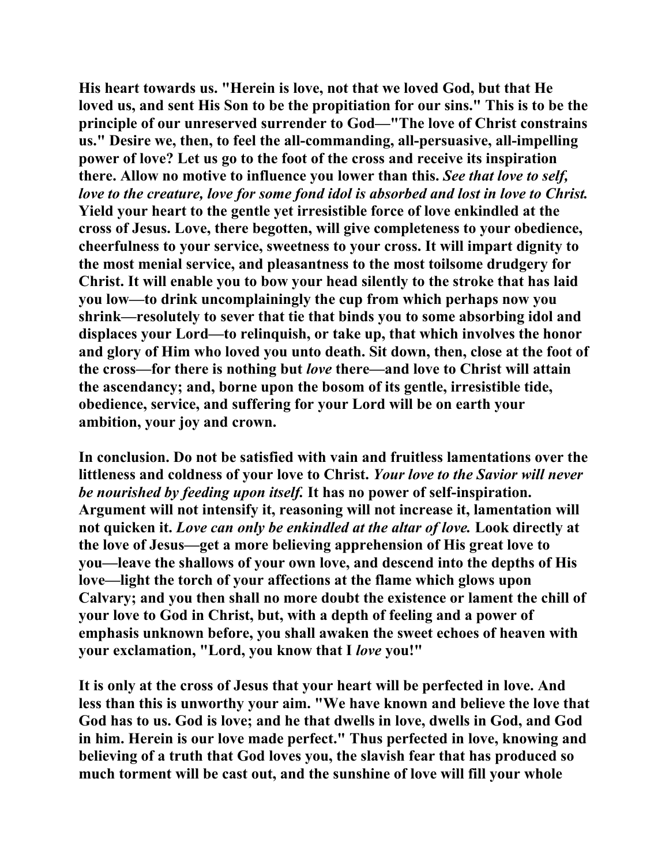**His heart towards us. "Herein is love, not that we loved God, but that He loved us, and sent His Son to be the propitiation for our sins." This is to be the principle of our unreserved surrender to God—"The love of Christ constrains us." Desire we, then, to feel the all-commanding, all-persuasive, all-impelling power of love? Let us go to the foot of the cross and receive its inspiration there. Allow no motive to influence you lower than this.** *See that love to self, love to the creature, love for some fond idol is absorbed and lost in love to Christ.*  **Yield your heart to the gentle yet irresistible force of love enkindled at the cross of Jesus. Love, there begotten, will give completeness to your obedience, cheerfulness to your service, sweetness to your cross. It will impart dignity to the most menial service, and pleasantness to the most toilsome drudgery for Christ. It will enable you to bow your head silently to the stroke that has laid you low—to drink uncomplainingly the cup from which perhaps now you shrink—resolutely to sever that tie that binds you to some absorbing idol and displaces your Lord—to relinquish, or take up, that which involves the honor and glory of Him who loved you unto death. Sit down, then, close at the foot of the cross—for there is nothing but** *love* **there—and love to Christ will attain the ascendancy; and, borne upon the bosom of its gentle, irresistible tide, obedience, service, and suffering for your Lord will be on earth your ambition, your joy and crown.** 

**In conclusion. Do not be satisfied with vain and fruitless lamentations over the littleness and coldness of your love to Christ.** *Your love to the Savior will never be nourished by feeding upon itself.* **It has no power of self-inspiration. Argument will not intensify it, reasoning will not increase it, lamentation will not quicken it.** *Love can only be enkindled at the altar of love.* **Look directly at the love of Jesus—get a more believing apprehension of His great love to you—leave the shallows of your own love, and descend into the depths of His love—light the torch of your affections at the flame which glows upon Calvary; and you then shall no more doubt the existence or lament the chill of your love to God in Christ, but, with a depth of feeling and a power of emphasis unknown before, you shall awaken the sweet echoes of heaven with your exclamation, "Lord, you know that I** *love* **you!"** 

**It is only at the cross of Jesus that your heart will be perfected in love. And less than this is unworthy your aim. "We have known and believe the love that God has to us. God is love; and he that dwells in love, dwells in God, and God in him. Herein is our love made perfect." Thus perfected in love, knowing and believing of a truth that God loves you, the slavish fear that has produced so much torment will be cast out, and the sunshine of love will fill your whole**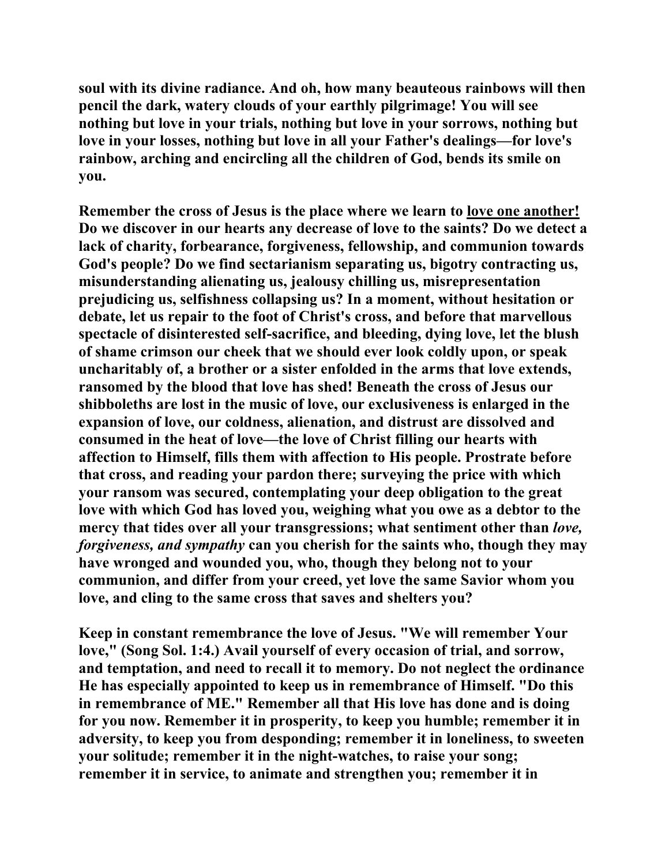**soul with its divine radiance. And oh, how many beauteous rainbows will then pencil the dark, watery clouds of your earthly pilgrimage! You will see nothing but love in your trials, nothing but love in your sorrows, nothing but love in your losses, nothing but love in all your Father's dealings—for love's rainbow, arching and encircling all the children of God, bends its smile on you.** 

**Remember the cross of Jesus is the place where we learn to love one another! Do we discover in our hearts any decrease of love to the saints? Do we detect a lack of charity, forbearance, forgiveness, fellowship, and communion towards God's people? Do we find sectarianism separating us, bigotry contracting us, misunderstanding alienating us, jealousy chilling us, misrepresentation prejudicing us, selfishness collapsing us? In a moment, without hesitation or debate, let us repair to the foot of Christ's cross, and before that marvellous spectacle of disinterested self-sacrifice, and bleeding, dying love, let the blush of shame crimson our cheek that we should ever look coldly upon, or speak uncharitably of, a brother or a sister enfolded in the arms that love extends, ransomed by the blood that love has shed! Beneath the cross of Jesus our shibboleths are lost in the music of love, our exclusiveness is enlarged in the expansion of love, our coldness, alienation, and distrust are dissolved and consumed in the heat of love—the love of Christ filling our hearts with affection to Himself, fills them with affection to His people. Prostrate before that cross, and reading your pardon there; surveying the price with which your ransom was secured, contemplating your deep obligation to the great love with which God has loved you, weighing what you owe as a debtor to the mercy that tides over all your transgressions; what sentiment other than** *love, forgiveness, and sympathy* **can you cherish for the saints who, though they may have wronged and wounded you, who, though they belong not to your communion, and differ from your creed, yet love the same Savior whom you love, and cling to the same cross that saves and shelters you?** 

**Keep in constant remembrance the love of Jesus. "We will remember Your love," (Song Sol. 1:4.) Avail yourself of every occasion of trial, and sorrow, and temptation, and need to recall it to memory. Do not neglect the ordinance He has especially appointed to keep us in remembrance of Himself. "Do this in remembrance of ME." Remember all that His love has done and is doing for you now. Remember it in prosperity, to keep you humble; remember it in adversity, to keep you from desponding; remember it in loneliness, to sweeten your solitude; remember it in the night-watches, to raise your song; remember it in service, to animate and strengthen you; remember it in**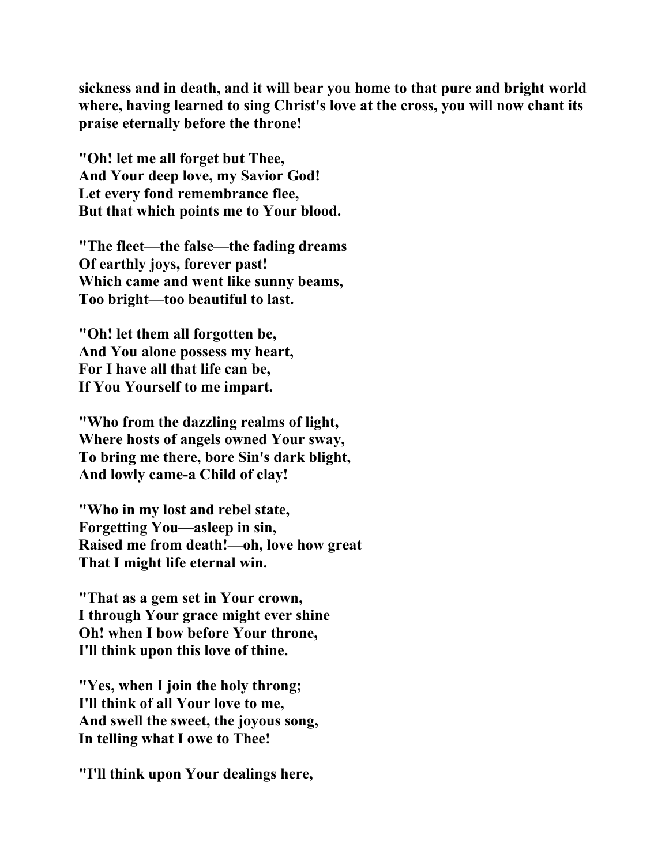**sickness and in death, and it will bear you home to that pure and bright world where, having learned to sing Christ's love at the cross, you will now chant its praise eternally before the throne!** 

**"Oh! let me all forget but Thee, And Your deep love, my Savior God! Let every fond remembrance flee, But that which points me to Your blood.** 

**"The fleet—the false—the fading dreams Of earthly joys, forever past! Which came and went like sunny beams, Too bright—too beautiful to last.** 

**"Oh! let them all forgotten be, And You alone possess my heart, For I have all that life can be, If You Yourself to me impart.** 

**"Who from the dazzling realms of light, Where hosts of angels owned Your sway, To bring me there, bore Sin's dark blight, And lowly came-a Child of clay!** 

**"Who in my lost and rebel state, Forgetting You—asleep in sin, Raised me from death!—oh, love how great That I might life eternal win.** 

**"That as a gem set in Your crown, I through Your grace might ever shine Oh! when I bow before Your throne, I'll think upon this love of thine.** 

**"Yes, when I join the holy throng; I'll think of all Your love to me, And swell the sweet, the joyous song, In telling what I owe to Thee!** 

**"I'll think upon Your dealings here,**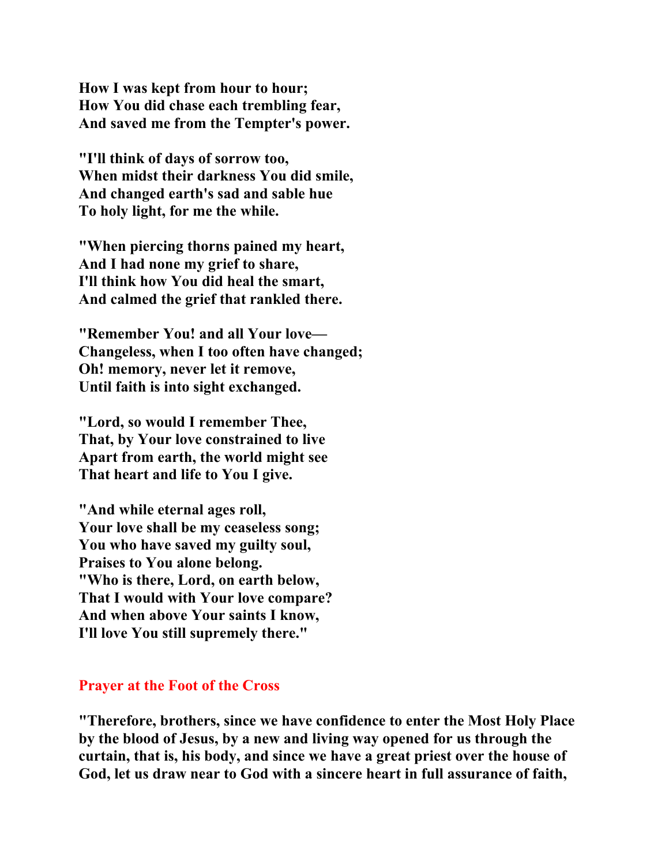**How I was kept from hour to hour; How You did chase each trembling fear, And saved me from the Tempter's power.** 

**"I'll think of days of sorrow too, When midst their darkness You did smile, And changed earth's sad and sable hue To holy light, for me the while.** 

**"When piercing thorns pained my heart, And I had none my grief to share, I'll think how You did heal the smart, And calmed the grief that rankled there.** 

**"Remember You! and all Your love— Changeless, when I too often have changed; Oh! memory, never let it remove, Until faith is into sight exchanged.** 

**"Lord, so would I remember Thee, That, by Your love constrained to live Apart from earth, the world might see That heart and life to You I give.** 

**"And while eternal ages roll, Your love shall be my ceaseless song; You who have saved my guilty soul, Praises to You alone belong. "Who is there, Lord, on earth below, That I would with Your love compare? And when above Your saints I know, I'll love You still supremely there."** 

## **Prayer at the Foot of the Cross**

**"Therefore, brothers, since we have confidence to enter the Most Holy Place by the blood of Jesus, by a new and living way opened for us through the curtain, that is, his body, and since we have a great priest over the house of God, let us draw near to God with a sincere heart in full assurance of faith,**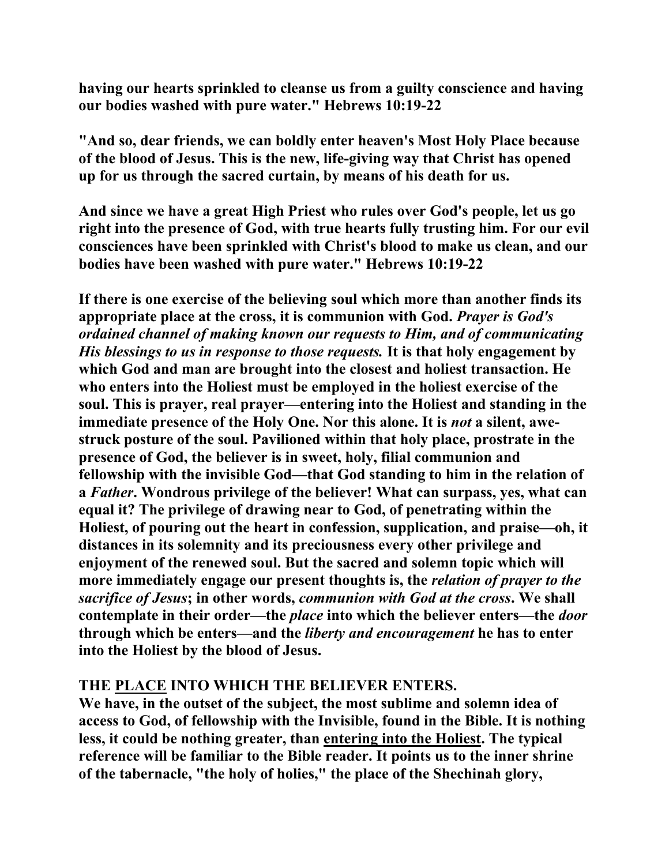**having our hearts sprinkled to cleanse us from a guilty conscience and having our bodies washed with pure water." Hebrews 10:19-22** 

**"And so, dear friends, we can boldly enter heaven's Most Holy Place because of the blood of Jesus. This is the new, life-giving way that Christ has opened up for us through the sacred curtain, by means of his death for us.** 

**And since we have a great High Priest who rules over God's people, let us go right into the presence of God, with true hearts fully trusting him. For our evil consciences have been sprinkled with Christ's blood to make us clean, and our bodies have been washed with pure water." Hebrews 10:19-22** 

**If there is one exercise of the believing soul which more than another finds its appropriate place at the cross, it is communion with God.** *Prayer is God's ordained channel of making known our requests to Him, and of communicating His blessings to us in response to those requests.* **It is that holy engagement by which God and man are brought into the closest and holiest transaction. He who enters into the Holiest must be employed in the holiest exercise of the soul. This is prayer, real prayer—entering into the Holiest and standing in the**  immediate presence of the Holy One. Nor this alone. It is *not* a silent, awe**struck posture of the soul. Pavilioned within that holy place, prostrate in the presence of God, the believer is in sweet, holy, filial communion and fellowship with the invisible God—that God standing to him in the relation of a** *Father***. Wondrous privilege of the believer! What can surpass, yes, what can equal it? The privilege of drawing near to God, of penetrating within the Holiest, of pouring out the heart in confession, supplication, and praise—oh, it distances in its solemnity and its preciousness every other privilege and enjoyment of the renewed soul. But the sacred and solemn topic which will more immediately engage our present thoughts is, the** *relation of prayer to the sacrifice of Jesus***; in other words,** *communion with God at the cross***. We shall contemplate in their order—the** *place* **into which the believer enters—the** *door* **through which be enters—and the** *liberty and encouragement* **he has to enter into the Holiest by the blood of Jesus.** 

# **THE PLACE INTO WHICH THE BELIEVER ENTERS.**

**We have, in the outset of the subject, the most sublime and solemn idea of access to God, of fellowship with the Invisible, found in the Bible. It is nothing less, it could be nothing greater, than entering into the Holiest. The typical reference will be familiar to the Bible reader. It points us to the inner shrine of the tabernacle, "the holy of holies," the place of the Shechinah glory,**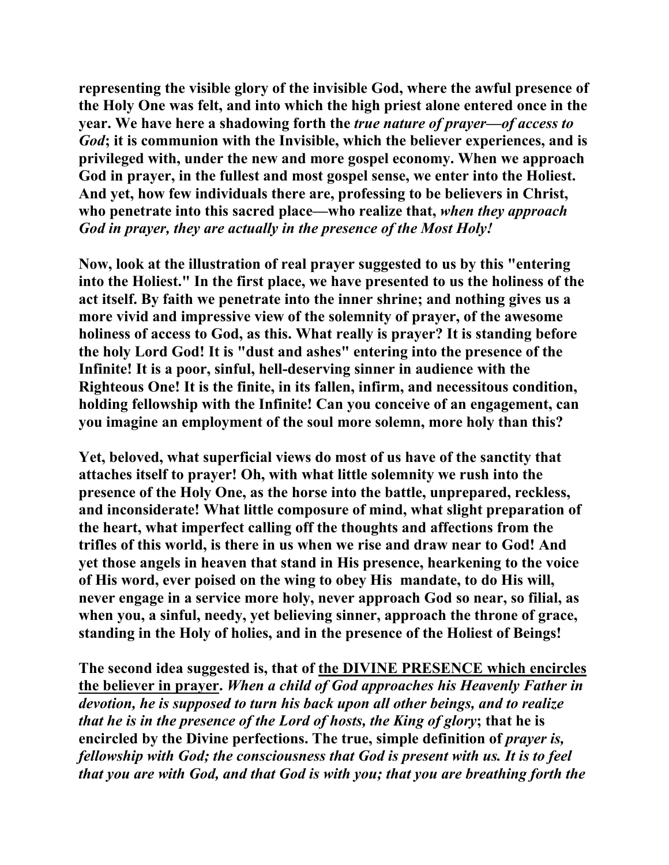**representing the visible glory of the invisible God, where the awful presence of the Holy One was felt, and into which the high priest alone entered once in the year. We have here a shadowing forth the** *true nature of prayer—of access to God***; it is communion with the Invisible, which the believer experiences, and is privileged with, under the new and more gospel economy. When we approach God in prayer, in the fullest and most gospel sense, we enter into the Holiest. And yet, how few individuals there are, professing to be believers in Christ, who penetrate into this sacred place—who realize that,** *when they approach God in prayer, they are actually in the presence of the Most Holy!*

**Now, look at the illustration of real prayer suggested to us by this "entering into the Holiest." In the first place, we have presented to us the holiness of the act itself. By faith we penetrate into the inner shrine; and nothing gives us a more vivid and impressive view of the solemnity of prayer, of the awesome holiness of access to God, as this. What really is prayer? It is standing before the holy Lord God! It is "dust and ashes" entering into the presence of the Infinite! It is a poor, sinful, hell-deserving sinner in audience with the Righteous One! It is the finite, in its fallen, infirm, and necessitous condition, holding fellowship with the Infinite! Can you conceive of an engagement, can you imagine an employment of the soul more solemn, more holy than this?** 

**Yet, beloved, what superficial views do most of us have of the sanctity that attaches itself to prayer! Oh, with what little solemnity we rush into the presence of the Holy One, as the horse into the battle, unprepared, reckless, and inconsiderate! What little composure of mind, what slight preparation of the heart, what imperfect calling off the thoughts and affections from the trifles of this world, is there in us when we rise and draw near to God! And yet those angels in heaven that stand in His presence, hearkening to the voice of His word, ever poised on the wing to obey His mandate, to do His will, never engage in a service more holy, never approach God so near, so filial, as when you, a sinful, needy, yet believing sinner, approach the throne of grace, standing in the Holy of holies, and in the presence of the Holiest of Beings!** 

**The second idea suggested is, that of the DIVINE PRESENCE which encircles the believer in prayer.** *When a child of God approaches his Heavenly Father in devotion, he is supposed to turn his back upon all other beings, and to realize that he is in the presence of the Lord of hosts, the King of glory***; that he is encircled by the Divine perfections. The true, simple definition of** *prayer is, fellowship with God; the consciousness that God is present with us. It is to feel that you are with God, and that God is with you; that you are breathing forth the*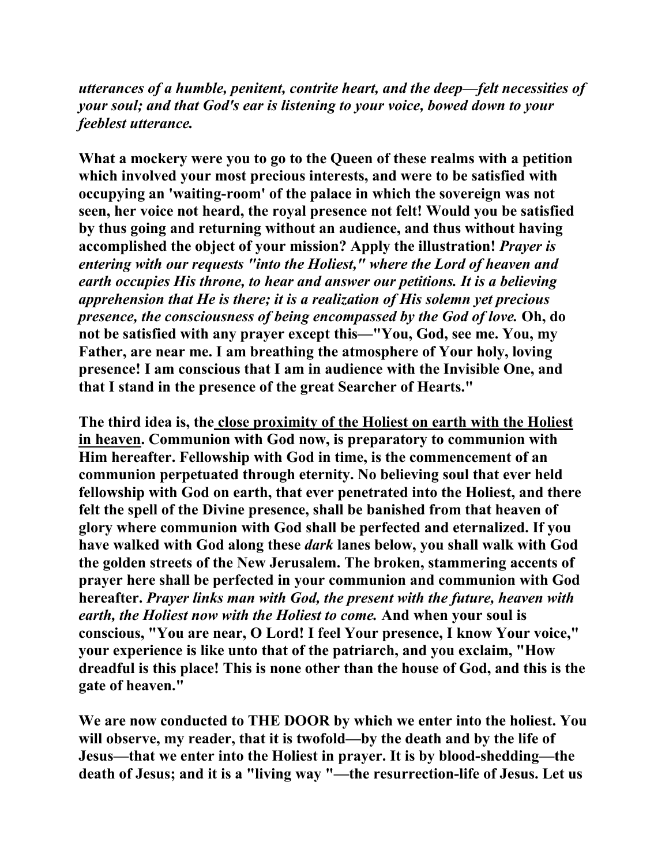*utterances of a humble, penitent, contrite heart, and the deep—felt necessities of your soul; and that God's ear is listening to your voice, bowed down to your feeblest utterance.*

**What a mockery were you to go to the Queen of these realms with a petition which involved your most precious interests, and were to be satisfied with occupying an 'waiting-room' of the palace in which the sovereign was not seen, her voice not heard, the royal presence not felt! Would you be satisfied by thus going and returning without an audience, and thus without having accomplished the object of your mission? Apply the illustration!** *Prayer is entering with our requests "into the Holiest," where the Lord of heaven and earth occupies His throne, to hear and answer our petitions. It is a believing apprehension that He is there; it is a realization of His solemn yet precious presence, the consciousness of being encompassed by the God of love.* **Oh, do not be satisfied with any prayer except this—"You, God, see me. You, my Father, are near me. I am breathing the atmosphere of Your holy, loving presence! I am conscious that I am in audience with the Invisible One, and that I stand in the presence of the great Searcher of Hearts."** 

**The third idea is, the close proximity of the Holiest on earth with the Holiest in heaven. Communion with God now, is preparatory to communion with Him hereafter. Fellowship with God in time, is the commencement of an communion perpetuated through eternity. No believing soul that ever held fellowship with God on earth, that ever penetrated into the Holiest, and there felt the spell of the Divine presence, shall be banished from that heaven of glory where communion with God shall be perfected and eternalized. If you have walked with God along these** *dark* **lanes below, you shall walk with God the golden streets of the New Jerusalem. The broken, stammering accents of prayer here shall be perfected in your communion and communion with God hereafter.** *Prayer links man with God, the present with the future, heaven with earth, the Holiest now with the Holiest to come.* **And when your soul is conscious, "You are near, O Lord! I feel Your presence, I know Your voice," your experience is like unto that of the patriarch, and you exclaim, "How dreadful is this place! This is none other than the house of God, and this is the gate of heaven."** 

**We are now conducted to THE DOOR by which we enter into the holiest. You will observe, my reader, that it is twofold—by the death and by the life of Jesus—that we enter into the Holiest in prayer. It is by blood-shedding—the death of Jesus; and it is a "living way "—the resurrection-life of Jesus. Let us**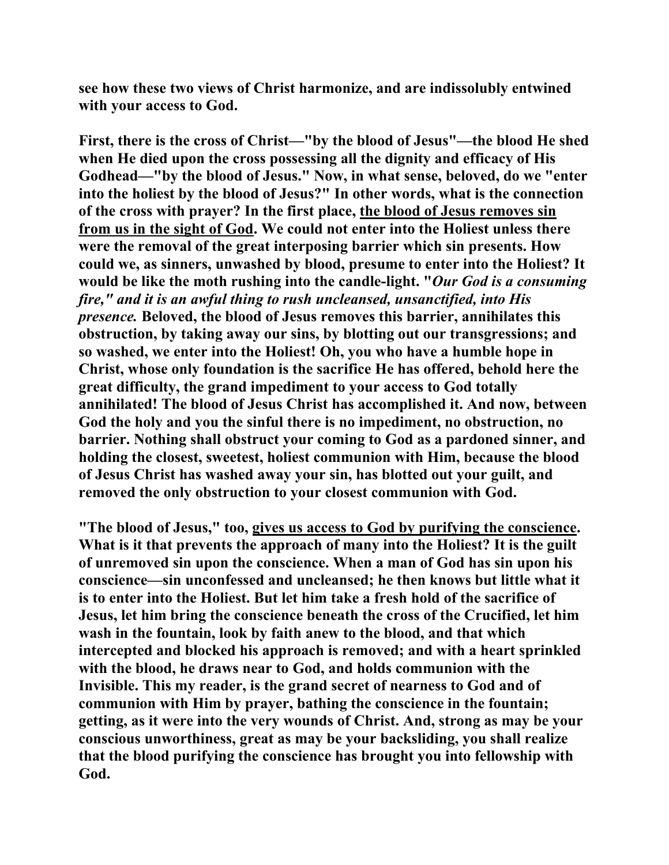**see how these two views of Christ harmonize, and are indissolubly entwined with your access to God.** 

**First, there is the cross of Christ—"by the blood of Jesus"—the blood He shed when He died upon the cross possessing all the dignity and efficacy of His Godhead—"by the blood of Jesus." Now, in what sense, beloved, do we "enter into the holiest by the blood of Jesus?" In other words, what is the connection of the cross with prayer? In the first place, the blood of Jesus removes sin from us in the sight of God. We could not enter into the Holiest unless there were the removal of the great interposing barrier which sin presents. How could we, as sinners, unwashed by blood, presume to enter into the Holiest? It would be like the moth rushing into the candle-light. "***Our God is a consuming fire," and it is an awful thing to rush uncleansed, unsanctified, into His presence.* **Beloved, the blood of Jesus removes this barrier, annihilates this obstruction, by taking away our sins, by blotting out our transgressions; and so washed, we enter into the Holiest! Oh, you who have a humble hope in Christ, whose only foundation is the sacrifice He has offered, behold here the great difficulty, the grand impediment to your access to God totally annihilated! The blood of Jesus Christ has accomplished it. And now, between God the holy and you the sinful there is no impediment, no obstruction, no barrier. Nothing shall obstruct your coming to God as a pardoned sinner, and holding the closest, sweetest, holiest communion with Him, because the blood of Jesus Christ has washed away your sin, has blotted out your guilt, and removed the only obstruction to your closest communion with God.** 

**"The blood of Jesus," too, gives us access to God by purifying the conscience. What is it that prevents the approach of many into the Holiest? It is the guilt of unremoved sin upon the conscience. When a man of God has sin upon his conscience—sin unconfessed and uncleansed; he then knows but little what it is to enter into the Holiest. But let him take a fresh hold of the sacrifice of Jesus, let him bring the conscience beneath the cross of the Crucified, let him wash in the fountain, look by faith anew to the blood, and that which intercepted and blocked his approach is removed; and with a heart sprinkled with the blood, he draws near to God, and holds communion with the Invisible. This my reader, is the grand secret of nearness to God and of communion with Him by prayer, bathing the conscience in the fountain; getting, as it were into the very wounds of Christ. And, strong as may be your conscious unworthiness, great as may be your backsliding, you shall realize that the blood purifying the conscience has brought you into fellowship with God.**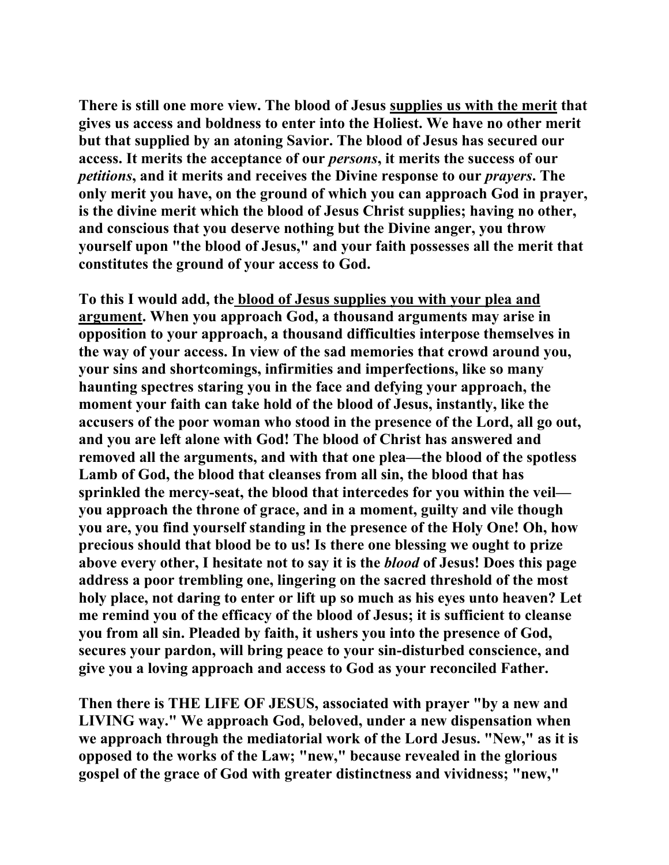**There is still one more view. The blood of Jesus supplies us with the merit that gives us access and boldness to enter into the Holiest. We have no other merit but that supplied by an atoning Savior. The blood of Jesus has secured our access. It merits the acceptance of our** *persons***, it merits the success of our**  *petitions***, and it merits and receives the Divine response to our** *prayers***. The only merit you have, on the ground of which you can approach God in prayer, is the divine merit which the blood of Jesus Christ supplies; having no other, and conscious that you deserve nothing but the Divine anger, you throw yourself upon "the blood of Jesus," and your faith possesses all the merit that constitutes the ground of your access to God.** 

**To this I would add, the blood of Jesus supplies you with your plea and argument. When you approach God, a thousand arguments may arise in opposition to your approach, a thousand difficulties interpose themselves in the way of your access. In view of the sad memories that crowd around you, your sins and shortcomings, infirmities and imperfections, like so many haunting spectres staring you in the face and defying your approach, the moment your faith can take hold of the blood of Jesus, instantly, like the accusers of the poor woman who stood in the presence of the Lord, all go out, and you are left alone with God! The blood of Christ has answered and removed all the arguments, and with that one plea—the blood of the spotless Lamb of God, the blood that cleanses from all sin, the blood that has sprinkled the mercy-seat, the blood that intercedes for you within the veil you approach the throne of grace, and in a moment, guilty and vile though you are, you find yourself standing in the presence of the Holy One! Oh, how precious should that blood be to us! Is there one blessing we ought to prize above every other, I hesitate not to say it is the** *blood* **of Jesus! Does this page address a poor trembling one, lingering on the sacred threshold of the most holy place, not daring to enter or lift up so much as his eyes unto heaven? Let me remind you of the efficacy of the blood of Jesus; it is sufficient to cleanse you from all sin. Pleaded by faith, it ushers you into the presence of God, secures your pardon, will bring peace to your sin-disturbed conscience, and give you a loving approach and access to God as your reconciled Father.** 

**Then there is THE LIFE OF JESUS, associated with prayer "by a new and LIVING way." We approach God, beloved, under a new dispensation when we approach through the mediatorial work of the Lord Jesus. "New," as it is opposed to the works of the Law; "new," because revealed in the glorious gospel of the grace of God with greater distinctness and vividness; "new,"**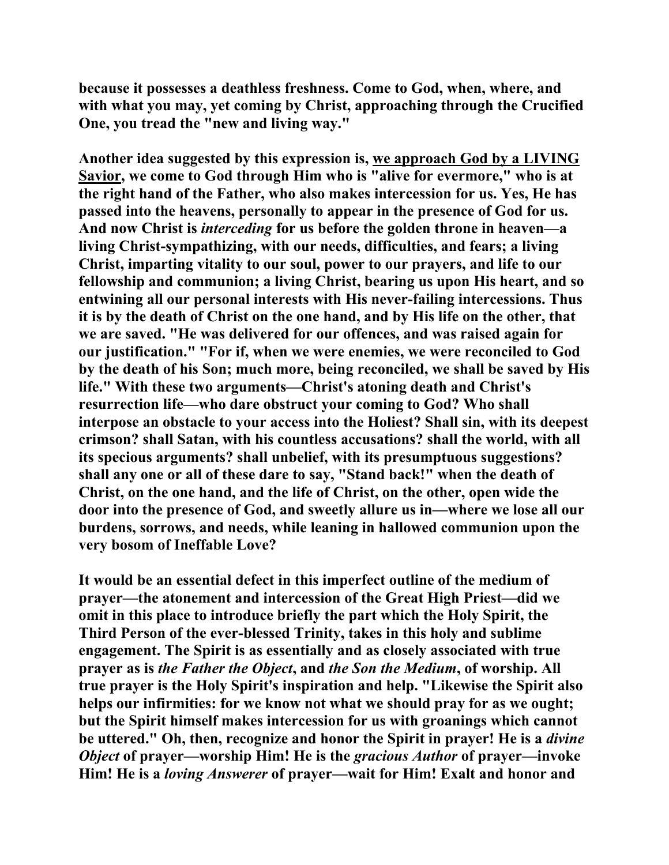**because it possesses a deathless freshness. Come to God, when, where, and with what you may, yet coming by Christ, approaching through the Crucified One, you tread the "new and living way."** 

**Another idea suggested by this expression is, we approach God by a LIVING Savior, we come to God through Him who is "alive for evermore," who is at the right hand of the Father, who also makes intercession for us. Yes, He has passed into the heavens, personally to appear in the presence of God for us. And now Christ is** *interceding* **for us before the golden throne in heaven—a living Christ-sympathizing, with our needs, difficulties, and fears; a living Christ, imparting vitality to our soul, power to our prayers, and life to our fellowship and communion; a living Christ, bearing us upon His heart, and so entwining all our personal interests with His never-failing intercessions. Thus it is by the death of Christ on the one hand, and by His life on the other, that we are saved. "He was delivered for our offences, and was raised again for our justification." "For if, when we were enemies, we were reconciled to God by the death of his Son; much more, being reconciled, we shall be saved by His life." With these two arguments—Christ's atoning death and Christ's resurrection life—who dare obstruct your coming to God? Who shall interpose an obstacle to your access into the Holiest? Shall sin, with its deepest crimson? shall Satan, with his countless accusations? shall the world, with all its specious arguments? shall unbelief, with its presumptuous suggestions? shall any one or all of these dare to say, "Stand back!" when the death of Christ, on the one hand, and the life of Christ, on the other, open wide the door into the presence of God, and sweetly allure us in—where we lose all our burdens, sorrows, and needs, while leaning in hallowed communion upon the very bosom of Ineffable Love?** 

**It would be an essential defect in this imperfect outline of the medium of prayer—the atonement and intercession of the Great High Priest—did we omit in this place to introduce briefly the part which the Holy Spirit, the Third Person of the ever-blessed Trinity, takes in this holy and sublime engagement. The Spirit is as essentially and as closely associated with true prayer as is** *the Father the Object***, and** *the Son the Medium***, of worship. All true prayer is the Holy Spirit's inspiration and help. "Likewise the Spirit also helps our infirmities: for we know not what we should pray for as we ought; but the Spirit himself makes intercession for us with groanings which cannot be uttered." Oh, then, recognize and honor the Spirit in prayer! He is a** *divine Object* **of prayer—worship Him! He is the** *gracious Author* **of prayer—invoke Him! He is a** *loving Answerer* **of prayer—wait for Him! Exalt and honor and**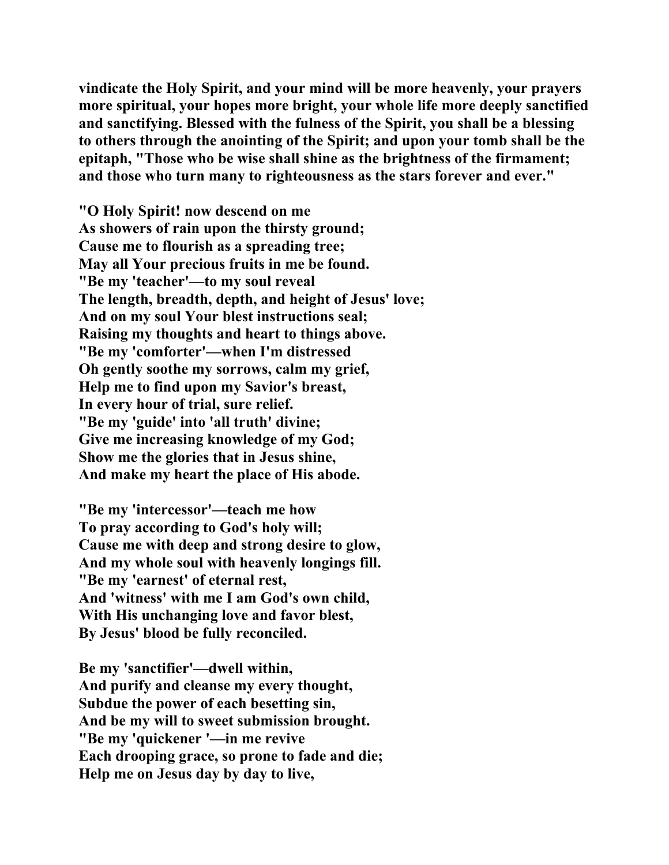**vindicate the Holy Spirit, and your mind will be more heavenly, your prayers more spiritual, your hopes more bright, your whole life more deeply sanctified and sanctifying. Blessed with the fulness of the Spirit, you shall be a blessing to others through the anointing of the Spirit; and upon your tomb shall be the epitaph, "Those who be wise shall shine as the brightness of the firmament; and those who turn many to righteousness as the stars forever and ever."** 

**"O Holy Spirit! now descend on me As showers of rain upon the thirsty ground; Cause me to flourish as a spreading tree; May all Your precious fruits in me be found. "Be my 'teacher'—to my soul reveal The length, breadth, depth, and height of Jesus' love; And on my soul Your blest instructions seal; Raising my thoughts and heart to things above. "Be my 'comforter'—when I'm distressed Oh gently soothe my sorrows, calm my grief, Help me to find upon my Savior's breast, In every hour of trial, sure relief. "Be my 'guide' into 'all truth' divine; Give me increasing knowledge of my God; Show me the glories that in Jesus shine, And make my heart the place of His abode.** 

**"Be my 'intercessor'—teach me how To pray according to God's holy will; Cause me with deep and strong desire to glow, And my whole soul with heavenly longings fill. "Be my 'earnest' of eternal rest, And 'witness' with me I am God's own child, With His unchanging love and favor blest, By Jesus' blood be fully reconciled.** 

**Be my 'sanctifier'—dwell within, And purify and cleanse my every thought, Subdue the power of each besetting sin, And be my will to sweet submission brought. "Be my 'quickener '—in me revive Each drooping grace, so prone to fade and die; Help me on Jesus day by day to live,**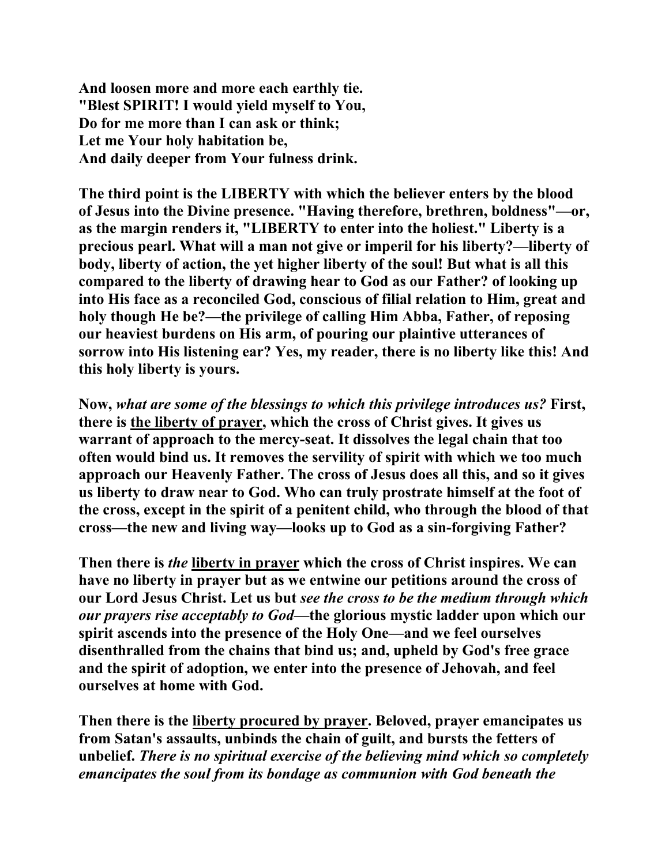**And loosen more and more each earthly tie. "Blest SPIRIT! I would yield myself to You, Do for me more than I can ask or think; Let me Your holy habitation be, And daily deeper from Your fulness drink.** 

**The third point is the LIBERTY with which the believer enters by the blood of Jesus into the Divine presence. "Having therefore, brethren, boldness"—or, as the margin renders it, "LIBERTY to enter into the holiest." Liberty is a precious pearl. What will a man not give or imperil for his liberty?—liberty of body, liberty of action, the yet higher liberty of the soul! But what is all this compared to the liberty of drawing hear to God as our Father? of looking up into His face as a reconciled God, conscious of filial relation to Him, great and holy though He be?—the privilege of calling Him Abba, Father, of reposing our heaviest burdens on His arm, of pouring our plaintive utterances of sorrow into His listening ear? Yes, my reader, there is no liberty like this! And this holy liberty is yours.** 

**Now,** *what are some of the blessings to which this privilege introduces us?* **First, there is the liberty of prayer, which the cross of Christ gives. It gives us warrant of approach to the mercy-seat. It dissolves the legal chain that too often would bind us. It removes the servility of spirit with which we too much approach our Heavenly Father. The cross of Jesus does all this, and so it gives us liberty to draw near to God. Who can truly prostrate himself at the foot of the cross, except in the spirit of a penitent child, who through the blood of that cross—the new and living way—looks up to God as a sin-forgiving Father?** 

**Then there is** *the* **liberty in prayer which the cross of Christ inspires. We can have no liberty in prayer but as we entwine our petitions around the cross of our Lord Jesus Christ. Let us but** *see the cross to be the medium through which our prayers rise acceptably to God***—the glorious mystic ladder upon which our spirit ascends into the presence of the Holy One—and we feel ourselves disenthralled from the chains that bind us; and, upheld by God's free grace and the spirit of adoption, we enter into the presence of Jehovah, and feel ourselves at home with God.** 

**Then there is the liberty procured by prayer. Beloved, prayer emancipates us from Satan's assaults, unbinds the chain of guilt, and bursts the fetters of unbelief.** *There is no spiritual exercise of the believing mind which so completely emancipates the soul from its bondage as communion with God beneath the*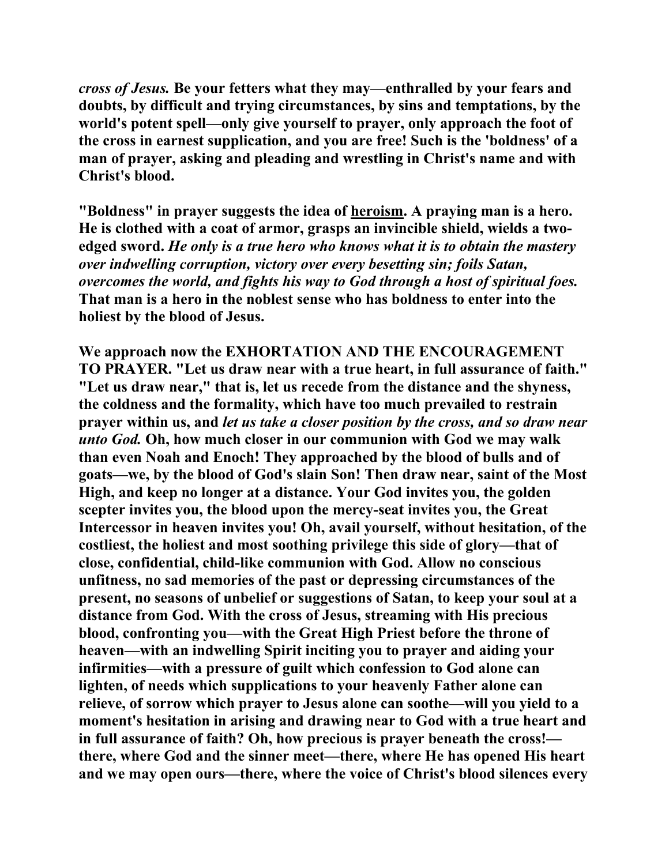*cross of Jesus.* **Be your fetters what they may—enthralled by your fears and doubts, by difficult and trying circumstances, by sins and temptations, by the world's potent spell—only give yourself to prayer, only approach the foot of the cross in earnest supplication, and you are free! Such is the 'boldness' of a man of prayer, asking and pleading and wrestling in Christ's name and with Christ's blood.** 

**"Boldness" in prayer suggests the idea of heroism. A praying man is a hero. He is clothed with a coat of armor, grasps an invincible shield, wields a twoedged sword.** *He only is a true hero who knows what it is to obtain the mastery over indwelling corruption, victory over every besetting sin; foils Satan, overcomes the world, and fights his way to God through a host of spiritual foes.*  **That man is a hero in the noblest sense who has boldness to enter into the holiest by the blood of Jesus.** 

**We approach now the EXHORTATION AND THE ENCOURAGEMENT TO PRAYER. "Let us draw near with a true heart, in full assurance of faith." "Let us draw near," that is, let us recede from the distance and the shyness, the coldness and the formality, which have too much prevailed to restrain prayer within us, and** *let us take a closer position by the cross, and so draw near unto God.* **Oh, how much closer in our communion with God we may walk than even Noah and Enoch! They approached by the blood of bulls and of goats—we, by the blood of God's slain Son! Then draw near, saint of the Most High, and keep no longer at a distance. Your God invites you, the golden scepter invites you, the blood upon the mercy-seat invites you, the Great Intercessor in heaven invites you! Oh, avail yourself, without hesitation, of the costliest, the holiest and most soothing privilege this side of glory—that of close, confidential, child-like communion with God. Allow no conscious unfitness, no sad memories of the past or depressing circumstances of the present, no seasons of unbelief or suggestions of Satan, to keep your soul at a distance from God. With the cross of Jesus, streaming with His precious blood, confronting you—with the Great High Priest before the throne of heaven—with an indwelling Spirit inciting you to prayer and aiding your infirmities—with a pressure of guilt which confession to God alone can lighten, of needs which supplications to your heavenly Father alone can relieve, of sorrow which prayer to Jesus alone can soothe—will you yield to a moment's hesitation in arising and drawing near to God with a true heart and in full assurance of faith? Oh, how precious is prayer beneath the cross! there, where God and the sinner meet—there, where He has opened His heart and we may open ours—there, where the voice of Christ's blood silences every**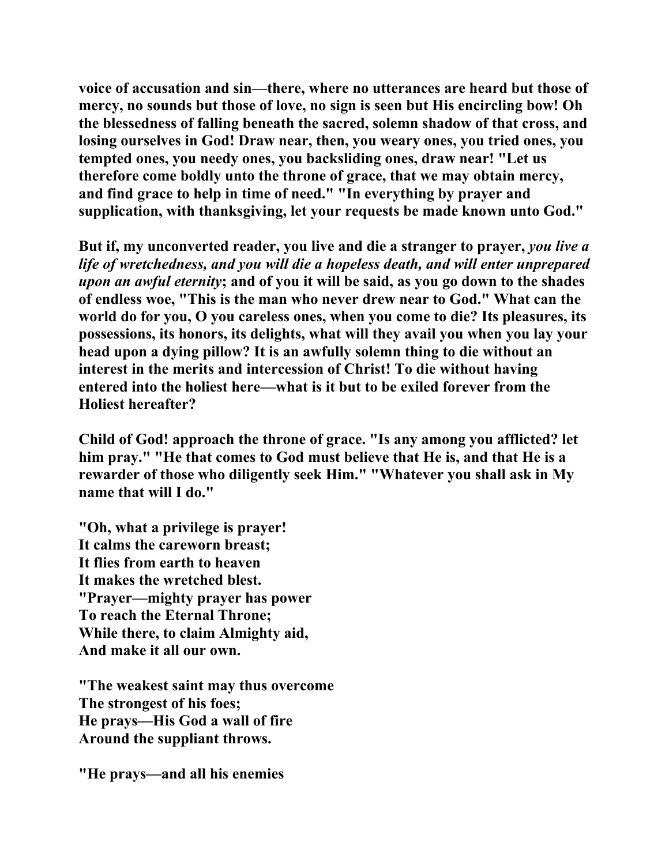**voice of accusation and sin—there, where no utterances are heard but those of mercy, no sounds but those of love, no sign is seen but His encircling bow! Oh the blessedness of falling beneath the sacred, solemn shadow of that cross, and losing ourselves in God! Draw near, then, you weary ones, you tried ones, you tempted ones, you needy ones, you backsliding ones, draw near! "Let us therefore come boldly unto the throne of grace, that we may obtain mercy, and find grace to help in time of need." "In everything by prayer and supplication, with thanksgiving, let your requests be made known unto God."** 

**But if, my unconverted reader, you live and die a stranger to prayer,** *you live a life of wretchedness, and you will die a hopeless death, and will enter unprepared upon an awful eternity***; and of you it will be said, as you go down to the shades of endless woe, "This is the man who never drew near to God." What can the world do for you, O you careless ones, when you come to die? Its pleasures, its possessions, its honors, its delights, what will they avail you when you lay your head upon a dying pillow? It is an awfully solemn thing to die without an interest in the merits and intercession of Christ! To die without having entered into the holiest here—what is it but to be exiled forever from the Holiest hereafter?** 

**Child of God! approach the throne of grace. "Is any among you afflicted? let him pray." "He that comes to God must believe that He is, and that He is a rewarder of those who diligently seek Him." "Whatever you shall ask in My name that will I do."** 

**"Oh, what a privilege is prayer! It calms the careworn breast; It flies from earth to heaven It makes the wretched blest. "Prayer—mighty prayer has power To reach the Eternal Throne; While there, to claim Almighty aid, And make it all our own.** 

**"The weakest saint may thus overcome The strongest of his foes; He prays—His God a wall of fire Around the suppliant throws.** 

**"He prays—and all his enemies**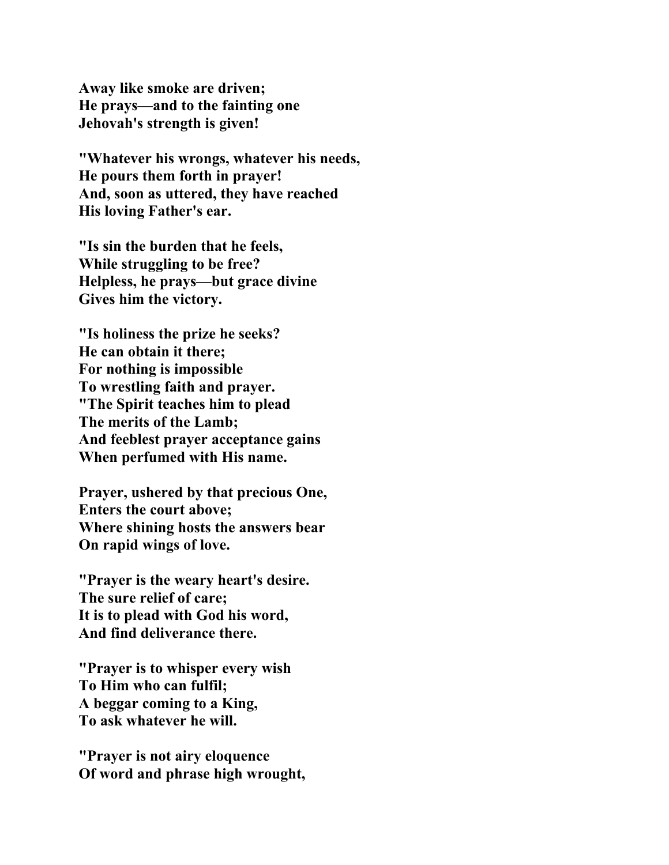**Away like smoke are driven; He prays—and to the fainting one Jehovah's strength is given!** 

**"Whatever his wrongs, whatever his needs, He pours them forth in prayer! And, soon as uttered, they have reached His loving Father's ear.** 

**"Is sin the burden that he feels, While struggling to be free? Helpless, he prays—but grace divine Gives him the victory.** 

**"Is holiness the prize he seeks? He can obtain it there; For nothing is impossible To wrestling faith and prayer. "The Spirit teaches him to plead The merits of the Lamb; And feeblest prayer acceptance gains When perfumed with His name.** 

**Prayer, ushered by that precious One, Enters the court above; Where shining hosts the answers bear On rapid wings of love.** 

**"Prayer is the weary heart's desire. The sure relief of care; It is to plead with God his word, And find deliverance there.** 

**"Prayer is to whisper every wish To Him who can fulfil; A beggar coming to a King, To ask whatever he will.** 

**"Prayer is not airy eloquence Of word and phrase high wrought,**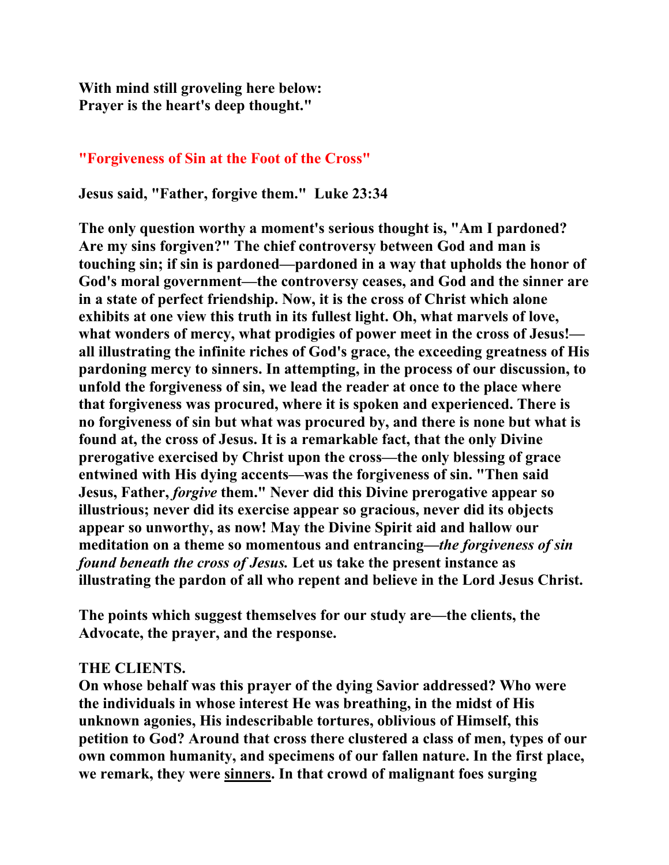**With mind still groveling here below: Prayer is the heart's deep thought."** 

## **"Forgiveness of Sin at the Foot of the Cross"**

**Jesus said, "Father, forgive them." Luke 23:34** 

**The only question worthy a moment's serious thought is, "Am I pardoned? Are my sins forgiven?" The chief controversy between God and man is touching sin; if sin is pardoned—pardoned in a way that upholds the honor of God's moral government—the controversy ceases, and God and the sinner are in a state of perfect friendship. Now, it is the cross of Christ which alone exhibits at one view this truth in its fullest light. Oh, what marvels of love, what wonders of mercy, what prodigies of power meet in the cross of Jesus! all illustrating the infinite riches of God's grace, the exceeding greatness of His pardoning mercy to sinners. In attempting, in the process of our discussion, to unfold the forgiveness of sin, we lead the reader at once to the place where that forgiveness was procured, where it is spoken and experienced. There is no forgiveness of sin but what was procured by, and there is none but what is found at, the cross of Jesus. It is a remarkable fact, that the only Divine prerogative exercised by Christ upon the cross—the only blessing of grace entwined with His dying accents—was the forgiveness of sin. "Then said Jesus, Father,** *forgive* **them." Never did this Divine prerogative appear so illustrious; never did its exercise appear so gracious, never did its objects appear so unworthy, as now! May the Divine Spirit aid and hallow our meditation on a theme so momentous and entrancing***—the forgiveness of sin found beneath the cross of Jesus.* **Let us take the present instance as illustrating the pardon of all who repent and believe in the Lord Jesus Christ.** 

**The points which suggest themselves for our study are—the clients, the Advocate, the prayer, and the response.** 

### **THE CLIENTS.**

**On whose behalf was this prayer of the dying Savior addressed? Who were the individuals in whose interest He was breathing, in the midst of His unknown agonies, His indescribable tortures, oblivious of Himself, this petition to God? Around that cross there clustered a class of men, types of our own common humanity, and specimens of our fallen nature. In the first place, we remark, they were sinners. In that crowd of malignant foes surging**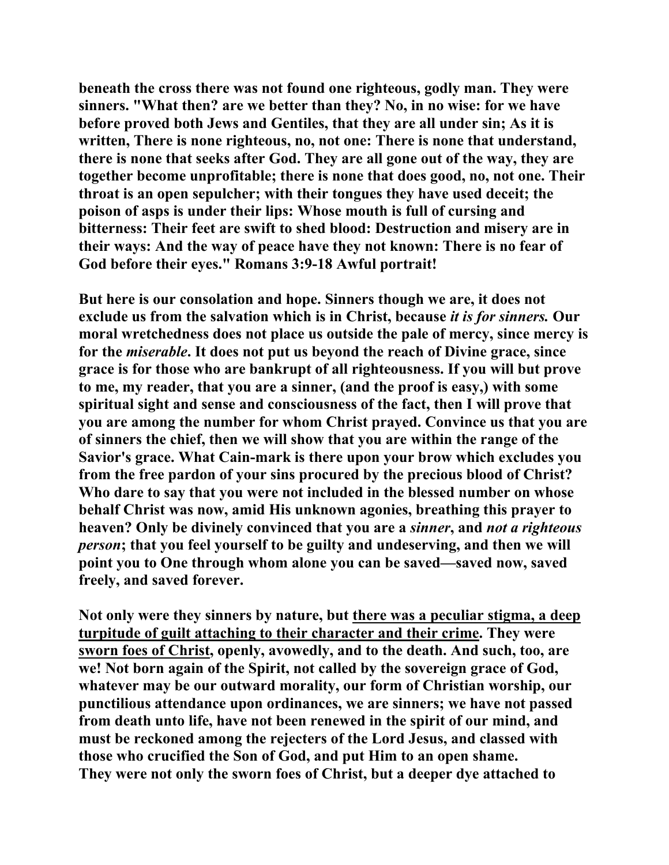**beneath the cross there was not found one righteous, godly man. They were sinners. "What then? are we better than they? No, in no wise: for we have before proved both Jews and Gentiles, that they are all under sin; As it is written, There is none righteous, no, not one: There is none that understand, there is none that seeks after God. They are all gone out of the way, they are together become unprofitable; there is none that does good, no, not one. Their throat is an open sepulcher; with their tongues they have used deceit; the poison of asps is under their lips: Whose mouth is full of cursing and bitterness: Their feet are swift to shed blood: Destruction and misery are in their ways: And the way of peace have they not known: There is no fear of God before their eyes." Romans 3:9-18 Awful portrait!** 

**But here is our consolation and hope. Sinners though we are, it does not exclude us from the salvation which is in Christ, because** *it is for sinners.* **Our moral wretchedness does not place us outside the pale of mercy, since mercy is for the** *miserable***. It does not put us beyond the reach of Divine grace, since grace is for those who are bankrupt of all righteousness. If you will but prove to me, my reader, that you are a sinner, (and the proof is easy,) with some spiritual sight and sense and consciousness of the fact, then I will prove that you are among the number for whom Christ prayed. Convince us that you are of sinners the chief, then we will show that you are within the range of the Savior's grace. What Cain-mark is there upon your brow which excludes you from the free pardon of your sins procured by the precious blood of Christ? Who dare to say that you were not included in the blessed number on whose behalf Christ was now, amid His unknown agonies, breathing this prayer to heaven? Only be divinely convinced that you are a** *sinner***, and** *not a righteous person***; that you feel yourself to be guilty and undeserving, and then we will point you to One through whom alone you can be saved—saved now, saved freely, and saved forever.** 

**Not only were they sinners by nature, but there was a peculiar stigma, a deep turpitude of guilt attaching to their character and their crime. They were sworn foes of Christ, openly, avowedly, and to the death. And such, too, are we! Not born again of the Spirit, not called by the sovereign grace of God, whatever may be our outward morality, our form of Christian worship, our punctilious attendance upon ordinances, we are sinners; we have not passed from death unto life, have not been renewed in the spirit of our mind, and must be reckoned among the rejecters of the Lord Jesus, and classed with those who crucified the Son of God, and put Him to an open shame. They were not only the sworn foes of Christ, but a deeper dye attached to**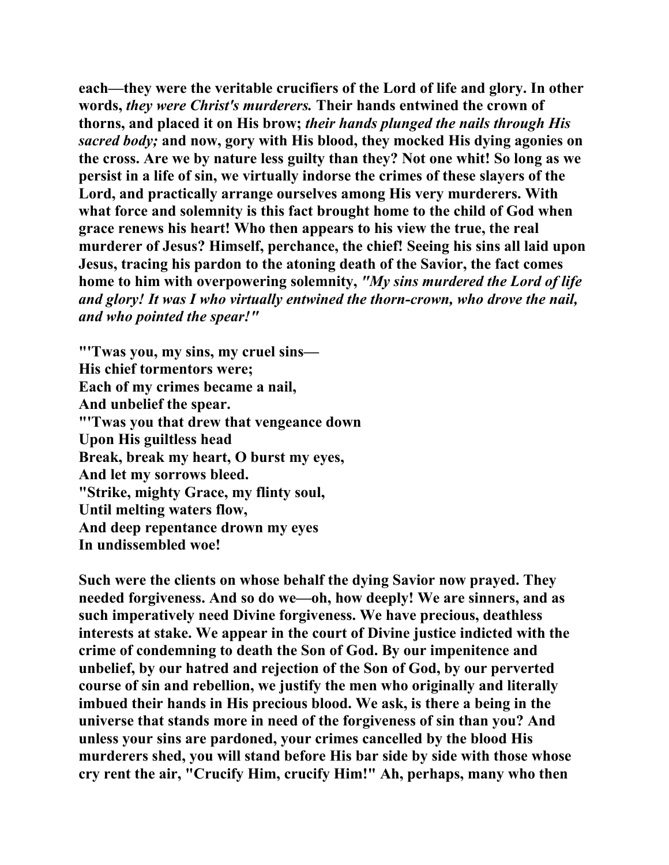**each—they were the veritable crucifiers of the Lord of life and glory. In other words,** *they were Christ's murderers.* **Their hands entwined the crown of thorns, and placed it on His brow;** *their hands plunged the nails through His sacred body;* **and now, gory with His blood, they mocked His dying agonies on the cross. Are we by nature less guilty than they? Not one whit! So long as we persist in a life of sin, we virtually indorse the crimes of these slayers of the Lord, and practically arrange ourselves among His very murderers. With what force and solemnity is this fact brought home to the child of God when grace renews his heart! Who then appears to his view the true, the real murderer of Jesus? Himself, perchance, the chief! Seeing his sins all laid upon Jesus, tracing his pardon to the atoning death of the Savior, the fact comes home to him with overpowering solemnity,** *"My sins murdered the Lord of life and glory! It was I who virtually entwined the thorn-crown, who drove the nail, and who pointed the spear!"*

**"'Twas you, my sins, my cruel sins— His chief tormentors were; Each of my crimes became a nail, And unbelief the spear. "'Twas you that drew that vengeance down Upon His guiltless head Break, break my heart, O burst my eyes, And let my sorrows bleed. "Strike, mighty Grace, my flinty soul, Until melting waters flow, And deep repentance drown my eyes In undissembled woe!** 

**Such were the clients on whose behalf the dying Savior now prayed. They needed forgiveness. And so do we—oh, how deeply! We are sinners, and as such imperatively need Divine forgiveness. We have precious, deathless interests at stake. We appear in the court of Divine justice indicted with the crime of condemning to death the Son of God. By our impenitence and unbelief, by our hatred and rejection of the Son of God, by our perverted course of sin and rebellion, we justify the men who originally and literally imbued their hands in His precious blood. We ask, is there a being in the universe that stands more in need of the forgiveness of sin than you? And unless your sins are pardoned, your crimes cancelled by the blood His murderers shed, you will stand before His bar side by side with those whose cry rent the air, "Crucify Him, crucify Him!" Ah, perhaps, many who then**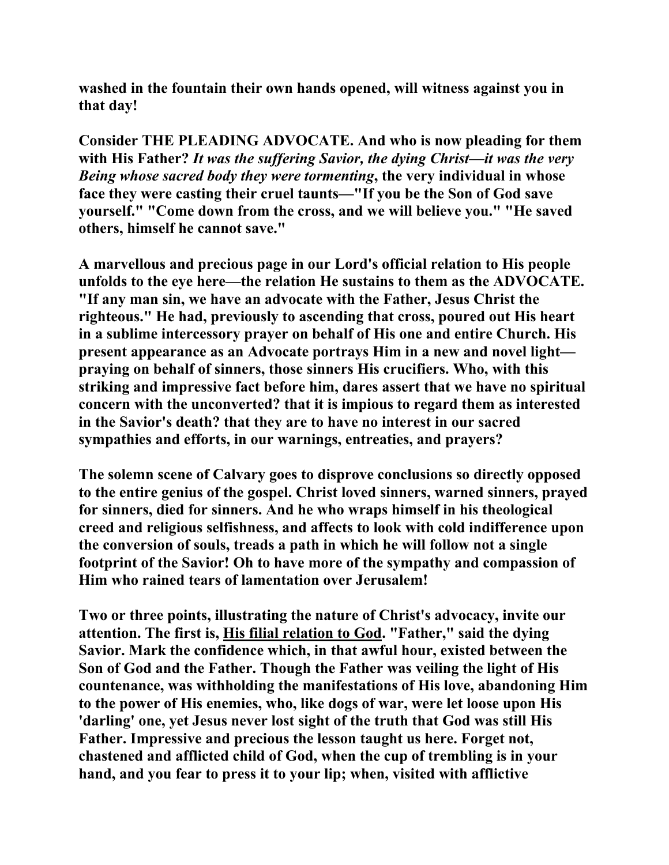**washed in the fountain their own hands opened, will witness against you in that day!** 

**Consider THE PLEADING ADVOCATE. And who is now pleading for them with His Father?** *It was the suffering Savior, the dying Christ—it was the very Being whose sacred body they were tormenting***, the very individual in whose face they were casting their cruel taunts—"If you be the Son of God save yourself." "Come down from the cross, and we will believe you." "He saved others, himself he cannot save."** 

**A marvellous and precious page in our Lord's official relation to His people unfolds to the eye here—the relation He sustains to them as the ADVOCATE. "If any man sin, we have an advocate with the Father, Jesus Christ the righteous." He had, previously to ascending that cross, poured out His heart in a sublime intercessory prayer on behalf of His one and entire Church. His present appearance as an Advocate portrays Him in a new and novel light praying on behalf of sinners, those sinners His crucifiers. Who, with this striking and impressive fact before him, dares assert that we have no spiritual concern with the unconverted? that it is impious to regard them as interested in the Savior's death? that they are to have no interest in our sacred sympathies and efforts, in our warnings, entreaties, and prayers?** 

**The solemn scene of Calvary goes to disprove conclusions so directly opposed to the entire genius of the gospel. Christ loved sinners, warned sinners, prayed for sinners, died for sinners. And he who wraps himself in his theological creed and religious selfishness, and affects to look with cold indifference upon the conversion of souls, treads a path in which he will follow not a single footprint of the Savior! Oh to have more of the sympathy and compassion of Him who rained tears of lamentation over Jerusalem!** 

**Two or three points, illustrating the nature of Christ's advocacy, invite our attention. The first is, His filial relation to God. "Father," said the dying Savior. Mark the confidence which, in that awful hour, existed between the Son of God and the Father. Though the Father was veiling the light of His countenance, was withholding the manifestations of His love, abandoning Him to the power of His enemies, who, like dogs of war, were let loose upon His 'darling' one, yet Jesus never lost sight of the truth that God was still His Father. Impressive and precious the lesson taught us here. Forget not, chastened and afflicted child of God, when the cup of trembling is in your hand, and you fear to press it to your lip; when, visited with afflictive**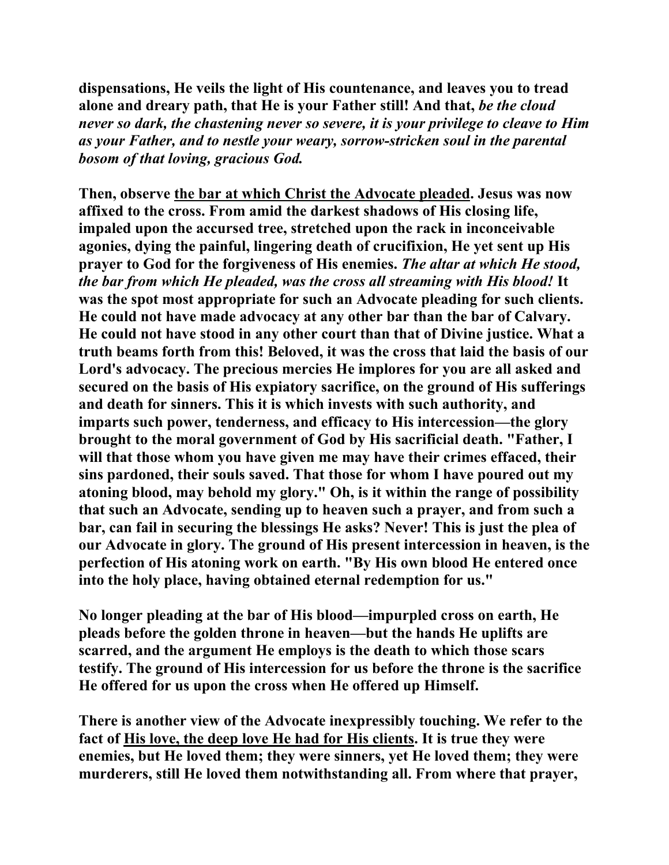**dispensations, He veils the light of His countenance, and leaves you to tread alone and dreary path, that He is your Father still! And that,** *be the cloud never so dark, the chastening never so severe, it is your privilege to cleave to Him as your Father, and to nestle your weary, sorrow-stricken soul in the parental bosom of that loving, gracious God.*

**Then, observe the bar at which Christ the Advocate pleaded. Jesus was now affixed to the cross. From amid the darkest shadows of His closing life, impaled upon the accursed tree, stretched upon the rack in inconceivable agonies, dying the painful, lingering death of crucifixion, He yet sent up His prayer to God for the forgiveness of His enemies.** *The altar at which He stood, the bar from which He pleaded, was the cross all streaming with His blood!* **It was the spot most appropriate for such an Advocate pleading for such clients. He could not have made advocacy at any other bar than the bar of Calvary. He could not have stood in any other court than that of Divine justice. What a truth beams forth from this! Beloved, it was the cross that laid the basis of our Lord's advocacy. The precious mercies He implores for you are all asked and secured on the basis of His expiatory sacrifice, on the ground of His sufferings and death for sinners. This it is which invests with such authority, and imparts such power, tenderness, and efficacy to His intercession—the glory brought to the moral government of God by His sacrificial death. "Father, I will that those whom you have given me may have their crimes effaced, their sins pardoned, their souls saved. That those for whom I have poured out my atoning blood, may behold my glory." Oh, is it within the range of possibility that such an Advocate, sending up to heaven such a prayer, and from such a bar, can fail in securing the blessings He asks? Never! This is just the plea of our Advocate in glory. The ground of His present intercession in heaven, is the perfection of His atoning work on earth. "By His own blood He entered once into the holy place, having obtained eternal redemption for us."** 

**No longer pleading at the bar of His blood—impurpled cross on earth, He pleads before the golden throne in heaven—but the hands He uplifts are scarred, and the argument He employs is the death to which those scars testify. The ground of His intercession for us before the throne is the sacrifice He offered for us upon the cross when He offered up Himself.** 

**There is another view of the Advocate inexpressibly touching. We refer to the fact of His love, the deep love He had for His clients. It is true they were enemies, but He loved them; they were sinners, yet He loved them; they were murderers, still He loved them notwithstanding all. From where that prayer,**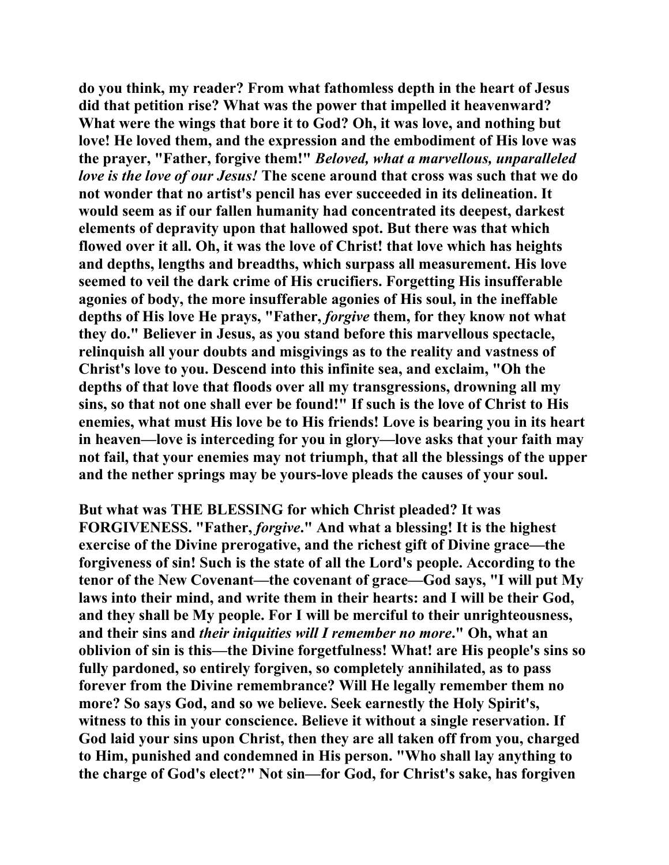**do you think, my reader? From what fathomless depth in the heart of Jesus did that petition rise? What was the power that impelled it heavenward? What were the wings that bore it to God? Oh, it was love, and nothing but love! He loved them, and the expression and the embodiment of His love was the prayer, "Father, forgive them!"** *Beloved, what a marvellous, unparalleled love is the love of our Jesus!* **The scene around that cross was such that we do not wonder that no artist's pencil has ever succeeded in its delineation. It would seem as if our fallen humanity had concentrated its deepest, darkest elements of depravity upon that hallowed spot. But there was that which flowed over it all. Oh, it was the love of Christ! that love which has heights and depths, lengths and breadths, which surpass all measurement. His love seemed to veil the dark crime of His crucifiers. Forgetting His insufferable agonies of body, the more insufferable agonies of His soul, in the ineffable depths of His love He prays, "Father,** *forgive* **them, for they know not what they do." Believer in Jesus, as you stand before this marvellous spectacle, relinquish all your doubts and misgivings as to the reality and vastness of Christ's love to you. Descend into this infinite sea, and exclaim, "Oh the depths of that love that floods over all my transgressions, drowning all my sins, so that not one shall ever be found!" If such is the love of Christ to His enemies, what must His love be to His friends! Love is bearing you in its heart in heaven—love is interceding for you in glory—love asks that your faith may not fail, that your enemies may not triumph, that all the blessings of the upper and the nether springs may be yours-love pleads the causes of your soul.** 

**But what was THE BLESSING for which Christ pleaded? It was FORGIVENESS. "Father,** *forgive***." And what a blessing! It is the highest exercise of the Divine prerogative, and the richest gift of Divine grace—the forgiveness of sin! Such is the state of all the Lord's people. According to the tenor of the New Covenant—the covenant of grace—God says, "I will put My laws into their mind, and write them in their hearts: and I will be their God, and they shall be My people. For I will be merciful to their unrighteousness, and their sins and** *their iniquities will I remember no more***." Oh, what an oblivion of sin is this—the Divine forgetfulness! What! are His people's sins so fully pardoned, so entirely forgiven, so completely annihilated, as to pass forever from the Divine remembrance? Will He legally remember them no more? So says God, and so we believe. Seek earnestly the Holy Spirit's, witness to this in your conscience. Believe it without a single reservation. If God laid your sins upon Christ, then they are all taken off from you, charged to Him, punished and condemned in His person. "Who shall lay anything to the charge of God's elect?" Not sin—for God, for Christ's sake, has forgiven**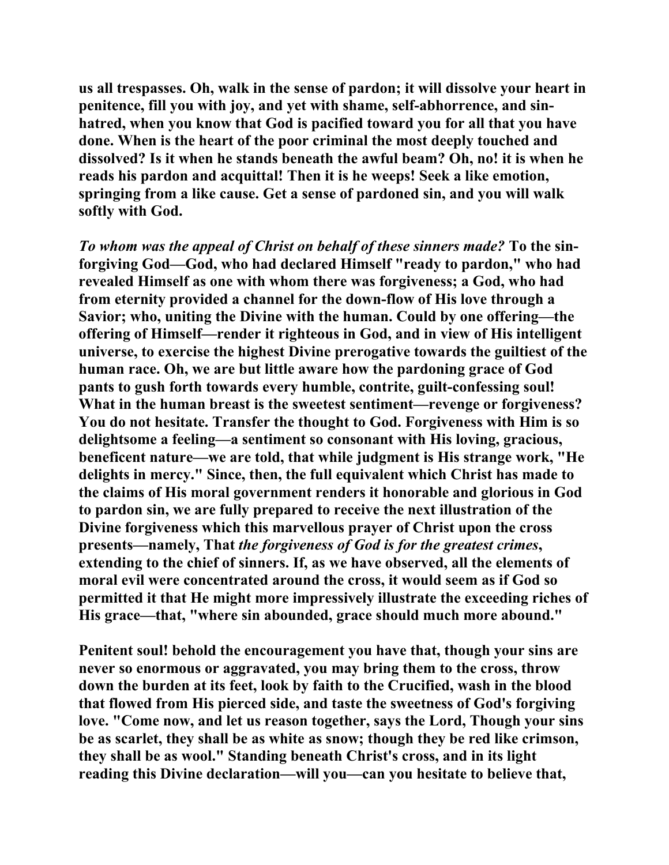**us all trespasses. Oh, walk in the sense of pardon; it will dissolve your heart in penitence, fill you with joy, and yet with shame, self-abhorrence, and sinhatred, when you know that God is pacified toward you for all that you have done. When is the heart of the poor criminal the most deeply touched and dissolved? Is it when he stands beneath the awful beam? Oh, no! it is when he reads his pardon and acquittal! Then it is he weeps! Seek a like emotion, springing from a like cause. Get a sense of pardoned sin, and you will walk softly with God.** 

*To whom was the appeal of Christ on behalf of these sinners made?* **To the sinforgiving God—God, who had declared Himself "ready to pardon," who had revealed Himself as one with whom there was forgiveness; a God, who had from eternity provided a channel for the down-flow of His love through a Savior; who, uniting the Divine with the human. Could by one offering—the offering of Himself—render it righteous in God, and in view of His intelligent universe, to exercise the highest Divine prerogative towards the guiltiest of the human race. Oh, we are but little aware how the pardoning grace of God pants to gush forth towards every humble, contrite, guilt-confessing soul! What in the human breast is the sweetest sentiment—revenge or forgiveness? You do not hesitate. Transfer the thought to God. Forgiveness with Him is so delightsome a feeling—a sentiment so consonant with His loving, gracious, beneficent nature—we are told, that while judgment is His strange work, "He delights in mercy." Since, then, the full equivalent which Christ has made to the claims of His moral government renders it honorable and glorious in God to pardon sin, we are fully prepared to receive the next illustration of the Divine forgiveness which this marvellous prayer of Christ upon the cross presents—namely, That** *the forgiveness of God is for the greatest crimes***, extending to the chief of sinners. If, as we have observed, all the elements of moral evil were concentrated around the cross, it would seem as if God so permitted it that He might more impressively illustrate the exceeding riches of His grace—that, "where sin abounded, grace should much more abound."** 

**Penitent soul! behold the encouragement you have that, though your sins are never so enormous or aggravated, you may bring them to the cross, throw down the burden at its feet, look by faith to the Crucified, wash in the blood that flowed from His pierced side, and taste the sweetness of God's forgiving love. "Come now, and let us reason together, says the Lord, Though your sins be as scarlet, they shall be as white as snow; though they be red like crimson, they shall be as wool." Standing beneath Christ's cross, and in its light reading this Divine declaration—will you—can you hesitate to believe that,**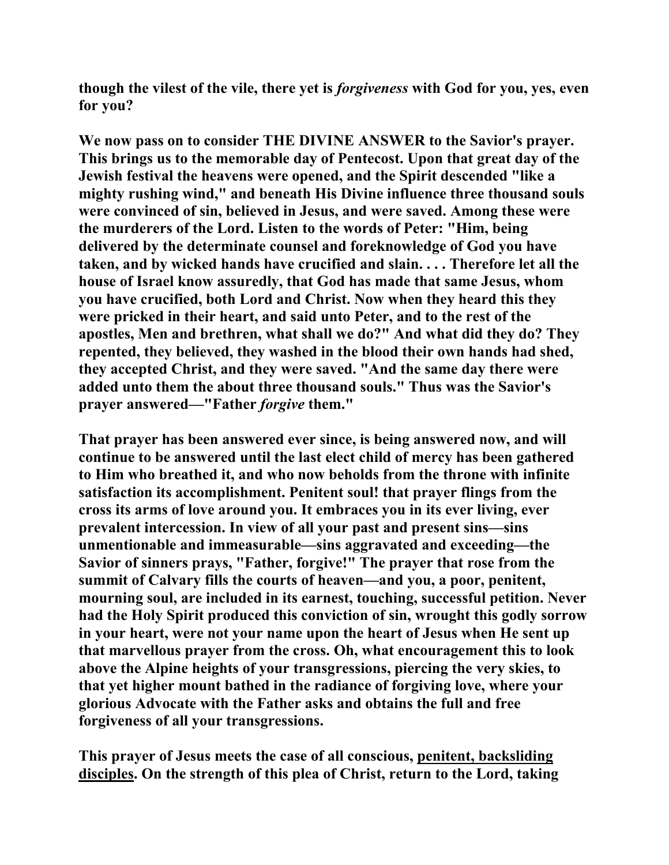**though the vilest of the vile, there yet is** *forgiveness* **with God for you, yes, even for you?** 

**We now pass on to consider THE DIVINE ANSWER to the Savior's prayer. This brings us to the memorable day of Pentecost. Upon that great day of the Jewish festival the heavens were opened, and the Spirit descended "like a mighty rushing wind," and beneath His Divine influence three thousand souls were convinced of sin, believed in Jesus, and were saved. Among these were the murderers of the Lord. Listen to the words of Peter: "Him, being delivered by the determinate counsel and foreknowledge of God you have taken, and by wicked hands have crucified and slain. . . . Therefore let all the house of Israel know assuredly, that God has made that same Jesus, whom you have crucified, both Lord and Christ. Now when they heard this they were pricked in their heart, and said unto Peter, and to the rest of the apostles, Men and brethren, what shall we do?" And what did they do? They repented, they believed, they washed in the blood their own hands had shed, they accepted Christ, and they were saved. "And the same day there were added unto them the about three thousand souls." Thus was the Savior's prayer answered—"Father** *forgive* **them."** 

**That prayer has been answered ever since, is being answered now, and will continue to be answered until the last elect child of mercy has been gathered to Him who breathed it, and who now beholds from the throne with infinite satisfaction its accomplishment. Penitent soul! that prayer flings from the cross its arms of love around you. It embraces you in its ever living, ever prevalent intercession. In view of all your past and present sins—sins unmentionable and immeasurable—sins aggravated and exceeding—the Savior of sinners prays, "Father, forgive!" The prayer that rose from the summit of Calvary fills the courts of heaven—and you, a poor, penitent, mourning soul, are included in its earnest, touching, successful petition. Never had the Holy Spirit produced this conviction of sin, wrought this godly sorrow in your heart, were not your name upon the heart of Jesus when He sent up that marvellous prayer from the cross. Oh, what encouragement this to look above the Alpine heights of your transgressions, piercing the very skies, to that yet higher mount bathed in the radiance of forgiving love, where your glorious Advocate with the Father asks and obtains the full and free forgiveness of all your transgressions.** 

**This prayer of Jesus meets the case of all conscious, penitent, backsliding disciples. On the strength of this plea of Christ, return to the Lord, taking**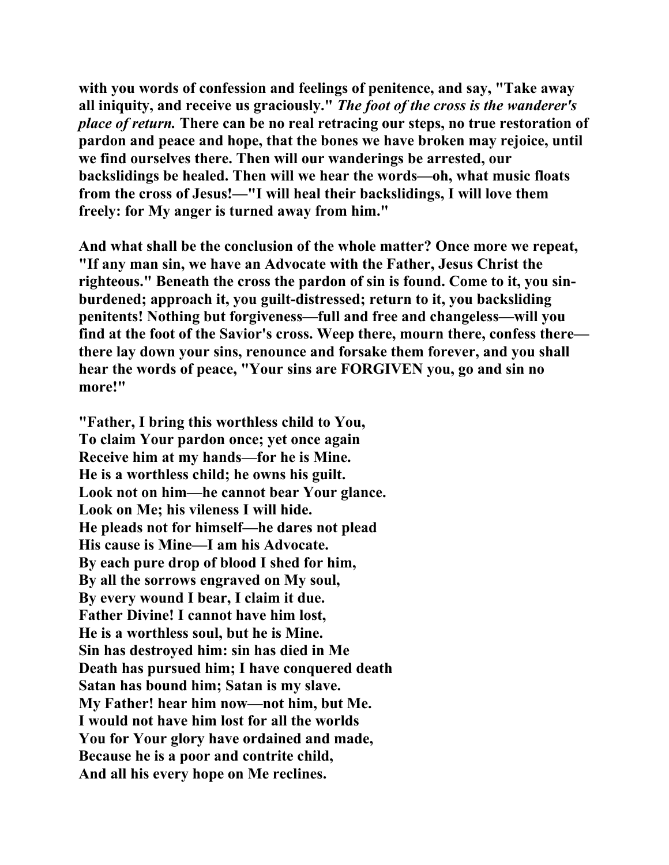**with you words of confession and feelings of penitence, and say, "Take away all iniquity, and receive us graciously."** *The foot of the cross is the wanderer's place of return.* **There can be no real retracing our steps, no true restoration of pardon and peace and hope, that the bones we have broken may rejoice, until we find ourselves there. Then will our wanderings be arrested, our backslidings be healed. Then will we hear the words—oh, what music floats from the cross of Jesus!—"I will heal their backslidings, I will love them freely: for My anger is turned away from him."** 

**And what shall be the conclusion of the whole matter? Once more we repeat, "If any man sin, we have an Advocate with the Father, Jesus Christ the righteous." Beneath the cross the pardon of sin is found. Come to it, you sinburdened; approach it, you guilt-distressed; return to it, you backsliding penitents! Nothing but forgiveness—full and free and changeless—will you find at the foot of the Savior's cross. Weep there, mourn there, confess there there lay down your sins, renounce and forsake them forever, and you shall hear the words of peace, "Your sins are FORGIVEN you, go and sin no more!"** 

**"Father, I bring this worthless child to You, To claim Your pardon once; yet once again Receive him at my hands—for he is Mine. He is a worthless child; he owns his guilt. Look not on him—he cannot bear Your glance. Look on Me; his vileness I will hide. He pleads not for himself—he dares not plead His cause is Mine—I am his Advocate. By each pure drop of blood I shed for him, By all the sorrows engraved on My soul, By every wound I bear, I claim it due. Father Divine! I cannot have him lost, He is a worthless soul, but he is Mine. Sin has destroyed him: sin has died in Me Death has pursued him; I have conquered death Satan has bound him; Satan is my slave. My Father! hear him now—not him, but Me. I would not have him lost for all the worlds You for Your glory have ordained and made, Because he is a poor and contrite child, And all his every hope on Me reclines.**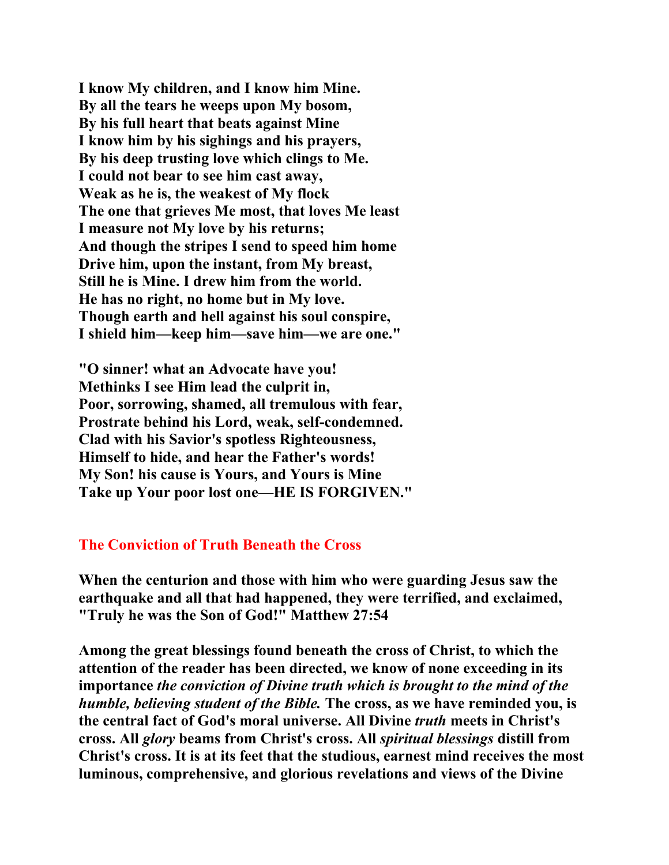**I know My children, and I know him Mine. By all the tears he weeps upon My bosom, By his full heart that beats against Mine I know him by his sighings and his prayers, By his deep trusting love which clings to Me. I could not bear to see him cast away, Weak as he is, the weakest of My flock The one that grieves Me most, that loves Me least I measure not My love by his returns; And though the stripes I send to speed him home Drive him, upon the instant, from My breast, Still he is Mine. I drew him from the world. He has no right, no home but in My love. Though earth and hell against his soul conspire, I shield him—keep him—save him—we are one."** 

**"O sinner! what an Advocate have you! Methinks I see Him lead the culprit in, Poor, sorrowing, shamed, all tremulous with fear, Prostrate behind his Lord, weak, self-condemned. Clad with his Savior's spotless Righteousness, Himself to hide, and hear the Father's words! My Son! his cause is Yours, and Yours is Mine Take up Your poor lost one—HE IS FORGIVEN."** 

### **The Conviction of Truth Beneath the Cross**

**When the centurion and those with him who were guarding Jesus saw the earthquake and all that had happened, they were terrified, and exclaimed, "Truly he was the Son of God!" Matthew 27:54** 

**Among the great blessings found beneath the cross of Christ, to which the attention of the reader has been directed, we know of none exceeding in its importance** *the conviction of Divine truth which is brought to the mind of the humble, believing student of the Bible.* **The cross, as we have reminded you, is the central fact of God's moral universe. All Divine** *truth* **meets in Christ's cross. All** *glory* **beams from Christ's cross. All** *spiritual blessings* **distill from Christ's cross. It is at its feet that the studious, earnest mind receives the most luminous, comprehensive, and glorious revelations and views of the Divine**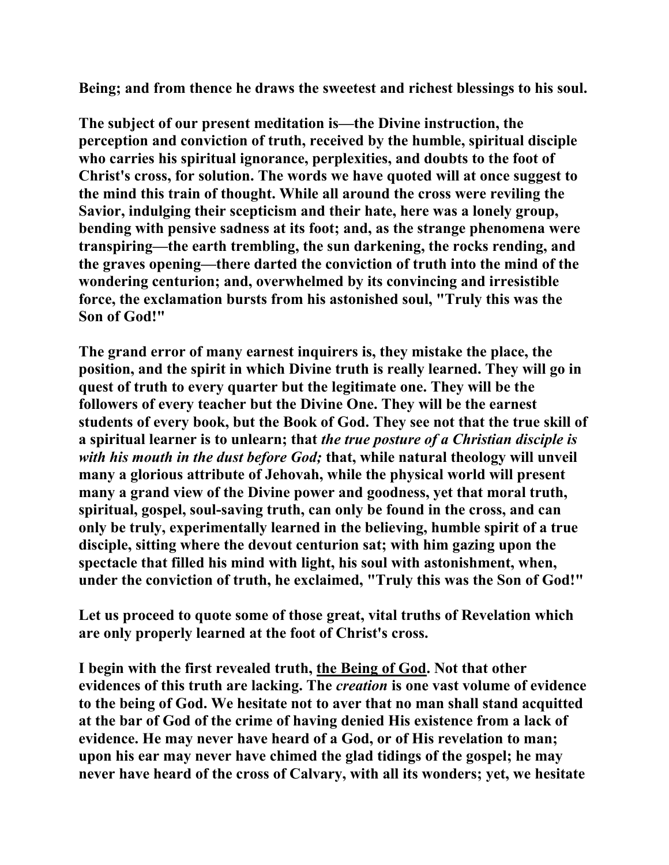**Being; and from thence he draws the sweetest and richest blessings to his soul.** 

**The subject of our present meditation is—the Divine instruction, the perception and conviction of truth, received by the humble, spiritual disciple who carries his spiritual ignorance, perplexities, and doubts to the foot of Christ's cross, for solution. The words we have quoted will at once suggest to the mind this train of thought. While all around the cross were reviling the Savior, indulging their scepticism and their hate, here was a lonely group, bending with pensive sadness at its foot; and, as the strange phenomena were transpiring—the earth trembling, the sun darkening, the rocks rending, and the graves opening—there darted the conviction of truth into the mind of the wondering centurion; and, overwhelmed by its convincing and irresistible force, the exclamation bursts from his astonished soul, "Truly this was the Son of God!"** 

**The grand error of many earnest inquirers is, they mistake the place, the position, and the spirit in which Divine truth is really learned. They will go in quest of truth to every quarter but the legitimate one. They will be the followers of every teacher but the Divine One. They will be the earnest students of every book, but the Book of God. They see not that the true skill of a spiritual learner is to unlearn; that** *the true posture of a Christian disciple is with his mouth in the dust before God;* **that, while natural theology will unveil many a glorious attribute of Jehovah, while the physical world will present many a grand view of the Divine power and goodness, yet that moral truth, spiritual, gospel, soul-saving truth, can only be found in the cross, and can only be truly, experimentally learned in the believing, humble spirit of a true disciple, sitting where the devout centurion sat; with him gazing upon the spectacle that filled his mind with light, his soul with astonishment, when, under the conviction of truth, he exclaimed, "Truly this was the Son of God!"** 

**Let us proceed to quote some of those great, vital truths of Revelation which are only properly learned at the foot of Christ's cross.** 

**I begin with the first revealed truth, the Being of God. Not that other evidences of this truth are lacking. The** *creation* **is one vast volume of evidence to the being of God. We hesitate not to aver that no man shall stand acquitted at the bar of God of the crime of having denied His existence from a lack of evidence. He may never have heard of a God, or of His revelation to man; upon his ear may never have chimed the glad tidings of the gospel; he may never have heard of the cross of Calvary, with all its wonders; yet, we hesitate**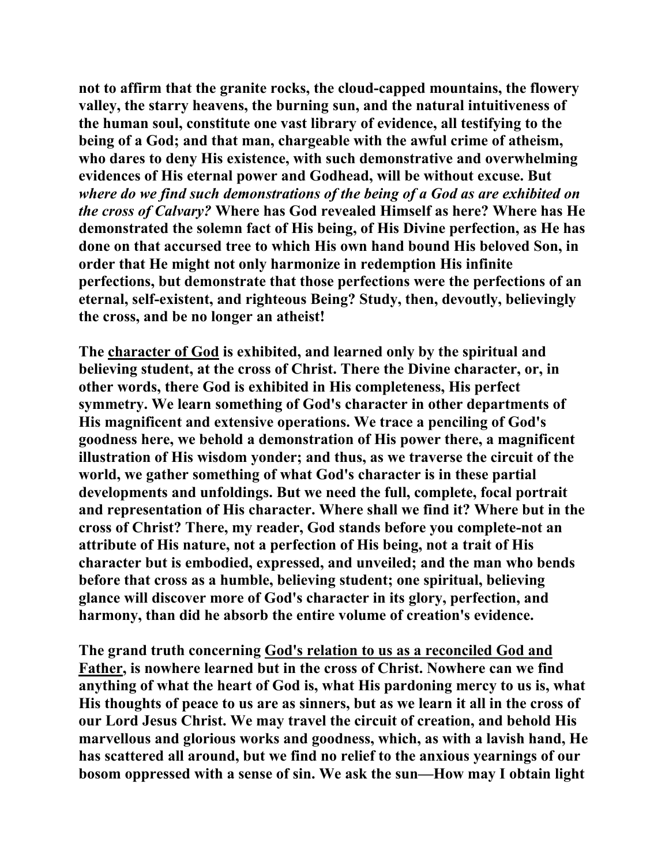**not to affirm that the granite rocks, the cloud-capped mountains, the flowery valley, the starry heavens, the burning sun, and the natural intuitiveness of the human soul, constitute one vast library of evidence, all testifying to the being of a God; and that man, chargeable with the awful crime of atheism, who dares to deny His existence, with such demonstrative and overwhelming evidences of His eternal power and Godhead, will be without excuse. But**  *where do we find such demonstrations of the being of a God as are exhibited on the cross of Calvary?* **Where has God revealed Himself as here? Where has He demonstrated the solemn fact of His being, of His Divine perfection, as He has done on that accursed tree to which His own hand bound His beloved Son, in order that He might not only harmonize in redemption His infinite perfections, but demonstrate that those perfections were the perfections of an eternal, self-existent, and righteous Being? Study, then, devoutly, believingly the cross, and be no longer an atheist!** 

**The character of God is exhibited, and learned only by the spiritual and believing student, at the cross of Christ. There the Divine character, or, in other words, there God is exhibited in His completeness, His perfect symmetry. We learn something of God's character in other departments of His magnificent and extensive operations. We trace a penciling of God's goodness here, we behold a demonstration of His power there, a magnificent illustration of His wisdom yonder; and thus, as we traverse the circuit of the world, we gather something of what God's character is in these partial developments and unfoldings. But we need the full, complete, focal portrait and representation of His character. Where shall we find it? Where but in the cross of Christ? There, my reader, God stands before you complete-not an attribute of His nature, not a perfection of His being, not a trait of His character but is embodied, expressed, and unveiled; and the man who bends before that cross as a humble, believing student; one spiritual, believing glance will discover more of God's character in its glory, perfection, and harmony, than did he absorb the entire volume of creation's evidence.** 

**The grand truth concerning God's relation to us as a reconciled God and Father, is nowhere learned but in the cross of Christ. Nowhere can we find anything of what the heart of God is, what His pardoning mercy to us is, what His thoughts of peace to us are as sinners, but as we learn it all in the cross of our Lord Jesus Christ. We may travel the circuit of creation, and behold His marvellous and glorious works and goodness, which, as with a lavish hand, He has scattered all around, but we find no relief to the anxious yearnings of our bosom oppressed with a sense of sin. We ask the sun—How may I obtain light**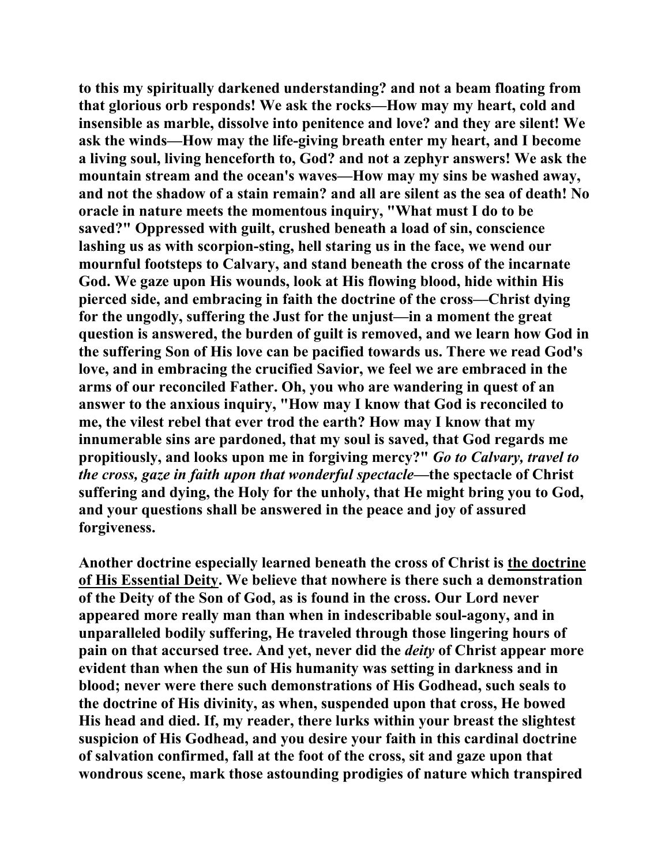**to this my spiritually darkened understanding? and not a beam floating from that glorious orb responds! We ask the rocks—How may my heart, cold and insensible as marble, dissolve into penitence and love? and they are silent! We ask the winds—How may the life-giving breath enter my heart, and I become a living soul, living henceforth to, God? and not a zephyr answers! We ask the mountain stream and the ocean's waves—How may my sins be washed away, and not the shadow of a stain remain? and all are silent as the sea of death! No oracle in nature meets the momentous inquiry, "What must I do to be saved?" Oppressed with guilt, crushed beneath a load of sin, conscience lashing us as with scorpion-sting, hell staring us in the face, we wend our mournful footsteps to Calvary, and stand beneath the cross of the incarnate God. We gaze upon His wounds, look at His flowing blood, hide within His pierced side, and embracing in faith the doctrine of the cross—Christ dying for the ungodly, suffering the Just for the unjust—in a moment the great question is answered, the burden of guilt is removed, and we learn how God in the suffering Son of His love can be pacified towards us. There we read God's love, and in embracing the crucified Savior, we feel we are embraced in the arms of our reconciled Father. Oh, you who are wandering in quest of an answer to the anxious inquiry, "How may I know that God is reconciled to me, the vilest rebel that ever trod the earth? How may I know that my innumerable sins are pardoned, that my soul is saved, that God regards me propitiously, and looks upon me in forgiving mercy?"** *Go to Calvary, travel to the cross, gaze in faith upon that wonderful spectacle***—the spectacle of Christ suffering and dying, the Holy for the unholy, that He might bring you to God, and your questions shall be answered in the peace and joy of assured forgiveness.** 

**Another doctrine especially learned beneath the cross of Christ is the doctrine of His Essential Deity. We believe that nowhere is there such a demonstration of the Deity of the Son of God, as is found in the cross. Our Lord never appeared more really man than when in indescribable soul-agony, and in unparalleled bodily suffering, He traveled through those lingering hours of pain on that accursed tree. And yet, never did the** *deity* **of Christ appear more evident than when the sun of His humanity was setting in darkness and in blood; never were there such demonstrations of His Godhead, such seals to the doctrine of His divinity, as when, suspended upon that cross, He bowed His head and died. If, my reader, there lurks within your breast the slightest suspicion of His Godhead, and you desire your faith in this cardinal doctrine of salvation confirmed, fall at the foot of the cross, sit and gaze upon that wondrous scene, mark those astounding prodigies of nature which transpired**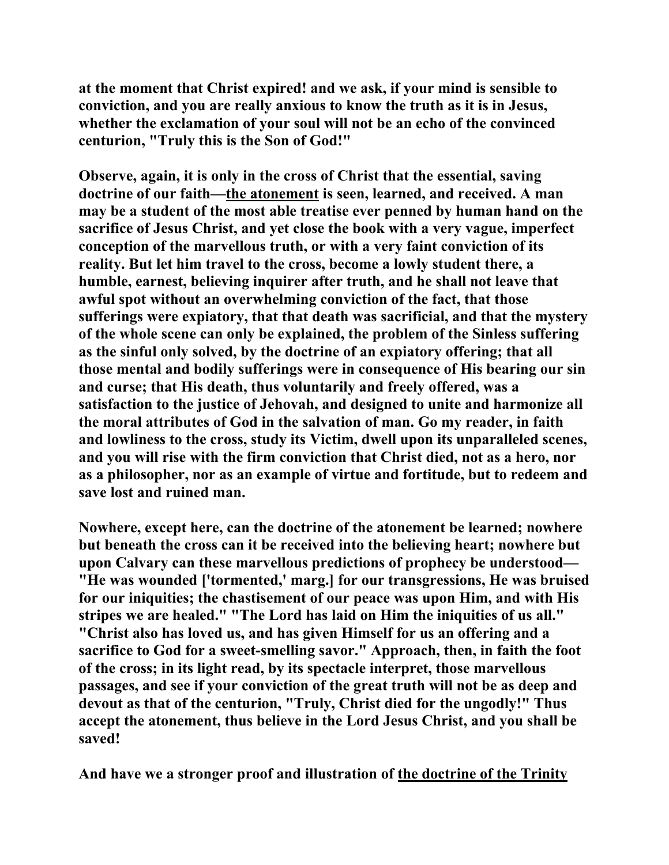**at the moment that Christ expired! and we ask, if your mind is sensible to conviction, and you are really anxious to know the truth as it is in Jesus, whether the exclamation of your soul will not be an echo of the convinced centurion, "Truly this is the Son of God!"** 

**Observe, again, it is only in the cross of Christ that the essential, saving doctrine of our faith—the atonement is seen, learned, and received. A man may be a student of the most able treatise ever penned by human hand on the sacrifice of Jesus Christ, and yet close the book with a very vague, imperfect conception of the marvellous truth, or with a very faint conviction of its reality. But let him travel to the cross, become a lowly student there, a humble, earnest, believing inquirer after truth, and he shall not leave that awful spot without an overwhelming conviction of the fact, that those sufferings were expiatory, that that death was sacrificial, and that the mystery of the whole scene can only be explained, the problem of the Sinless suffering as the sinful only solved, by the doctrine of an expiatory offering; that all those mental and bodily sufferings were in consequence of His bearing our sin and curse; that His death, thus voluntarily and freely offered, was a satisfaction to the justice of Jehovah, and designed to unite and harmonize all the moral attributes of God in the salvation of man. Go my reader, in faith and lowliness to the cross, study its Victim, dwell upon its unparalleled scenes, and you will rise with the firm conviction that Christ died, not as a hero, nor as a philosopher, nor as an example of virtue and fortitude, but to redeem and save lost and ruined man.** 

**Nowhere, except here, can the doctrine of the atonement be learned; nowhere but beneath the cross can it be received into the believing heart; nowhere but upon Calvary can these marvellous predictions of prophecy be understood— "He was wounded ['tormented,' marg.] for our transgressions, He was bruised for our iniquities; the chastisement of our peace was upon Him, and with His stripes we are healed." "The Lord has laid on Him the iniquities of us all." "Christ also has loved us, and has given Himself for us an offering and a sacrifice to God for a sweet-smelling savor." Approach, then, in faith the foot of the cross; in its light read, by its spectacle interpret, those marvellous passages, and see if your conviction of the great truth will not be as deep and devout as that of the centurion, "Truly, Christ died for the ungodly!" Thus accept the atonement, thus believe in the Lord Jesus Christ, and you shall be saved!** 

**And have we a stronger proof and illustration of the doctrine of the Trinity**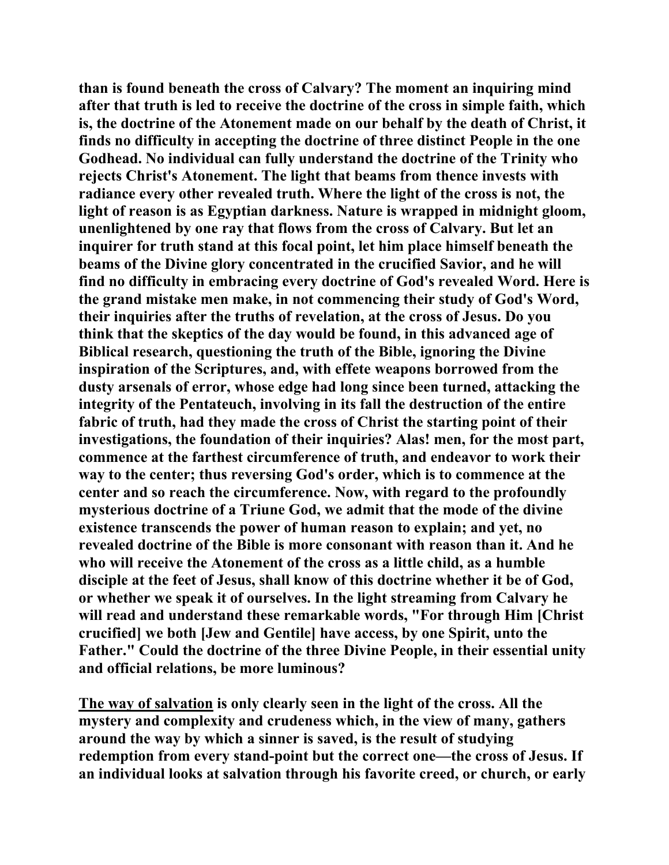**than is found beneath the cross of Calvary? The moment an inquiring mind after that truth is led to receive the doctrine of the cross in simple faith, which is, the doctrine of the Atonement made on our behalf by the death of Christ, it finds no difficulty in accepting the doctrine of three distinct People in the one Godhead. No individual can fully understand the doctrine of the Trinity who rejects Christ's Atonement. The light that beams from thence invests with radiance every other revealed truth. Where the light of the cross is not, the light of reason is as Egyptian darkness. Nature is wrapped in midnight gloom, unenlightened by one ray that flows from the cross of Calvary. But let an inquirer for truth stand at this focal point, let him place himself beneath the beams of the Divine glory concentrated in the crucified Savior, and he will find no difficulty in embracing every doctrine of God's revealed Word. Here is the grand mistake men make, in not commencing their study of God's Word, their inquiries after the truths of revelation, at the cross of Jesus. Do you think that the skeptics of the day would be found, in this advanced age of Biblical research, questioning the truth of the Bible, ignoring the Divine inspiration of the Scriptures, and, with effete weapons borrowed from the dusty arsenals of error, whose edge had long since been turned, attacking the integrity of the Pentateuch, involving in its fall the destruction of the entire fabric of truth, had they made the cross of Christ the starting point of their investigations, the foundation of their inquiries? Alas! men, for the most part, commence at the farthest circumference of truth, and endeavor to work their way to the center; thus reversing God's order, which is to commence at the center and so reach the circumference. Now, with regard to the profoundly mysterious doctrine of a Triune God, we admit that the mode of the divine existence transcends the power of human reason to explain; and yet, no revealed doctrine of the Bible is more consonant with reason than it. And he who will receive the Atonement of the cross as a little child, as a humble disciple at the feet of Jesus, shall know of this doctrine whether it be of God, or whether we speak it of ourselves. In the light streaming from Calvary he will read and understand these remarkable words, "For through Him [Christ crucified] we both [Jew and Gentile] have access, by one Spirit, unto the Father." Could the doctrine of the three Divine People, in their essential unity and official relations, be more luminous?** 

**The way of salvation is only clearly seen in the light of the cross. All the mystery and complexity and crudeness which, in the view of many, gathers around the way by which a sinner is saved, is the result of studying redemption from every stand-point but the correct one—the cross of Jesus. If an individual looks at salvation through his favorite creed, or church, or early**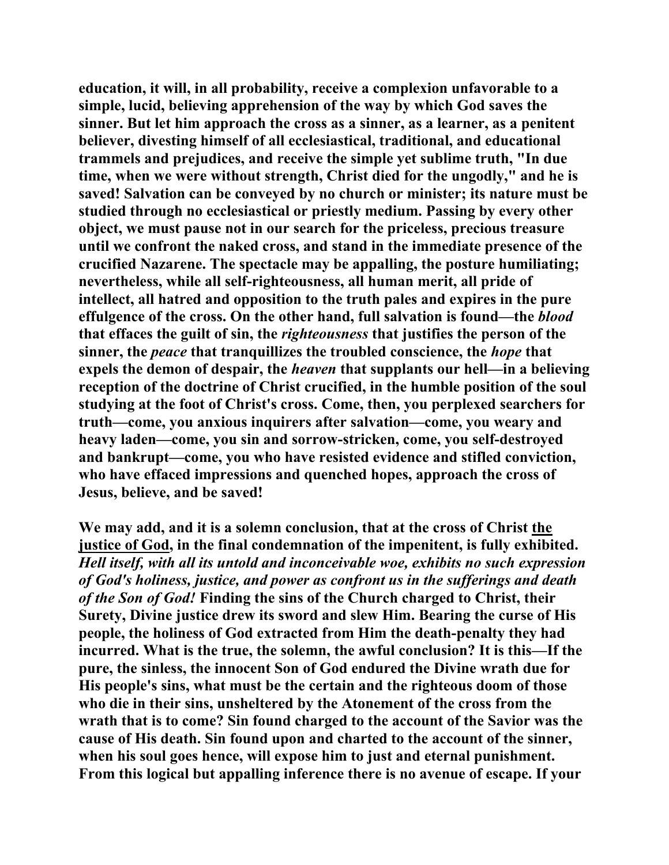**education, it will, in all probability, receive a complexion unfavorable to a simple, lucid, believing apprehension of the way by which God saves the sinner. But let him approach the cross as a sinner, as a learner, as a penitent believer, divesting himself of all ecclesiastical, traditional, and educational trammels and prejudices, and receive the simple yet sublime truth, "In due time, when we were without strength, Christ died for the ungodly," and he is saved! Salvation can be conveyed by no church or minister; its nature must be studied through no ecclesiastical or priestly medium. Passing by every other object, we must pause not in our search for the priceless, precious treasure until we confront the naked cross, and stand in the immediate presence of the crucified Nazarene. The spectacle may be appalling, the posture humiliating; nevertheless, while all self-righteousness, all human merit, all pride of intellect, all hatred and opposition to the truth pales and expires in the pure effulgence of the cross. On the other hand, full salvation is found—the** *blood* **that effaces the guilt of sin, the** *righteousness* **that justifies the person of the sinner, the** *peace* **that tranquillizes the troubled conscience, the** *hope* **that expels the demon of despair, the** *heaven* **that supplants our hell—in a believing reception of the doctrine of Christ crucified, in the humble position of the soul studying at the foot of Christ's cross. Come, then, you perplexed searchers for truth—come, you anxious inquirers after salvation—come, you weary and heavy laden—come, you sin and sorrow-stricken, come, you self-destroyed and bankrupt—come, you who have resisted evidence and stifled conviction, who have effaced impressions and quenched hopes, approach the cross of Jesus, believe, and be saved!** 

**We may add, and it is a solemn conclusion, that at the cross of Christ the justice of God, in the final condemnation of the impenitent, is fully exhibited.**  *Hell itself, with all its untold and inconceivable woe, exhibits no such expression of God's holiness, justice, and power as confront us in the sufferings and death of the Son of God!* **Finding the sins of the Church charged to Christ, their Surety, Divine justice drew its sword and slew Him. Bearing the curse of His people, the holiness of God extracted from Him the death-penalty they had incurred. What is the true, the solemn, the awful conclusion? It is this—If the pure, the sinless, the innocent Son of God endured the Divine wrath due for His people's sins, what must be the certain and the righteous doom of those who die in their sins, unsheltered by the Atonement of the cross from the wrath that is to come? Sin found charged to the account of the Savior was the cause of His death. Sin found upon and charted to the account of the sinner, when his soul goes hence, will expose him to just and eternal punishment. From this logical but appalling inference there is no avenue of escape. If your**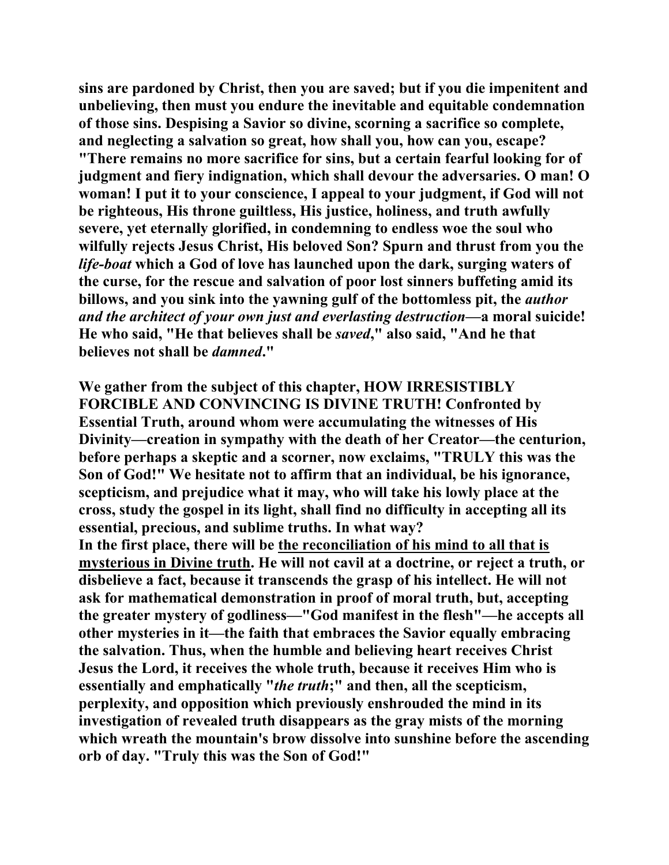**sins are pardoned by Christ, then you are saved; but if you die impenitent and unbelieving, then must you endure the inevitable and equitable condemnation of those sins. Despising a Savior so divine, scorning a sacrifice so complete, and neglecting a salvation so great, how shall you, how can you, escape? "There remains no more sacrifice for sins, but a certain fearful looking for of judgment and fiery indignation, which shall devour the adversaries. O man! O woman! I put it to your conscience, I appeal to your judgment, if God will not be righteous, His throne guiltless, His justice, holiness, and truth awfully severe, yet eternally glorified, in condemning to endless woe the soul who wilfully rejects Jesus Christ, His beloved Son? Spurn and thrust from you the**  *life-boat* **which a God of love has launched upon the dark, surging waters of the curse, for the rescue and salvation of poor lost sinners buffeting amid its billows, and you sink into the yawning gulf of the bottomless pit, the** *author and the architect of your own just and everlasting destruction***—a moral suicide! He who said, "He that believes shall be** *saved***," also said, "And he that believes not shall be** *damned***."** 

**We gather from the subject of this chapter, HOW IRRESISTIBLY FORCIBLE AND CONVINCING IS DIVINE TRUTH! Confronted by Essential Truth, around whom were accumulating the witnesses of His Divinity—creation in sympathy with the death of her Creator—the centurion, before perhaps a skeptic and a scorner, now exclaims, "TRULY this was the Son of God!" We hesitate not to affirm that an individual, be his ignorance, scepticism, and prejudice what it may, who will take his lowly place at the cross, study the gospel in its light, shall find no difficulty in accepting all its essential, precious, and sublime truths. In what way? In the first place, there will be the reconciliation of his mind to all that is mysterious in Divine truth. He will not cavil at a doctrine, or reject a truth, or disbelieve a fact, because it transcends the grasp of his intellect. He will not ask for mathematical demonstration in proof of moral truth, but, accepting the greater mystery of godliness—"God manifest in the flesh"—he accepts all other mysteries in it—the faith that embraces the Savior equally embracing the salvation. Thus, when the humble and believing heart receives Christ Jesus the Lord, it receives the whole truth, because it receives Him who is essentially and emphatically "***the truth***;" and then, all the scepticism, perplexity, and opposition which previously enshrouded the mind in its investigation of revealed truth disappears as the gray mists of the morning which wreath the mountain's brow dissolve into sunshine before the ascending orb of day. "Truly this was the Son of God!"**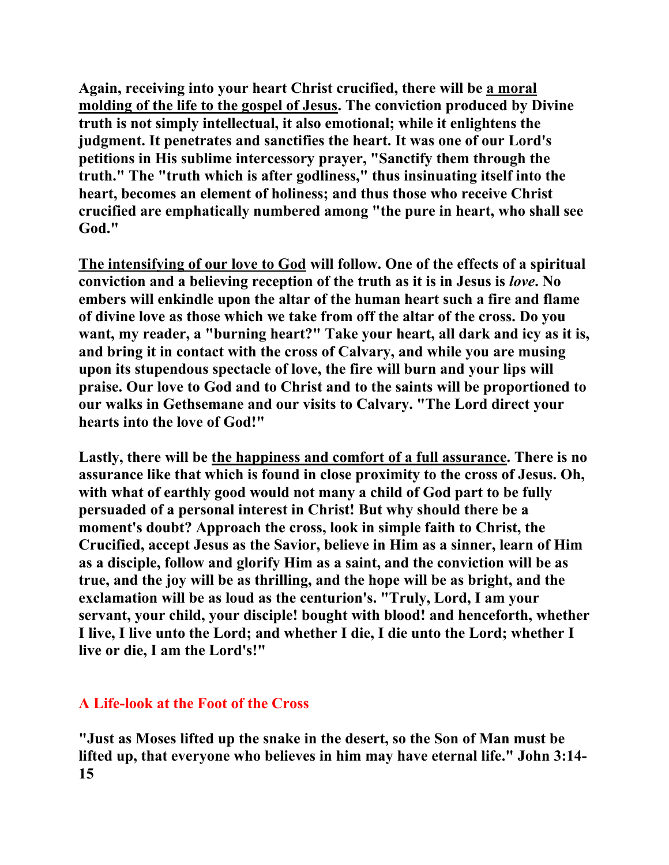**Again, receiving into your heart Christ crucified, there will be a moral molding of the life to the gospel of Jesus. The conviction produced by Divine truth is not simply intellectual, it also emotional; while it enlightens the judgment. It penetrates and sanctifies the heart. It was one of our Lord's petitions in His sublime intercessory prayer, "Sanctify them through the truth." The "truth which is after godliness," thus insinuating itself into the heart, becomes an element of holiness; and thus those who receive Christ crucified are emphatically numbered among "the pure in heart, who shall see God."** 

**The intensifying of our love to God will follow. One of the effects of a spiritual conviction and a believing reception of the truth as it is in Jesus is** *love***. No embers will enkindle upon the altar of the human heart such a fire and flame of divine love as those which we take from off the altar of the cross. Do you want, my reader, a "burning heart?" Take your heart, all dark and icy as it is, and bring it in contact with the cross of Calvary, and while you are musing upon its stupendous spectacle of love, the fire will burn and your lips will praise. Our love to God and to Christ and to the saints will be proportioned to our walks in Gethsemane and our visits to Calvary. "The Lord direct your hearts into the love of God!"** 

**Lastly, there will be the happiness and comfort of a full assurance. There is no assurance like that which is found in close proximity to the cross of Jesus. Oh, with what of earthly good would not many a child of God part to be fully persuaded of a personal interest in Christ! But why should there be a moment's doubt? Approach the cross, look in simple faith to Christ, the Crucified, accept Jesus as the Savior, believe in Him as a sinner, learn of Him as a disciple, follow and glorify Him as a saint, and the conviction will be as true, and the joy will be as thrilling, and the hope will be as bright, and the exclamation will be as loud as the centurion's. "Truly, Lord, I am your servant, your child, your disciple! bought with blood! and henceforth, whether I live, I live unto the Lord; and whether I die, I die unto the Lord; whether I live or die, I am the Lord's!"** 

# **A Life-look at the Foot of the Cross**

**"Just as Moses lifted up the snake in the desert, so the Son of Man must be lifted up, that everyone who believes in him may have eternal life." John 3:14- 15**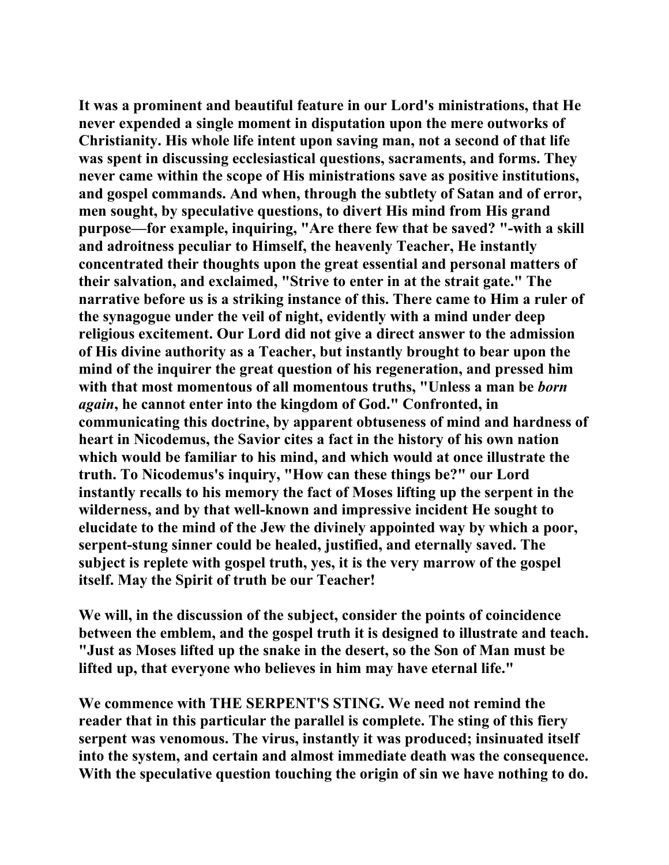**It was a prominent and beautiful feature in our Lord's ministrations, that He never expended a single moment in disputation upon the mere outworks of Christianity. His whole life intent upon saving man, not a second of that life was spent in discussing ecclesiastical questions, sacraments, and forms. They never came within the scope of His ministrations save as positive institutions, and gospel commands. And when, through the subtlety of Satan and of error, men sought, by speculative questions, to divert His mind from His grand purpose—for example, inquiring, "Are there few that be saved? "-with a skill and adroitness peculiar to Himself, the heavenly Teacher, He instantly concentrated their thoughts upon the great essential and personal matters of their salvation, and exclaimed, "Strive to enter in at the strait gate." The narrative before us is a striking instance of this. There came to Him a ruler of the synagogue under the veil of night, evidently with a mind under deep religious excitement. Our Lord did not give a direct answer to the admission of His divine authority as a Teacher, but instantly brought to bear upon the mind of the inquirer the great question of his regeneration, and pressed him with that most momentous of all momentous truths, "Unless a man be** *born again***, he cannot enter into the kingdom of God." Confronted, in communicating this doctrine, by apparent obtuseness of mind and hardness of heart in Nicodemus, the Savior cites a fact in the history of his own nation which would be familiar to his mind, and which would at once illustrate the truth. To Nicodemus's inquiry, "How can these things be?" our Lord instantly recalls to his memory the fact of Moses lifting up the serpent in the wilderness, and by that well-known and impressive incident He sought to elucidate to the mind of the Jew the divinely appointed way by which a poor, serpent-stung sinner could be healed, justified, and eternally saved. The subject is replete with gospel truth, yes, it is the very marrow of the gospel itself. May the Spirit of truth be our Teacher!** 

**We will, in the discussion of the subject, consider the points of coincidence between the emblem, and the gospel truth it is designed to illustrate and teach. "Just as Moses lifted up the snake in the desert, so the Son of Man must be lifted up, that everyone who believes in him may have eternal life."** 

**We commence with THE SERPENT'S STING. We need not remind the reader that in this particular the parallel is complete. The sting of this fiery serpent was venomous. The virus, instantly it was produced; insinuated itself into the system, and certain and almost immediate death was the consequence. With the speculative question touching the origin of sin we have nothing to do.**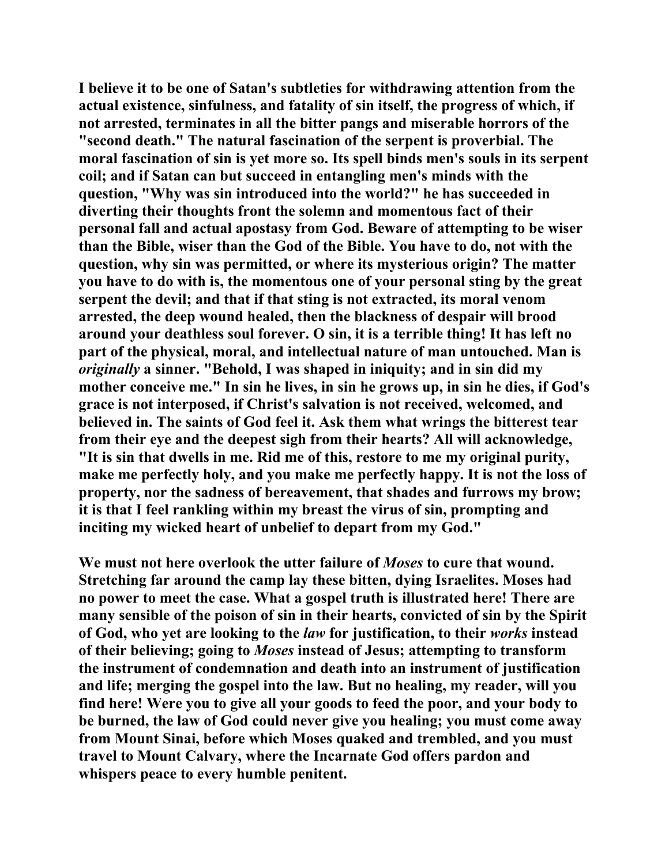**I believe it to be one of Satan's subtleties for withdrawing attention from the actual existence, sinfulness, and fatality of sin itself, the progress of which, if not arrested, terminates in all the bitter pangs and miserable horrors of the "second death." The natural fascination of the serpent is proverbial. The moral fascination of sin is yet more so. Its spell binds men's souls in its serpent coil; and if Satan can but succeed in entangling men's minds with the question, "Why was sin introduced into the world?" he has succeeded in diverting their thoughts front the solemn and momentous fact of their personal fall and actual apostasy from God. Beware of attempting to be wiser than the Bible, wiser than the God of the Bible. You have to do, not with the question, why sin was permitted, or where its mysterious origin? The matter you have to do with is, the momentous one of your personal sting by the great serpent the devil; and that if that sting is not extracted, its moral venom arrested, the deep wound healed, then the blackness of despair will brood around your deathless soul forever. O sin, it is a terrible thing! It has left no part of the physical, moral, and intellectual nature of man untouched. Man is**  *originally* **a sinner. "Behold, I was shaped in iniquity; and in sin did my mother conceive me." In sin he lives, in sin he grows up, in sin he dies, if God's grace is not interposed, if Christ's salvation is not received, welcomed, and believed in. The saints of God feel it. Ask them what wrings the bitterest tear from their eye and the deepest sigh from their hearts? All will acknowledge, "It is sin that dwells in me. Rid me of this, restore to me my original purity, make me perfectly holy, and you make me perfectly happy. It is not the loss of property, nor the sadness of bereavement, that shades and furrows my brow; it is that I feel rankling within my breast the virus of sin, prompting and inciting my wicked heart of unbelief to depart from my God."** 

**We must not here overlook the utter failure of** *Moses* **to cure that wound. Stretching far around the camp lay these bitten, dying Israelites. Moses had no power to meet the case. What a gospel truth is illustrated here! There are many sensible of the poison of sin in their hearts, convicted of sin by the Spirit of God, who yet are looking to the** *law* **for justification, to their** *works* **instead of their believing; going to** *Moses* **instead of Jesus; attempting to transform the instrument of condemnation and death into an instrument of justification and life; merging the gospel into the law. But no healing, my reader, will you find here! Were you to give all your goods to feed the poor, and your body to be burned, the law of God could never give you healing; you must come away from Mount Sinai, before which Moses quaked and trembled, and you must travel to Mount Calvary, where the Incarnate God offers pardon and whispers peace to every humble penitent.**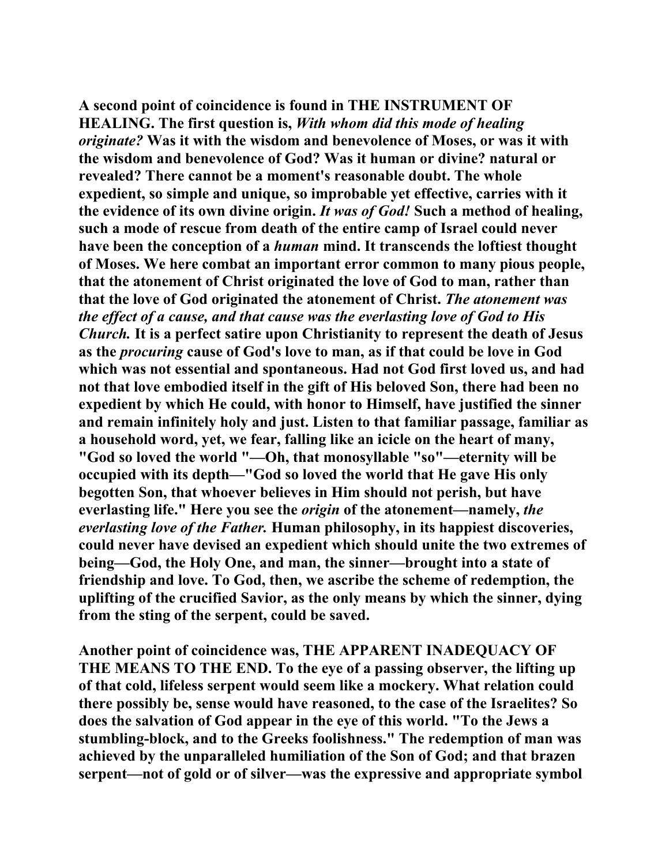**A second point of coincidence is found in THE INSTRUMENT OF HEALING. The first question is,** *With whom did this mode of healing originate?* **Was it with the wisdom and benevolence of Moses, or was it with the wisdom and benevolence of God? Was it human or divine? natural or revealed? There cannot be a moment's reasonable doubt. The whole expedient, so simple and unique, so improbable yet effective, carries with it the evidence of its own divine origin.** *It was of God!* **Such a method of healing, such a mode of rescue from death of the entire camp of Israel could never have been the conception of a** *human* **mind. It transcends the loftiest thought of Moses. We here combat an important error common to many pious people, that the atonement of Christ originated the love of God to man, rather than that the love of God originated the atonement of Christ.** *The atonement was the effect of a cause, and that cause was the everlasting love of God to His Church.* **It is a perfect satire upon Christianity to represent the death of Jesus as the** *procuring* **cause of God's love to man, as if that could be love in God which was not essential and spontaneous. Had not God first loved us, and had not that love embodied itself in the gift of His beloved Son, there had been no expedient by which He could, with honor to Himself, have justified the sinner and remain infinitely holy and just. Listen to that familiar passage, familiar as a household word, yet, we fear, falling like an icicle on the heart of many, "God so loved the world "—Oh, that monosyllable "so"—eternity will be occupied with its depth—"God so loved the world that He gave His only begotten Son, that whoever believes in Him should not perish, but have everlasting life." Here you see the** *origin* **of the atonement—namely,** *the everlasting love of the Father.* **Human philosophy, in its happiest discoveries, could never have devised an expedient which should unite the two extremes of being—God, the Holy One, and man, the sinner—brought into a state of friendship and love. To God, then, we ascribe the scheme of redemption, the uplifting of the crucified Savior, as the only means by which the sinner, dying from the sting of the serpent, could be saved.** 

**Another point of coincidence was, THE APPARENT INADEQUACY OF THE MEANS TO THE END. To the eye of a passing observer, the lifting up of that cold, lifeless serpent would seem like a mockery. What relation could there possibly be, sense would have reasoned, to the case of the Israelites? So does the salvation of God appear in the eye of this world. "To the Jews a stumbling-block, and to the Greeks foolishness." The redemption of man was achieved by the unparalleled humiliation of the Son of God; and that brazen serpent—not of gold or of silver—was the expressive and appropriate symbol**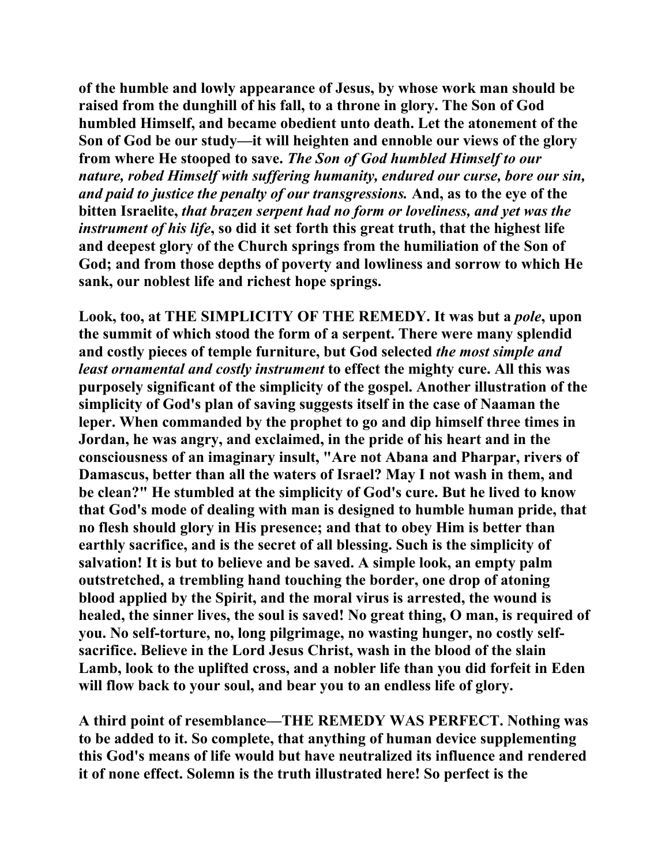**of the humble and lowly appearance of Jesus, by whose work man should be raised from the dunghill of his fall, to a throne in glory. The Son of God humbled Himself, and became obedient unto death. Let the atonement of the Son of God be our study—it will heighten and ennoble our views of the glory from where He stooped to save.** *The Son of God humbled Himself to our nature, robed Himself with suffering humanity, endured our curse, bore our sin, and paid to justice the penalty of our transgressions.* **And, as to the eye of the bitten Israelite,** *that brazen serpent had no form or loveliness, and yet was the instrument of his life***, so did it set forth this great truth, that the highest life and deepest glory of the Church springs from the humiliation of the Son of God; and from those depths of poverty and lowliness and sorrow to which He sank, our noblest life and richest hope springs.** 

Look, too, at THE SIMPLICITY OF THE REMEDY. It was but a *pole*, upon **the summit of which stood the form of a serpent. There were many splendid and costly pieces of temple furniture, but God selected** *the most simple and least ornamental and costly instrument* **to effect the mighty cure. All this was purposely significant of the simplicity of the gospel. Another illustration of the simplicity of God's plan of saving suggests itself in the case of Naaman the leper. When commanded by the prophet to go and dip himself three times in Jordan, he was angry, and exclaimed, in the pride of his heart and in the consciousness of an imaginary insult, "Are not Abana and Pharpar, rivers of Damascus, better than all the waters of Israel? May I not wash in them, and be clean?" He stumbled at the simplicity of God's cure. But he lived to know that God's mode of dealing with man is designed to humble human pride, that no flesh should glory in His presence; and that to obey Him is better than earthly sacrifice, and is the secret of all blessing. Such is the simplicity of salvation! It is but to believe and be saved. A simple look, an empty palm outstretched, a trembling hand touching the border, one drop of atoning blood applied by the Spirit, and the moral virus is arrested, the wound is healed, the sinner lives, the soul is saved! No great thing, O man, is required of you. No self-torture, no, long pilgrimage, no wasting hunger, no costly selfsacrifice. Believe in the Lord Jesus Christ, wash in the blood of the slain Lamb, look to the uplifted cross, and a nobler life than you did forfeit in Eden will flow back to your soul, and bear you to an endless life of glory.** 

**A third point of resemblance—THE REMEDY WAS PERFECT. Nothing was to be added to it. So complete, that anything of human device supplementing this God's means of life would but have neutralized its influence and rendered it of none effect. Solemn is the truth illustrated here! So perfect is the**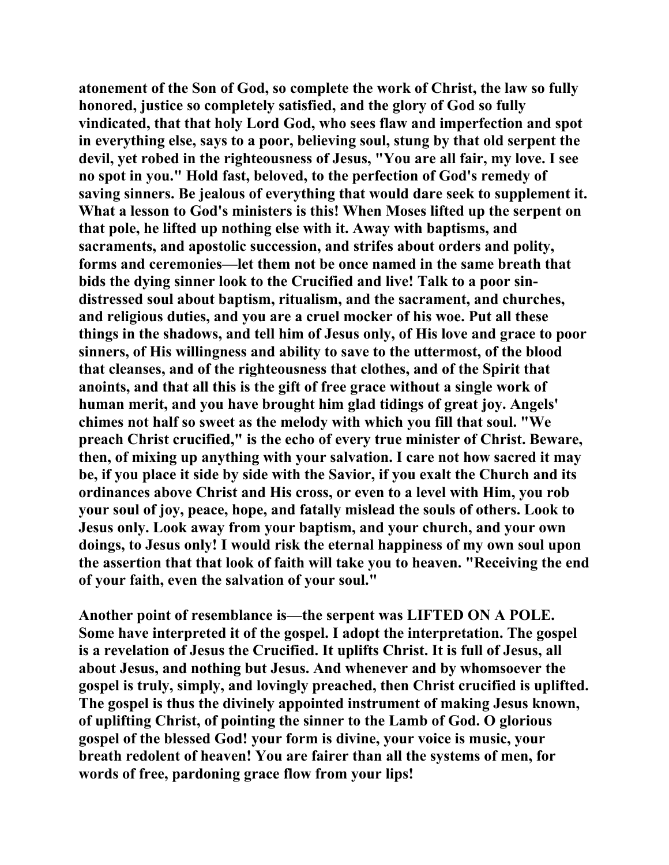**atonement of the Son of God, so complete the work of Christ, the law so fully honored, justice so completely satisfied, and the glory of God so fully vindicated, that that holy Lord God, who sees flaw and imperfection and spot in everything else, says to a poor, believing soul, stung by that old serpent the devil, yet robed in the righteousness of Jesus, "You are all fair, my love. I see no spot in you." Hold fast, beloved, to the perfection of God's remedy of saving sinners. Be jealous of everything that would dare seek to supplement it. What a lesson to God's ministers is this! When Moses lifted up the serpent on that pole, he lifted up nothing else with it. Away with baptisms, and sacraments, and apostolic succession, and strifes about orders and polity, forms and ceremonies—let them not be once named in the same breath that bids the dying sinner look to the Crucified and live! Talk to a poor sindistressed soul about baptism, ritualism, and the sacrament, and churches, and religious duties, and you are a cruel mocker of his woe. Put all these things in the shadows, and tell him of Jesus only, of His love and grace to poor sinners, of His willingness and ability to save to the uttermost, of the blood that cleanses, and of the righteousness that clothes, and of the Spirit that anoints, and that all this is the gift of free grace without a single work of human merit, and you have brought him glad tidings of great joy. Angels' chimes not half so sweet as the melody with which you fill that soul. "We preach Christ crucified," is the echo of every true minister of Christ. Beware, then, of mixing up anything with your salvation. I care not how sacred it may be, if you place it side by side with the Savior, if you exalt the Church and its ordinances above Christ and His cross, or even to a level with Him, you rob your soul of joy, peace, hope, and fatally mislead the souls of others. Look to Jesus only. Look away from your baptism, and your church, and your own doings, to Jesus only! I would risk the eternal happiness of my own soul upon the assertion that that look of faith will take you to heaven. "Receiving the end of your faith, even the salvation of your soul."** 

**Another point of resemblance is—the serpent was LIFTED ON A POLE. Some have interpreted it of the gospel. I adopt the interpretation. The gospel is a revelation of Jesus the Crucified. It uplifts Christ. It is full of Jesus, all about Jesus, and nothing but Jesus. And whenever and by whomsoever the gospel is truly, simply, and lovingly preached, then Christ crucified is uplifted. The gospel is thus the divinely appointed instrument of making Jesus known, of uplifting Christ, of pointing the sinner to the Lamb of God. O glorious gospel of the blessed God! your form is divine, your voice is music, your breath redolent of heaven! You are fairer than all the systems of men, for words of free, pardoning grace flow from your lips!**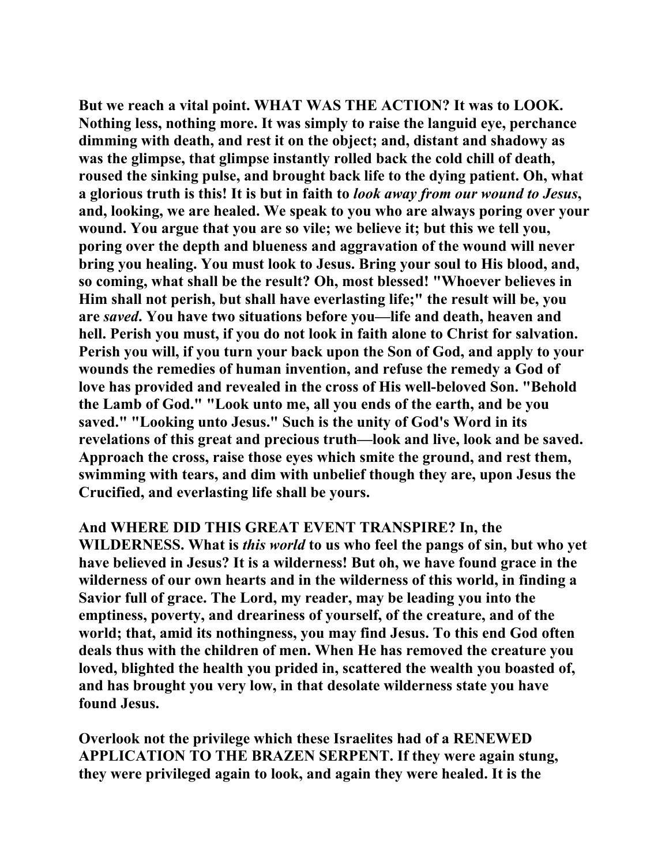**But we reach a vital point. WHAT WAS THE ACTION? It was to LOOK. Nothing less, nothing more. It was simply to raise the languid eye, perchance dimming with death, and rest it on the object; and, distant and shadowy as was the glimpse, that glimpse instantly rolled back the cold chill of death, roused the sinking pulse, and brought back life to the dying patient. Oh, what a glorious truth is this! It is but in faith to** *look away from our wound to Jesus***, and, looking, we are healed. We speak to you who are always poring over your wound. You argue that you are so vile; we believe it; but this we tell you, poring over the depth and blueness and aggravation of the wound will never bring you healing. You must look to Jesus. Bring your soul to His blood, and, so coming, what shall be the result? Oh, most blessed! "Whoever believes in Him shall not perish, but shall have everlasting life;" the result will be, you are** *saved***. You have two situations before you—life and death, heaven and hell. Perish you must, if you do not look in faith alone to Christ for salvation. Perish you will, if you turn your back upon the Son of God, and apply to your wounds the remedies of human invention, and refuse the remedy a God of love has provided and revealed in the cross of His well-beloved Son. "Behold the Lamb of God." "Look unto me, all you ends of the earth, and be you saved." "Looking unto Jesus." Such is the unity of God's Word in its revelations of this great and precious truth—look and live, look and be saved. Approach the cross, raise those eyes which smite the ground, and rest them, swimming with tears, and dim with unbelief though they are, upon Jesus the Crucified, and everlasting life shall be yours.** 

**And WHERE DID THIS GREAT EVENT TRANSPIRE? In, the WILDERNESS. What is** *this world* **to us who feel the pangs of sin, but who yet have believed in Jesus? It is a wilderness! But oh, we have found grace in the wilderness of our own hearts and in the wilderness of this world, in finding a Savior full of grace. The Lord, my reader, may be leading you into the emptiness, poverty, and dreariness of yourself, of the creature, and of the world; that, amid its nothingness, you may find Jesus. To this end God often deals thus with the children of men. When He has removed the creature you loved, blighted the health you prided in, scattered the wealth you boasted of, and has brought you very low, in that desolate wilderness state you have found Jesus.** 

**Overlook not the privilege which these Israelites had of a RENEWED APPLICATION TO THE BRAZEN SERPENT. If they were again stung, they were privileged again to look, and again they were healed. It is the**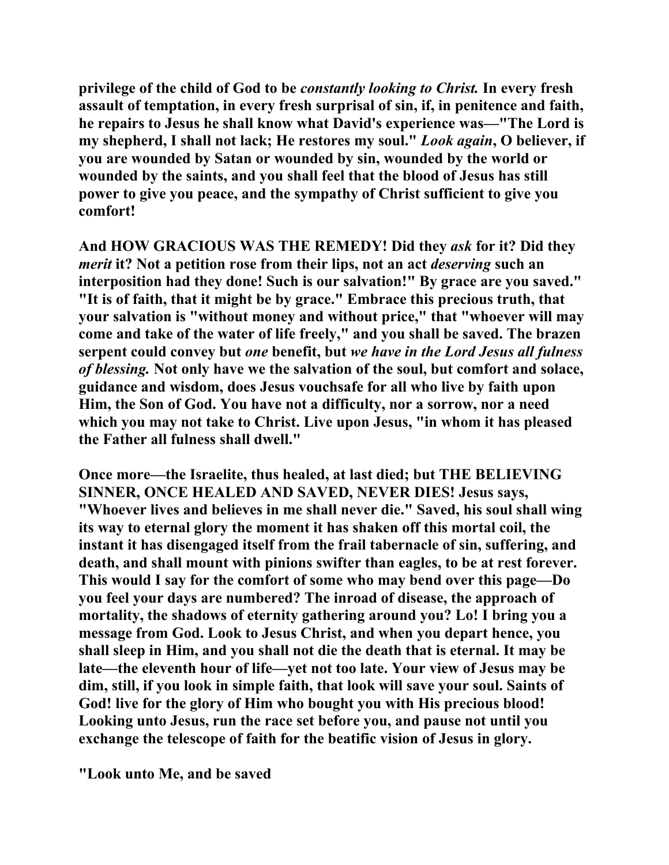**privilege of the child of God to be** *constantly looking to Christ.* **In every fresh assault of temptation, in every fresh surprisal of sin, if, in penitence and faith, he repairs to Jesus he shall know what David's experience was—"The Lord is my shepherd, I shall not lack; He restores my soul."** *Look again***, O believer, if you are wounded by Satan or wounded by sin, wounded by the world or wounded by the saints, and you shall feel that the blood of Jesus has still power to give you peace, and the sympathy of Christ sufficient to give you comfort!** 

**And HOW GRACIOUS WAS THE REMEDY! Did they** *ask* **for it? Did they**  *merit* **it? Not a petition rose from their lips, not an act** *deserving* **such an interposition had they done! Such is our salvation!" By grace are you saved." "It is of faith, that it might be by grace." Embrace this precious truth, that your salvation is "without money and without price," that "whoever will may come and take of the water of life freely," and you shall be saved. The brazen serpent could convey but** *one* **benefit, but** *we have in the Lord Jesus all fulness of blessing.* **Not only have we the salvation of the soul, but comfort and solace, guidance and wisdom, does Jesus vouchsafe for all who live by faith upon Him, the Son of God. You have not a difficulty, nor a sorrow, nor a need which you may not take to Christ. Live upon Jesus, "in whom it has pleased the Father all fulness shall dwell."** 

**Once more—the Israelite, thus healed, at last died; but THE BELIEVING SINNER, ONCE HEALED AND SAVED, NEVER DIES! Jesus says, "Whoever lives and believes in me shall never die." Saved, his soul shall wing its way to eternal glory the moment it has shaken off this mortal coil, the instant it has disengaged itself from the frail tabernacle of sin, suffering, and death, and shall mount with pinions swifter than eagles, to be at rest forever. This would I say for the comfort of some who may bend over this page—Do you feel your days are numbered? The inroad of disease, the approach of mortality, the shadows of eternity gathering around you? Lo! I bring you a message from God. Look to Jesus Christ, and when you depart hence, you shall sleep in Him, and you shall not die the death that is eternal. It may be late—the eleventh hour of life—yet not too late. Your view of Jesus may be dim, still, if you look in simple faith, that look will save your soul. Saints of God! live for the glory of Him who bought you with His precious blood! Looking unto Jesus, run the race set before you, and pause not until you exchange the telescope of faith for the beatific vision of Jesus in glory.** 

**"Look unto Me, and be saved**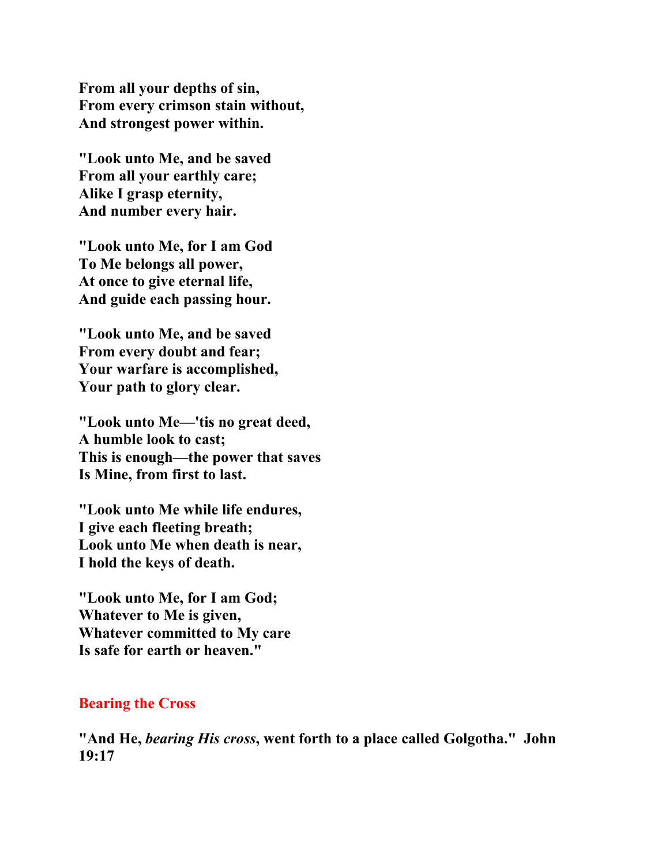**From all your depths of sin, From every crimson stain without, And strongest power within.** 

**"Look unto Me, and be saved From all your earthly care; Alike I grasp eternity, And number every hair.** 

**"Look unto Me, for I am God To Me belongs all power, At once to give eternal life, And guide each passing hour.** 

**"Look unto Me, and be saved From every doubt and fear; Your warfare is accomplished, Your path to glory clear.** 

**"Look unto Me—'tis no great deed, A humble look to cast; This is enough—the power that saves Is Mine, from first to last.** 

**"Look unto Me while life endures, I give each fleeting breath; Look unto Me when death is near, I hold the keys of death.** 

**"Look unto Me, for I am God; Whatever to Me is given, Whatever committed to My care Is safe for earth or heaven."** 

### **Bearing the Cross**

**"And He,** *bearing His cross***, went forth to a place called Golgotha." John 19:17**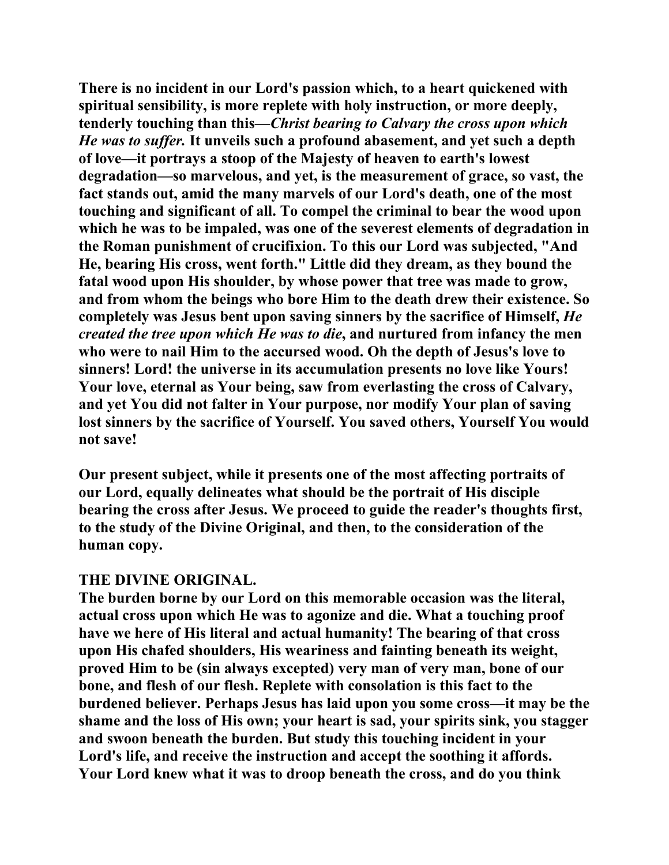**There is no incident in our Lord's passion which, to a heart quickened with spiritual sensibility, is more replete with holy instruction, or more deeply, tenderly touching than this—***Christ bearing to Calvary the cross upon which He was to suffer.* **It unveils such a profound abasement, and yet such a depth of love—it portrays a stoop of the Majesty of heaven to earth's lowest degradation—so marvelous, and yet, is the measurement of grace, so vast, the fact stands out, amid the many marvels of our Lord's death, one of the most touching and significant of all. To compel the criminal to bear the wood upon which he was to be impaled, was one of the severest elements of degradation in the Roman punishment of crucifixion. To this our Lord was subjected, "And He, bearing His cross, went forth." Little did they dream, as they bound the fatal wood upon His shoulder, by whose power that tree was made to grow, and from whom the beings who bore Him to the death drew their existence. So completely was Jesus bent upon saving sinners by the sacrifice of Himself,** *He created the tree upon which He was to die***, and nurtured from infancy the men who were to nail Him to the accursed wood. Oh the depth of Jesus's love to sinners! Lord! the universe in its accumulation presents no love like Yours! Your love, eternal as Your being, saw from everlasting the cross of Calvary, and yet You did not falter in Your purpose, nor modify Your plan of saving lost sinners by the sacrifice of Yourself. You saved others, Yourself You would not save!** 

**Our present subject, while it presents one of the most affecting portraits of our Lord, equally delineates what should be the portrait of His disciple bearing the cross after Jesus. We proceed to guide the reader's thoughts first, to the study of the Divine Original, and then, to the consideration of the human copy.** 

# **THE DIVINE ORIGINAL.**

**The burden borne by our Lord on this memorable occasion was the literal, actual cross upon which He was to agonize and die. What a touching proof have we here of His literal and actual humanity! The bearing of that cross upon His chafed shoulders, His weariness and fainting beneath its weight, proved Him to be (sin always excepted) very man of very man, bone of our bone, and flesh of our flesh. Replete with consolation is this fact to the burdened believer. Perhaps Jesus has laid upon you some cross—it may be the shame and the loss of His own; your heart is sad, your spirits sink, you stagger and swoon beneath the burden. But study this touching incident in your Lord's life, and receive the instruction and accept the soothing it affords. Your Lord knew what it was to droop beneath the cross, and do you think**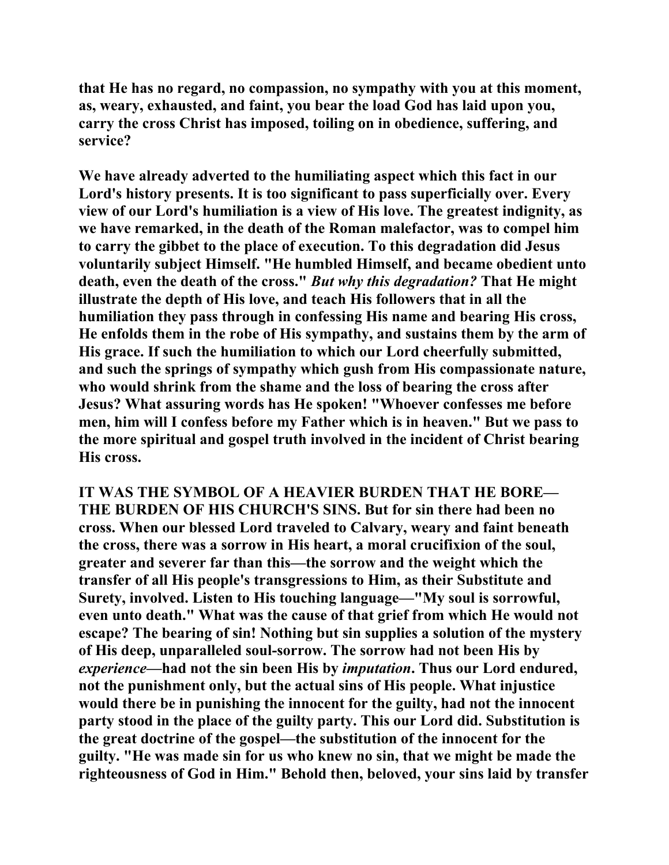**that He has no regard, no compassion, no sympathy with you at this moment, as, weary, exhausted, and faint, you bear the load God has laid upon you, carry the cross Christ has imposed, toiling on in obedience, suffering, and service?** 

**We have already adverted to the humiliating aspect which this fact in our Lord's history presents. It is too significant to pass superficially over. Every view of our Lord's humiliation is a view of His love. The greatest indignity, as we have remarked, in the death of the Roman malefactor, was to compel him to carry the gibbet to the place of execution. To this degradation did Jesus voluntarily subject Himself. "He humbled Himself, and became obedient unto death, even the death of the cross."** *But why this degradation?* **That He might illustrate the depth of His love, and teach His followers that in all the humiliation they pass through in confessing His name and bearing His cross, He enfolds them in the robe of His sympathy, and sustains them by the arm of His grace. If such the humiliation to which our Lord cheerfully submitted, and such the springs of sympathy which gush from His compassionate nature, who would shrink from the shame and the loss of bearing the cross after Jesus? What assuring words has He spoken! "Whoever confesses me before men, him will I confess before my Father which is in heaven." But we pass to the more spiritual and gospel truth involved in the incident of Christ bearing His cross.** 

**IT WAS THE SYMBOL OF A HEAVIER BURDEN THAT HE BORE— THE BURDEN OF HIS CHURCH'S SINS. But for sin there had been no cross. When our blessed Lord traveled to Calvary, weary and faint beneath the cross, there was a sorrow in His heart, a moral crucifixion of the soul, greater and severer far than this—the sorrow and the weight which the transfer of all His people's transgressions to Him, as their Substitute and Surety, involved. Listen to His touching language—"My soul is sorrowful, even unto death." What was the cause of that grief from which He would not escape? The bearing of sin! Nothing but sin supplies a solution of the mystery of His deep, unparalleled soul-sorrow. The sorrow had not been His by**  *experience***—had not the sin been His by** *imputation***. Thus our Lord endured, not the punishment only, but the actual sins of His people. What injustice would there be in punishing the innocent for the guilty, had not the innocent party stood in the place of the guilty party. This our Lord did. Substitution is the great doctrine of the gospel—the substitution of the innocent for the guilty. "He was made sin for us who knew no sin, that we might be made the righteousness of God in Him." Behold then, beloved, your sins laid by transfer**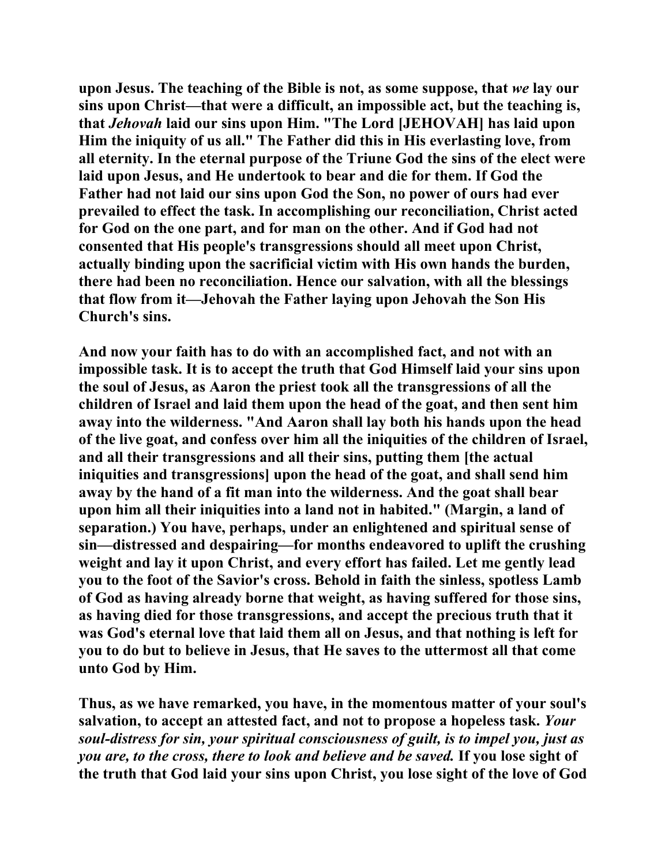**upon Jesus. The teaching of the Bible is not, as some suppose, that** *we* **lay our sins upon Christ—that were a difficult, an impossible act, but the teaching is, that** *Jehovah* **laid our sins upon Him. "The Lord [JEHOVAH] has laid upon Him the iniquity of us all." The Father did this in His everlasting love, from all eternity. In the eternal purpose of the Triune God the sins of the elect were laid upon Jesus, and He undertook to bear and die for them. If God the Father had not laid our sins upon God the Son, no power of ours had ever prevailed to effect the task. In accomplishing our reconciliation, Christ acted for God on the one part, and for man on the other. And if God had not consented that His people's transgressions should all meet upon Christ, actually binding upon the sacrificial victim with His own hands the burden, there had been no reconciliation. Hence our salvation, with all the blessings that flow from it—Jehovah the Father laying upon Jehovah the Son His Church's sins.** 

**And now your faith has to do with an accomplished fact, and not with an impossible task. It is to accept the truth that God Himself laid your sins upon the soul of Jesus, as Aaron the priest took all the transgressions of all the children of Israel and laid them upon the head of the goat, and then sent him away into the wilderness. "And Aaron shall lay both his hands upon the head of the live goat, and confess over him all the iniquities of the children of Israel, and all their transgressions and all their sins, putting them [the actual iniquities and transgressions] upon the head of the goat, and shall send him away by the hand of a fit man into the wilderness. And the goat shall bear upon him all their iniquities into a land not in habited." (Margin, a land of separation.) You have, perhaps, under an enlightened and spiritual sense of sin—distressed and despairing—for months endeavored to uplift the crushing weight and lay it upon Christ, and every effort has failed. Let me gently lead you to the foot of the Savior's cross. Behold in faith the sinless, spotless Lamb of God as having already borne that weight, as having suffered for those sins, as having died for those transgressions, and accept the precious truth that it was God's eternal love that laid them all on Jesus, and that nothing is left for you to do but to believe in Jesus, that He saves to the uttermost all that come unto God by Him.** 

**Thus, as we have remarked, you have, in the momentous matter of your soul's salvation, to accept an attested fact, and not to propose a hopeless task.** *Your soul-distress for sin, your spiritual consciousness of guilt, is to impel you, just as you are, to the cross, there to look and believe and be saved.* **If you lose sight of the truth that God laid your sins upon Christ, you lose sight of the love of God**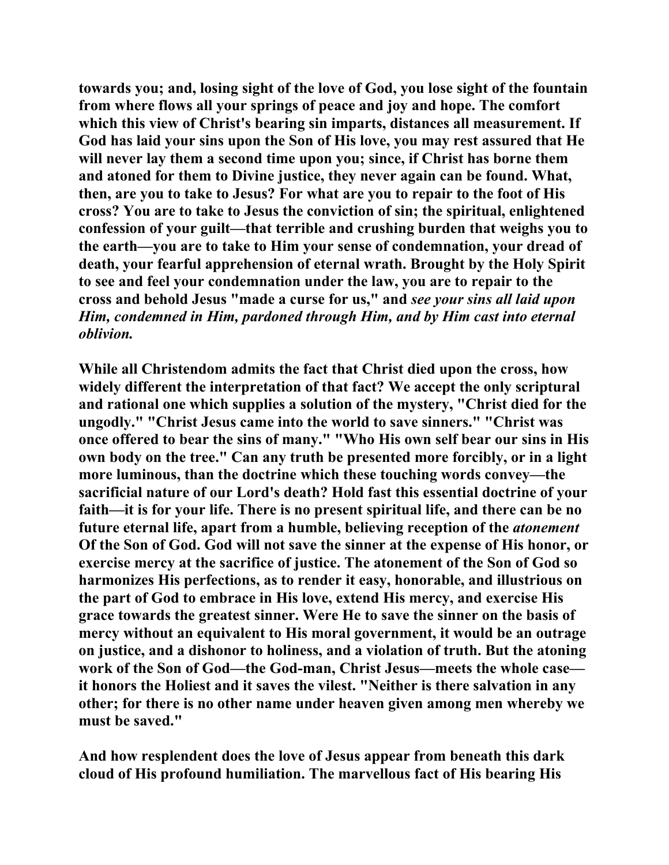**towards you; and, losing sight of the love of God, you lose sight of the fountain from where flows all your springs of peace and joy and hope. The comfort which this view of Christ's bearing sin imparts, distances all measurement. If God has laid your sins upon the Son of His love, you may rest assured that He will never lay them a second time upon you; since, if Christ has borne them and atoned for them to Divine justice, they never again can be found. What, then, are you to take to Jesus? For what are you to repair to the foot of His cross? You are to take to Jesus the conviction of sin; the spiritual, enlightened confession of your guilt—that terrible and crushing burden that weighs you to the earth—you are to take to Him your sense of condemnation, your dread of death, your fearful apprehension of eternal wrath. Brought by the Holy Spirit to see and feel your condemnation under the law, you are to repair to the cross and behold Jesus "made a curse for us," and** *see your sins all laid upon Him, condemned in Him, pardoned through Him, and by Him cast into eternal oblivion.*

**While all Christendom admits the fact that Christ died upon the cross, how widely different the interpretation of that fact? We accept the only scriptural and rational one which supplies a solution of the mystery, "Christ died for the ungodly." "Christ Jesus came into the world to save sinners." "Christ was once offered to bear the sins of many." "Who His own self bear our sins in His own body on the tree." Can any truth be presented more forcibly, or in a light more luminous, than the doctrine which these touching words convey—the sacrificial nature of our Lord's death? Hold fast this essential doctrine of your faith—it is for your life. There is no present spiritual life, and there can be no future eternal life, apart from a humble, believing reception of the** *atonement* **Of the Son of God. God will not save the sinner at the expense of His honor, or exercise mercy at the sacrifice of justice. The atonement of the Son of God so harmonizes His perfections, as to render it easy, honorable, and illustrious on the part of God to embrace in His love, extend His mercy, and exercise His grace towards the greatest sinner. Were He to save the sinner on the basis of mercy without an equivalent to His moral government, it would be an outrage on justice, and a dishonor to holiness, and a violation of truth. But the atoning work of the Son of God—the God-man, Christ Jesus—meets the whole case it honors the Holiest and it saves the vilest. "Neither is there salvation in any other; for there is no other name under heaven given among men whereby we must be saved."** 

**And how resplendent does the love of Jesus appear from beneath this dark cloud of His profound humiliation. The marvellous fact of His bearing His**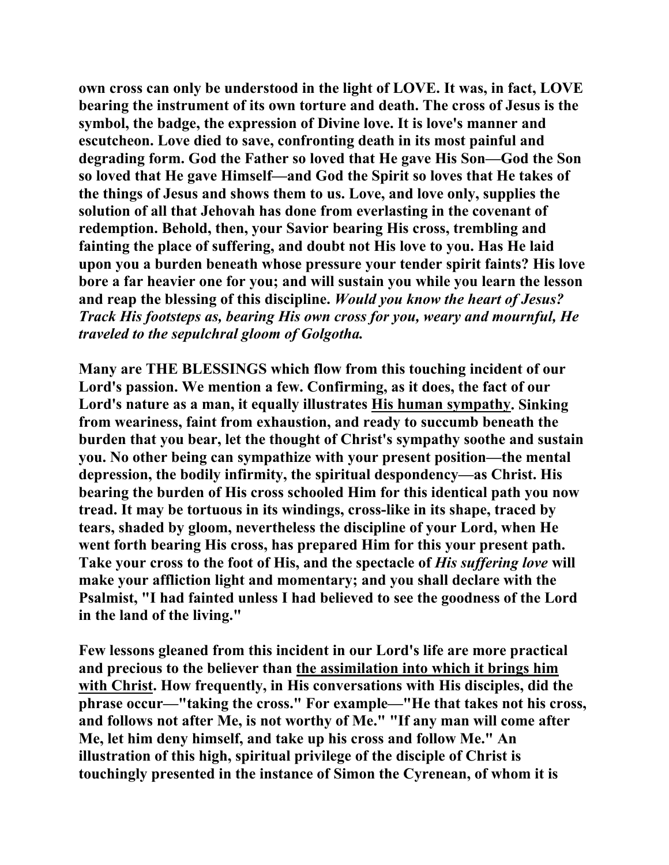**own cross can only be understood in the light of LOVE. It was, in fact, LOVE bearing the instrument of its own torture and death. The cross of Jesus is the symbol, the badge, the expression of Divine love. It is love's manner and escutcheon. Love died to save, confronting death in its most painful and degrading form. God the Father so loved that He gave His Son—God the Son so loved that He gave Himself—and God the Spirit so loves that He takes of the things of Jesus and shows them to us. Love, and love only, supplies the solution of all that Jehovah has done from everlasting in the covenant of redemption. Behold, then, your Savior bearing His cross, trembling and fainting the place of suffering, and doubt not His love to you. Has He laid upon you a burden beneath whose pressure your tender spirit faints? His love bore a far heavier one for you; and will sustain you while you learn the lesson and reap the blessing of this discipline.** *Would you know the heart of Jesus? Track His footsteps as, bearing His own cross for you, weary and mournful, He traveled to the sepulchral gloom of Golgotha.* 

**Many are THE BLESSINGS which flow from this touching incident of our Lord's passion. We mention a few. Confirming, as it does, the fact of our Lord's nature as a man, it equally illustrates His human sympathy. Sinking from weariness, faint from exhaustion, and ready to succumb beneath the burden that you bear, let the thought of Christ's sympathy soothe and sustain you. No other being can sympathize with your present position—the mental depression, the bodily infirmity, the spiritual despondency—as Christ. His bearing the burden of His cross schooled Him for this identical path you now tread. It may be tortuous in its windings, cross-like in its shape, traced by tears, shaded by gloom, nevertheless the discipline of your Lord, when He went forth bearing His cross, has prepared Him for this your present path. Take your cross to the foot of His, and the spectacle of** *His suffering love* **will make your affliction light and momentary; and you shall declare with the Psalmist, "I had fainted unless I had believed to see the goodness of the Lord in the land of the living."** 

**Few lessons gleaned from this incident in our Lord's life are more practical and precious to the believer than the assimilation into which it brings him with Christ. How frequently, in His conversations with His disciples, did the phrase occur—"taking the cross." For example—"He that takes not his cross, and follows not after Me, is not worthy of Me." "If any man will come after Me, let him deny himself, and take up his cross and follow Me." An illustration of this high, spiritual privilege of the disciple of Christ is touchingly presented in the instance of Simon the Cyrenean, of whom it is**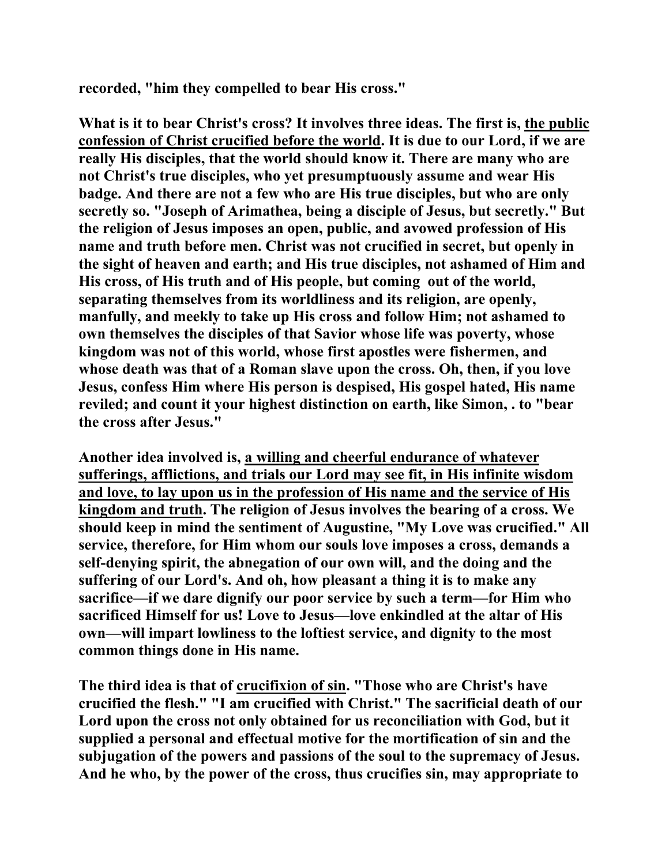**recorded, "him they compelled to bear His cross."** 

**What is it to bear Christ's cross? It involves three ideas. The first is, the public confession of Christ crucified before the world. It is due to our Lord, if we are really His disciples, that the world should know it. There are many who are not Christ's true disciples, who yet presumptuously assume and wear His badge. And there are not a few who are His true disciples, but who are only secretly so. "Joseph of Arimathea, being a disciple of Jesus, but secretly." But the religion of Jesus imposes an open, public, and avowed profession of His name and truth before men. Christ was not crucified in secret, but openly in the sight of heaven and earth; and His true disciples, not ashamed of Him and His cross, of His truth and of His people, but coming out of the world, separating themselves from its worldliness and its religion, are openly, manfully, and meekly to take up His cross and follow Him; not ashamed to own themselves the disciples of that Savior whose life was poverty, whose kingdom was not of this world, whose first apostles were fishermen, and whose death was that of a Roman slave upon the cross. Oh, then, if you love Jesus, confess Him where His person is despised, His gospel hated, His name reviled; and count it your highest distinction on earth, like Simon, . to "bear the cross after Jesus."** 

**Another idea involved is, a willing and cheerful endurance of whatever sufferings, afflictions, and trials our Lord may see fit, in His infinite wisdom and love, to lay upon us in the profession of His name and the service of His kingdom and truth. The religion of Jesus involves the bearing of a cross. We should keep in mind the sentiment of Augustine, "My Love was crucified." All service, therefore, for Him whom our souls love imposes a cross, demands a self-denying spirit, the abnegation of our own will, and the doing and the suffering of our Lord's. And oh, how pleasant a thing it is to make any sacrifice—if we dare dignify our poor service by such a term—for Him who sacrificed Himself for us! Love to Jesus—love enkindled at the altar of His own—will impart lowliness to the loftiest service, and dignity to the most common things done in His name.** 

**The third idea is that of crucifixion of sin. "Those who are Christ's have crucified the flesh." "I am crucified with Christ." The sacrificial death of our Lord upon the cross not only obtained for us reconciliation with God, but it supplied a personal and effectual motive for the mortification of sin and the subjugation of the powers and passions of the soul to the supremacy of Jesus. And he who, by the power of the cross, thus crucifies sin, may appropriate to**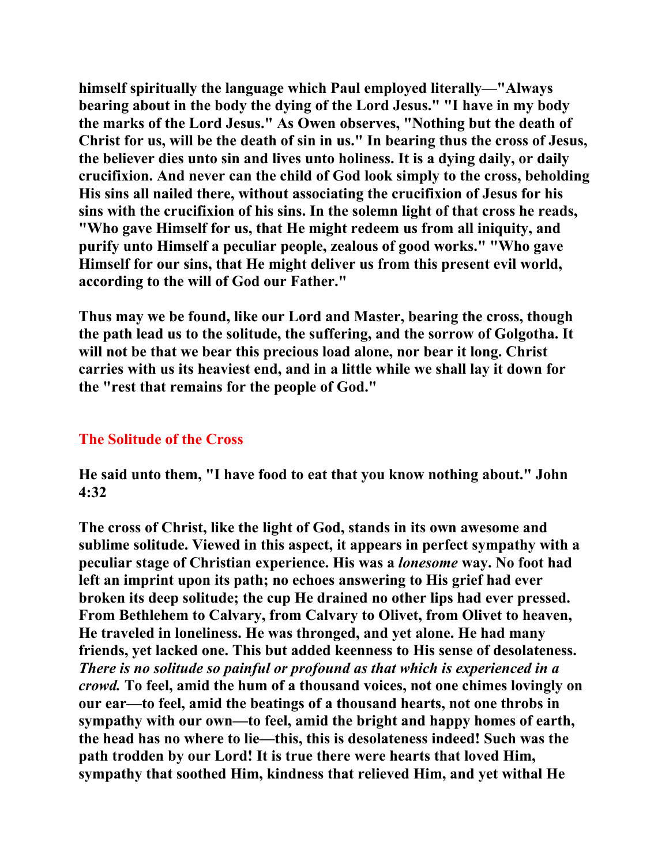**himself spiritually the language which Paul employed literally—"Always bearing about in the body the dying of the Lord Jesus." "I have in my body the marks of the Lord Jesus." As Owen observes, "Nothing but the death of Christ for us, will be the death of sin in us." In bearing thus the cross of Jesus, the believer dies unto sin and lives unto holiness. It is a dying daily, or daily crucifixion. And never can the child of God look simply to the cross, beholding His sins all nailed there, without associating the crucifixion of Jesus for his sins with the crucifixion of his sins. In the solemn light of that cross he reads, "Who gave Himself for us, that He might redeem us from all iniquity, and purify unto Himself a peculiar people, zealous of good works." "Who gave Himself for our sins, that He might deliver us from this present evil world, according to the will of God our Father."** 

**Thus may we be found, like our Lord and Master, bearing the cross, though the path lead us to the solitude, the suffering, and the sorrow of Golgotha. It will not be that we bear this precious load alone, nor bear it long. Christ carries with us its heaviest end, and in a little while we shall lay it down for the "rest that remains for the people of God."** 

# **The Solitude of the Cross**

**He said unto them, "I have food to eat that you know nothing about." John 4:32** 

**The cross of Christ, like the light of God, stands in its own awesome and sublime solitude. Viewed in this aspect, it appears in perfect sympathy with a peculiar stage of Christian experience. His was a** *lonesome* **way. No foot had left an imprint upon its path; no echoes answering to His grief had ever broken its deep solitude; the cup He drained no other lips had ever pressed. From Bethlehem to Calvary, from Calvary to Olivet, from Olivet to heaven, He traveled in loneliness. He was thronged, and yet alone. He had many friends, yet lacked one. This but added keenness to His sense of desolateness.**  *There is no solitude so painful or profound as that which is experienced in a crowd.* **To feel, amid the hum of a thousand voices, not one chimes lovingly on our ear—to feel, amid the beatings of a thousand hearts, not one throbs in sympathy with our own—to feel, amid the bright and happy homes of earth, the head has no where to lie—this, this is desolateness indeed! Such was the path trodden by our Lord! It is true there were hearts that loved Him, sympathy that soothed Him, kindness that relieved Him, and yet withal He**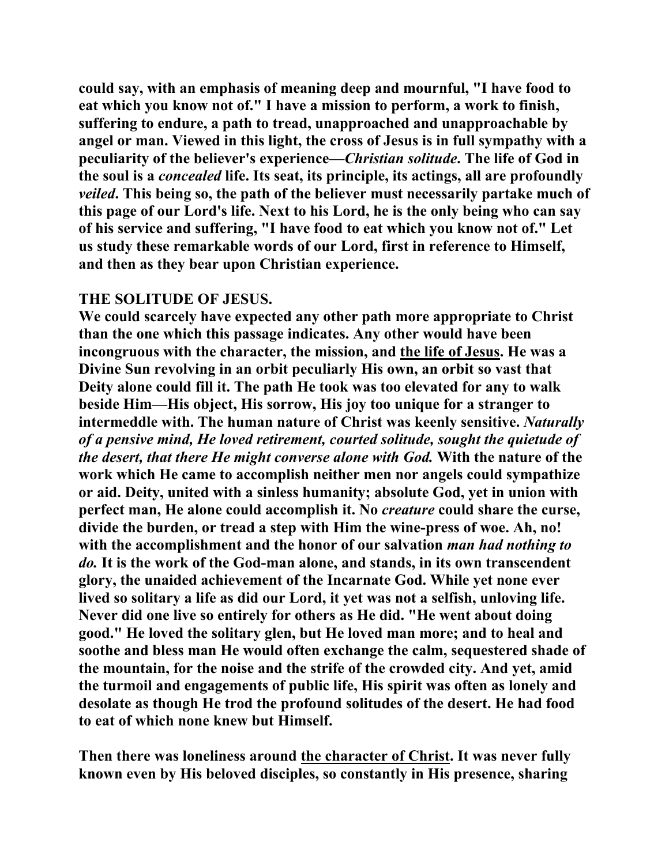**could say, with an emphasis of meaning deep and mournful, "I have food to eat which you know not of." I have a mission to perform, a work to finish, suffering to endure, a path to tread, unapproached and unapproachable by angel or man. Viewed in this light, the cross of Jesus is in full sympathy with a peculiarity of the believer's experience—***Christian solitude***. The life of God in the soul is a** *concealed* **life. Its seat, its principle, its actings, all are profoundly**  *veiled***. This being so, the path of the believer must necessarily partake much of this page of our Lord's life. Next to his Lord, he is the only being who can say of his service and suffering, "I have food to eat which you know not of." Let us study these remarkable words of our Lord, first in reference to Himself, and then as they bear upon Christian experience.** 

## **THE SOLITUDE OF JESUS.**

**We could scarcely have expected any other path more appropriate to Christ than the one which this passage indicates. Any other would have been incongruous with the character, the mission, and the life of Jesus. He was a Divine Sun revolving in an orbit peculiarly His own, an orbit so vast that Deity alone could fill it. The path He took was too elevated for any to walk beside Him—His object, His sorrow, His joy too unique for a stranger to intermeddle with. The human nature of Christ was keenly sensitive.** *Naturally of a pensive mind, He loved retirement, courted solitude, sought the quietude of the desert, that there He might converse alone with God.* **With the nature of the work which He came to accomplish neither men nor angels could sympathize or aid. Deity, united with a sinless humanity; absolute God, yet in union with perfect man, He alone could accomplish it. No** *creature* **could share the curse, divide the burden, or tread a step with Him the wine-press of woe. Ah, no! with the accomplishment and the honor of our salvation** *man had nothing to do.* **It is the work of the God-man alone, and stands, in its own transcendent glory, the unaided achievement of the Incarnate God. While yet none ever lived so solitary a life as did our Lord, it yet was not a selfish, unloving life. Never did one live so entirely for others as He did. "He went about doing good." He loved the solitary glen, but He loved man more; and to heal and soothe and bless man He would often exchange the calm, sequestered shade of the mountain, for the noise and the strife of the crowded city. And yet, amid the turmoil and engagements of public life, His spirit was often as lonely and desolate as though He trod the profound solitudes of the desert. He had food to eat of which none knew but Himself.** 

**Then there was loneliness around the character of Christ. It was never fully known even by His beloved disciples, so constantly in His presence, sharing**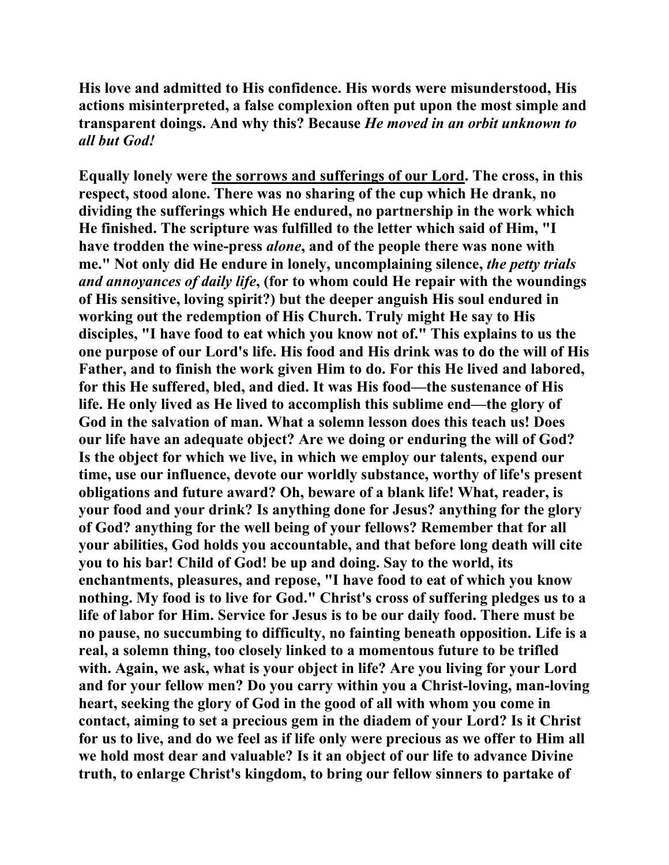**His love and admitted to His confidence. His words were misunderstood, His actions misinterpreted, a false complexion often put upon the most simple and transparent doings. And why this? Because** *He moved in an orbit unknown to all but God!*

**Equally lonely were the sorrows and sufferings of our Lord. The cross, in this respect, stood alone. There was no sharing of the cup which He drank, no dividing the sufferings which He endured, no partnership in the work which He finished. The scripture was fulfilled to the letter which said of Him, "I have trodden the wine-press** *alone***, and of the people there was none with me." Not only did He endure in lonely, uncomplaining silence,** *the petty trials and annoyances of daily life***, (for to whom could He repair with the woundings of His sensitive, loving spirit?) but the deeper anguish His soul endured in working out the redemption of His Church. Truly might He say to His disciples, "I have food to eat which you know not of." This explains to us the one purpose of our Lord's life. His food and His drink was to do the will of His Father, and to finish the work given Him to do. For this He lived and labored, for this He suffered, bled, and died. It was His food—the sustenance of His life. He only lived as He lived to accomplish this sublime end—the glory of God in the salvation of man. What a solemn lesson does this teach us! Does our life have an adequate object? Are we doing or enduring the will of God? Is the object for which we live, in which we employ our talents, expend our time, use our influence, devote our worldly substance, worthy of life's present obligations and future award? Oh, beware of a blank life! What, reader, is your food and your drink? Is anything done for Jesus? anything for the glory of God? anything for the well being of your fellows? Remember that for all your abilities, God holds you accountable, and that before long death will cite you to his bar! Child of God! be up and doing. Say to the world, its enchantments, pleasures, and repose, "I have food to eat of which you know nothing. My food is to live for God." Christ's cross of suffering pledges us to a life of labor for Him. Service for Jesus is to be our daily food. There must be no pause, no succumbing to difficulty, no fainting beneath opposition. Life is a real, a solemn thing, too closely linked to a momentous future to be trifled with. Again, we ask, what is your object in life? Are you living for your Lord and for your fellow men? Do you carry within you a Christ-loving, man-loving heart, seeking the glory of God in the good of all with whom you come in contact, aiming to set a precious gem in the diadem of your Lord? Is it Christ for us to live, and do we feel as if life only were precious as we offer to Him all we hold most dear and valuable? Is it an object of our life to advance Divine truth, to enlarge Christ's kingdom, to bring our fellow sinners to partake of**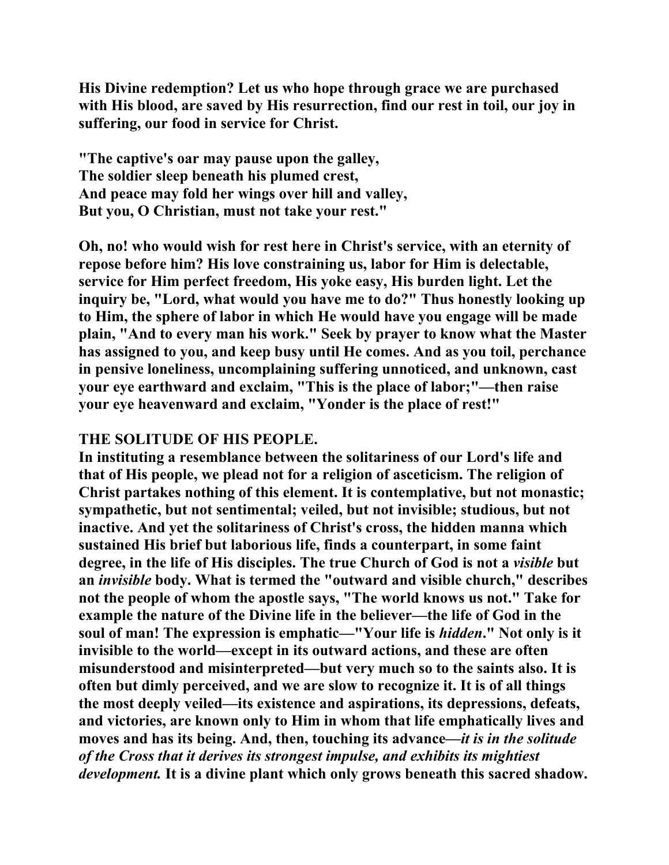**His Divine redemption? Let us who hope through grace we are purchased with His blood, are saved by His resurrection, find our rest in toil, our joy in suffering, our food in service for Christ.** 

**"The captive's oar may pause upon the galley, The soldier sleep beneath his plumed crest, And peace may fold her wings over hill and valley, But you, O Christian, must not take your rest."** 

**Oh, no! who would wish for rest here in Christ's service, with an eternity of repose before him? His love constraining us, labor for Him is delectable, service for Him perfect freedom, His yoke easy, His burden light. Let the inquiry be, "Lord, what would you have me to do?" Thus honestly looking up to Him, the sphere of labor in which He would have you engage will be made plain, "And to every man his work." Seek by prayer to know what the Master has assigned to you, and keep busy until He comes. And as you toil, perchance in pensive loneliness, uncomplaining suffering unnoticed, and unknown, cast your eye earthward and exclaim, "This is the place of labor;"—then raise your eye heavenward and exclaim, "Yonder is the place of rest!"** 

## **THE SOLITUDE OF HIS PEOPLE.**

**In instituting a resemblance between the solitariness of our Lord's life and that of His people, we plead not for a religion of asceticism. The religion of Christ partakes nothing of this element. It is contemplative, but not monastic; sympathetic, but not sentimental; veiled, but not invisible; studious, but not inactive. And yet the solitariness of Christ's cross, the hidden manna which sustained His brief but laborious life, finds a counterpart, in some faint degree, in the life of His disciples. The true Church of God is not a** *visible* **but an** *invisible* **body. What is termed the "outward and visible church," describes not the people of whom the apostle says, "The world knows us not." Take for example the nature of the Divine life in the believer—the life of God in the soul of man! The expression is emphatic—"Your life is** *hidden***." Not only is it invisible to the world—except in its outward actions, and these are often misunderstood and misinterpreted—but very much so to the saints also. It is often but dimly perceived, and we are slow to recognize it. It is of all things the most deeply veiled—its existence and aspirations, its depressions, defeats, and victories, are known only to Him in whom that life emphatically lives and moves and has its being. And, then, touching its advance—***it is in the solitude of the Cross that it derives its strongest impulse, and exhibits its mightiest development.* **It is a divine plant which only grows beneath this sacred shadow.**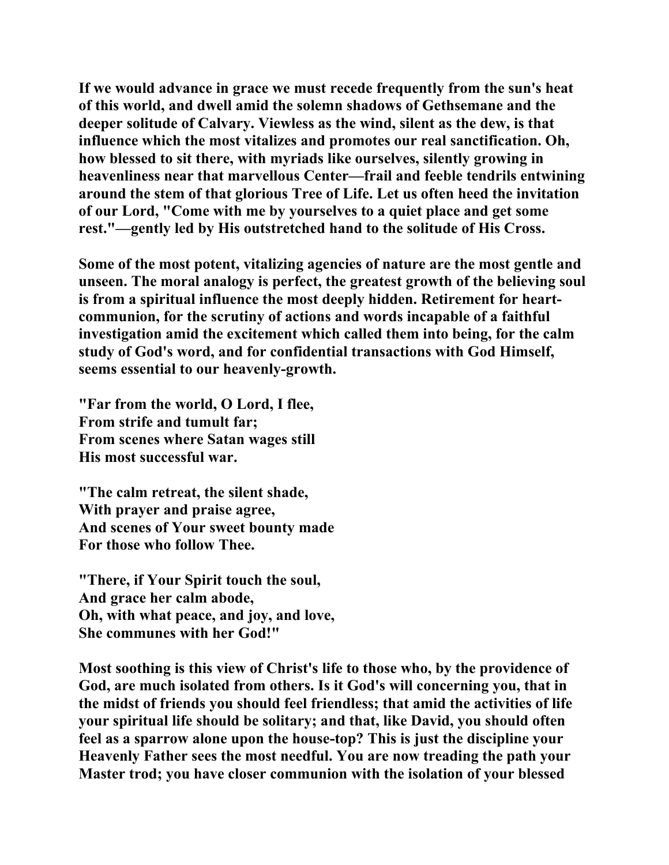**If we would advance in grace we must recede frequently from the sun's heat of this world, and dwell amid the solemn shadows of Gethsemane and the deeper solitude of Calvary. Viewless as the wind, silent as the dew, is that influence which the most vitalizes and promotes our real sanctification. Oh, how blessed to sit there, with myriads like ourselves, silently growing in heavenliness near that marvellous Center—frail and feeble tendrils entwining around the stem of that glorious Tree of Life. Let us often heed the invitation of our Lord, "Come with me by yourselves to a quiet place and get some rest."—gently led by His outstretched hand to the solitude of His Cross.** 

**Some of the most potent, vitalizing agencies of nature are the most gentle and unseen. The moral analogy is perfect, the greatest growth of the believing soul is from a spiritual influence the most deeply hidden. Retirement for heartcommunion, for the scrutiny of actions and words incapable of a faithful investigation amid the excitement which called them into being, for the calm study of God's word, and for confidential transactions with God Himself, seems essential to our heavenly-growth.** 

**"Far from the world, O Lord, I flee, From strife and tumult far; From scenes where Satan wages still His most successful war.** 

**"The calm retreat, the silent shade, With prayer and praise agree, And scenes of Your sweet bounty made For those who follow Thee.** 

**"There, if Your Spirit touch the soul, And grace her calm abode, Oh, with what peace, and joy, and love, She communes with her God!"** 

**Most soothing is this view of Christ's life to those who, by the providence of God, are much isolated from others. Is it God's will concerning you, that in the midst of friends you should feel friendless; that amid the activities of life your spiritual life should be solitary; and that, like David, you should often feel as a sparrow alone upon the house-top? This is just the discipline your Heavenly Father sees the most needful. You are now treading the path your Master trod; you have closer communion with the isolation of your blessed**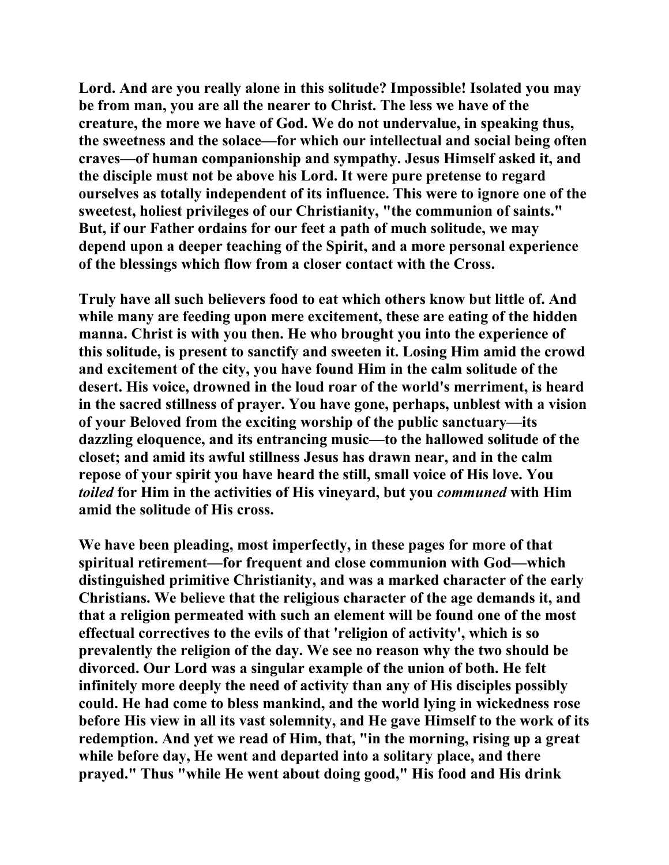**Lord. And are you really alone in this solitude? Impossible! Isolated you may be from man, you are all the nearer to Christ. The less we have of the creature, the more we have of God. We do not undervalue, in speaking thus, the sweetness and the solace—for which our intellectual and social being often craves—of human companionship and sympathy. Jesus Himself asked it, and the disciple must not be above his Lord. It were pure pretense to regard ourselves as totally independent of its influence. This were to ignore one of the sweetest, holiest privileges of our Christianity, "the communion of saints." But, if our Father ordains for our feet a path of much solitude, we may depend upon a deeper teaching of the Spirit, and a more personal experience of the blessings which flow from a closer contact with the Cross.** 

**Truly have all such believers food to eat which others know but little of. And while many are feeding upon mere excitement, these are eating of the hidden manna. Christ is with you then. He who brought you into the experience of this solitude, is present to sanctify and sweeten it. Losing Him amid the crowd and excitement of the city, you have found Him in the calm solitude of the desert. His voice, drowned in the loud roar of the world's merriment, is heard in the sacred stillness of prayer. You have gone, perhaps, unblest with a vision of your Beloved from the exciting worship of the public sanctuary—its dazzling eloquence, and its entrancing music—to the hallowed solitude of the closet; and amid its awful stillness Jesus has drawn near, and in the calm repose of your spirit you have heard the still, small voice of His love. You**  *toiled* **for Him in the activities of His vineyard, but you** *communed* **with Him amid the solitude of His cross.** 

**We have been pleading, most imperfectly, in these pages for more of that spiritual retirement—for frequent and close communion with God—which distinguished primitive Christianity, and was a marked character of the early Christians. We believe that the religious character of the age demands it, and that a religion permeated with such an element will be found one of the most effectual correctives to the evils of that 'religion of activity', which is so prevalently the religion of the day. We see no reason why the two should be divorced. Our Lord was a singular example of the union of both. He felt infinitely more deeply the need of activity than any of His disciples possibly could. He had come to bless mankind, and the world lying in wickedness rose before His view in all its vast solemnity, and He gave Himself to the work of its redemption. And yet we read of Him, that, "in the morning, rising up a great while before day, He went and departed into a solitary place, and there prayed." Thus "while He went about doing good," His food and His drink**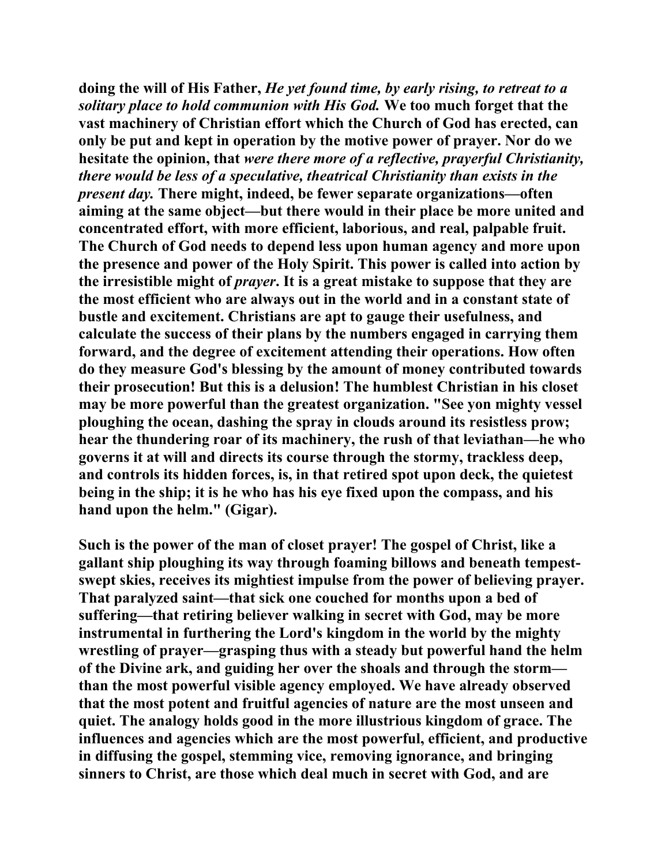**doing the will of His Father,** *He yet found time, by early rising, to retreat to a solitary place to hold communion with His God.* **We too much forget that the vast machinery of Christian effort which the Church of God has erected, can only be put and kept in operation by the motive power of prayer. Nor do we hesitate the opinion, that** *were there more of a reflective, prayerful Christianity, there would be less of a speculative, theatrical Christianity than exists in the present day.* **There might, indeed, be fewer separate organizations—often aiming at the same object—but there would in their place be more united and concentrated effort, with more efficient, laborious, and real, palpable fruit. The Church of God needs to depend less upon human agency and more upon the presence and power of the Holy Spirit. This power is called into action by the irresistible might of** *prayer***. It is a great mistake to suppose that they are the most efficient who are always out in the world and in a constant state of bustle and excitement. Christians are apt to gauge their usefulness, and calculate the success of their plans by the numbers engaged in carrying them forward, and the degree of excitement attending their operations. How often do they measure God's blessing by the amount of money contributed towards their prosecution! But this is a delusion! The humblest Christian in his closet may be more powerful than the greatest organization. "See yon mighty vessel ploughing the ocean, dashing the spray in clouds around its resistless prow; hear the thundering roar of its machinery, the rush of that leviathan—he who governs it at will and directs its course through the stormy, trackless deep, and controls its hidden forces, is, in that retired spot upon deck, the quietest being in the ship; it is he who has his eye fixed upon the compass, and his hand upon the helm." (Gigar).** 

**Such is the power of the man of closet prayer! The gospel of Christ, like a gallant ship ploughing its way through foaming billows and beneath tempestswept skies, receives its mightiest impulse from the power of believing prayer. That paralyzed saint—that sick one couched for months upon a bed of suffering—that retiring believer walking in secret with God, may be more instrumental in furthering the Lord's kingdom in the world by the mighty wrestling of prayer—grasping thus with a steady but powerful hand the helm of the Divine ark, and guiding her over the shoals and through the storm than the most powerful visible agency employed. We have already observed that the most potent and fruitful agencies of nature are the most unseen and quiet. The analogy holds good in the more illustrious kingdom of grace. The influences and agencies which are the most powerful, efficient, and productive in diffusing the gospel, stemming vice, removing ignorance, and bringing sinners to Christ, are those which deal much in secret with God, and are**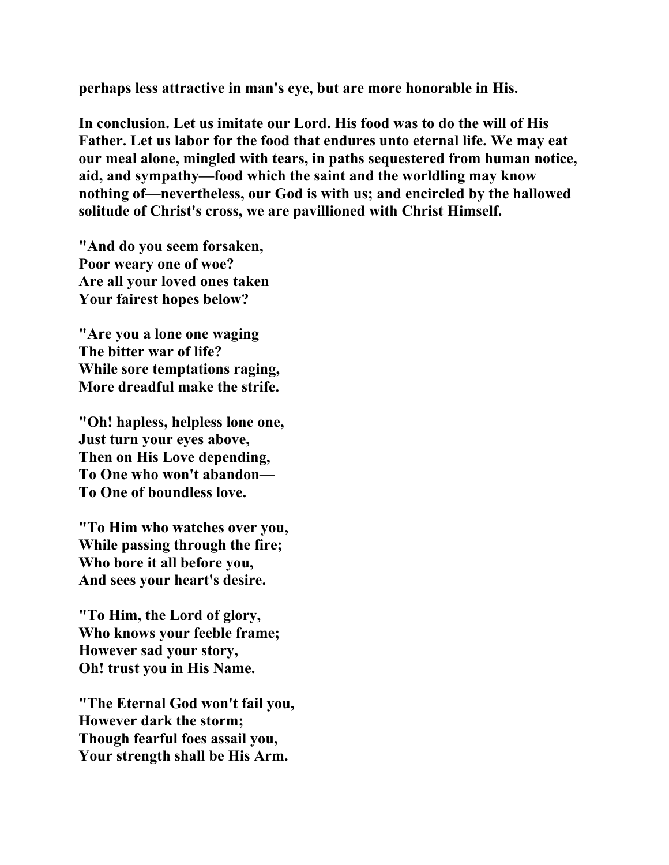**perhaps less attractive in man's eye, but are more honorable in His.** 

**In conclusion. Let us imitate our Lord. His food was to do the will of His Father. Let us labor for the food that endures unto eternal life. We may eat our meal alone, mingled with tears, in paths sequestered from human notice, aid, and sympathy—food which the saint and the worldling may know nothing of—nevertheless, our God is with us; and encircled by the hallowed solitude of Christ's cross, we are pavillioned with Christ Himself.** 

**"And do you seem forsaken, Poor weary one of woe? Are all your loved ones taken Your fairest hopes below?** 

**"Are you a lone one waging The bitter war of life? While sore temptations raging, More dreadful make the strife.** 

**"Oh! hapless, helpless lone one, Just turn your eyes above, Then on His Love depending, To One who won't abandon— To One of boundless love.** 

**"To Him who watches over you, While passing through the fire; Who bore it all before you, And sees your heart's desire.** 

**"To Him, the Lord of glory, Who knows your feeble frame; However sad your story, Oh! trust you in His Name.** 

**"The Eternal God won't fail you, However dark the storm; Though fearful foes assail you, Your strength shall be His Arm.**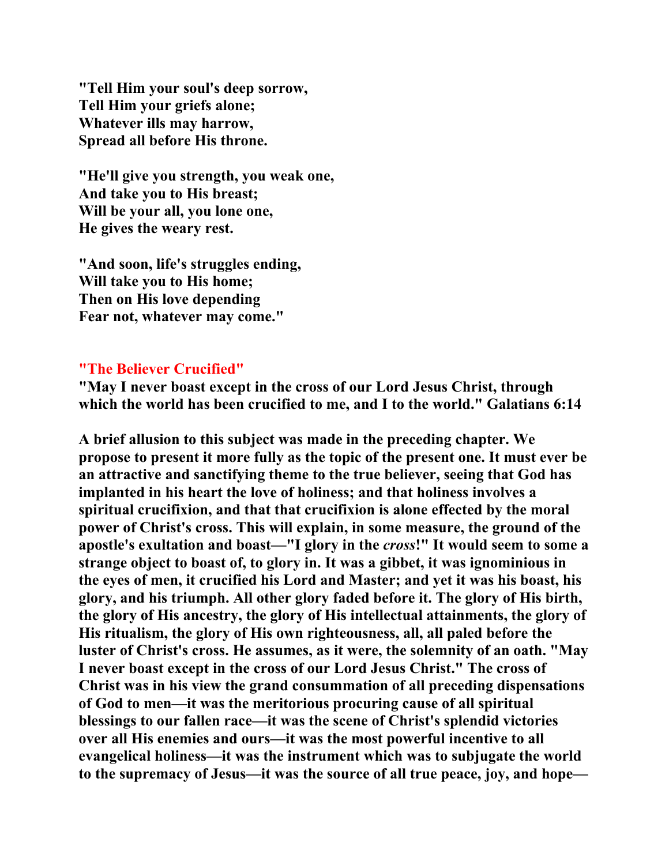**"Tell Him your soul's deep sorrow, Tell Him your griefs alone; Whatever ills may harrow, Spread all before His throne.** 

**"He'll give you strength, you weak one, And take you to His breast; Will be your all, you lone one, He gives the weary rest.** 

**"And soon, life's struggles ending, Will take you to His home; Then on His love depending Fear not, whatever may come."** 

#### **"The Believer Crucified"**

**"May I never boast except in the cross of our Lord Jesus Christ, through which the world has been crucified to me, and I to the world." Galatians 6:14** 

**A brief allusion to this subject was made in the preceding chapter. We propose to present it more fully as the topic of the present one. It must ever be an attractive and sanctifying theme to the true believer, seeing that God has implanted in his heart the love of holiness; and that holiness involves a spiritual crucifixion, and that that crucifixion is alone effected by the moral power of Christ's cross. This will explain, in some measure, the ground of the apostle's exultation and boast—"I glory in the** *cross***!" It would seem to some a strange object to boast of, to glory in. It was a gibbet, it was ignominious in the eyes of men, it crucified his Lord and Master; and yet it was his boast, his glory, and his triumph. All other glory faded before it. The glory of His birth, the glory of His ancestry, the glory of His intellectual attainments, the glory of His ritualism, the glory of His own righteousness, all, all paled before the luster of Christ's cross. He assumes, as it were, the solemnity of an oath. "May I never boast except in the cross of our Lord Jesus Christ." The cross of Christ was in his view the grand consummation of all preceding dispensations of God to men—it was the meritorious procuring cause of all spiritual blessings to our fallen race—it was the scene of Christ's splendid victories over all His enemies and ours—it was the most powerful incentive to all evangelical holiness—it was the instrument which was to subjugate the world to the supremacy of Jesus—it was the source of all true peace, joy, and hope—**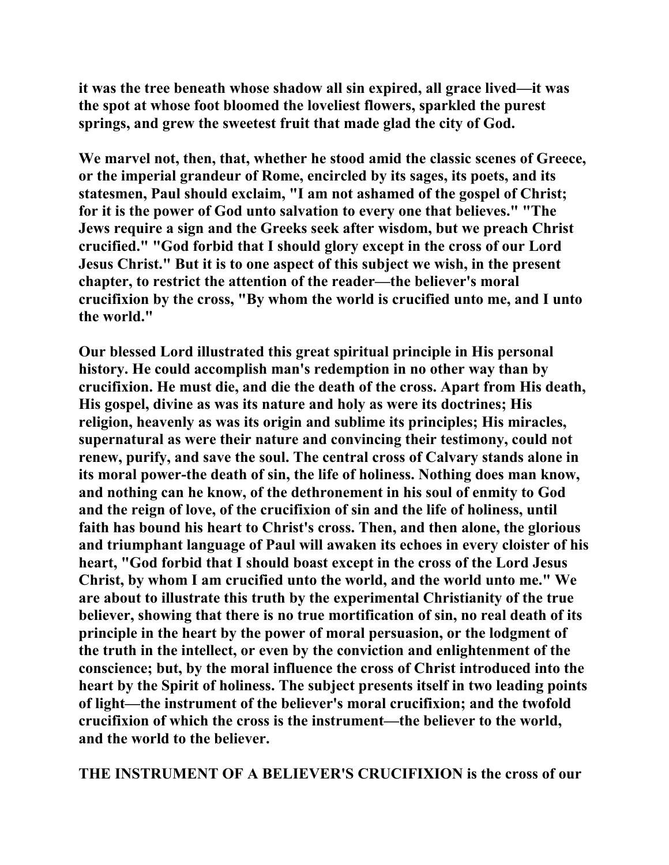**it was the tree beneath whose shadow all sin expired, all grace lived—it was the spot at whose foot bloomed the loveliest flowers, sparkled the purest springs, and grew the sweetest fruit that made glad the city of God.** 

**We marvel not, then, that, whether he stood amid the classic scenes of Greece, or the imperial grandeur of Rome, encircled by its sages, its poets, and its statesmen, Paul should exclaim, "I am not ashamed of the gospel of Christ; for it is the power of God unto salvation to every one that believes." "The Jews require a sign and the Greeks seek after wisdom, but we preach Christ crucified." "God forbid that I should glory except in the cross of our Lord Jesus Christ." But it is to one aspect of this subject we wish, in the present chapter, to restrict the attention of the reader—the believer's moral crucifixion by the cross, "By whom the world is crucified unto me, and I unto the world."** 

**Our blessed Lord illustrated this great spiritual principle in His personal history. He could accomplish man's redemption in no other way than by crucifixion. He must die, and die the death of the cross. Apart from His death, His gospel, divine as was its nature and holy as were its doctrines; His religion, heavenly as was its origin and sublime its principles; His miracles, supernatural as were their nature and convincing their testimony, could not renew, purify, and save the soul. The central cross of Calvary stands alone in its moral power-the death of sin, the life of holiness. Nothing does man know, and nothing can he know, of the dethronement in his soul of enmity to God and the reign of love, of the crucifixion of sin and the life of holiness, until faith has bound his heart to Christ's cross. Then, and then alone, the glorious and triumphant language of Paul will awaken its echoes in every cloister of his heart, "God forbid that I should boast except in the cross of the Lord Jesus Christ, by whom I am crucified unto the world, and the world unto me." We are about to illustrate this truth by the experimental Christianity of the true believer, showing that there is no true mortification of sin, no real death of its principle in the heart by the power of moral persuasion, or the lodgment of the truth in the intellect, or even by the conviction and enlightenment of the conscience; but, by the moral influence the cross of Christ introduced into the heart by the Spirit of holiness. The subject presents itself in two leading points of light—the instrument of the believer's moral crucifixion; and the twofold crucifixion of which the cross is the instrument—the believer to the world, and the world to the believer.** 

**THE INSTRUMENT OF A BELIEVER'S CRUCIFIXION is the cross of our**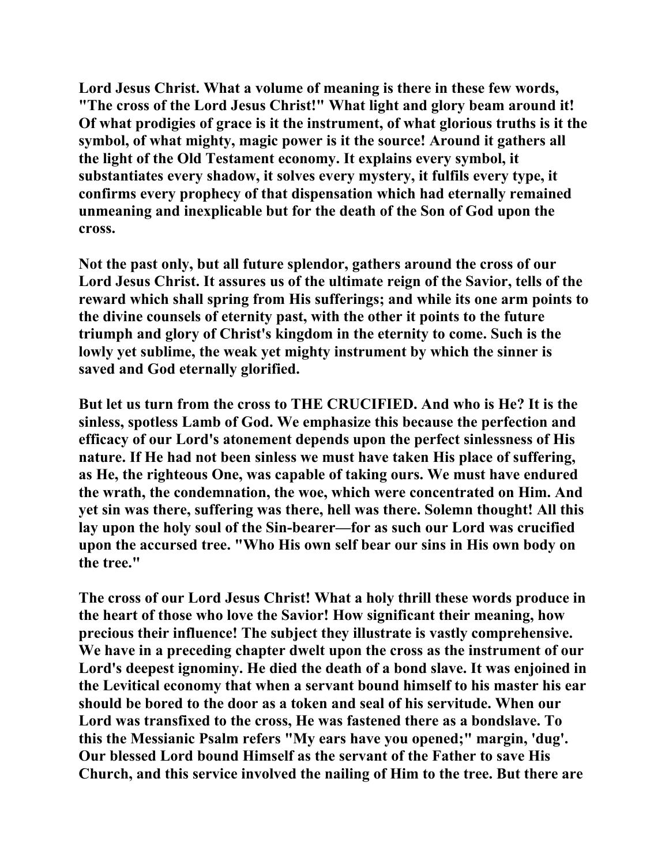**Lord Jesus Christ. What a volume of meaning is there in these few words, "The cross of the Lord Jesus Christ!" What light and glory beam around it! Of what prodigies of grace is it the instrument, of what glorious truths is it the symbol, of what mighty, magic power is it the source! Around it gathers all the light of the Old Testament economy. It explains every symbol, it substantiates every shadow, it solves every mystery, it fulfils every type, it confirms every prophecy of that dispensation which had eternally remained unmeaning and inexplicable but for the death of the Son of God upon the cross.** 

**Not the past only, but all future splendor, gathers around the cross of our Lord Jesus Christ. It assures us of the ultimate reign of the Savior, tells of the reward which shall spring from His sufferings; and while its one arm points to the divine counsels of eternity past, with the other it points to the future triumph and glory of Christ's kingdom in the eternity to come. Such is the lowly yet sublime, the weak yet mighty instrument by which the sinner is saved and God eternally glorified.** 

**But let us turn from the cross to THE CRUCIFIED. And who is He? It is the sinless, spotless Lamb of God. We emphasize this because the perfection and efficacy of our Lord's atonement depends upon the perfect sinlessness of His nature. If He had not been sinless we must have taken His place of suffering, as He, the righteous One, was capable of taking ours. We must have endured the wrath, the condemnation, the woe, which were concentrated on Him. And yet sin was there, suffering was there, hell was there. Solemn thought! All this lay upon the holy soul of the Sin-bearer—for as such our Lord was crucified upon the accursed tree. "Who His own self bear our sins in His own body on the tree."** 

**The cross of our Lord Jesus Christ! What a holy thrill these words produce in the heart of those who love the Savior! How significant their meaning, how precious their influence! The subject they illustrate is vastly comprehensive. We have in a preceding chapter dwelt upon the cross as the instrument of our Lord's deepest ignominy. He died the death of a bond slave. It was enjoined in the Levitical economy that when a servant bound himself to his master his ear should be bored to the door as a token and seal of his servitude. When our Lord was transfixed to the cross, He was fastened there as a bondslave. To this the Messianic Psalm refers "My ears have you opened;" margin, 'dug'. Our blessed Lord bound Himself as the servant of the Father to save His Church, and this service involved the nailing of Him to the tree. But there are**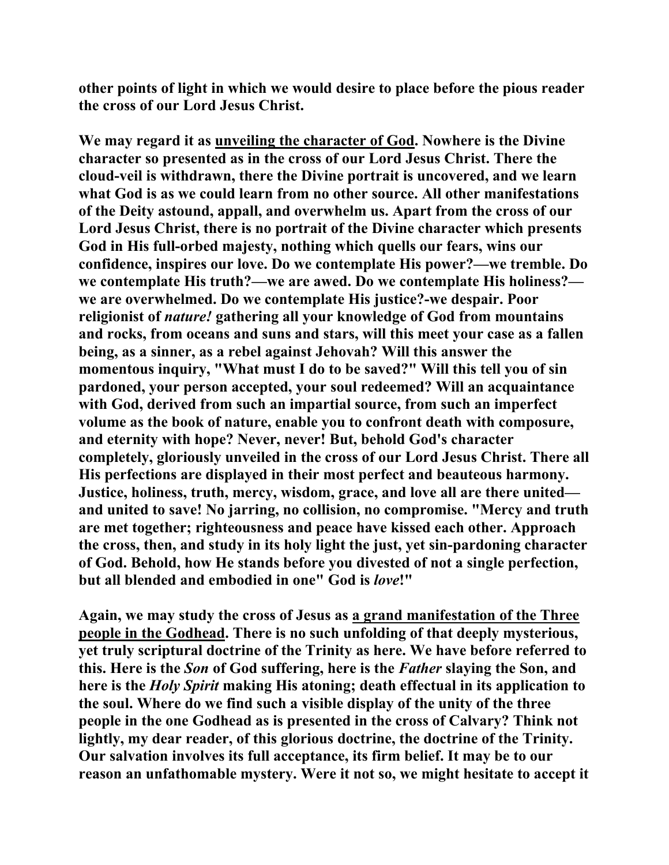**other points of light in which we would desire to place before the pious reader the cross of our Lord Jesus Christ.** 

**We may regard it as unveiling the character of God. Nowhere is the Divine character so presented as in the cross of our Lord Jesus Christ. There the cloud-veil is withdrawn, there the Divine portrait is uncovered, and we learn what God is as we could learn from no other source. All other manifestations of the Deity astound, appall, and overwhelm us. Apart from the cross of our Lord Jesus Christ, there is no portrait of the Divine character which presents God in His full-orbed majesty, nothing which quells our fears, wins our confidence, inspires our love. Do we contemplate His power?—we tremble. Do we contemplate His truth?—we are awed. Do we contemplate His holiness? we are overwhelmed. Do we contemplate His justice?-we despair. Poor religionist of** *nature!* **gathering all your knowledge of God from mountains and rocks, from oceans and suns and stars, will this meet your case as a fallen being, as a sinner, as a rebel against Jehovah? Will this answer the momentous inquiry, "What must I do to be saved?" Will this tell you of sin pardoned, your person accepted, your soul redeemed? Will an acquaintance with God, derived from such an impartial source, from such an imperfect volume as the book of nature, enable you to confront death with composure, and eternity with hope? Never, never! But, behold God's character completely, gloriously unveiled in the cross of our Lord Jesus Christ. There all His perfections are displayed in their most perfect and beauteous harmony. Justice, holiness, truth, mercy, wisdom, grace, and love all are there united and united to save! No jarring, no collision, no compromise. "Mercy and truth are met together; righteousness and peace have kissed each other. Approach the cross, then, and study in its holy light the just, yet sin-pardoning character of God. Behold, how He stands before you divested of not a single perfection, but all blended and embodied in one" God is** *love***!"** 

**Again, we may study the cross of Jesus as a grand manifestation of the Three people in the Godhead. There is no such unfolding of that deeply mysterious, yet truly scriptural doctrine of the Trinity as here. We have before referred to this. Here is the** *Son* **of God suffering, here is the** *Father* **slaying the Son, and here is the** *Holy Spirit* **making His atoning; death effectual in its application to the soul. Where do we find such a visible display of the unity of the three people in the one Godhead as is presented in the cross of Calvary? Think not lightly, my dear reader, of this glorious doctrine, the doctrine of the Trinity. Our salvation involves its full acceptance, its firm belief. It may be to our reason an unfathomable mystery. Were it not so, we might hesitate to accept it**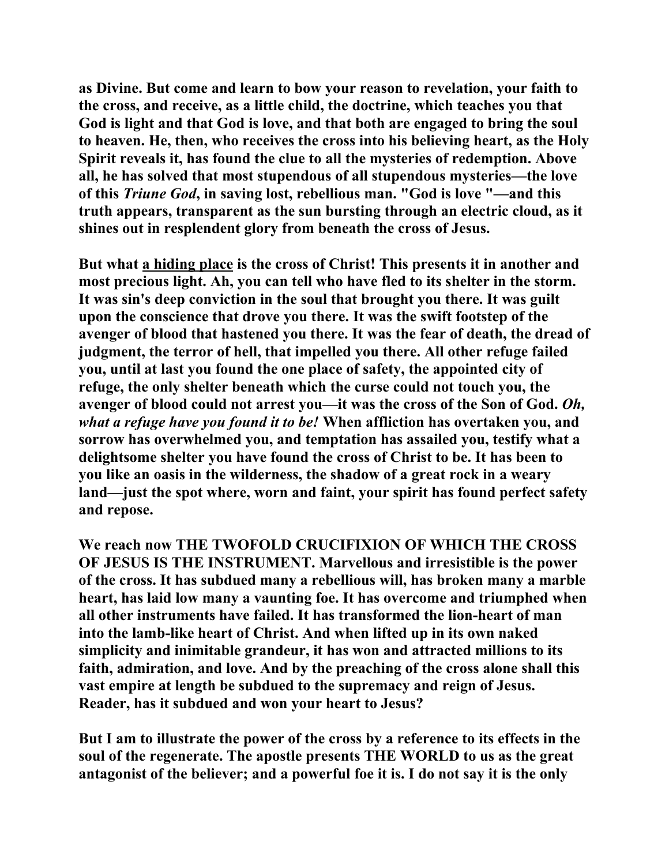**as Divine. But come and learn to bow your reason to revelation, your faith to the cross, and receive, as a little child, the doctrine, which teaches you that God is light and that God is love, and that both are engaged to bring the soul to heaven. He, then, who receives the cross into his believing heart, as the Holy Spirit reveals it, has found the clue to all the mysteries of redemption. Above all, he has solved that most stupendous of all stupendous mysteries—the love of this** *Triune God***, in saving lost, rebellious man. "God is love "—and this truth appears, transparent as the sun bursting through an electric cloud, as it shines out in resplendent glory from beneath the cross of Jesus.** 

**But what a hiding place is the cross of Christ! This presents it in another and most precious light. Ah, you can tell who have fled to its shelter in the storm. It was sin's deep conviction in the soul that brought you there. It was guilt upon the conscience that drove you there. It was the swift footstep of the avenger of blood that hastened you there. It was the fear of death, the dread of judgment, the terror of hell, that impelled you there. All other refuge failed you, until at last you found the one place of safety, the appointed city of refuge, the only shelter beneath which the curse could not touch you, the avenger of blood could not arrest you—it was the cross of the Son of God.** *Oh, what a refuge have you found it to be!* **When affliction has overtaken you, and sorrow has overwhelmed you, and temptation has assailed you, testify what a delightsome shelter you have found the cross of Christ to be. It has been to you like an oasis in the wilderness, the shadow of a great rock in a weary land—just the spot where, worn and faint, your spirit has found perfect safety and repose.** 

**We reach now THE TWOFOLD CRUCIFIXION OF WHICH THE CROSS OF JESUS IS THE INSTRUMENT. Marvellous and irresistible is the power of the cross. It has subdued many a rebellious will, has broken many a marble heart, has laid low many a vaunting foe. It has overcome and triumphed when all other instruments have failed. It has transformed the lion-heart of man into the lamb-like heart of Christ. And when lifted up in its own naked simplicity and inimitable grandeur, it has won and attracted millions to its faith, admiration, and love. And by the preaching of the cross alone shall this vast empire at length be subdued to the supremacy and reign of Jesus. Reader, has it subdued and won your heart to Jesus?** 

**But I am to illustrate the power of the cross by a reference to its effects in the soul of the regenerate. The apostle presents THE WORLD to us as the great antagonist of the believer; and a powerful foe it is. I do not say it is the only**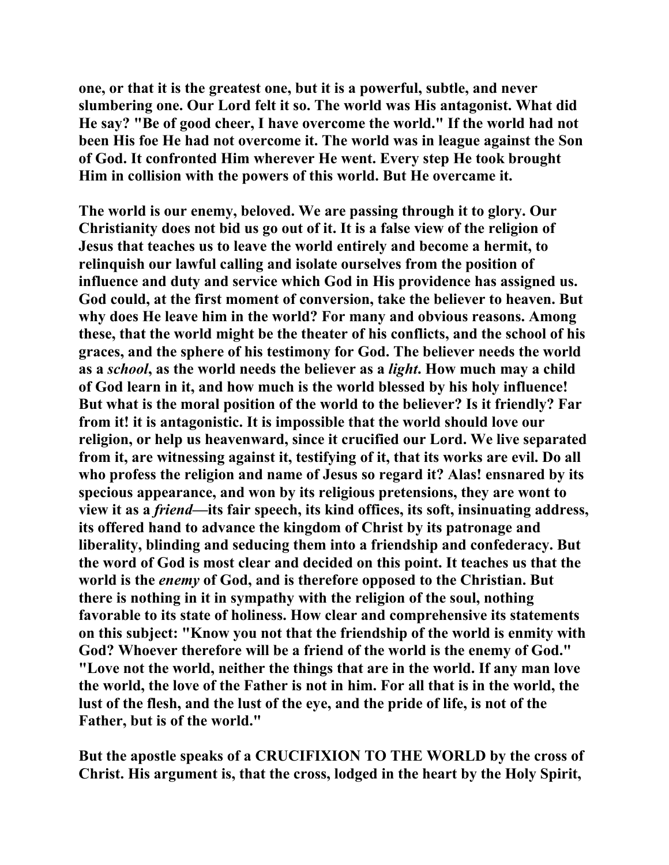**one, or that it is the greatest one, but it is a powerful, subtle, and never slumbering one. Our Lord felt it so. The world was His antagonist. What did He say? "Be of good cheer, I have overcome the world." If the world had not been His foe He had not overcome it. The world was in league against the Son of God. It confronted Him wherever He went. Every step He took brought Him in collision with the powers of this world. But He overcame it.** 

**The world is our enemy, beloved. We are passing through it to glory. Our Christianity does not bid us go out of it. It is a false view of the religion of Jesus that teaches us to leave the world entirely and become a hermit, to relinquish our lawful calling and isolate ourselves from the position of influence and duty and service which God in His providence has assigned us. God could, at the first moment of conversion, take the believer to heaven. But why does He leave him in the world? For many and obvious reasons. Among these, that the world might be the theater of his conflicts, and the school of his graces, and the sphere of his testimony for God. The believer needs the world as a** *school***, as the world needs the believer as a** *light***. How much may a child of God learn in it, and how much is the world blessed by his holy influence! But what is the moral position of the world to the believer? Is it friendly? Far from it! it is antagonistic. It is impossible that the world should love our religion, or help us heavenward, since it crucified our Lord. We live separated from it, are witnessing against it, testifying of it, that its works are evil. Do all who profess the religion and name of Jesus so regard it? Alas! ensnared by its specious appearance, and won by its religious pretensions, they are wont to view it as a** *friend***—its fair speech, its kind offices, its soft, insinuating address, its offered hand to advance the kingdom of Christ by its patronage and liberality, blinding and seducing them into a friendship and confederacy. But the word of God is most clear and decided on this point. It teaches us that the world is the** *enemy* **of God, and is therefore opposed to the Christian. But there is nothing in it in sympathy with the religion of the soul, nothing favorable to its state of holiness. How clear and comprehensive its statements on this subject: "Know you not that the friendship of the world is enmity with God? Whoever therefore will be a friend of the world is the enemy of God." "Love not the world, neither the things that are in the world. If any man love the world, the love of the Father is not in him. For all that is in the world, the lust of the flesh, and the lust of the eye, and the pride of life, is not of the Father, but is of the world."** 

**But the apostle speaks of a CRUCIFIXION TO THE WORLD by the cross of Christ. His argument is, that the cross, lodged in the heart by the Holy Spirit,**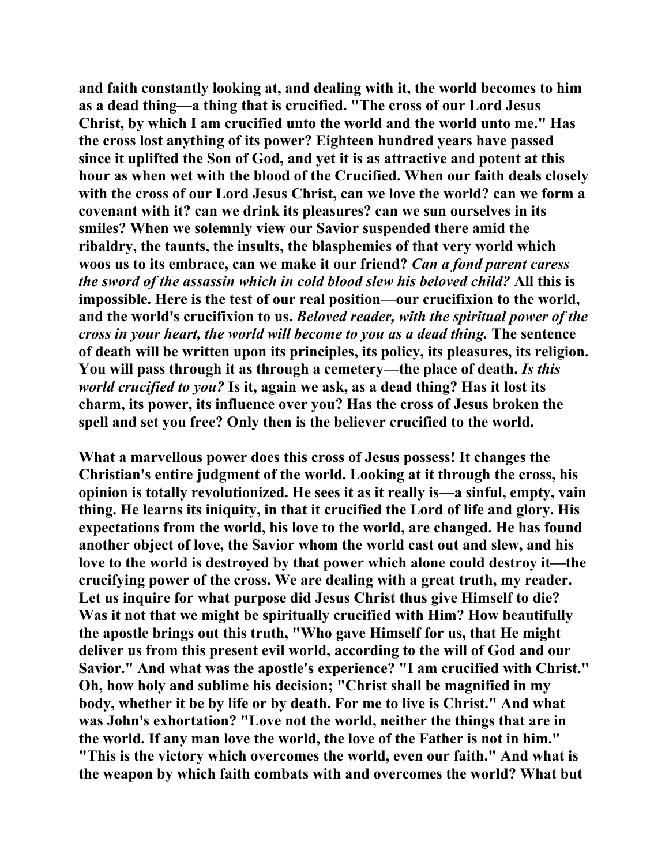**and faith constantly looking at, and dealing with it, the world becomes to him as a dead thing—a thing that is crucified. "The cross of our Lord Jesus Christ, by which I am crucified unto the world and the world unto me." Has the cross lost anything of its power? Eighteen hundred years have passed since it uplifted the Son of God, and yet it is as attractive and potent at this hour as when wet with the blood of the Crucified. When our faith deals closely with the cross of our Lord Jesus Christ, can we love the world? can we form a covenant with it? can we drink its pleasures? can we sun ourselves in its smiles? When we solemnly view our Savior suspended there amid the ribaldry, the taunts, the insults, the blasphemies of that very world which woos us to its embrace, can we make it our friend?** *Can a fond parent caress the sword of the assassin which in cold blood slew his beloved child?* **All this is impossible. Here is the test of our real position—our crucifixion to the world, and the world's crucifixion to us.** *Beloved reader, with the spiritual power of the cross in your heart, the world will become to you as a dead thing.* **The sentence of death will be written upon its principles, its policy, its pleasures, its religion. You will pass through it as through a cemetery—the place of death.** *Is this world crucified to you?* **Is it, again we ask, as a dead thing? Has it lost its charm, its power, its influence over you? Has the cross of Jesus broken the spell and set you free? Only then is the believer crucified to the world.** 

**What a marvellous power does this cross of Jesus possess! It changes the Christian's entire judgment of the world. Looking at it through the cross, his opinion is totally revolutionized. He sees it as it really is—a sinful, empty, vain thing. He learns its iniquity, in that it crucified the Lord of life and glory. His expectations from the world, his love to the world, are changed. He has found another object of love, the Savior whom the world cast out and slew, and his love to the world is destroyed by that power which alone could destroy it—the crucifying power of the cross. We are dealing with a great truth, my reader. Let us inquire for what purpose did Jesus Christ thus give Himself to die? Was it not that we might be spiritually crucified with Him? How beautifully the apostle brings out this truth, "Who gave Himself for us, that He might deliver us from this present evil world, according to the will of God and our Savior." And what was the apostle's experience? "I am crucified with Christ." Oh, how holy and sublime his decision; "Christ shall be magnified in my body, whether it be by life or by death. For me to live is Christ." And what was John's exhortation? "Love not the world, neither the things that are in the world. If any man love the world, the love of the Father is not in him." "This is the victory which overcomes the world, even our faith." And what is the weapon by which faith combats with and overcomes the world? What but**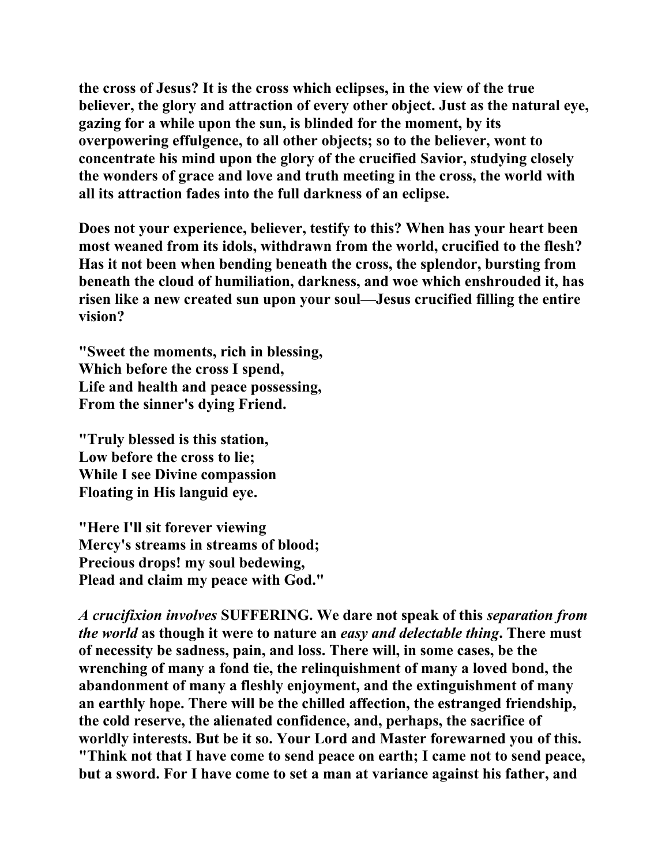**the cross of Jesus? It is the cross which eclipses, in the view of the true believer, the glory and attraction of every other object. Just as the natural eye, gazing for a while upon the sun, is blinded for the moment, by its overpowering effulgence, to all other objects; so to the believer, wont to concentrate his mind upon the glory of the crucified Savior, studying closely the wonders of grace and love and truth meeting in the cross, the world with all its attraction fades into the full darkness of an eclipse.** 

**Does not your experience, believer, testify to this? When has your heart been most weaned from its idols, withdrawn from the world, crucified to the flesh? Has it not been when bending beneath the cross, the splendor, bursting from beneath the cloud of humiliation, darkness, and woe which enshrouded it, has risen like a new created sun upon your soul—Jesus crucified filling the entire vision?** 

**"Sweet the moments, rich in blessing, Which before the cross I spend, Life and health and peace possessing, From the sinner's dying Friend.** 

**"Truly blessed is this station, Low before the cross to lie; While I see Divine compassion Floating in His languid eye.** 

**"Here I'll sit forever viewing Mercy's streams in streams of blood; Precious drops! my soul bedewing, Plead and claim my peace with God."** 

*A crucifixion involves* **SUFFERING. We dare not speak of this** *separation from the world* **as though it were to nature an** *easy and delectable thing***. There must of necessity be sadness, pain, and loss. There will, in some cases, be the wrenching of many a fond tie, the relinquishment of many a loved bond, the abandonment of many a fleshly enjoyment, and the extinguishment of many an earthly hope. There will be the chilled affection, the estranged friendship, the cold reserve, the alienated confidence, and, perhaps, the sacrifice of worldly interests. But be it so. Your Lord and Master forewarned you of this. "Think not that I have come to send peace on earth; I came not to send peace, but a sword. For I have come to set a man at variance against his father, and**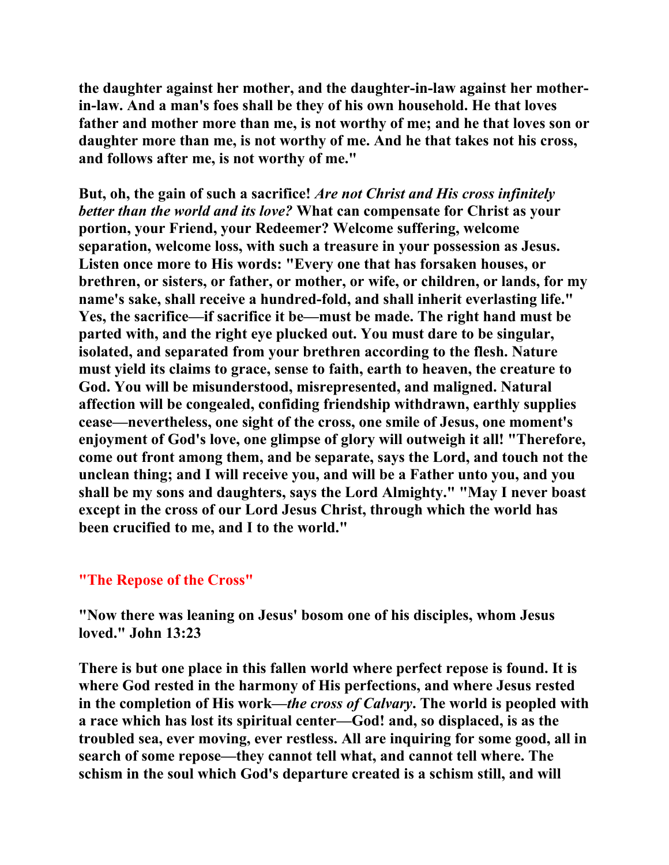**the daughter against her mother, and the daughter-in-law against her motherin-law. And a man's foes shall be they of his own household. He that loves father and mother more than me, is not worthy of me; and he that loves son or daughter more than me, is not worthy of me. And he that takes not his cross, and follows after me, is not worthy of me."** 

**But, oh, the gain of such a sacrifice!** *Are not Christ and His cross infinitely better than the world and its love?* **What can compensate for Christ as your portion, your Friend, your Redeemer? Welcome suffering, welcome separation, welcome loss, with such a treasure in your possession as Jesus. Listen once more to His words: "Every one that has forsaken houses, or brethren, or sisters, or father, or mother, or wife, or children, or lands, for my name's sake, shall receive a hundred-fold, and shall inherit everlasting life." Yes, the sacrifice—if sacrifice it be—must be made. The right hand must be parted with, and the right eye plucked out. You must dare to be singular, isolated, and separated from your brethren according to the flesh. Nature must yield its claims to grace, sense to faith, earth to heaven, the creature to God. You will be misunderstood, misrepresented, and maligned. Natural affection will be congealed, confiding friendship withdrawn, earthly supplies cease—nevertheless, one sight of the cross, one smile of Jesus, one moment's enjoyment of God's love, one glimpse of glory will outweigh it all! "Therefore, come out front among them, and be separate, says the Lord, and touch not the unclean thing; and I will receive you, and will be a Father unto you, and you shall be my sons and daughters, says the Lord Almighty." "May I never boast except in the cross of our Lord Jesus Christ, through which the world has been crucified to me, and I to the world."** 

### **"The Repose of the Cross"**

**"Now there was leaning on Jesus' bosom one of his disciples, whom Jesus loved." John 13:23** 

**There is but one place in this fallen world where perfect repose is found. It is where God rested in the harmony of His perfections, and where Jesus rested in the completion of His work—***the cross of Calvary***. The world is peopled with a race which has lost its spiritual center—God! and, so displaced, is as the troubled sea, ever moving, ever restless. All are inquiring for some good, all in search of some repose—they cannot tell what, and cannot tell where. The schism in the soul which God's departure created is a schism still, and will**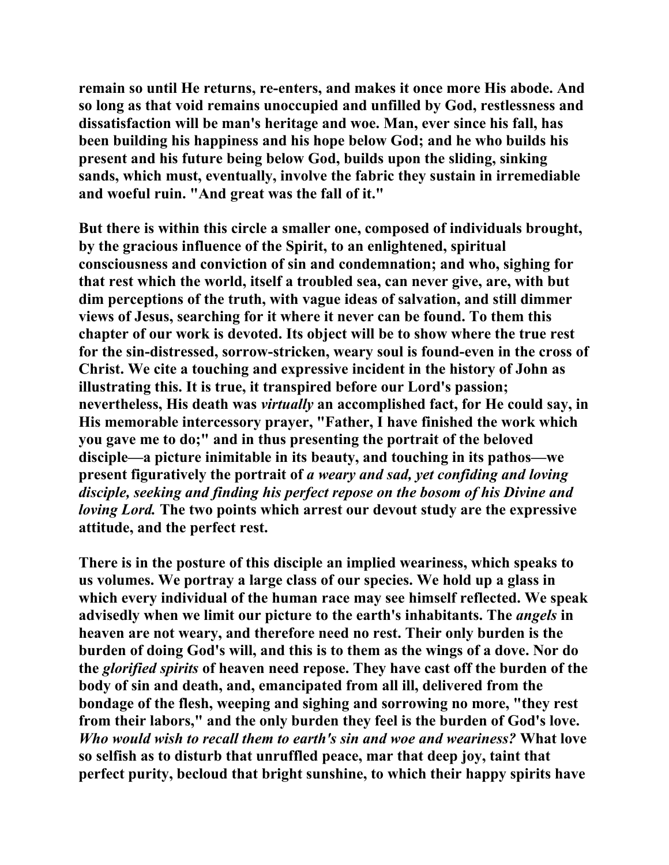**remain so until He returns, re-enters, and makes it once more His abode. And so long as that void remains unoccupied and unfilled by God, restlessness and dissatisfaction will be man's heritage and woe. Man, ever since his fall, has been building his happiness and his hope below God; and he who builds his present and his future being below God, builds upon the sliding, sinking sands, which must, eventually, involve the fabric they sustain in irremediable and woeful ruin. "And great was the fall of it."** 

**But there is within this circle a smaller one, composed of individuals brought, by the gracious influence of the Spirit, to an enlightened, spiritual consciousness and conviction of sin and condemnation; and who, sighing for that rest which the world, itself a troubled sea, can never give, are, with but dim perceptions of the truth, with vague ideas of salvation, and still dimmer views of Jesus, searching for it where it never can be found. To them this chapter of our work is devoted. Its object will be to show where the true rest for the sin-distressed, sorrow-stricken, weary soul is found-even in the cross of Christ. We cite a touching and expressive incident in the history of John as illustrating this. It is true, it transpired before our Lord's passion; nevertheless, His death was** *virtually* **an accomplished fact, for He could say, in His memorable intercessory prayer, "Father, I have finished the work which you gave me to do;" and in thus presenting the portrait of the beloved disciple—a picture inimitable in its beauty, and touching in its pathos—we present figuratively the portrait of** *a weary and sad, yet confiding and loving disciple, seeking and finding his perfect repose on the bosom of his Divine and loving Lord.* **The two points which arrest our devout study are the expressive attitude, and the perfect rest.** 

**There is in the posture of this disciple an implied weariness, which speaks to us volumes. We portray a large class of our species. We hold up a glass in which every individual of the human race may see himself reflected. We speak advisedly when we limit our picture to the earth's inhabitants. The** *angels* **in heaven are not weary, and therefore need no rest. Their only burden is the burden of doing God's will, and this is to them as the wings of a dove. Nor do the** *glorified spirits* **of heaven need repose. They have cast off the burden of the body of sin and death, and, emancipated from all ill, delivered from the bondage of the flesh, weeping and sighing and sorrowing no more, "they rest from their labors," and the only burden they feel is the burden of God's love.**  *Who would wish to recall them to earth's sin and woe and weariness?* **What love so selfish as to disturb that unruffled peace, mar that deep joy, taint that perfect purity, becloud that bright sunshine, to which their happy spirits have**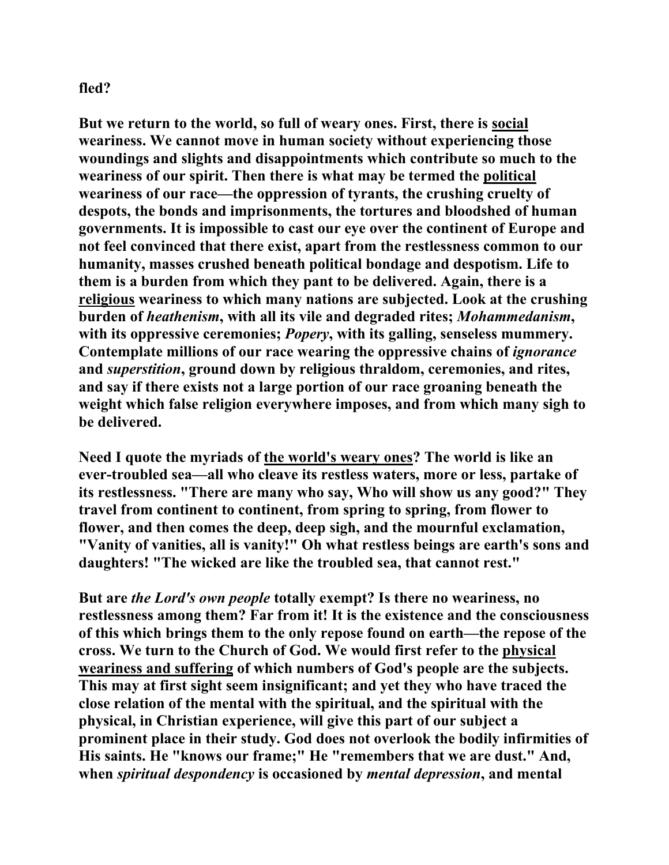### **fled?**

**But we return to the world, so full of weary ones. First, there is social weariness. We cannot move in human society without experiencing those woundings and slights and disappointments which contribute so much to the weariness of our spirit. Then there is what may be termed the political weariness of our race—the oppression of tyrants, the crushing cruelty of despots, the bonds and imprisonments, the tortures and bloodshed of human governments. It is impossible to cast our eye over the continent of Europe and not feel convinced that there exist, apart from the restlessness common to our humanity, masses crushed beneath political bondage and despotism. Life to them is a burden from which they pant to be delivered. Again, there is a religious weariness to which many nations are subjected. Look at the crushing burden of** *heathenism***, with all its vile and degraded rites;** *Mohammedanism***, with its oppressive ceremonies;** *Popery***, with its galling, senseless mummery. Contemplate millions of our race wearing the oppressive chains of** *ignorance* **and** *superstition***, ground down by religious thraldom, ceremonies, and rites, and say if there exists not a large portion of our race groaning beneath the weight which false religion everywhere imposes, and from which many sigh to be delivered.** 

**Need I quote the myriads of the world's weary ones? The world is like an ever-troubled sea—all who cleave its restless waters, more or less, partake of its restlessness. "There are many who say, Who will show us any good?" They travel from continent to continent, from spring to spring, from flower to flower, and then comes the deep, deep sigh, and the mournful exclamation, "Vanity of vanities, all is vanity!" Oh what restless beings are earth's sons and daughters! "The wicked are like the troubled sea, that cannot rest."** 

**But are** *the Lord's own people* **totally exempt? Is there no weariness, no restlessness among them? Far from it! It is the existence and the consciousness of this which brings them to the only repose found on earth—the repose of the cross. We turn to the Church of God. We would first refer to the physical weariness and suffering of which numbers of God's people are the subjects. This may at first sight seem insignificant; and yet they who have traced the close relation of the mental with the spiritual, and the spiritual with the physical, in Christian experience, will give this part of our subject a prominent place in their study. God does not overlook the bodily infirmities of His saints. He "knows our frame;" He "remembers that we are dust." And, when** *spiritual despondency* **is occasioned by** *mental depression***, and mental**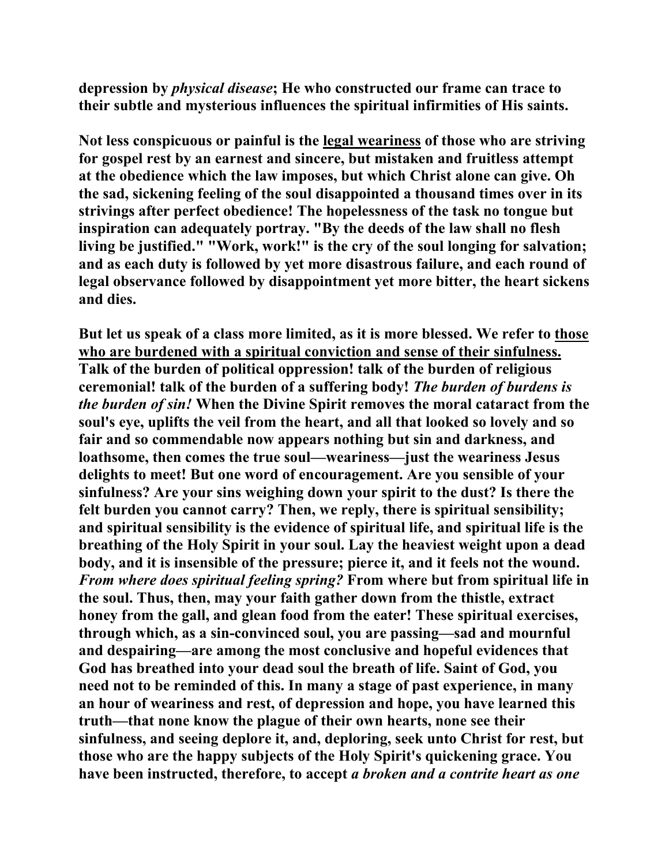**depression by** *physical disease***; He who constructed our frame can trace to their subtle and mysterious influences the spiritual infirmities of His saints.** 

**Not less conspicuous or painful is the legal weariness of those who are striving for gospel rest by an earnest and sincere, but mistaken and fruitless attempt at the obedience which the law imposes, but which Christ alone can give. Oh the sad, sickening feeling of the soul disappointed a thousand times over in its strivings after perfect obedience! The hopelessness of the task no tongue but inspiration can adequately portray. "By the deeds of the law shall no flesh living be justified." "Work, work!" is the cry of the soul longing for salvation; and as each duty is followed by yet more disastrous failure, and each round of legal observance followed by disappointment yet more bitter, the heart sickens and dies.** 

**But let us speak of a class more limited, as it is more blessed. We refer to those who are burdened with a spiritual conviction and sense of their sinfulness. Talk of the burden of political oppression! talk of the burden of religious ceremonial! talk of the burden of a suffering body!** *The burden of burdens is the burden of sin!* **When the Divine Spirit removes the moral cataract from the soul's eye, uplifts the veil from the heart, and all that looked so lovely and so fair and so commendable now appears nothing but sin and darkness, and loathsome, then comes the true soul—weariness—just the weariness Jesus delights to meet! But one word of encouragement. Are you sensible of your sinfulness? Are your sins weighing down your spirit to the dust? Is there the felt burden you cannot carry? Then, we reply, there is spiritual sensibility; and spiritual sensibility is the evidence of spiritual life, and spiritual life is the breathing of the Holy Spirit in your soul. Lay the heaviest weight upon a dead body, and it is insensible of the pressure; pierce it, and it feels not the wound.** *From where does spiritual feeling spring?* **From where but from spiritual life in the soul. Thus, then, may your faith gather down from the thistle, extract honey from the gall, and glean food from the eater! These spiritual exercises, through which, as a sin-convinced soul, you are passing—sad and mournful and despairing—are among the most conclusive and hopeful evidences that God has breathed into your dead soul the breath of life. Saint of God, you need not to be reminded of this. In many a stage of past experience, in many an hour of weariness and rest, of depression and hope, you have learned this truth—that none know the plague of their own hearts, none see their sinfulness, and seeing deplore it, and, deploring, seek unto Christ for rest, but those who are the happy subjects of the Holy Spirit's quickening grace. You have been instructed, therefore, to accept** *a broken and a contrite heart as one*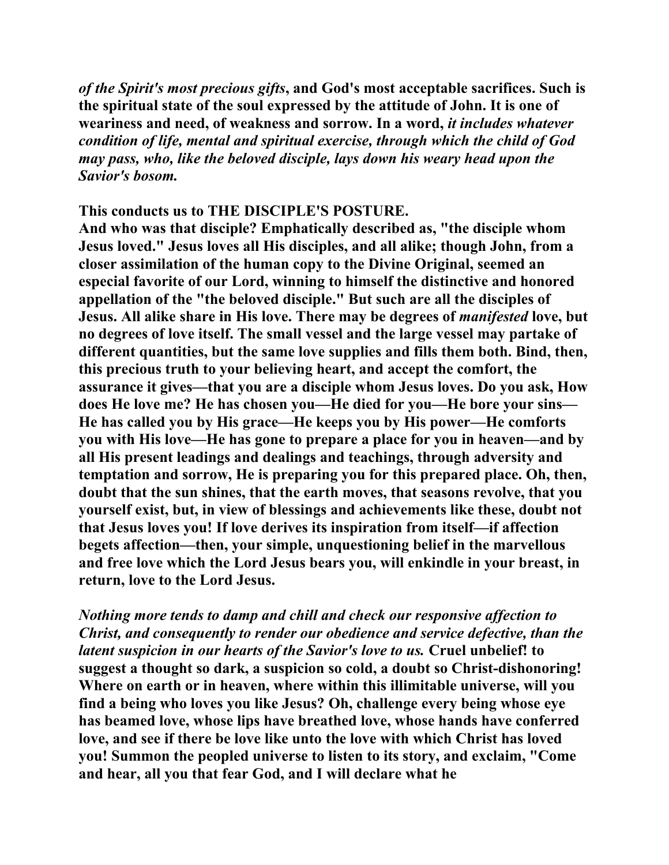*of the Spirit's most precious gifts***, and God's most acceptable sacrifices. Such is the spiritual state of the soul expressed by the attitude of John. It is one of weariness and need, of weakness and sorrow. In a word,** *it includes whatever condition of life, mental and spiritual exercise, through which the child of God may pass, who, like the beloved disciple, lays down his weary head upon the Savior's bosom.* 

**This conducts us to THE DISCIPLE'S POSTURE.** 

**And who was that disciple? Emphatically described as, "the disciple whom Jesus loved." Jesus loves all His disciples, and all alike; though John, from a closer assimilation of the human copy to the Divine Original, seemed an especial favorite of our Lord, winning to himself the distinctive and honored appellation of the "the beloved disciple." But such are all the disciples of Jesus. All alike share in His love. There may be degrees of** *manifested* **love, but no degrees of love itself. The small vessel and the large vessel may partake of different quantities, but the same love supplies and fills them both. Bind, then, this precious truth to your believing heart, and accept the comfort, the assurance it gives—that you are a disciple whom Jesus loves. Do you ask, How does He love me? He has chosen you—He died for you—He bore your sins— He has called you by His grace—He keeps you by His power—He comforts you with His love—He has gone to prepare a place for you in heaven—and by all His present leadings and dealings and teachings, through adversity and temptation and sorrow, He is preparing you for this prepared place. Oh, then, doubt that the sun shines, that the earth moves, that seasons revolve, that you yourself exist, but, in view of blessings and achievements like these, doubt not that Jesus loves you! If love derives its inspiration from itself—if affection begets affection—then, your simple, unquestioning belief in the marvellous and free love which the Lord Jesus bears you, will enkindle in your breast, in return, love to the Lord Jesus.** 

*Nothing more tends to damp and chill and check our responsive affection to Christ, and consequently to render our obedience and service defective, than the latent suspicion in our hearts of the Savior's love to us.* **Cruel unbelief! to suggest a thought so dark, a suspicion so cold, a doubt so Christ-dishonoring! Where on earth or in heaven, where within this illimitable universe, will you find a being who loves you like Jesus? Oh, challenge every being whose eye has beamed love, whose lips have breathed love, whose hands have conferred love, and see if there be love like unto the love with which Christ has loved you! Summon the peopled universe to listen to its story, and exclaim, "Come and hear, all you that fear God, and I will declare what he**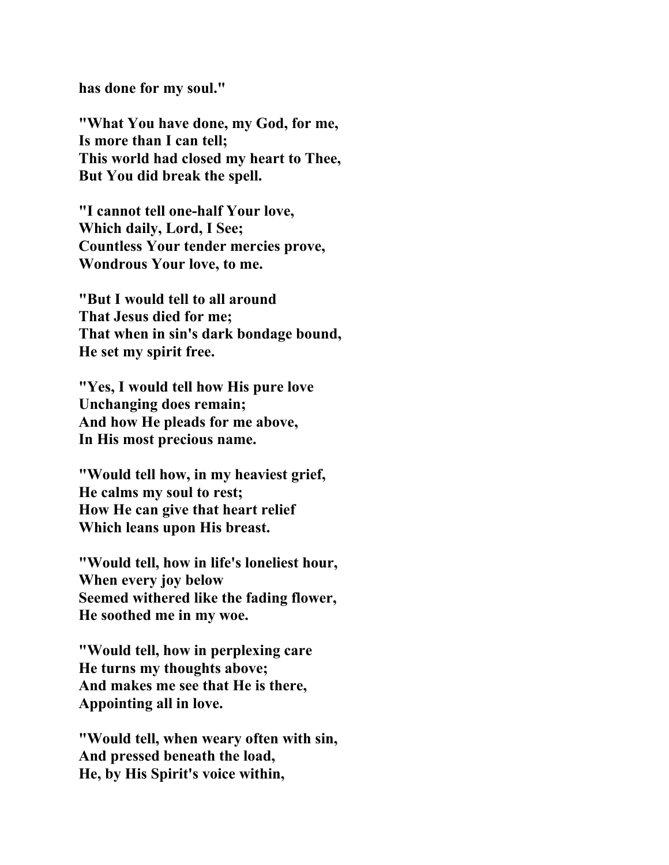**has done for my soul."** 

**"What You have done, my God, for me, Is more than I can tell; This world had closed my heart to Thee, But You did break the spell.** 

**"I cannot tell one-half Your love, Which daily, Lord, I See; Countless Your tender mercies prove, Wondrous Your love, to me.** 

**"But I would tell to all around That Jesus died for me; That when in sin's dark bondage bound, He set my spirit free.** 

**"Yes, I would tell how His pure love Unchanging does remain; And how He pleads for me above, In His most precious name.** 

**"Would tell how, in my heaviest grief, He calms my soul to rest; How He can give that heart relief Which leans upon His breast.** 

**"Would tell, how in life's loneliest hour, When every joy below Seemed withered like the fading flower, He soothed me in my woe.** 

**"Would tell, how in perplexing care He turns my thoughts above; And makes me see that He is there, Appointing all in love.** 

**"Would tell, when weary often with sin, And pressed beneath the load, He, by His Spirit's voice within,**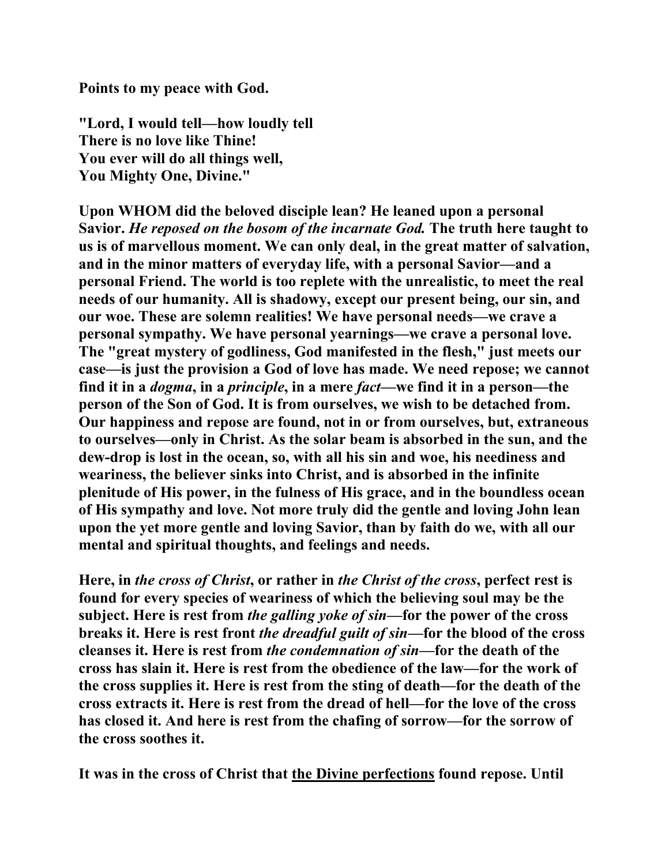**Points to my peace with God.** 

**"Lord, I would tell—how loudly tell There is no love like Thine! You ever will do all things well, You Mighty One, Divine."** 

**Upon WHOM did the beloved disciple lean? He leaned upon a personal Savior.** *He reposed on the bosom of the incarnate God.* **The truth here taught to us is of marvellous moment. We can only deal, in the great matter of salvation, and in the minor matters of everyday life, with a personal Savior—and a personal Friend. The world is too replete with the unrealistic, to meet the real needs of our humanity. All is shadowy, except our present being, our sin, and our woe. These are solemn realities! We have personal needs—we crave a personal sympathy. We have personal yearnings—we crave a personal love. The "great mystery of godliness, God manifested in the flesh," just meets our case—is just the provision a God of love has made. We need repose; we cannot find it in a** *dogma***, in a** *principle***, in a mere** *fact***—we find it in a person—the person of the Son of God. It is from ourselves, we wish to be detached from. Our happiness and repose are found, not in or from ourselves, but, extraneous to ourselves—only in Christ. As the solar beam is absorbed in the sun, and the dew-drop is lost in the ocean, so, with all his sin and woe, his neediness and weariness, the believer sinks into Christ, and is absorbed in the infinite plenitude of His power, in the fulness of His grace, and in the boundless ocean of His sympathy and love. Not more truly did the gentle and loving John lean upon the yet more gentle and loving Savior, than by faith do we, with all our mental and spiritual thoughts, and feelings and needs.** 

**Here, in** *the cross of Christ***, or rather in** *the Christ of the cross***, perfect rest is found for every species of weariness of which the believing soul may be the subject. Here is rest from** *the galling yoke of sin***—for the power of the cross breaks it. Here is rest front** *the dreadful guilt of sin***—for the blood of the cross cleanses it. Here is rest from** *the condemnation of sin***—for the death of the cross has slain it. Here is rest from the obedience of the law—for the work of the cross supplies it. Here is rest from the sting of death—for the death of the cross extracts it. Here is rest from the dread of hell—for the love of the cross has closed it. And here is rest from the chafing of sorrow—for the sorrow of the cross soothes it.** 

**It was in the cross of Christ that the Divine perfections found repose. Until**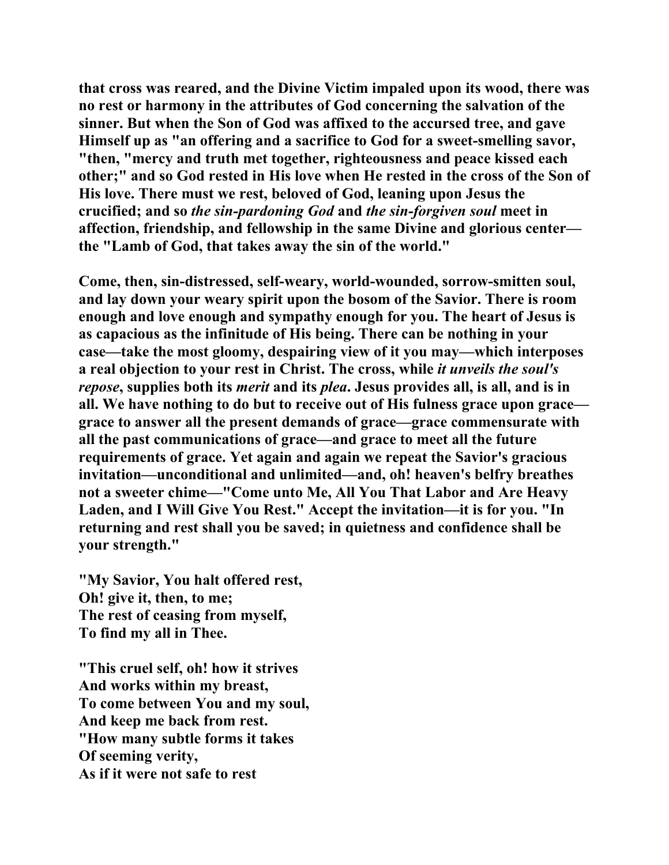**that cross was reared, and the Divine Victim impaled upon its wood, there was no rest or harmony in the attributes of God concerning the salvation of the sinner. But when the Son of God was affixed to the accursed tree, and gave Himself up as "an offering and a sacrifice to God for a sweet-smelling savor, "then, "mercy and truth met together, righteousness and peace kissed each other;" and so God rested in His love when He rested in the cross of the Son of His love. There must we rest, beloved of God, leaning upon Jesus the crucified; and so** *the sin-pardoning God* **and** *the sin-forgiven soul* **meet in affection, friendship, and fellowship in the same Divine and glorious center the "Lamb of God, that takes away the sin of the world."** 

**Come, then, sin-distressed, self-weary, world-wounded, sorrow-smitten soul, and lay down your weary spirit upon the bosom of the Savior. There is room enough and love enough and sympathy enough for you. The heart of Jesus is as capacious as the infinitude of His being. There can be nothing in your case—take the most gloomy, despairing view of it you may—which interposes a real objection to your rest in Christ. The cross, while** *it unveils the soul's repose***, supplies both its** *merit* **and its** *plea***. Jesus provides all, is all, and is in all. We have nothing to do but to receive out of His fulness grace upon grace grace to answer all the present demands of grace—grace commensurate with all the past communications of grace—and grace to meet all the future requirements of grace. Yet again and again we repeat the Savior's gracious invitation—unconditional and unlimited—and, oh! heaven's belfry breathes not a sweeter chime—"Come unto Me, All You That Labor and Are Heavy Laden, and I Will Give You Rest." Accept the invitation—it is for you. "In returning and rest shall you be saved; in quietness and confidence shall be your strength."** 

**"My Savior, You halt offered rest, Oh! give it, then, to me; The rest of ceasing from myself, To find my all in Thee.** 

**"This cruel self, oh! how it strives And works within my breast, To come between You and my soul, And keep me back from rest. "How many subtle forms it takes Of seeming verity, As if it were not safe to rest**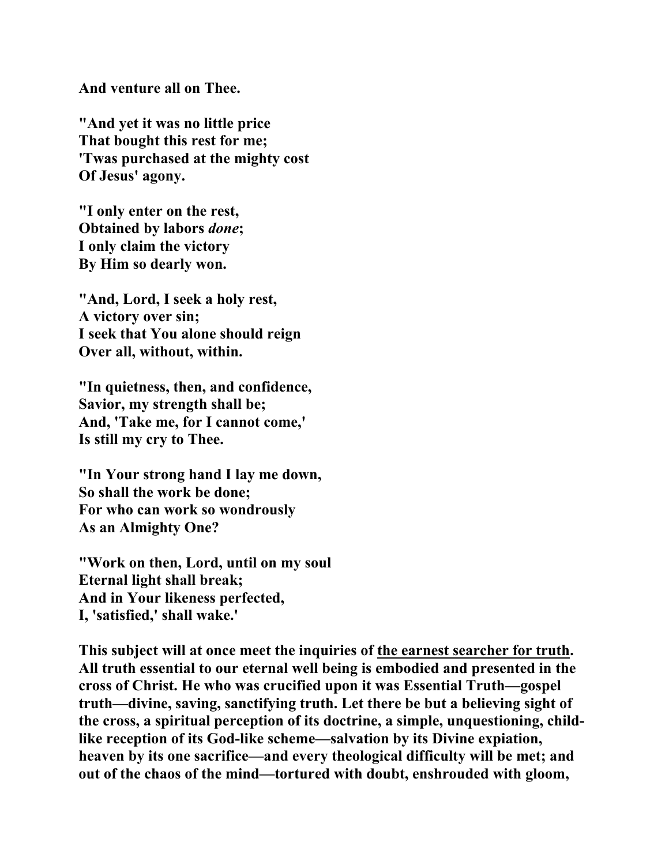**And venture all on Thee.** 

**"And yet it was no little price That bought this rest for me; 'Twas purchased at the mighty cost Of Jesus' agony.** 

**"I only enter on the rest, Obtained by labors** *done***; I only claim the victory By Him so dearly won.** 

**"And, Lord, I seek a holy rest, A victory over sin; I seek that You alone should reign Over all, without, within.** 

**"In quietness, then, and confidence, Savior, my strength shall be; And, 'Take me, for I cannot come,' Is still my cry to Thee.** 

**"In Your strong hand I lay me down, So shall the work be done; For who can work so wondrously As an Almighty One?** 

**"Work on then, Lord, until on my soul Eternal light shall break; And in Your likeness perfected, I, 'satisfied,' shall wake.'** 

**This subject will at once meet the inquiries of the earnest searcher for truth. All truth essential to our eternal well being is embodied and presented in the cross of Christ. He who was crucified upon it was Essential Truth—gospel truth—divine, saving, sanctifying truth. Let there be but a believing sight of the cross, a spiritual perception of its doctrine, a simple, unquestioning, childlike reception of its God-like scheme—salvation by its Divine expiation, heaven by its one sacrifice—and every theological difficulty will be met; and out of the chaos of the mind—tortured with doubt, enshrouded with gloom,**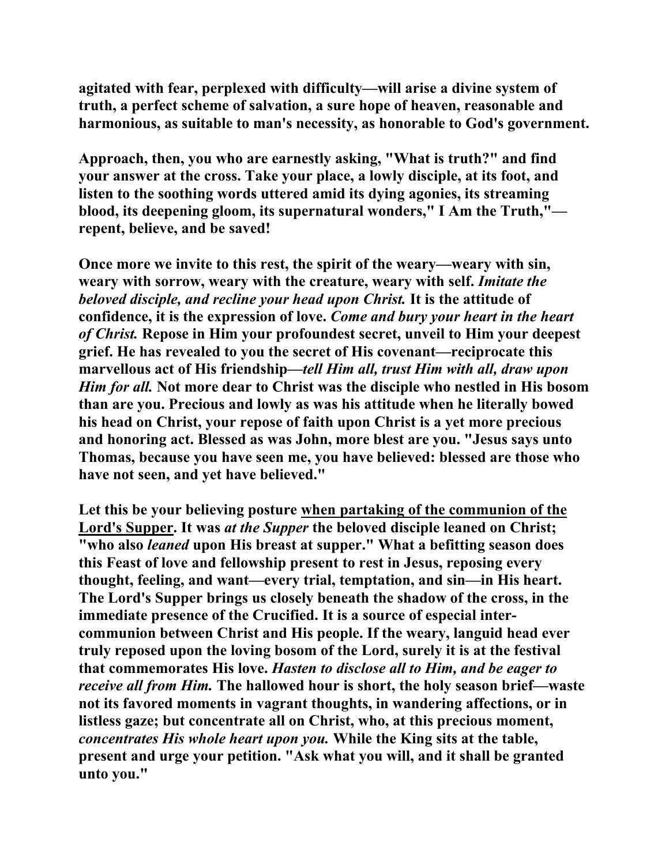**agitated with fear, perplexed with difficulty—will arise a divine system of truth, a perfect scheme of salvation, a sure hope of heaven, reasonable and harmonious, as suitable to man's necessity, as honorable to God's government.** 

**Approach, then, you who are earnestly asking, "What is truth?" and find your answer at the cross. Take your place, a lowly disciple, at its foot, and listen to the soothing words uttered amid its dying agonies, its streaming blood, its deepening gloom, its supernatural wonders," I Am the Truth," repent, believe, and be saved!** 

**Once more we invite to this rest, the spirit of the weary—weary with sin, weary with sorrow, weary with the creature, weary with self.** *Imitate the beloved disciple, and recline your head upon Christ.* **It is the attitude of confidence, it is the expression of love.** *Come and bury your heart in the heart of Christ.* **Repose in Him your profoundest secret, unveil to Him your deepest grief. He has revealed to you the secret of His covenant—reciprocate this marvellous act of His friendship—***tell Him all, trust Him with all, draw upon Him for all.* **Not more dear to Christ was the disciple who nestled in His bosom than are you. Precious and lowly as was his attitude when he literally bowed his head on Christ, your repose of faith upon Christ is a yet more precious and honoring act. Blessed as was John, more blest are you. "Jesus says unto Thomas, because you have seen me, you have believed: blessed are those who have not seen, and yet have believed."** 

**Let this be your believing posture when partaking of the communion of the Lord's Supper. It was** *at the Supper* **the beloved disciple leaned on Christ; "who also** *leaned* **upon His breast at supper." What a befitting season does this Feast of love and fellowship present to rest in Jesus, reposing every thought, feeling, and want—every trial, temptation, and sin—in His heart. The Lord's Supper brings us closely beneath the shadow of the cross, in the immediate presence of the Crucified. It is a source of especial intercommunion between Christ and His people. If the weary, languid head ever truly reposed upon the loving bosom of the Lord, surely it is at the festival that commemorates His love.** *Hasten to disclose all to Him, and be eager to receive all from Him.* **The hallowed hour is short, the holy season brief—waste not its favored moments in vagrant thoughts, in wandering affections, or in listless gaze; but concentrate all on Christ, who, at this precious moment,**  *concentrates His whole heart upon you.* **While the King sits at the table, present and urge your petition. "Ask what you will, and it shall be granted unto you."**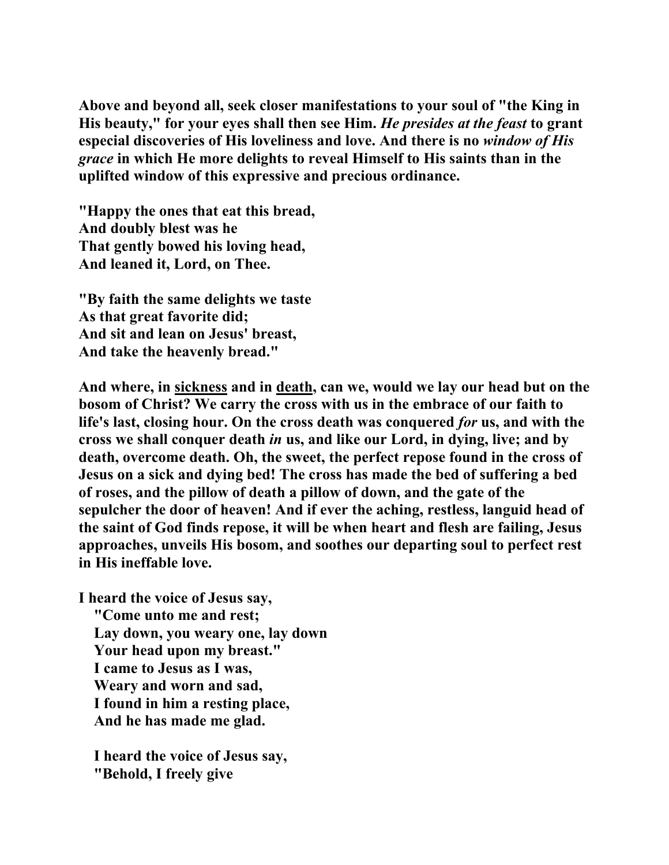**Above and beyond all, seek closer manifestations to your soul of "the King in His beauty," for your eyes shall then see Him.** *He presides at the feast* **to grant especial discoveries of His loveliness and love. And there is no** *window of His grace* **in which He more delights to reveal Himself to His saints than in the uplifted window of this expressive and precious ordinance.** 

**"Happy the ones that eat this bread, And doubly blest was he That gently bowed his loving head, And leaned it, Lord, on Thee.** 

**"By faith the same delights we taste As that great favorite did; And sit and lean on Jesus' breast, And take the heavenly bread."** 

**And where, in sickness and in death, can we, would we lay our head but on the bosom of Christ? We carry the cross with us in the embrace of our faith to life's last, closing hour. On the cross death was conquered** *for* **us, and with the cross we shall conquer death** *in* **us, and like our Lord, in dying, live; and by death, overcome death. Oh, the sweet, the perfect repose found in the cross of Jesus on a sick and dying bed! The cross has made the bed of suffering a bed of roses, and the pillow of death a pillow of down, and the gate of the sepulcher the door of heaven! And if ever the aching, restless, languid head of the saint of God finds repose, it will be when heart and flesh are failing, Jesus approaches, unveils His bosom, and soothes our departing soul to perfect rest in His ineffable love.** 

**I heard the voice of Jesus say, "Come unto me and rest; Lay down, you weary one, lay down Your head upon my breast." I came to Jesus as I was, Weary and worn and sad, I found in him a resting place, And he has made me glad.** 

 **I heard the voice of Jesus say, "Behold, I freely give**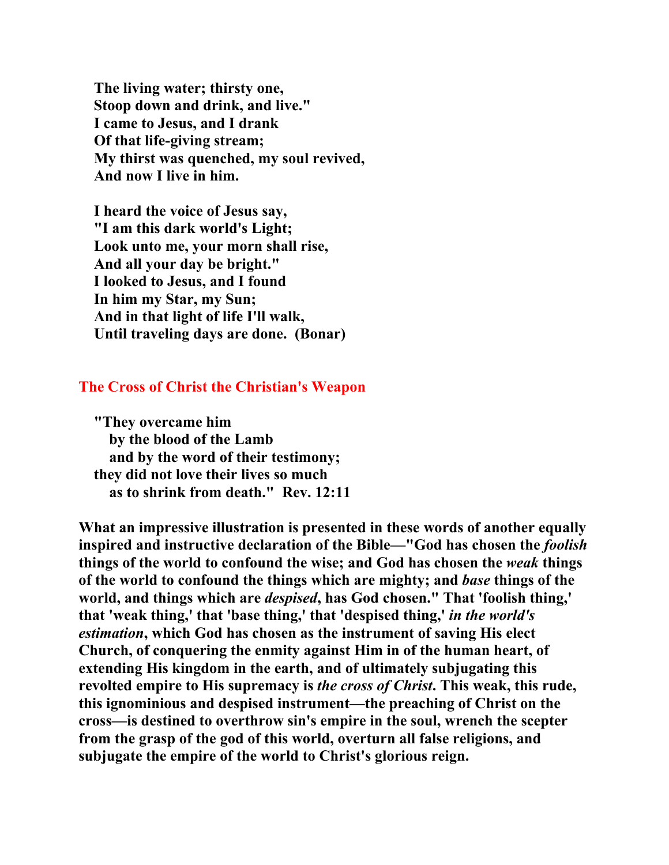**The living water; thirsty one, Stoop down and drink, and live." I came to Jesus, and I drank Of that life-giving stream; My thirst was quenched, my soul revived, And now I live in him.** 

 **I heard the voice of Jesus say, "I am this dark world's Light; Look unto me, your morn shall rise, And all your day be bright." I looked to Jesus, and I found In him my Star, my Sun; And in that light of life I'll walk, Until traveling days are done. (Bonar)** 

## **The Cross of Christ the Christian's Weapon**

 **"They overcame him by the blood of the Lamb and by the word of their testimony; they did not love their lives so much as to shrink from death." Rev. 12:11** 

**What an impressive illustration is presented in these words of another equally inspired and instructive declaration of the Bible—"God has chosen the** *foolish* **things of the world to confound the wise; and God has chosen the** *weak* **things of the world to confound the things which are mighty; and** *base* **things of the world, and things which are** *despised***, has God chosen." That 'foolish thing,' that 'weak thing,' that 'base thing,' that 'despised thing,'** *in the world's estimation***, which God has chosen as the instrument of saving His elect Church, of conquering the enmity against Him in of the human heart, of extending His kingdom in the earth, and of ultimately subjugating this revolted empire to His supremacy is** *the cross of Christ***. This weak, this rude, this ignominious and despised instrument—the preaching of Christ on the cross—is destined to overthrow sin's empire in the soul, wrench the scepter from the grasp of the god of this world, overturn all false religions, and subjugate the empire of the world to Christ's glorious reign.**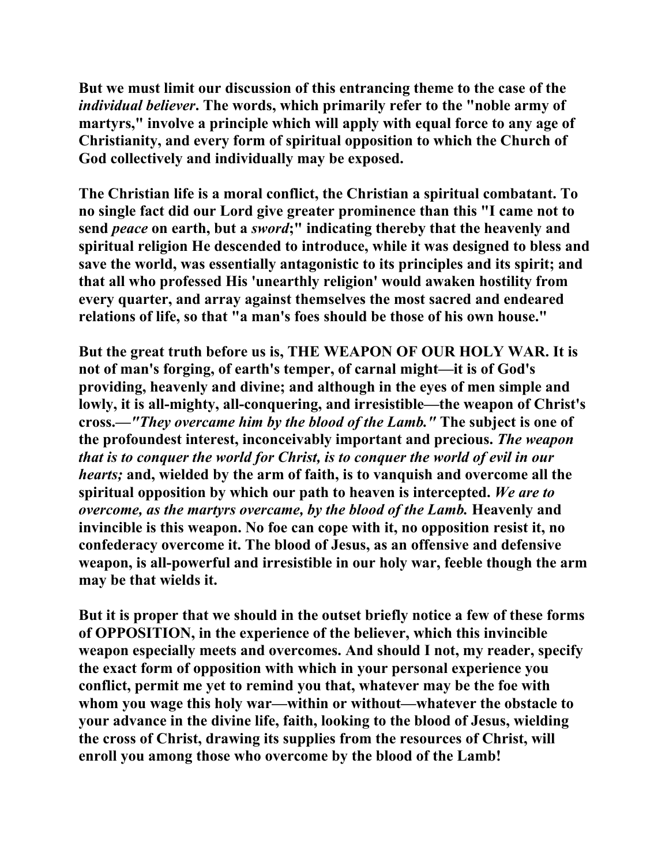**But we must limit our discussion of this entrancing theme to the case of the**  *individual believer***. The words, which primarily refer to the "noble army of martyrs," involve a principle which will apply with equal force to any age of Christianity, and every form of spiritual opposition to which the Church of God collectively and individually may be exposed.** 

**The Christian life is a moral conflict, the Christian a spiritual combatant. To no single fact did our Lord give greater prominence than this "I came not to send** *peace* **on earth, but a** *sword***;" indicating thereby that the heavenly and spiritual religion He descended to introduce, while it was designed to bless and save the world, was essentially antagonistic to its principles and its spirit; and that all who professed His 'unearthly religion' would awaken hostility from every quarter, and array against themselves the most sacred and endeared relations of life, so that "a man's foes should be those of his own house."** 

**But the great truth before us is, THE WEAPON OF OUR HOLY WAR. It is not of man's forging, of earth's temper, of carnal might—it is of God's providing, heavenly and divine; and although in the eyes of men simple and lowly, it is all-mighty, all-conquering, and irresistible—the weapon of Christ's cross.—***"They overcame him by the blood of the Lamb."* **The subject is one of the profoundest interest, inconceivably important and precious.** *The weapon that is to conquer the world for Christ, is to conquer the world of evil in our hearts;* **and, wielded by the arm of faith, is to vanquish and overcome all the spiritual opposition by which our path to heaven is intercepted.** *We are to overcome, as the martyrs overcame, by the blood of the Lamb.* **Heavenly and invincible is this weapon. No foe can cope with it, no opposition resist it, no confederacy overcome it. The blood of Jesus, as an offensive and defensive weapon, is all-powerful and irresistible in our holy war, feeble though the arm may be that wields it.** 

**But it is proper that we should in the outset briefly notice a few of these forms of OPPOSITION, in the experience of the believer, which this invincible weapon especially meets and overcomes. And should I not, my reader, specify the exact form of opposition with which in your personal experience you conflict, permit me yet to remind you that, whatever may be the foe with whom you wage this holy war—within or without—whatever the obstacle to your advance in the divine life, faith, looking to the blood of Jesus, wielding the cross of Christ, drawing its supplies from the resources of Christ, will enroll you among those who overcome by the blood of the Lamb!**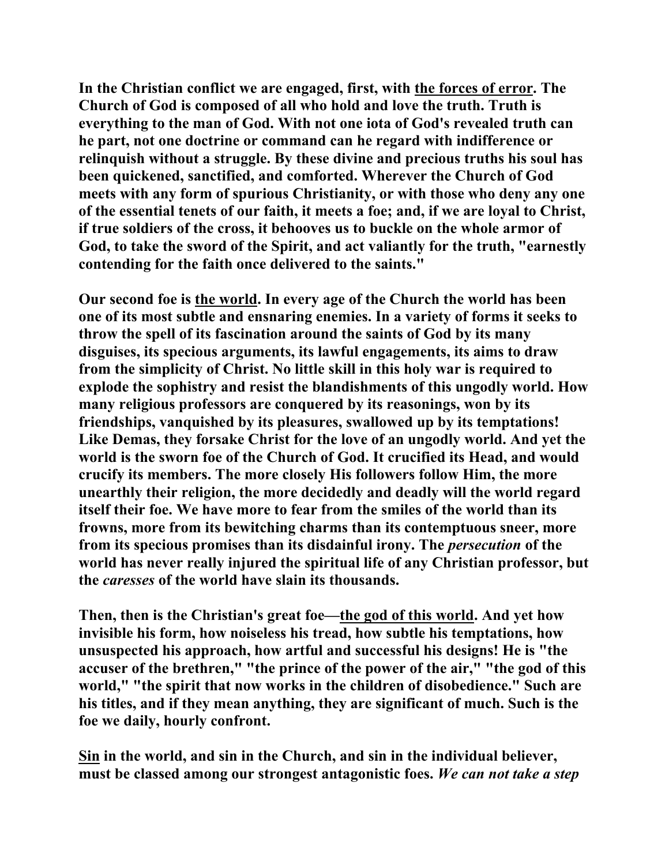**In the Christian conflict we are engaged, first, with the forces of error. The Church of God is composed of all who hold and love the truth. Truth is everything to the man of God. With not one iota of God's revealed truth can he part, not one doctrine or command can he regard with indifference or relinquish without a struggle. By these divine and precious truths his soul has been quickened, sanctified, and comforted. Wherever the Church of God meets with any form of spurious Christianity, or with those who deny any one of the essential tenets of our faith, it meets a foe; and, if we are loyal to Christ, if true soldiers of the cross, it behooves us to buckle on the whole armor of God, to take the sword of the Spirit, and act valiantly for the truth, "earnestly contending for the faith once delivered to the saints."** 

**Our second foe is the world. In every age of the Church the world has been one of its most subtle and ensnaring enemies. In a variety of forms it seeks to throw the spell of its fascination around the saints of God by its many disguises, its specious arguments, its lawful engagements, its aims to draw from the simplicity of Christ. No little skill in this holy war is required to explode the sophistry and resist the blandishments of this ungodly world. How many religious professors are conquered by its reasonings, won by its friendships, vanquished by its pleasures, swallowed up by its temptations! Like Demas, they forsake Christ for the love of an ungodly world. And yet the world is the sworn foe of the Church of God. It crucified its Head, and would crucify its members. The more closely His followers follow Him, the more unearthly their religion, the more decidedly and deadly will the world regard itself their foe. We have more to fear from the smiles of the world than its frowns, more from its bewitching charms than its contemptuous sneer, more from its specious promises than its disdainful irony. The** *persecution* **of the world has never really injured the spiritual life of any Christian professor, but the** *caresses* **of the world have slain its thousands.** 

**Then, then is the Christian's great foe—the god of this world. And yet how invisible his form, how noiseless his tread, how subtle his temptations, how unsuspected his approach, how artful and successful his designs! He is "the accuser of the brethren," "the prince of the power of the air," "the god of this world," "the spirit that now works in the children of disobedience." Such are his titles, and if they mean anything, they are significant of much. Such is the foe we daily, hourly confront.** 

**Sin in the world, and sin in the Church, and sin in the individual believer, must be classed among our strongest antagonistic foes.** *We can not take a step*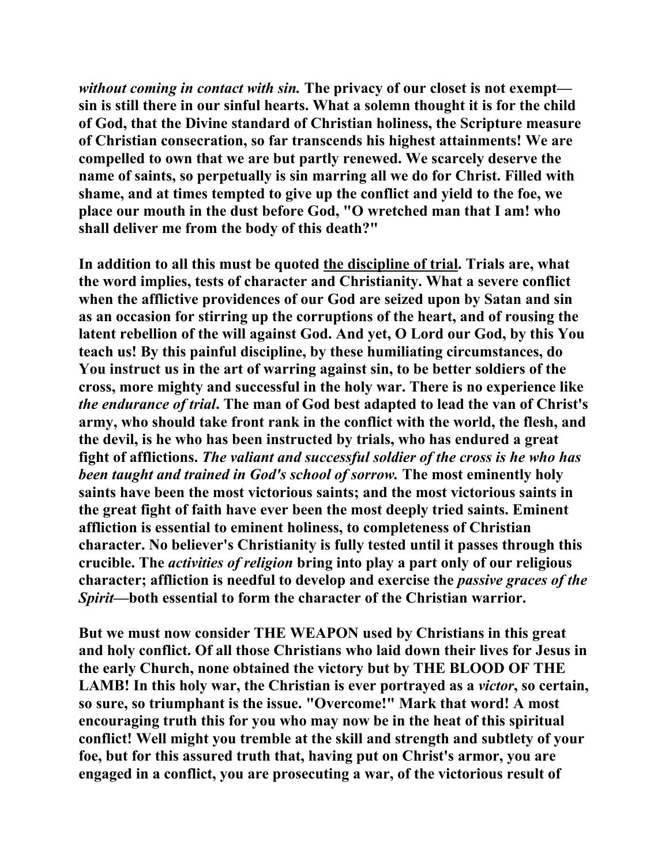*without coming in contact with sin.* **The privacy of our closet is not exempt sin is still there in our sinful hearts. What a solemn thought it is for the child of God, that the Divine standard of Christian holiness, the Scripture measure of Christian consecration, so far transcends his highest attainments! We are compelled to own that we are but partly renewed. We scarcely deserve the name of saints, so perpetually is sin marring all we do for Christ. Filled with shame, and at times tempted to give up the conflict and yield to the foe, we place our mouth in the dust before God, "O wretched man that I am! who shall deliver me from the body of this death?"** 

**In addition to all this must be quoted the discipline of trial. Trials are, what the word implies, tests of character and Christianity. What a severe conflict when the afflictive providences of our God are seized upon by Satan and sin as an occasion for stirring up the corruptions of the heart, and of rousing the latent rebellion of the will against God. And yet, O Lord our God, by this You teach us! By this painful discipline, by these humiliating circumstances, do You instruct us in the art of warring against sin, to be better soldiers of the cross, more mighty and successful in the holy war. There is no experience like**  *the endurance of trial***. The man of God best adapted to lead the van of Christ's army, who should take front rank in the conflict with the world, the flesh, and the devil, is he who has been instructed by trials, who has endured a great fight of afflictions.** *The valiant and successful soldier of the cross is he who has been taught and trained in God's school of sorrow.* **The most eminently holy saints have been the most victorious saints; and the most victorious saints in the great fight of faith have ever been the most deeply tried saints. Eminent affliction is essential to eminent holiness, to completeness of Christian character. No believer's Christianity is fully tested until it passes through this crucible. The** *activities of religion* **bring into play a part only of our religious character; affliction is needful to develop and exercise the** *passive graces of the Spirit***—both essential to form the character of the Christian warrior.** 

**But we must now consider THE WEAPON used by Christians in this great and holy conflict. Of all those Christians who laid down their lives for Jesus in the early Church, none obtained the victory but by THE BLOOD OF THE LAMB! In this holy war, the Christian is ever portrayed as a** *victor***, so certain, so sure, so triumphant is the issue. "Overcome!" Mark that word! A most encouraging truth this for you who may now be in the heat of this spiritual conflict! Well might you tremble at the skill and strength and subtlety of your foe, but for this assured truth that, having put on Christ's armor, you are engaged in a conflict, you are prosecuting a war, of the victorious result of**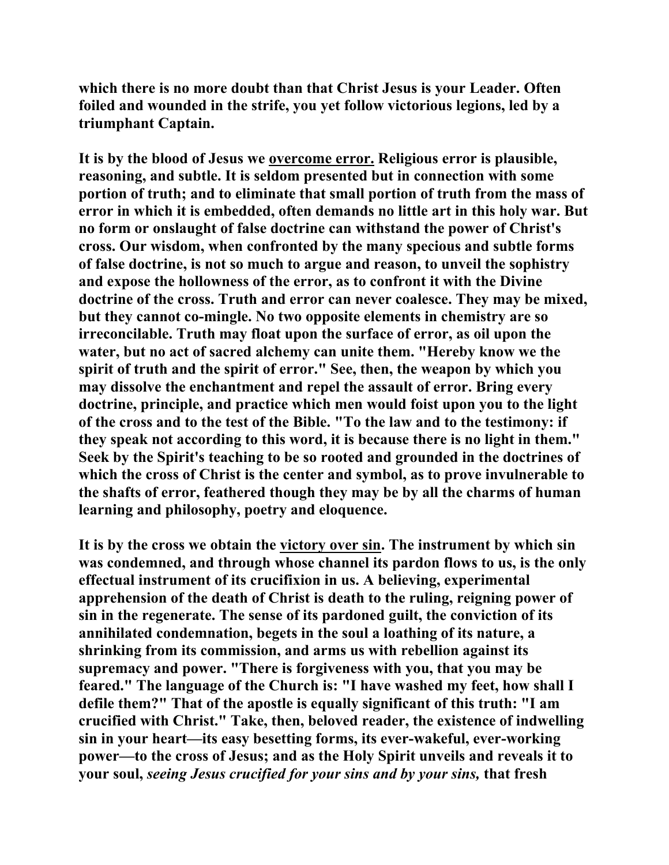**which there is no more doubt than that Christ Jesus is your Leader. Often foiled and wounded in the strife, you yet follow victorious legions, led by a triumphant Captain.** 

**It is by the blood of Jesus we overcome error. Religious error is plausible, reasoning, and subtle. It is seldom presented but in connection with some portion of truth; and to eliminate that small portion of truth from the mass of error in which it is embedded, often demands no little art in this holy war. But no form or onslaught of false doctrine can withstand the power of Christ's cross. Our wisdom, when confronted by the many specious and subtle forms of false doctrine, is not so much to argue and reason, to unveil the sophistry and expose the hollowness of the error, as to confront it with the Divine doctrine of the cross. Truth and error can never coalesce. They may be mixed, but they cannot co-mingle. No two opposite elements in chemistry are so irreconcilable. Truth may float upon the surface of error, as oil upon the water, but no act of sacred alchemy can unite them. "Hereby know we the spirit of truth and the spirit of error." See, then, the weapon by which you may dissolve the enchantment and repel the assault of error. Bring every doctrine, principle, and practice which men would foist upon you to the light of the cross and to the test of the Bible. "To the law and to the testimony: if they speak not according to this word, it is because there is no light in them." Seek by the Spirit's teaching to be so rooted and grounded in the doctrines of which the cross of Christ is the center and symbol, as to prove invulnerable to the shafts of error, feathered though they may be by all the charms of human learning and philosophy, poetry and eloquence.** 

**It is by the cross we obtain the victory over sin. The instrument by which sin was condemned, and through whose channel its pardon flows to us, is the only effectual instrument of its crucifixion in us. A believing, experimental apprehension of the death of Christ is death to the ruling, reigning power of sin in the regenerate. The sense of its pardoned guilt, the conviction of its annihilated condemnation, begets in the soul a loathing of its nature, a shrinking from its commission, and arms us with rebellion against its supremacy and power. "There is forgiveness with you, that you may be feared." The language of the Church is: "I have washed my feet, how shall I defile them?" That of the apostle is equally significant of this truth: "I am crucified with Christ." Take, then, beloved reader, the existence of indwelling sin in your heart—its easy besetting forms, its ever-wakeful, ever-working power—to the cross of Jesus; and as the Holy Spirit unveils and reveals it to your soul,** *seeing Jesus crucified for your sins and by your sins,* **that fresh**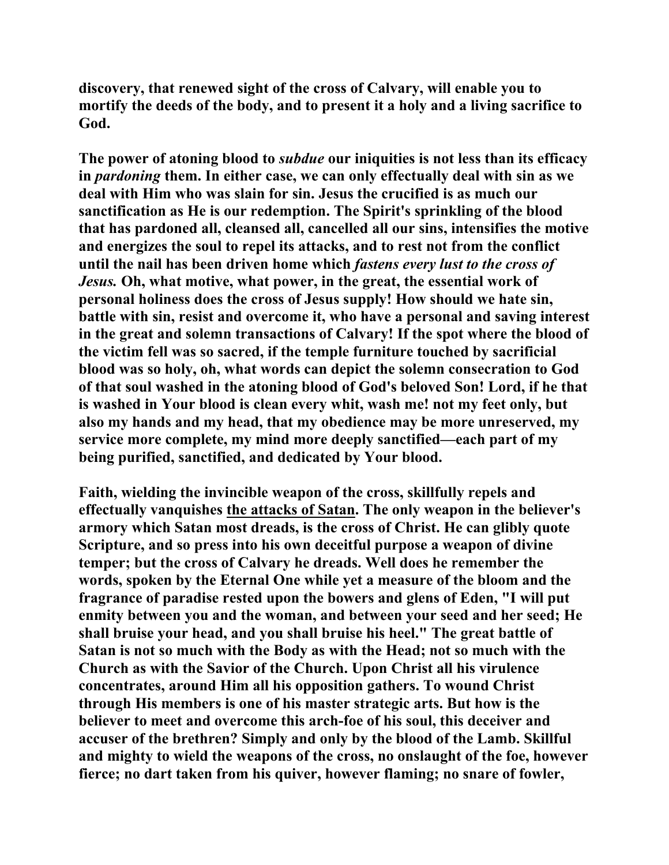**discovery, that renewed sight of the cross of Calvary, will enable you to mortify the deeds of the body, and to present it a holy and a living sacrifice to God.** 

**The power of atoning blood to** *subdue* **our iniquities is not less than its efficacy in** *pardoning* **them. In either case, we can only effectually deal with sin as we deal with Him who was slain for sin. Jesus the crucified is as much our sanctification as He is our redemption. The Spirit's sprinkling of the blood that has pardoned all, cleansed all, cancelled all our sins, intensifies the motive and energizes the soul to repel its attacks, and to rest not from the conflict until the nail has been driven home which** *fastens every lust to the cross of Jesus.* **Oh, what motive, what power, in the great, the essential work of personal holiness does the cross of Jesus supply! How should we hate sin, battle with sin, resist and overcome it, who have a personal and saving interest in the great and solemn transactions of Calvary! If the spot where the blood of the victim fell was so sacred, if the temple furniture touched by sacrificial blood was so holy, oh, what words can depict the solemn consecration to God of that soul washed in the atoning blood of God's beloved Son! Lord, if he that is washed in Your blood is clean every whit, wash me! not my feet only, but also my hands and my head, that my obedience may be more unreserved, my service more complete, my mind more deeply sanctified—each part of my being purified, sanctified, and dedicated by Your blood.** 

**Faith, wielding the invincible weapon of the cross, skillfully repels and effectually vanquishes the attacks of Satan. The only weapon in the believer's armory which Satan most dreads, is the cross of Christ. He can glibly quote Scripture, and so press into his own deceitful purpose a weapon of divine temper; but the cross of Calvary he dreads. Well does he remember the words, spoken by the Eternal One while yet a measure of the bloom and the fragrance of paradise rested upon the bowers and glens of Eden, "I will put enmity between you and the woman, and between your seed and her seed; He shall bruise your head, and you shall bruise his heel." The great battle of Satan is not so much with the Body as with the Head; not so much with the Church as with the Savior of the Church. Upon Christ all his virulence concentrates, around Him all his opposition gathers. To wound Christ through His members is one of his master strategic arts. But how is the believer to meet and overcome this arch-foe of his soul, this deceiver and accuser of the brethren? Simply and only by the blood of the Lamb. Skillful and mighty to wield the weapons of the cross, no onslaught of the foe, however fierce; no dart taken from his quiver, however flaming; no snare of fowler,**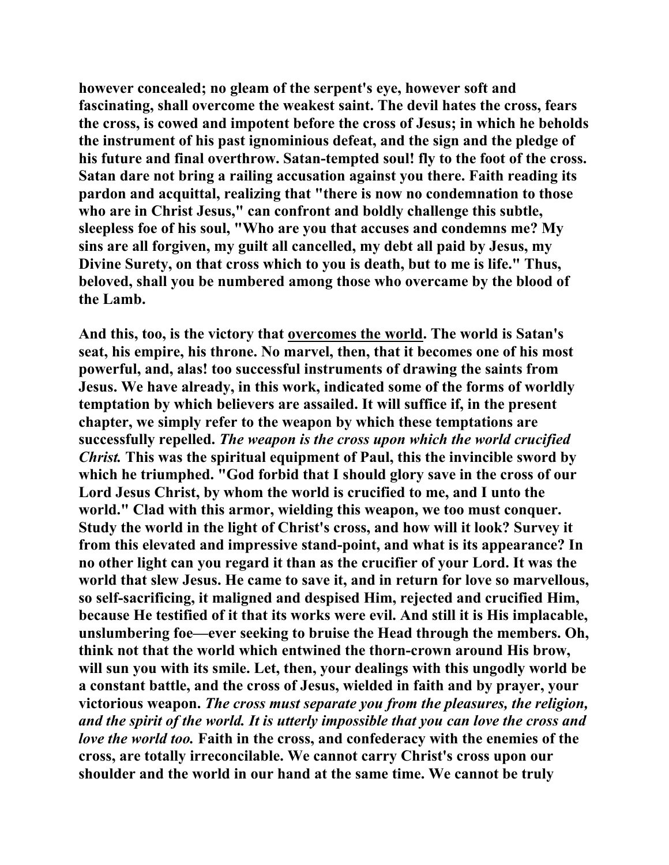**however concealed; no gleam of the serpent's eye, however soft and fascinating, shall overcome the weakest saint. The devil hates the cross, fears the cross, is cowed and impotent before the cross of Jesus; in which he beholds the instrument of his past ignominious defeat, and the sign and the pledge of his future and final overthrow. Satan-tempted soul! fly to the foot of the cross. Satan dare not bring a railing accusation against you there. Faith reading its pardon and acquittal, realizing that "there is now no condemnation to those who are in Christ Jesus," can confront and boldly challenge this subtle, sleepless foe of his soul, "Who are you that accuses and condemns me? My sins are all forgiven, my guilt all cancelled, my debt all paid by Jesus, my Divine Surety, on that cross which to you is death, but to me is life." Thus, beloved, shall you be numbered among those who overcame by the blood of the Lamb.** 

**And this, too, is the victory that overcomes the world. The world is Satan's seat, his empire, his throne. No marvel, then, that it becomes one of his most powerful, and, alas! too successful instruments of drawing the saints from Jesus. We have already, in this work, indicated some of the forms of worldly temptation by which believers are assailed. It will suffice if, in the present chapter, we simply refer to the weapon by which these temptations are successfully repelled.** *The weapon is the cross upon which the world crucified Christ.* **This was the spiritual equipment of Paul, this the invincible sword by which he triumphed. "God forbid that I should glory save in the cross of our Lord Jesus Christ, by whom the world is crucified to me, and I unto the world." Clad with this armor, wielding this weapon, we too must conquer. Study the world in the light of Christ's cross, and how will it look? Survey it from this elevated and impressive stand-point, and what is its appearance? In no other light can you regard it than as the crucifier of your Lord. It was the world that slew Jesus. He came to save it, and in return for love so marvellous, so self-sacrificing, it maligned and despised Him, rejected and crucified Him, because He testified of it that its works were evil. And still it is His implacable, unslumbering foe—ever seeking to bruise the Head through the members. Oh, think not that the world which entwined the thorn-crown around His brow, will sun you with its smile. Let, then, your dealings with this ungodly world be a constant battle, and the cross of Jesus, wielded in faith and by prayer, your victorious weapon.** *The cross must separate you from the pleasures, the religion, and the spirit of the world. It is utterly impossible that you can love the cross and love the world too.* **Faith in the cross, and confederacy with the enemies of the cross, are totally irreconcilable. We cannot carry Christ's cross upon our shoulder and the world in our hand at the same time. We cannot be truly**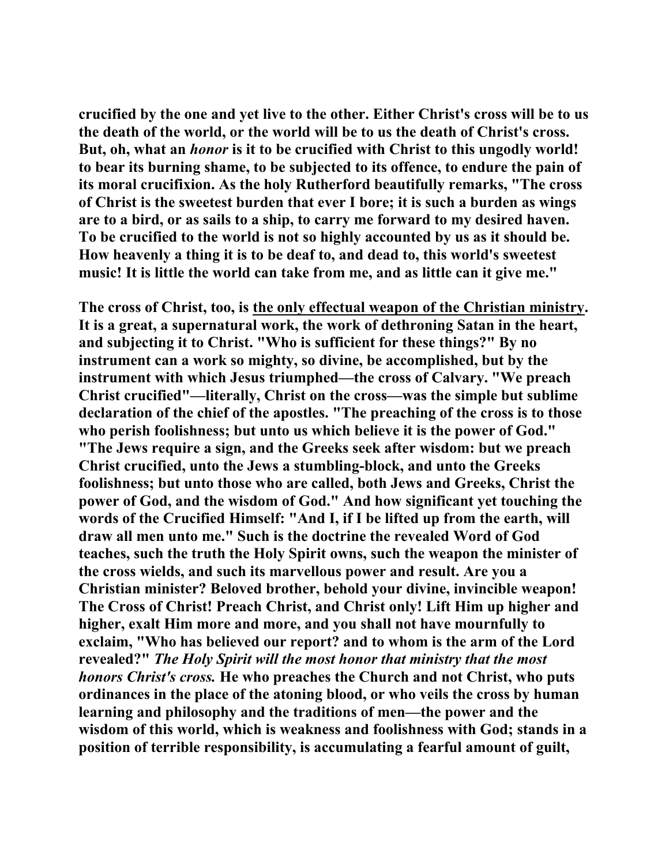**crucified by the one and yet live to the other. Either Christ's cross will be to us the death of the world, or the world will be to us the death of Christ's cross. But, oh, what an** *honor* **is it to be crucified with Christ to this ungodly world! to bear its burning shame, to be subjected to its offence, to endure the pain of its moral crucifixion. As the holy Rutherford beautifully remarks, "The cross of Christ is the sweetest burden that ever I bore; it is such a burden as wings are to a bird, or as sails to a ship, to carry me forward to my desired haven. To be crucified to the world is not so highly accounted by us as it should be. How heavenly a thing it is to be deaf to, and dead to, this world's sweetest music! It is little the world can take from me, and as little can it give me."** 

**The cross of Christ, too, is the only effectual weapon of the Christian ministry. It is a great, a supernatural work, the work of dethroning Satan in the heart, and subjecting it to Christ. "Who is sufficient for these things?" By no instrument can a work so mighty, so divine, be accomplished, but by the instrument with which Jesus triumphed—the cross of Calvary. "We preach Christ crucified"—literally, Christ on the cross—was the simple but sublime declaration of the chief of the apostles. "The preaching of the cross is to those who perish foolishness; but unto us which believe it is the power of God." "The Jews require a sign, and the Greeks seek after wisdom: but we preach Christ crucified, unto the Jews a stumbling-block, and unto the Greeks foolishness; but unto those who are called, both Jews and Greeks, Christ the power of God, and the wisdom of God." And how significant yet touching the words of the Crucified Himself: "And I, if I be lifted up from the earth, will draw all men unto me." Such is the doctrine the revealed Word of God teaches, such the truth the Holy Spirit owns, such the weapon the minister of the cross wields, and such its marvellous power and result. Are you a Christian minister? Beloved brother, behold your divine, invincible weapon! The Cross of Christ! Preach Christ, and Christ only! Lift Him up higher and higher, exalt Him more and more, and you shall not have mournfully to exclaim, "Who has believed our report? and to whom is the arm of the Lord revealed?"** *The Holy Spirit will the most honor that ministry that the most honors Christ's cross.* **He who preaches the Church and not Christ, who puts ordinances in the place of the atoning blood, or who veils the cross by human learning and philosophy and the traditions of men—the power and the wisdom of this world, which is weakness and foolishness with God; stands in a position of terrible responsibility, is accumulating a fearful amount of guilt,**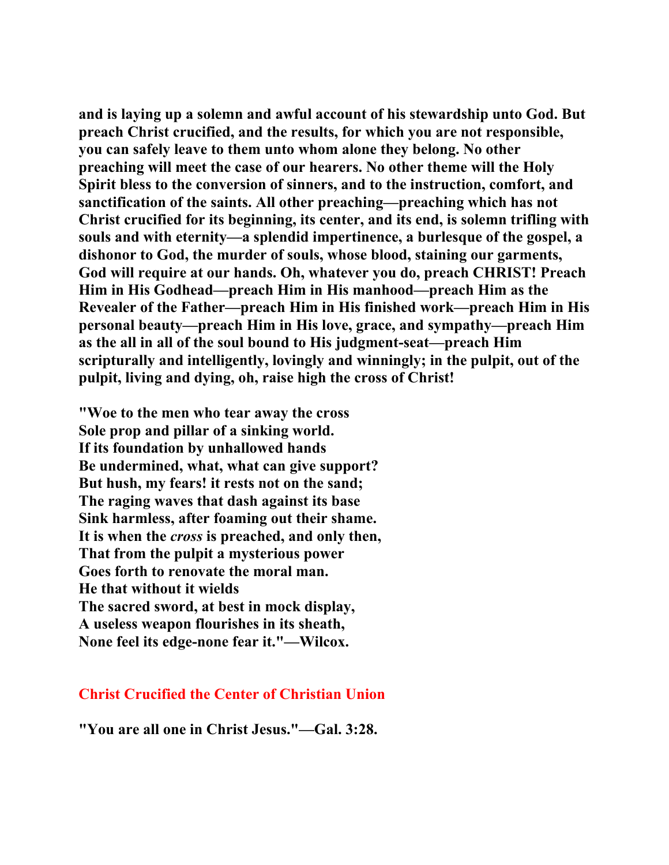**and is laying up a solemn and awful account of his stewardship unto God. But preach Christ crucified, and the results, for which you are not responsible, you can safely leave to them unto whom alone they belong. No other preaching will meet the case of our hearers. No other theme will the Holy Spirit bless to the conversion of sinners, and to the instruction, comfort, and sanctification of the saints. All other preaching—preaching which has not Christ crucified for its beginning, its center, and its end, is solemn trifling with souls and with eternity—a splendid impertinence, a burlesque of the gospel, a dishonor to God, the murder of souls, whose blood, staining our garments, God will require at our hands. Oh, whatever you do, preach CHRIST! Preach Him in His Godhead—preach Him in His manhood—preach Him as the Revealer of the Father—preach Him in His finished work—preach Him in His personal beauty—preach Him in His love, grace, and sympathy—preach Him as the all in all of the soul bound to His judgment-seat—preach Him scripturally and intelligently, lovingly and winningly; in the pulpit, out of the pulpit, living and dying, oh, raise high the cross of Christ!** 

**"Woe to the men who tear away the cross Sole prop and pillar of a sinking world. If its foundation by unhallowed hands Be undermined, what, what can give support? But hush, my fears! it rests not on the sand; The raging waves that dash against its base Sink harmless, after foaming out their shame. It is when the** *cross* **is preached, and only then, That from the pulpit a mysterious power Goes forth to renovate the moral man. He that without it wields The sacred sword, at best in mock display, A useless weapon flourishes in its sheath, None feel its edge-none fear it."—Wilcox.** 

#### **Christ Crucified the Center of Christian Union**

**"You are all one in Christ Jesus."—Gal. 3:28.**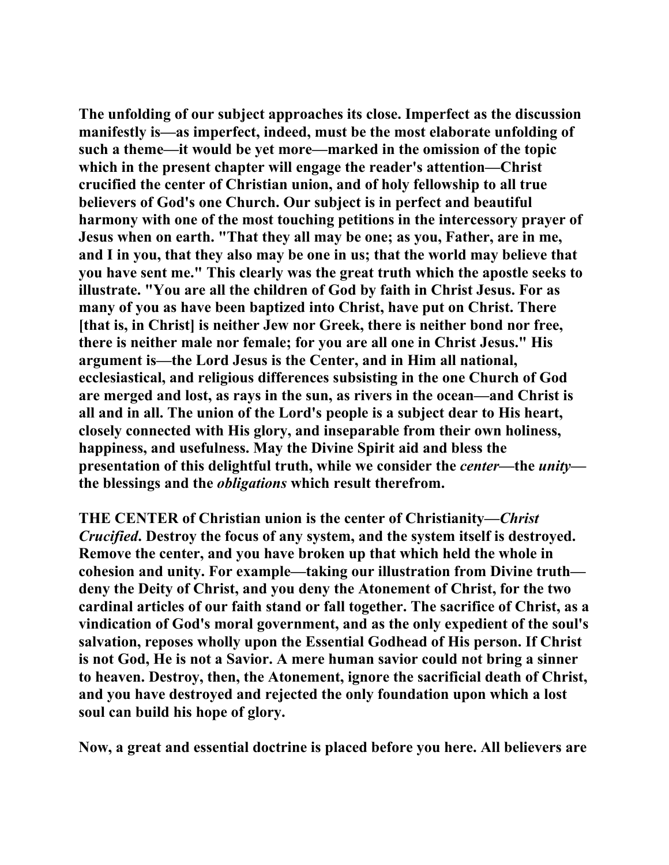**The unfolding of our subject approaches its close. Imperfect as the discussion manifestly is—as imperfect, indeed, must be the most elaborate unfolding of such a theme—it would be yet more—marked in the omission of the topic which in the present chapter will engage the reader's attention—Christ crucified the center of Christian union, and of holy fellowship to all true believers of God's one Church. Our subject is in perfect and beautiful harmony with one of the most touching petitions in the intercessory prayer of Jesus when on earth. "That they all may be one; as you, Father, are in me, and I in you, that they also may be one in us; that the world may believe that you have sent me." This clearly was the great truth which the apostle seeks to illustrate. "You are all the children of God by faith in Christ Jesus. For as many of you as have been baptized into Christ, have put on Christ. There [that is, in Christ] is neither Jew nor Greek, there is neither bond nor free, there is neither male nor female; for you are all one in Christ Jesus." His argument is—the Lord Jesus is the Center, and in Him all national, ecclesiastical, and religious differences subsisting in the one Church of God are merged and lost, as rays in the sun, as rivers in the ocean—and Christ is all and in all. The union of the Lord's people is a subject dear to His heart, closely connected with His glory, and inseparable from their own holiness, happiness, and usefulness. May the Divine Spirit aid and bless the presentation of this delightful truth, while we consider the** *center***—the** *unity* **the blessings and the** *obligations* **which result therefrom.** 

**THE CENTER of Christian union is the center of Christianity—***Christ Crucified***. Destroy the focus of any system, and the system itself is destroyed. Remove the center, and you have broken up that which held the whole in cohesion and unity. For example—taking our illustration from Divine truth deny the Deity of Christ, and you deny the Atonement of Christ, for the two cardinal articles of our faith stand or fall together. The sacrifice of Christ, as a vindication of God's moral government, and as the only expedient of the soul's salvation, reposes wholly upon the Essential Godhead of His person. If Christ is not God, He is not a Savior. A mere human savior could not bring a sinner to heaven. Destroy, then, the Atonement, ignore the sacrificial death of Christ, and you have destroyed and rejected the only foundation upon which a lost soul can build his hope of glory.** 

**Now, a great and essential doctrine is placed before you here. All believers are**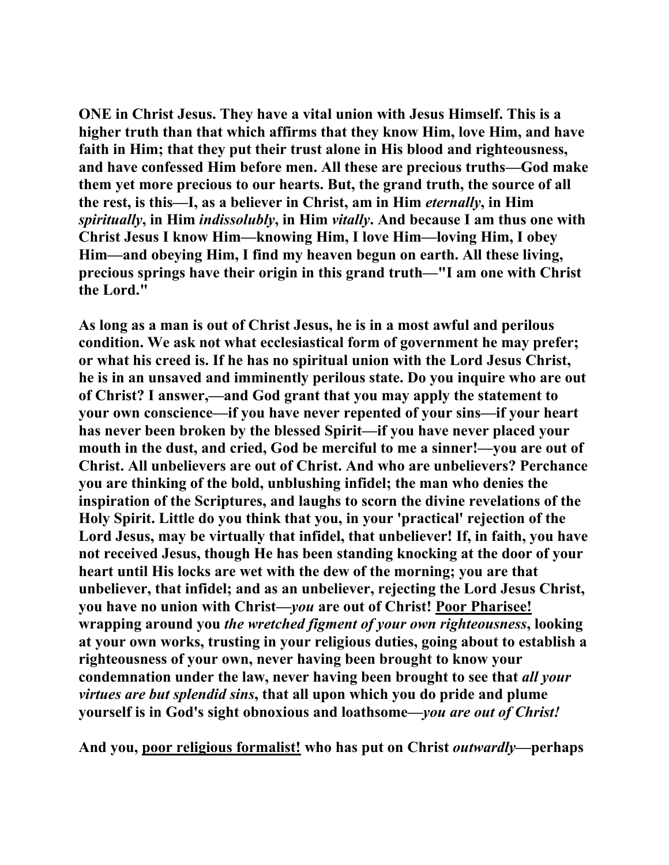**ONE in Christ Jesus. They have a vital union with Jesus Himself. This is a higher truth than that which affirms that they know Him, love Him, and have faith in Him; that they put their trust alone in His blood and righteousness, and have confessed Him before men. All these are precious truths—God make them yet more precious to our hearts. But, the grand truth, the source of all the rest, is this—I, as a believer in Christ, am in Him** *eternally***, in Him**  *spiritually***, in Him** *indissolubly***, in Him** *vitally***. And because I am thus one with Christ Jesus I know Him—knowing Him, I love Him—loving Him, I obey Him—and obeying Him, I find my heaven begun on earth. All these living, precious springs have their origin in this grand truth—"I am one with Christ the Lord."** 

**As long as a man is out of Christ Jesus, he is in a most awful and perilous condition. We ask not what ecclesiastical form of government he may prefer; or what his creed is. If he has no spiritual union with the Lord Jesus Christ, he is in an unsaved and imminently perilous state. Do you inquire who are out of Christ? I answer,—and God grant that you may apply the statement to your own conscience—if you have never repented of your sins—if your heart has never been broken by the blessed Spirit—if you have never placed your mouth in the dust, and cried, God be merciful to me a sinner!—you are out of Christ. All unbelievers are out of Christ. And who are unbelievers? Perchance you are thinking of the bold, unblushing infidel; the man who denies the inspiration of the Scriptures, and laughs to scorn the divine revelations of the Holy Spirit. Little do you think that you, in your 'practical' rejection of the Lord Jesus, may be virtually that infidel, that unbeliever! If, in faith, you have not received Jesus, though He has been standing knocking at the door of your heart until His locks are wet with the dew of the morning; you are that unbeliever, that infidel; and as an unbeliever, rejecting the Lord Jesus Christ, you have no union with Christ—***you* **are out of Christ! Poor Pharisee! wrapping around you** *the wretched figment of your own righteousness***, looking at your own works, trusting in your religious duties, going about to establish a righteousness of your own, never having been brought to know your condemnation under the law, never having been brought to see that** *all your virtues are but splendid sins***, that all upon which you do pride and plume yourself is in God's sight obnoxious and loathsome—***you are out of Christ!* 

And you, poor religious formalist! who has put on Christ *outwardly*—perhaps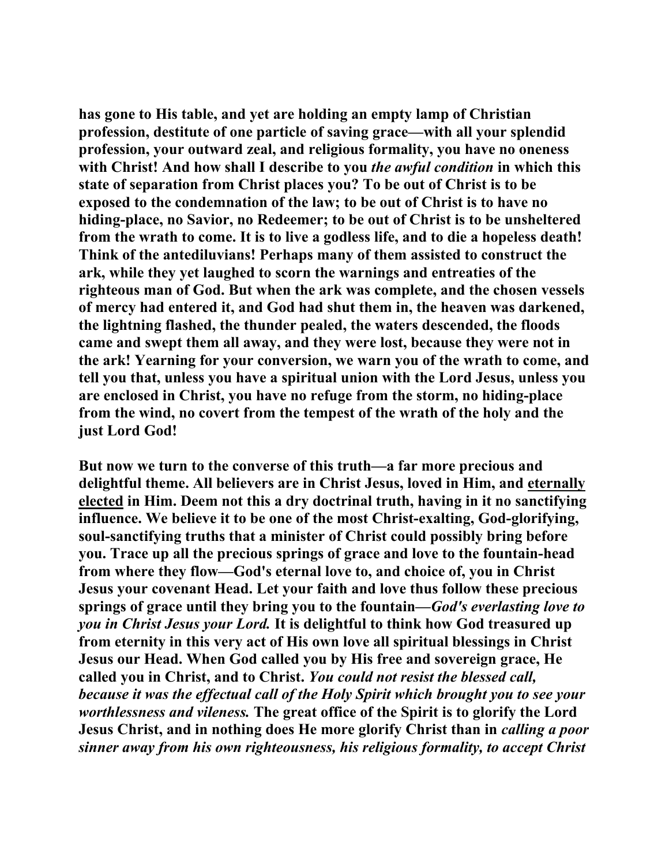**has gone to His table, and yet are holding an empty lamp of Christian profession, destitute of one particle of saving grace—with all your splendid profession, your outward zeal, and religious formality, you have no oneness with Christ! And how shall I describe to you** *the awful condition* **in which this state of separation from Christ places you? To be out of Christ is to be exposed to the condemnation of the law; to be out of Christ is to have no hiding-place, no Savior, no Redeemer; to be out of Christ is to be unsheltered from the wrath to come. It is to live a godless life, and to die a hopeless death! Think of the antediluvians! Perhaps many of them assisted to construct the ark, while they yet laughed to scorn the warnings and entreaties of the righteous man of God. But when the ark was complete, and the chosen vessels of mercy had entered it, and God had shut them in, the heaven was darkened, the lightning flashed, the thunder pealed, the waters descended, the floods came and swept them all away, and they were lost, because they were not in the ark! Yearning for your conversion, we warn you of the wrath to come, and tell you that, unless you have a spiritual union with the Lord Jesus, unless you are enclosed in Christ, you have no refuge from the storm, no hiding-place from the wind, no covert from the tempest of the wrath of the holy and the just Lord God!** 

**But now we turn to the converse of this truth—a far more precious and delightful theme. All believers are in Christ Jesus, loved in Him, and eternally elected in Him. Deem not this a dry doctrinal truth, having in it no sanctifying influence. We believe it to be one of the most Christ-exalting, God-glorifying, soul-sanctifying truths that a minister of Christ could possibly bring before you. Trace up all the precious springs of grace and love to the fountain-head from where they flow—God's eternal love to, and choice of, you in Christ Jesus your covenant Head. Let your faith and love thus follow these precious springs of grace until they bring you to the fountain—***God's everlasting love to you in Christ Jesus your Lord.* **It is delightful to think how God treasured up from eternity in this very act of His own love all spiritual blessings in Christ Jesus our Head. When God called you by His free and sovereign grace, He called you in Christ, and to Christ.** *You could not resist the blessed call, because it was the effectual call of the Holy Spirit which brought you to see your worthlessness and vileness.* **The great office of the Spirit is to glorify the Lord Jesus Christ, and in nothing does He more glorify Christ than in** *calling a poor sinner away from his own righteousness, his religious formality, to accept Christ*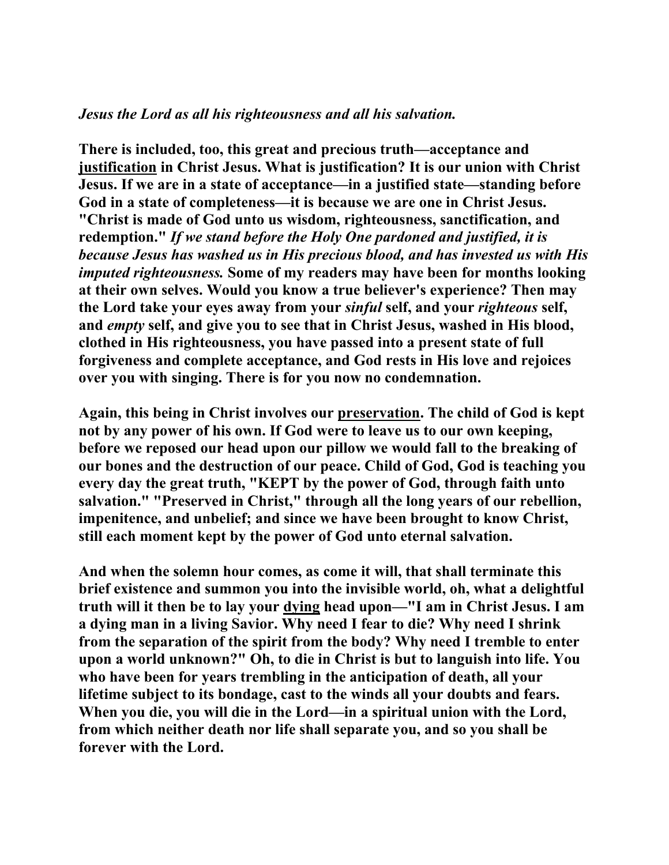# *Jesus the Lord as all his righteousness and all his salvation.*

**There is included, too, this great and precious truth—acceptance and justification in Christ Jesus. What is justification? It is our union with Christ Jesus. If we are in a state of acceptance—in a justified state—standing before God in a state of completeness—it is because we are one in Christ Jesus. "Christ is made of God unto us wisdom, righteousness, sanctification, and redemption."** *If we stand before the Holy One pardoned and justified, it is because Jesus has washed us in His precious blood, and has invested us with His imputed righteousness.* **Some of my readers may have been for months looking at their own selves. Would you know a true believer's experience? Then may the Lord take your eyes away from your** *sinful* **self, and your** *righteous* **self, and** *empty* **self, and give you to see that in Christ Jesus, washed in His blood, clothed in His righteousness, you have passed into a present state of full forgiveness and complete acceptance, and God rests in His love and rejoices over you with singing. There is for you now no condemnation.** 

**Again, this being in Christ involves our preservation. The child of God is kept not by any power of his own. If God were to leave us to our own keeping, before we reposed our head upon our pillow we would fall to the breaking of our bones and the destruction of our peace. Child of God, God is teaching you every day the great truth, "KEPT by the power of God, through faith unto salvation." "Preserved in Christ," through all the long years of our rebellion, impenitence, and unbelief; and since we have been brought to know Christ, still each moment kept by the power of God unto eternal salvation.** 

**And when the solemn hour comes, as come it will, that shall terminate this brief existence and summon you into the invisible world, oh, what a delightful truth will it then be to lay your dying head upon—"I am in Christ Jesus. I am a dying man in a living Savior. Why need I fear to die? Why need I shrink from the separation of the spirit from the body? Why need I tremble to enter upon a world unknown?" Oh, to die in Christ is but to languish into life. You who have been for years trembling in the anticipation of death, all your lifetime subject to its bondage, cast to the winds all your doubts and fears. When you die, you will die in the Lord—in a spiritual union with the Lord, from which neither death nor life shall separate you, and so you shall be forever with the Lord.**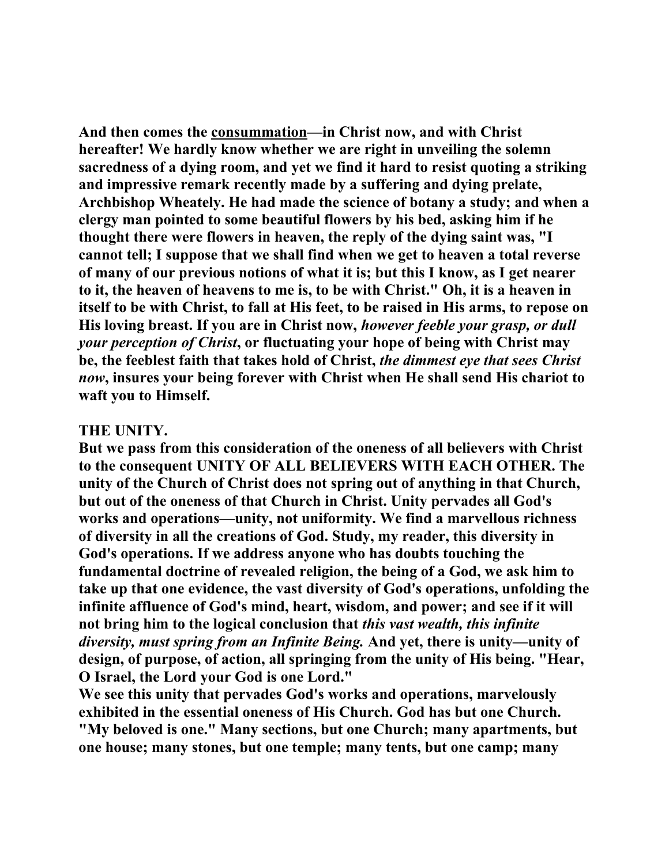**And then comes the consummation—in Christ now, and with Christ hereafter! We hardly know whether we are right in unveiling the solemn sacredness of a dying room, and yet we find it hard to resist quoting a striking and impressive remark recently made by a suffering and dying prelate, Archbishop Wheately. He had made the science of botany a study; and when a clergy man pointed to some beautiful flowers by his bed, asking him if he thought there were flowers in heaven, the reply of the dying saint was, "I cannot tell; I suppose that we shall find when we get to heaven a total reverse of many of our previous notions of what it is; but this I know, as I get nearer to it, the heaven of heavens to me is, to be with Christ." Oh, it is a heaven in itself to be with Christ, to fall at His feet, to be raised in His arms, to repose on His loving breast. If you are in Christ now,** *however feeble your grasp, or dull your perception of Christ***, or fluctuating your hope of being with Christ may be, the feeblest faith that takes hold of Christ,** *the dimmest eye that sees Christ now***, insures your being forever with Christ when He shall send His chariot to waft you to Himself.** 

## **THE UNITY.**

**But we pass from this consideration of the oneness of all believers with Christ to the consequent UNITY OF ALL BELIEVERS WITH EACH OTHER. The unity of the Church of Christ does not spring out of anything in that Church, but out of the oneness of that Church in Christ. Unity pervades all God's works and operations—unity, not uniformity. We find a marvellous richness of diversity in all the creations of God. Study, my reader, this diversity in God's operations. If we address anyone who has doubts touching the fundamental doctrine of revealed religion, the being of a God, we ask him to take up that one evidence, the vast diversity of God's operations, unfolding the infinite affluence of God's mind, heart, wisdom, and power; and see if it will not bring him to the logical conclusion that** *this vast wealth, this infinite diversity, must spring from an Infinite Being.* **And yet, there is unity—unity of design, of purpose, of action, all springing from the unity of His being. "Hear, O Israel, the Lord your God is one Lord."** 

**We see this unity that pervades God's works and operations, marvelously exhibited in the essential oneness of His Church. God has but one Church. "My beloved is one." Many sections, but one Church; many apartments, but one house; many stones, but one temple; many tents, but one camp; many**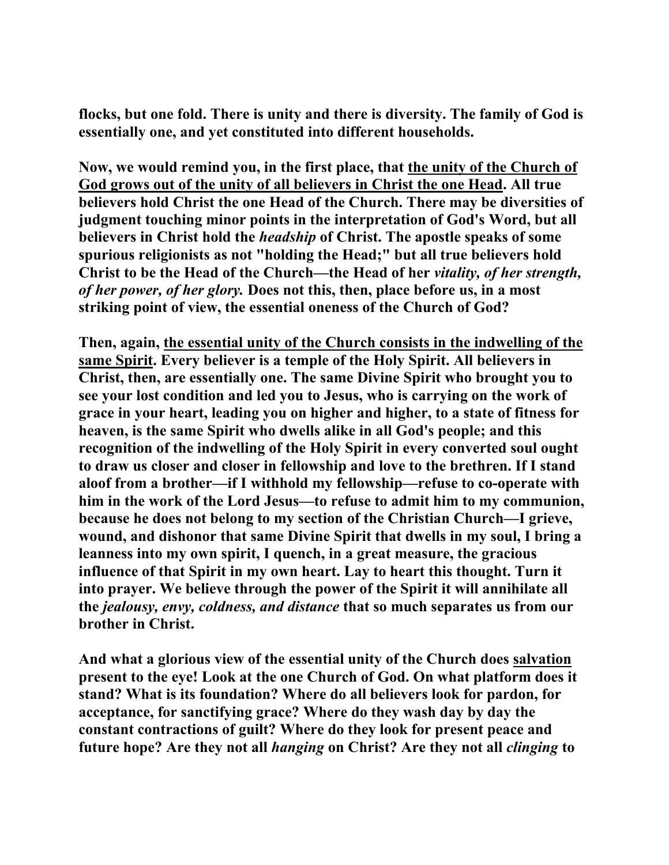**flocks, but one fold. There is unity and there is diversity. The family of God is essentially one, and yet constituted into different households.** 

**Now, we would remind you, in the first place, that the unity of the Church of God grows out of the unity of all believers in Christ the one Head. All true believers hold Christ the one Head of the Church. There may be diversities of judgment touching minor points in the interpretation of God's Word, but all believers in Christ hold the** *headship* **of Christ. The apostle speaks of some spurious religionists as not "holding the Head;" but all true believers hold Christ to be the Head of the Church—the Head of her** *vitality, of her strength, of her power, of her glory.* **Does not this, then, place before us, in a most striking point of view, the essential oneness of the Church of God?** 

**Then, again, the essential unity of the Church consists in the indwelling of the same Spirit. Every believer is a temple of the Holy Spirit. All believers in Christ, then, are essentially one. The same Divine Spirit who brought you to see your lost condition and led you to Jesus, who is carrying on the work of grace in your heart, leading you on higher and higher, to a state of fitness for heaven, is the same Spirit who dwells alike in all God's people; and this recognition of the indwelling of the Holy Spirit in every converted soul ought to draw us closer and closer in fellowship and love to the brethren. If I stand aloof from a brother—if I withhold my fellowship—refuse to co-operate with him in the work of the Lord Jesus—to refuse to admit him to my communion, because he does not belong to my section of the Christian Church—I grieve, wound, and dishonor that same Divine Spirit that dwells in my soul, I bring a leanness into my own spirit, I quench, in a great measure, the gracious influence of that Spirit in my own heart. Lay to heart this thought. Turn it into prayer. We believe through the power of the Spirit it will annihilate all the** *jealousy, envy, coldness, and distance* **that so much separates us from our brother in Christ.** 

**And what a glorious view of the essential unity of the Church does salvation present to the eye! Look at the one Church of God. On what platform does it stand? What is its foundation? Where do all believers look for pardon, for acceptance, for sanctifying grace? Where do they wash day by day the constant contractions of guilt? Where do they look for present peace and future hope? Are they not all** *hanging* **on Christ? Are they not all** *clinging* **to**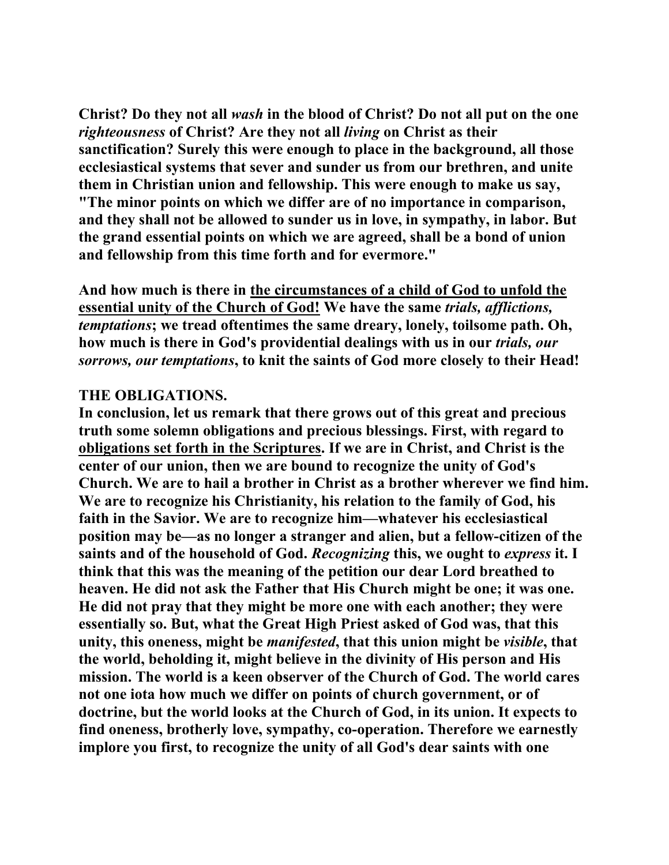**Christ? Do they not all** *wash* **in the blood of Christ? Do not all put on the one**  *righteousness* **of Christ? Are they not all** *living* **on Christ as their sanctification? Surely this were enough to place in the background, all those ecclesiastical systems that sever and sunder us from our brethren, and unite them in Christian union and fellowship. This were enough to make us say, "The minor points on which we differ are of no importance in comparison, and they shall not be allowed to sunder us in love, in sympathy, in labor. But the grand essential points on which we are agreed, shall be a bond of union and fellowship from this time forth and for evermore."** 

**And how much is there in the circumstances of a child of God to unfold the essential unity of the Church of God! We have the same** *trials, afflictions, temptations***; we tread oftentimes the same dreary, lonely, toilsome path. Oh, how much is there in God's providential dealings with us in our** *trials, our sorrows, our temptations***, to knit the saints of God more closely to their Head!** 

## **THE OBLIGATIONS.**

**In conclusion, let us remark that there grows out of this great and precious truth some solemn obligations and precious blessings. First, with regard to obligations set forth in the Scriptures. If we are in Christ, and Christ is the center of our union, then we are bound to recognize the unity of God's Church. We are to hail a brother in Christ as a brother wherever we find him. We are to recognize his Christianity, his relation to the family of God, his faith in the Savior. We are to recognize him—whatever his ecclesiastical position may be—as no longer a stranger and alien, but a fellow-citizen of the saints and of the household of God.** *Recognizing* **this, we ought to** *express* **it. I think that this was the meaning of the petition our dear Lord breathed to heaven. He did not ask the Father that His Church might be one; it was one. He did not pray that they might be more one with each another; they were essentially so. But, what the Great High Priest asked of God was, that this unity, this oneness, might be** *manifested***, that this union might be** *visible***, that the world, beholding it, might believe in the divinity of His person and His mission. The world is a keen observer of the Church of God. The world cares not one iota how much we differ on points of church government, or of doctrine, but the world looks at the Church of God, in its union. It expects to find oneness, brotherly love, sympathy, co-operation. Therefore we earnestly implore you first, to recognize the unity of all God's dear saints with one**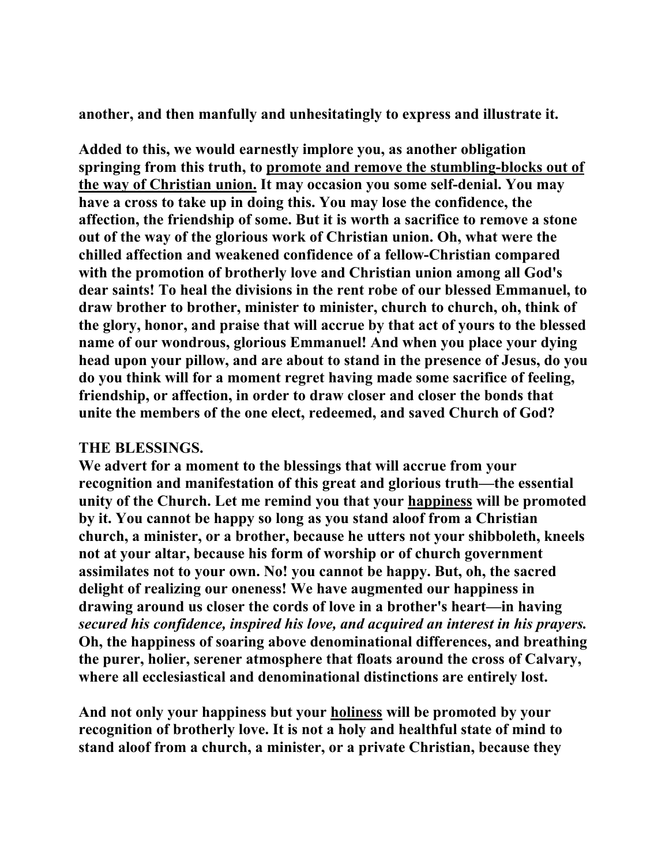**another, and then manfully and unhesitatingly to express and illustrate it.** 

**Added to this, we would earnestly implore you, as another obligation springing from this truth, to promote and remove the stumbling-blocks out of the way of Christian union. It may occasion you some self-denial. You may have a cross to take up in doing this. You may lose the confidence, the affection, the friendship of some. But it is worth a sacrifice to remove a stone out of the way of the glorious work of Christian union. Oh, what were the chilled affection and weakened confidence of a fellow-Christian compared with the promotion of brotherly love and Christian union among all God's dear saints! To heal the divisions in the rent robe of our blessed Emmanuel, to draw brother to brother, minister to minister, church to church, oh, think of the glory, honor, and praise that will accrue by that act of yours to the blessed name of our wondrous, glorious Emmanuel! And when you place your dying head upon your pillow, and are about to stand in the presence of Jesus, do you do you think will for a moment regret having made some sacrifice of feeling, friendship, or affection, in order to draw closer and closer the bonds that unite the members of the one elect, redeemed, and saved Church of God?** 

## **THE BLESSINGS.**

**We advert for a moment to the blessings that will accrue from your recognition and manifestation of this great and glorious truth—the essential unity of the Church. Let me remind you that your happiness will be promoted by it. You cannot be happy so long as you stand aloof from a Christian church, a minister, or a brother, because he utters not your shibboleth, kneels not at your altar, because his form of worship or of church government assimilates not to your own. No! you cannot be happy. But, oh, the sacred delight of realizing our oneness! We have augmented our happiness in drawing around us closer the cords of love in a brother's heart—in having**  *secured his confidence, inspired his love, and acquired an interest in his prayers.* **Oh, the happiness of soaring above denominational differences, and breathing the purer, holier, serener atmosphere that floats around the cross of Calvary, where all ecclesiastical and denominational distinctions are entirely lost.** 

**And not only your happiness but your holiness will be promoted by your recognition of brotherly love. It is not a holy and healthful state of mind to stand aloof from a church, a minister, or a private Christian, because they**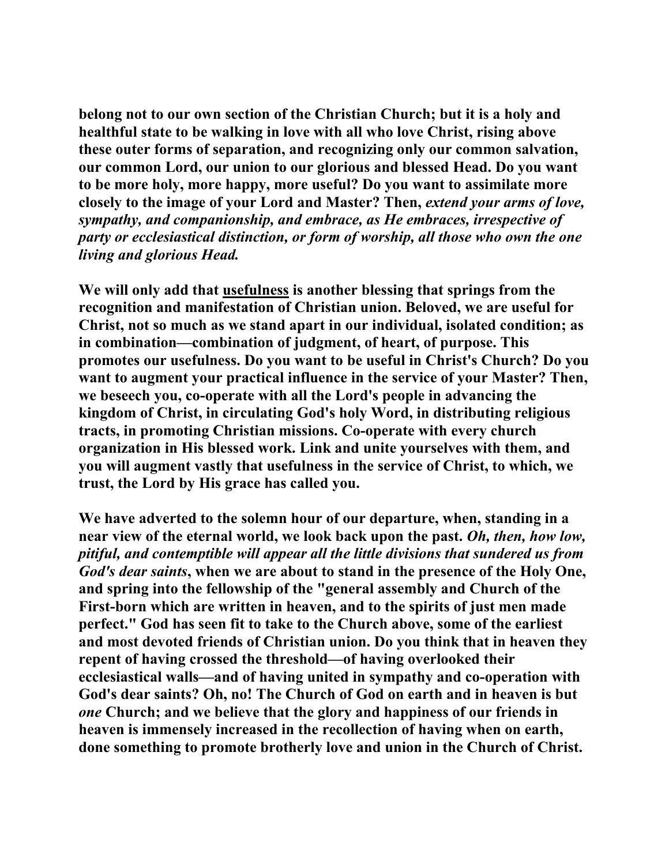**belong not to our own section of the Christian Church; but it is a holy and healthful state to be walking in love with all who love Christ, rising above these outer forms of separation, and recognizing only our common salvation, our common Lord, our union to our glorious and blessed Head. Do you want to be more holy, more happy, more useful? Do you want to assimilate more closely to the image of your Lord and Master? Then,** *extend your arms of love, sympathy, and companionship, and embrace, as He embraces, irrespective of party or ecclesiastical distinction, or form of worship, all those who own the one living and glorious Head.*

**We will only add that usefulness is another blessing that springs from the recognition and manifestation of Christian union. Beloved, we are useful for Christ, not so much as we stand apart in our individual, isolated condition; as in combination—combination of judgment, of heart, of purpose. This promotes our usefulness. Do you want to be useful in Christ's Church? Do you want to augment your practical influence in the service of your Master? Then, we beseech you, co-operate with all the Lord's people in advancing the kingdom of Christ, in circulating God's holy Word, in distributing religious tracts, in promoting Christian missions. Co-operate with every church organization in His blessed work. Link and unite yourselves with them, and you will augment vastly that usefulness in the service of Christ, to which, we trust, the Lord by His grace has called you.** 

**We have adverted to the solemn hour of our departure, when, standing in a near view of the eternal world, we look back upon the past.** *Oh, then, how low, pitiful, and contemptible will appear all the little divisions that sundered us from God's dear saints***, when we are about to stand in the presence of the Holy One, and spring into the fellowship of the "general assembly and Church of the First-born which are written in heaven, and to the spirits of just men made perfect." God has seen fit to take to the Church above, some of the earliest and most devoted friends of Christian union. Do you think that in heaven they repent of having crossed the threshold—of having overlooked their ecclesiastical walls—and of having united in sympathy and co-operation with God's dear saints? Oh, no! The Church of God on earth and in heaven is but**  *one* **Church; and we believe that the glory and happiness of our friends in heaven is immensely increased in the recollection of having when on earth, done something to promote brotherly love and union in the Church of Christ.**